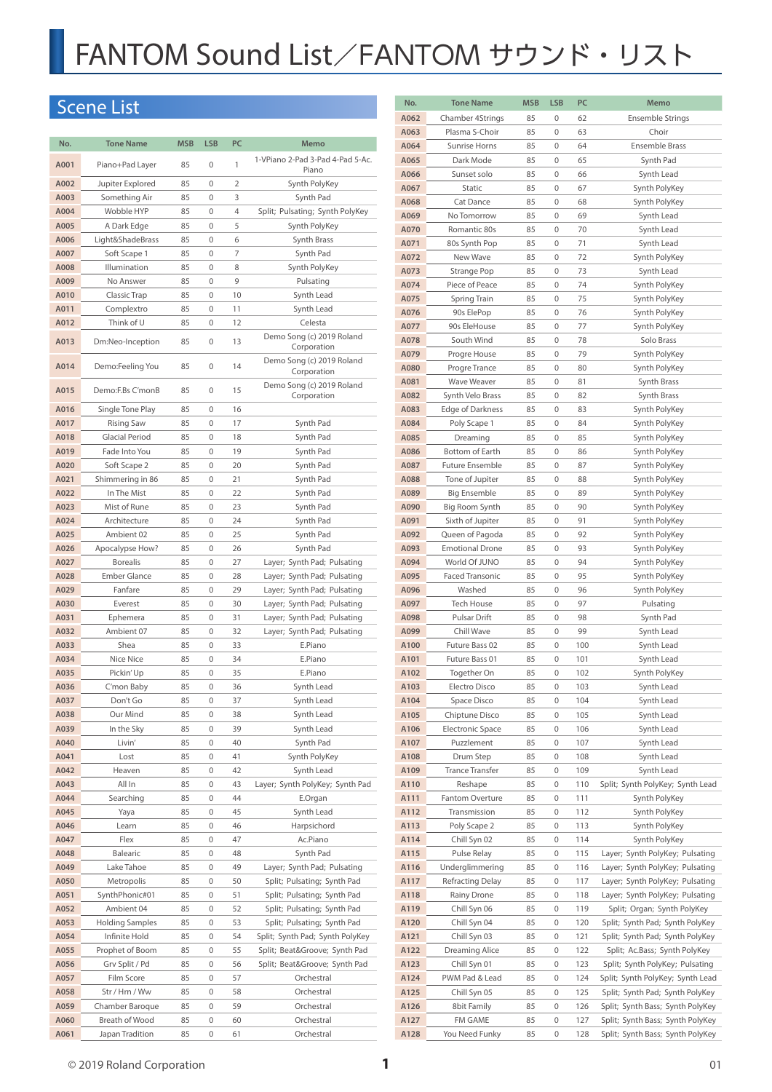# Scene List

| No.          | <b>Tone Name</b>                | <b>MSB</b> | <b>LSB</b>   | PC       | Memo                                                       |
|--------------|---------------------------------|------------|--------------|----------|------------------------------------------------------------|
| A001         | Piano+Pad Layer                 | 85         | $\mathbf 0$  | 1        | 1-VPiano 2-Pad 3-Pad 4-Pad 5-Ac.<br>Piano                  |
| A002         | Jupiter Explored                | 85         | 0            | 2        | Synth PolyKey                                              |
| A003         | Something Air                   | 85         | 0            | 3        | Synth Pad                                                  |
| A004         | Wobble HYP                      | 85         | 0            | 4        | Split; Pulsating; Synth PolyKey                            |
| A005         | A Dark Edge                     | 85         | $\mathbf{0}$ | 5        | Synth PolyKey                                              |
| A006         | Light&ShadeBrass                | 85         | 0            | 6        | Synth Brass                                                |
| A007<br>A008 | Soft Scape 1<br>Illumination    | 85<br>85   | 0<br>0       | 7<br>8   | Synth Pad                                                  |
| A009         | No Answer                       | 85         | 0            | 9        | Synth PolyKey<br>Pulsating                                 |
| A010         | Classic Trap                    | 85         | $\mathbf{0}$ | 10       | Synth Lead                                                 |
| A011         | Complextro                      | 85         | $\mathbf{0}$ | 11       | Synth Lead                                                 |
| A012         | Think of U                      | 85         | 0            | 12       | Celesta                                                    |
| A013         | Dm:Neo-Inception                | 85         | $\mathbf 0$  | 13       | Demo Song (c) 2019 Roland<br>Corporation                   |
| A014         | Demo:Feeling You                | 85         | $\mathbf 0$  | 14       | Demo Song (c) 2019 Roland<br>Corporation                   |
| A015         | Demo:F.Bs C'monB                | 85         | 0            | 15       | Demo Song (c) 2019 Roland<br>Corporation                   |
| A016         | Single Tone Play                | 85         | 0            | 16       |                                                            |
| A017         | <b>Rising Saw</b>               | 85         | 0            | 17       | Synth Pad                                                  |
| A018         | <b>Glacial Period</b>           | 85         | 0            | 18       | Synth Pad                                                  |
| A019         | Fade Into You                   | 85         | $\mathbf 0$  | 19       | Synth Pad                                                  |
| A020         | Soft Scape 2                    | 85         | 0<br>0       | 20       | Synth Pad                                                  |
| A021<br>A022 | Shimmering in 86<br>In The Mist | 85<br>85   | 0            | 21<br>22 | Synth Pad<br>Synth Pad                                     |
| A023         | Mist of Rune                    | 85         | 0            | 23       | Synth Pad                                                  |
| A024         | Architecture                    | 85         | 0            | 24       | Synth Pad                                                  |
| A025         | Ambient 02                      | 85         | 0            | 25       | Synth Pad                                                  |
| A026         | Apocalypse How?                 | 85         | 0            | 26       | Synth Pad                                                  |
| A027         | <b>Borealis</b>                 | 85         | 0            | 27       | Layer; Synth Pad; Pulsating                                |
| A028         | <b>Ember Glance</b>             | 85         | 0            | 28       | Layer; Synth Pad; Pulsating                                |
| A029         | Fanfare                         | 85         | 0            | 29       | Layer; Synth Pad; Pulsating                                |
| A030         | Everest                         | 85         | 0            | 30       | Layer; Synth Pad; Pulsating                                |
| A031         | Ephemera                        | 85         | 0            | 31       | Layer; Synth Pad; Pulsating                                |
| A032         | Ambient 07                      | 85         | 0            | 32       | Layer; Synth Pad; Pulsating                                |
| A033<br>A034 | Shea<br>Nice Nice               | 85<br>85   | 0<br>0       | 33<br>34 | E.Piano<br>E.Piano                                         |
| A035         | Pickin' Up                      | 85         | 0            | 35       | E.Piano                                                    |
| A036         | C'mon Baby                      | 85         | 0            | 36       | Synth Lead                                                 |
| A037         | Don't Go                        | 85         | 0            | 37       | Synth Lead                                                 |
| A038         | Our Mind                        | 85         | $\Omega$     | 38       | Synth Lead                                                 |
| A039         | In the Sky                      | 85         | 0            | 39       | Synth Lead                                                 |
| A040         | Livin'                          | 85         | 0            | 40       | Synth Pad                                                  |
| A041         | Lost                            | 85         | 0            | 41       | Synth PolyKey                                              |
| A042         | Heaven                          | 85         | 0            | 42       | Synth Lead                                                 |
| A043         | All In                          | 85         | 0            | 43       | Layer; Synth PolyKey; Synth Pad                            |
| A044         | Searching                       | 85         | 0            | 44       | E.Organ                                                    |
| A045         | Yaya                            | 85         | 0            | 45       | Synth Lead                                                 |
| A046         | Learn                           | 85         | 0            | 46       | Harpsichord                                                |
| A047         | Flex                            | 85         | 0            | 47       | Ac.Piano                                                   |
| A048<br>A049 | Balearic                        | 85         | 0<br>0       | 48<br>49 | Synth Pad                                                  |
| A050         | Lake Tahoe<br>Metropolis        | 85<br>85   | 0            | 50       | Layer; Synth Pad; Pulsating<br>Split; Pulsating; Synth Pad |
| A051         | SynthPhonic#01                  | 85         | 0            | 51       | Split; Pulsating; Synth Pad                                |
| A052         | Ambient 04                      | 85         | 0            | 52       | Split; Pulsating; Synth Pad                                |
| A053         | <b>Holding Samples</b>          | 85         | 0            | 53       | Split; Pulsating; Synth Pad                                |
| A054         | Infinite Hold                   | 85         | 0            | 54       | Split; Synth Pad; Synth PolyKey                            |
| A055         | Prophet of Boom                 | 85         | 0            | 55       | Split; Beat&Groove Synth Pad                               |
| A056         | Grv Split / Pd                  | 85         | 0            | 56       | Split; Beat&Groove Synth Pad                               |
| A057         | Film Score                      | 85         | 0            | 57       | Orchestral                                                 |
| A058         | Str / Hrn / Ww                  | 85         | 0            | 58       | Orchestral                                                 |
| A059         | Chamber Baroque                 | 85         | 0            | 59       | Orchestral                                                 |
| A060         | Breath of Wood                  | 85         | 0            | 60       | Orchestral                                                 |
| A061         | Japan Tradition                 | 85         | 0            | 61       | Orchestral                                                 |

| No.          | <b>Tone Name</b>               | <b>MSB</b> | <b>LSB</b>       | PC         | Memo                                                               |
|--------------|--------------------------------|------------|------------------|------------|--------------------------------------------------------------------|
| A062         | Chamber 4Strings               | 85         | 0                | 62         | <b>Ensemble Strings</b>                                            |
| A063         | Plasma S-Choir                 | 85         | 0                | 63         | Choir                                                              |
| A064         | Sunrise Horns                  | 85         | 0                | 64         | Ensemble Brass                                                     |
| A065         | Dark Mode                      | 85         | 0                | 65         | Synth Pad                                                          |
| A066         | Sunset solo                    | 85         | 0                | 66         | Synth Lead                                                         |
| A067<br>A068 | Static<br>Cat Dance            | 85<br>85   | $\mathbf 0$<br>0 | 67<br>68   | Synth PolyKey                                                      |
| A069         | No Tomorrow                    | 85         | 0                | 69         | Synth PolyKey<br>Synth Lead                                        |
| A070         | Romantic 80s                   | 85         | 0                | 70         | Synth Lead                                                         |
| A071         | 80s Synth Pop                  | 85         | 0                | 71         | Synth Lead                                                         |
| A072         | New Wave                       | 85         | 0                | 72         | Synth PolyKey                                                      |
| A073         | Strange Pop                    | 85         | 0                | 73         | Synth Lead                                                         |
| A074         | Piece of Peace                 | 85         | 0                | 74         | Synth PolyKey                                                      |
| A075         | Spring Train                   | 85         | 0                | 75         | Synth PolyKey                                                      |
| A076         | 90s ElePop                     | 85         | 0                | 76         | Synth PolyKey                                                      |
| A077         | 90s EleHouse                   | 85         | 0                | 77         | Synth PolyKey                                                      |
| A078         | South Wind                     | 85         | 0                | 78         | Solo Brass                                                         |
| A079         | Progre House                   | 85         | 0                | 79         | Synth PolyKey                                                      |
| A080         | Progre Trance                  | 85         | 0                | 80         | Synth PolyKey                                                      |
| A081         | Wave Weaver                    | 85         | 0                | 81         | Synth Brass                                                        |
| A082         | Synth Velo Brass               | 85         | 0                | 82         | Synth Brass                                                        |
| A083         | Edge of Darkness               | 85         | 0<br>$\mathbf 0$ | 83         | Synth PolyKey                                                      |
| A084<br>A085 | Poly Scape 1<br>Dreaming       | 85<br>85   | 0                | 84<br>85   | Synth PolyKey<br>Synth PolyKey                                     |
| A086         | Bottom of Earth                | 85         | 0                | 86         | Synth PolyKey                                                      |
| A087         | <b>Future Ensemble</b>         | 85         | 0                | 87         | Synth PolyKey                                                      |
| A088         | Tone of Jupiter                | 85         | 0                | 88         | Synth PolyKey                                                      |
| A089         | Big Ensemble                   | 85         | 0                | 89         | Synth PolyKey                                                      |
| A090         | Big Room Synth                 | 85         | 0                | 90         | Synth PolyKey                                                      |
| A091         | Sixth of Jupiter               | 85         | 0                | 91         | Synth PolyKey                                                      |
| A092         | Queen of Pagoda                | 85         | $\mathbf 0$      | 92         | Synth PolyKey                                                      |
| A093         | <b>Emotional Drone</b>         | 85         | 0                | 93         | Synth PolyKey                                                      |
| A094         | World Of JUNO                  | 85         | 0                | 94         | Synth PolyKey                                                      |
| A095         | <b>Faced Transonic</b>         | 85         | 0                | 95         | Synth PolyKey                                                      |
| A096         | Washed                         | 85         | 0                | 96         | Synth PolyKey                                                      |
| A097         | Tech House                     | 85         | 0                | 97         | Pulsating                                                          |
| A098<br>A099 | Pulsar Drift<br>Chill Wave     | 85         | 0<br>0           | 98<br>99   | Synth Pad<br>Synth Lead                                            |
| A100         | Future Bass 02                 | 85<br>85   | 0                | 100        | Synth Lead                                                         |
| A101         | Future Bass 01                 | 85         | 0                | 101        | Synth Lead                                                         |
| A102         | Together On                    | 85         | 0                | 102        | Synth PolyKey                                                      |
| A103         | Electro Disco                  | 85         | 0                | 103        | Synth Lead                                                         |
| A104         | Space Disco                    | 85         | 0                | 104        | Synth Lead                                                         |
| A105         | Chiptune Disco                 | 85         | 0                | 105        | Synth Lead                                                         |
| A106         | Electronic Space               | 85         | 0                | 106        | Synth Lead                                                         |
| A107         | Puzzlement                     | 85         | 0                | 107        | Synth Lead                                                         |
| A108         | Drum Step                      | 85         | 0                | 108        | Synth Lead                                                         |
| A109         | <b>Trance Transfer</b>         | 85         | 0                | 109        | Synth Lead                                                         |
| A110         | Reshape                        | 85         | 0                | 110        | Split; Synth PolyKey; Synth Lead                                   |
| A111         | <b>Fantom Overture</b>         | 85         | 0                | 111        | Synth PolyKey                                                      |
| A112         | Transmission                   | 85         | 0                | 112        | Synth PolyKey                                                      |
| A113         | Poly Scape 2                   | 85         | 0                | 113        | Synth PolyKey                                                      |
| A114         | Chill Syn 02                   | 85         | 0                | 114        | Synth PolyKey                                                      |
| A115<br>A116 | Pulse Relay<br>Underglimmering | 85<br>85   | 0<br>0           | 115<br>116 | Layer; Synth PolyKey; Pulsating<br>Layer; Synth PolyKey; Pulsating |
| A117         | Refracting Delay               | 85         | 0                | 117        | Layer; Synth PolyKey; Pulsating                                    |
| A118         | Rainy Drone                    | 85         | 0                | 118        | Layer; Synth PolyKey; Pulsating                                    |
| A119         | Chill Syn 06                   | 85         | 0                | 119        | Split; Organ; Synth PolyKey                                        |
| A120         | Chill Syn 04                   | 85         | 0                | 120        | Split; Synth Pad; Synth PolyKey                                    |
| A121         | Chill Syn 03                   | 85         | 0                | 121        | Split; Synth Pad; Synth PolyKey                                    |
| A122         | <b>Dreaming Alice</b>          | 85         | 0                | 122        | Split; Ac.Bass; Synth PolyKey                                      |
| A123         | Chill Syn 01                   | 85         | 0                | 123        | Split; Synth PolyKey; Pulsating                                    |
| A124         | PWM Pad & Lead                 | 85         | 0                | 124        | Split; Synth PolyKey; Synth Lead                                   |
| A125         | Chill Syn 05                   | 85         | 0                | 125        | Split; Synth Pad; Synth PolyKey                                    |
| A126         | 8bit Family                    | 85         | 0                | 126        | Split; Synth Bass; Synth PolyKey                                   |
| A127         | FM GAME                        | 85         | 0                | 127        | Split; Synth Bass; Synth PolyKey                                   |
| A128         | You Need Funky                 | 85         | 0                | 128        | Split; Synth Bass; Synth PolyKey                                   |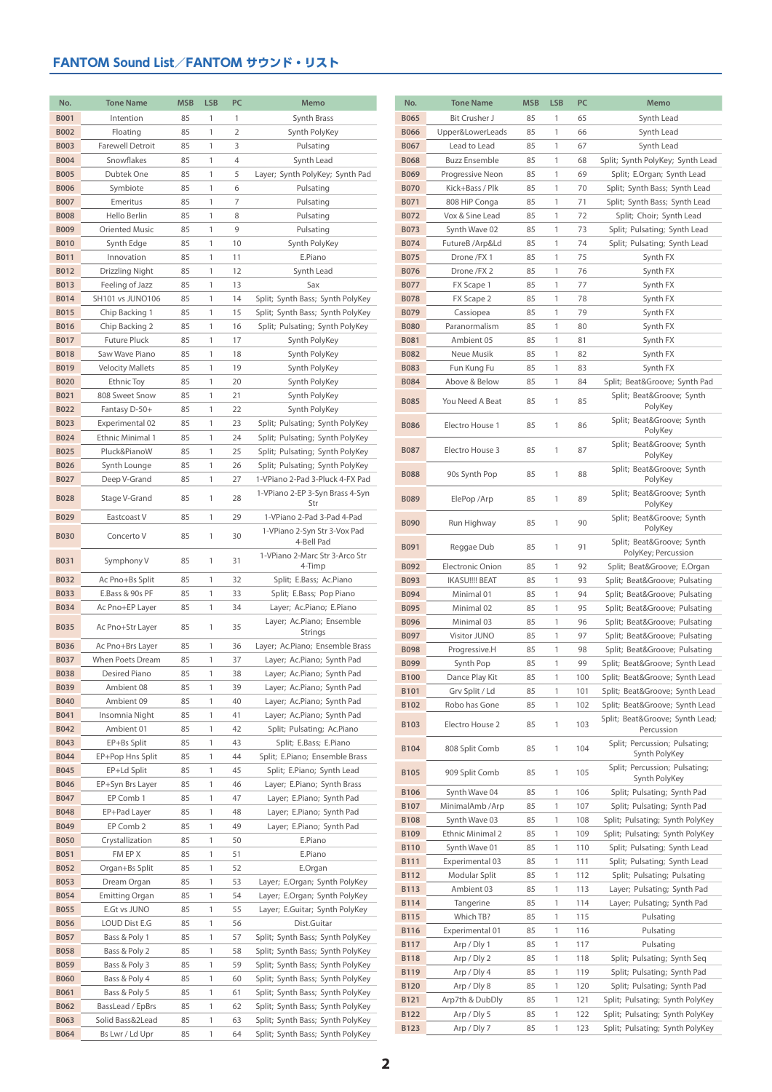| No.         | <b>Tone Name</b>        | <b>MSB</b> | <b>LSB</b> | PC             | Memo                                       |
|-------------|-------------------------|------------|------------|----------------|--------------------------------------------|
| <b>B001</b> | Intention               | 85         | 1          | $\mathbf{1}$   | Synth Brass                                |
| <b>B002</b> | Floating                | 85         | 1          | $\overline{2}$ | Synth PolyKey                              |
| <b>B003</b> | <b>Farewell Detroit</b> | 85         | 1          | 3              | Pulsating                                  |
| <b>B004</b> | Snowflakes              | 85         | 1          | 4              | Synth Lead                                 |
| <b>B005</b> | Dubtek One              | 85         | 1          | 5              | Layer; Synth PolyKey; Synth Pad            |
| <b>B006</b> | Symbiote                | 85         | 1          | 6              | Pulsating                                  |
| <b>B007</b> | Emeritus                | 85         | 1          | 7              | Pulsating                                  |
| <b>B008</b> | Hello Berlin            | 85         | 1          | 8              | Pulsating                                  |
| <b>B009</b> | <b>Oriented Music</b>   | 85         | 1          | 9              | Pulsating                                  |
| <b>B010</b> | Synth Edge              | 85         | 1          | 10             | Synth PolyKey                              |
| <b>B011</b> | Innovation              | 85         | 1          | 11             | E.Piano                                    |
| <b>B012</b> | Drizzling Night         | 85         | 1          | 12             | Synth Lead                                 |
| <b>B013</b> | Feeling of Jazz         | 85         | 1          | 13             | Sax                                        |
| <b>B014</b> | SH101 vs JUNO106        | 85         | 1          | 14             | Split; Synth Bass; Synth PolyKey           |
| <b>B015</b> | Chip Backing 1          | 85         | 1          | 15             | Split; Synth Bass; Synth PolyKey           |
| <b>B016</b> | Chip Backing 2          | 85         | 1          | 16             | Split; Pulsating; Synth PolyKey            |
| <b>B017</b> | <b>Future Pluck</b>     | 85         | 1          | 17             | Synth PolyKey                              |
| <b>B018</b> | Saw Wave Piano          | 85         | 1          | 18             | Synth PolyKey                              |
| <b>B019</b> | <b>Velocity Mallets</b> | 85         | 1          | 19             | Synth PolyKey                              |
| <b>B020</b> | Ethnic Toy              | 85         | 1          | 20             | Synth PolyKey                              |
| B021        | 808 Sweet Snow          | 85         | 1          | 21             | Synth PolyKey                              |
| <b>B022</b> | Fantasy D-50+           | 85         | 1          | 22             | Synth PolyKey                              |
| <b>B023</b> | Experimental 02         | 85         | 1          | 23             | Split; Pulsating; Synth PolyKey            |
| <b>B024</b> | <b>Ethnic Minimal 1</b> | 85         | 1          | 24             | Split; Pulsating; Synth PolyKey            |
| <b>B025</b> | Pluck&PianoW            | 85         | 1          | 25             | Split; Pulsating; Synth PolyKey            |
| <b>B026</b> | Synth Lounge            | 85         | 1          | 26             | Split; Pulsating; Synth PolyKey            |
| <b>B027</b> | Deep V-Grand            | 85         | 1          | 27             | 1-VPiano 2-Pad 3-Pluck 4-FX Pad            |
| <b>B028</b> | Stage V-Grand           | 85         | 1          | 28             | 1-VPiano 2-EP 3-Syn Brass 4-Syn<br>Str     |
| <b>B029</b> | Eastcoast V             | 85         | 1          | 29             | 1-VPiano 2-Pad 3-Pad 4-Pad                 |
| <b>B030</b> | Concerto V              | 85         | 1          | 30             | 1-VPiano 2-Syn Str 3-Vox Pad<br>4-Bell Pad |
| <b>B031</b> | Symphony V              | 85         | 1          | 31             | 1-VPiano 2-Marc Str 3-Arco Str             |
|             |                         |            |            |                | 4-Timp                                     |
| <b>B032</b> | Ac Pno+Bs Split         | 85         | 1          | 32             | Split; E.Bass; Ac.Piano                    |
| <b>B033</b> | E.Bass & 90s PF         | 85         | 1          | 33             | Split; E.Bass; Pop Piano                   |
| <b>B034</b> | Ac Pno+EP Layer         | 85         | 1          | 34             | Layer; Ac.Piano; E.Piano                   |
| <b>B035</b> | Ac Pno+Str Layer        | 85         | 1          | 35             | Layer; Ac.Piano; Ensemble<br>Strings       |
| <b>B036</b> | Ac Pno+Brs Layer        | 85         | 1          | 36             | Layer; Ac.Piano; Ensemble Brass            |
| <b>B037</b> | <b>When Poets Dream</b> | 85         | 1          | 37             | Layer; Ac.Piano; Synth Pad                 |
| <b>B038</b> | Desired Piano           | 85         | 1          | 38             | Layer; Ac.Piano; Synth Pad                 |
| B039        | Ambient 08              | 85         | 1          | 39             | Layer; Ac.Piano; Synth Pad                 |
| <b>B040</b> | Ambient 09              | 85         | 1          | 40             | Layer; Ac.Piano; Synth Pad                 |
| B041        | Insomnia Night          | 85         | 1          | 41             | Layer; Ac.Piano; Synth Pad                 |
| B042        | Ambient 01              | 85         | 1          | 42             | Split; Pulsating; Ac.Piano                 |
| <b>B043</b> | EP+Bs Split             | 85         | 1          | 43             | Split; E.Bass; E.Piano                     |
| B044        | EP+Pop Hns Split        | 85         | 1          | 44             | Split; E.Piano; Ensemble Brass             |
| <b>B045</b> | EP+Ld Split             | 85         | 1          | 45             | Split; E.Piano; Synth Lead                 |
| <b>B046</b> | EP+Syn Brs Layer        | 85         | 1          | 46             | Layer; E.Piano; Synth Brass                |
| <b>B047</b> | EP Comb 1               | 85         | 1          | 47             | Layer; E.Piano; Synth Pad                  |
| <b>B048</b> | EP+Pad Layer            | 85         | 1          | 48             | Layer; E.Piano; Synth Pad                  |
| B049        | EP Comb 2               | 85         | 1          | 49             | Layer; E.Piano; Synth Pad                  |
| <b>B050</b> | Crystallization         | 85         | 1          | 50             | E.Piano                                    |
| <b>B051</b> | FM EP X                 | 85         | 1          | 51             | E.Piano                                    |
| <b>B052</b> | Organ+Bs Split          | 85         | 1          | 52             | E.Organ                                    |
| <b>B053</b> | Dream Organ             | 85         | 1          | 53             | Layer; E.Organ; Synth PolyKey              |
| <b>B054</b> | <b>Emitting Organ</b>   | 85         | 1          | 54             | Layer; E.Organ; Synth PolyKey              |
| <b>B055</b> | E.Gt vs JUNO            | 85         | 1          | 55             | Layer; E.Guitar; Synth PolyKey             |
| <b>B056</b> | LOUD Dist E.G           | 85         | 1          | 56             | Dist.Guitar                                |
| <b>B057</b> | Bass & Poly 1           | 85         | 1          | 57             | Split; Synth Bass; Synth PolyKey           |
| <b>B058</b> | Bass & Poly 2           | 85         | 1          | 58             | Split; Synth Bass; Synth PolyKey           |
| B059        | Bass & Poly 3           | 85         | 1          | 59             | Split; Synth Bass; Synth PolyKey           |
| <b>B060</b> | Bass & Poly 4           | 85         | 1          | 60             | Split; Synth Bass; Synth PolyKey           |
| B061        | Bass & Poly 5           | 85         | 1          | 61             | Split; Synth Bass; Synth PolyKey           |
| B062        | BassLead / EpBrs        | 85         | 1          | 62             | Split; Synth Bass; Synth PolyKey           |
| <b>B063</b> | Solid Bass&2Lead        | 85         | 1          | 63             | Split; Synth Bass; Synth PolyKey           |
| <b>B064</b> | Bs Lwr / Ld Upr         | 85         | 1          | 64             | Split; Synth Bass; Synth PolyKey           |

| No.                        | <b>Tone Name</b>                 | <b>MSB</b> | <b>LSB</b> | PC         | Memo                                                         |
|----------------------------|----------------------------------|------------|------------|------------|--------------------------------------------------------------|
| <b>B065</b>                | Bit Crusher J                    | 85         | 1          | 65         | Synth Lead                                                   |
| <b>B066</b>                | Upper&LowerLeads                 | 85         | 1          | 66         | Synth Lead                                                   |
| <b>B067</b>                | Lead to Lead                     | 85         | 1          | 67         | Synth Lead                                                   |
| <b>B068</b>                | <b>Buzz Ensemble</b>             | 85         | 1          | 68         | Split; Synth PolyKey; Synth Lead                             |
| <b>B069</b>                | Progressive Neon                 | 85         | 1          | 69         | Split; E.Organ; Synth Lead                                   |
| <b>B070</b>                | Kick+Bass / Plk                  | 85         | 1          | 70         | Split; Synth Bass; Synth Lead                                |
| <b>B071</b>                | 808 HiP Conga                    | 85         | 1          | 71         | Split; Synth Bass; Synth Lead                                |
| <b>B072</b><br><b>B073</b> | Vox & Sine Lead                  | 85<br>85   | 1<br>1     | 72<br>73   | Split; Choir; Synth Lead                                     |
| <b>B074</b>                | Synth Wave 02<br>FutureB /Arp&Ld | 85         | 1          | 74         | Split; Pulsating; Synth Lead<br>Split; Pulsating; Synth Lead |
| <b>B075</b>                | Drone /FX 1                      | 85         | 1          | 75         | Synth FX                                                     |
| <b>B076</b>                | Drone /FX 2                      | 85         | 1          | 76         | Synth FX                                                     |
| <b>B077</b>                | FX Scape 1                       | 85         | 1          | 77         | Synth FX                                                     |
| <b>B078</b>                | FX Scape 2                       | 85         | 1          | 78         | Synth FX                                                     |
| <b>B079</b>                | Cassiopea                        | 85         | 1          | 79         | Synth FX                                                     |
| <b>B080</b>                | Paranormalism                    | 85         | 1          | 80         | Synth FX                                                     |
| <b>B081</b>                | Ambient 05                       | 85         | 1          | 81         | Synth FX                                                     |
| <b>B082</b>                | Neue Musik                       | 85         | 1          | 82         | Synth FX                                                     |
| <b>B083</b>                | Fun Kung Fu                      | 85         | 1          | 83         | Synth FX                                                     |
| <b>B084</b>                | Above & Below                    | 85         | 1          | 84         | Split; Beat&Groove Synth Pad                                 |
| <b>B085</b>                | You Need A Beat                  | 85         | 1          | 85         | Split; Beat&Groove Synth<br>PolyKey                          |
| <b>B086</b>                | Electro House 1                  | 85         | 1          | 86         | Split; Beat&Groove Synth<br>PolyKey                          |
| <b>B087</b>                | Electro House 3                  | 85         | 1          | 87         | Split; Beat&Groove Synth<br>PolyKey                          |
| <b>B088</b>                | 90s Synth Pop                    | 85         | 1          | 88         | Split; Beat&Groove Synth<br>PolyKey                          |
| <b>B089</b>                | ElePop/Arp                       | 85         | 1          | 89         | Split; Beat&Groove Synth<br>PolyKey                          |
| <b>B090</b>                | Run Highway                      | 85         | 1          | 90         | Split; Beat&Groove Synth<br>PolyKey                          |
| <b>B091</b>                | Reggae Dub                       | 85         | 1          | 91         | Split; Beat&Groove Synth<br>PolyKey; Percussion              |
| B092                       | <b>Electronic Onion</b>          | 85         | 1          | 92         | Split; Beat&Groove E.Organ                                   |
| <b>B093</b>                | <b>IKASU!!!! BEAT</b>            | 85         | 1          | 93         | Split; Beat&Groove Pulsating                                 |
| <b>B094</b>                | Minimal 01                       | 85         | 1          | 94         | Split; Beat&Groove Pulsating                                 |
| <b>B095</b><br><b>B096</b> | Minimal 02                       | 85         | 1<br>1     | 95         | Split; Beat&Groove Pulsating                                 |
| <b>B097</b>                | Minimal 03<br>Visitor JUNO       | 85<br>85   | 1          | 96<br>97   | Split; Beat&Groove Pulsating<br>Split; Beat&Groove Pulsating |
| <b>B098</b>                | Progressive.H                    | 85         | 1          | 98         | Split; Beat&Groove Pulsating                                 |
| <b>B099</b>                | Synth Pop                        | 85         | 1          | 99         | Split; Beat&Groove Synth Lead                                |
| <b>B100</b>                | Dance Play Kit                   | 85         | 1          | 100        | Split; Beat&Groove Synth Lead                                |
| <b>B101</b>                | Grv Split / Ld                   | 85         | 1          | 101        | Split; Beat&Groove Synth Lead                                |
| B102                       | Robo has Gone                    | 85         | 1          | 102        | Split; Beat&Groove Synth Lead                                |
| B103                       | Electro House 2                  | 85         | 1          | 103        | Split; Beat&Groove Synth Lead;<br>Percussion                 |
| <b>B104</b>                | 808 Split Comb                   | 85         | 1          | 104        | Split; Percussion; Pulsating;<br>Synth PolyKey               |
| <b>B105</b>                | 909 Split Comb                   | 85         | 1          | 105        | Split; Percussion; Pulsating;<br>Synth PolyKey               |
| <b>B106</b>                | Synth Wave 04                    | 85         | 1          | 106        | Split; Pulsating; Synth Pad                                  |
| <b>B107</b>                | MinimalAmb / Arp                 | 85         | 1          | 107        | Split; Pulsating; Synth Pad                                  |
| <b>B108</b>                | Synth Wave 03                    | 85         | 1          | 108        | Split; Pulsating; Synth PolyKey                              |
| B109                       | <b>Ethnic Minimal 2</b>          | 85         | 1          | 109        | Split; Pulsating; Synth PolyKey                              |
| <b>B110</b>                | Synth Wave 01                    | 85         | 1          | 110        | Split; Pulsating; Synth Lead                                 |
| <b>B111</b>                | Experimental 03                  | 85         | 1          | 111        | Split; Pulsating; Synth Lead                                 |
| <b>B112</b>                | Modular Split                    | 85         | 1          | 112        | Split; Pulsating; Pulsating                                  |
| <b>B113</b>                | Ambient 03                       | 85         | 1          | 113        | Layer; Pulsating; Synth Pad                                  |
| <b>B114</b>                | Tangerine                        | 85         | 1          | 114        | Layer; Pulsating; Synth Pad                                  |
| <b>B115</b>                | Which TB?                        | 85         | 1<br>1     | 115        | Pulsating                                                    |
| <b>B116</b><br><b>B117</b> | Experimental 01<br>Arp / Dly 1   | 85<br>85   | 1          | 116<br>117 | Pulsating<br>Pulsating                                       |
| <b>B118</b>                | Arp / Dly 2                      | 85         | 1          | 118        | Split; Pulsating; Synth Seq                                  |
| <b>B119</b>                | Arp / Dly 4                      | 85         | 1          | 119        | Split; Pulsating; Synth Pad                                  |
| <b>B120</b>                | Arp / Dly 8                      | 85         | 1          | 120        | Split; Pulsating; Synth Pad                                  |
| B121                       | Arp7th & DubDly                  | 85         | 1          | 121        | Split; Pulsating; Synth PolyKey                              |
| B122                       | Arp / Dly 5                      | 85         | 1          | 122        | Split; Pulsating; Synth PolyKey                              |
| B123                       | Arp / Dly 7                      | 85         | 1          | 123        | Split; Pulsating; Synth PolyKey                              |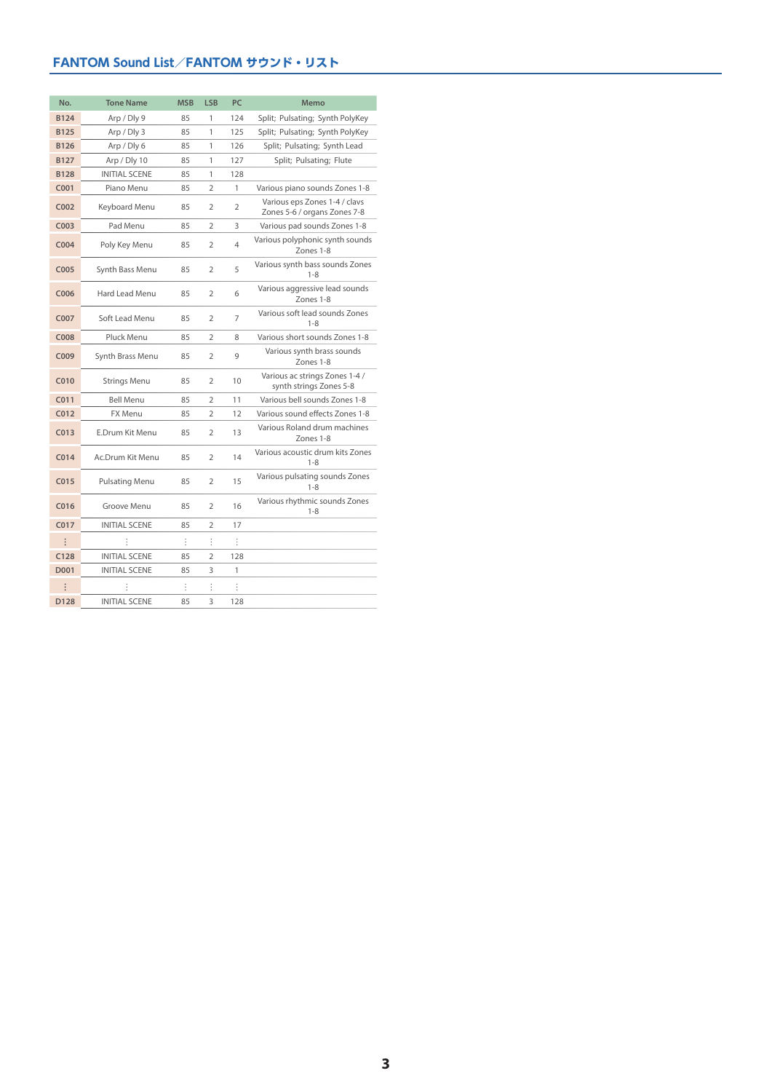| No.              | <b>Tone Name</b>      | <b>MSB</b> | <b>LSB</b>     | PC             | Memo                                                          |
|------------------|-----------------------|------------|----------------|----------------|---------------------------------------------------------------|
| <b>B124</b>      | Arp / Dly 9           | 85         | 1              | 124            | Split; Pulsating; Synth PolyKey                               |
| <b>B125</b>      | Arp / Dly 3           | 85         | 1              | 125            | Split; Pulsating; Synth PolyKey                               |
| <b>B126</b>      | Arp / Dly 6           | 85         | 1              | 126            | Split; Pulsating; Synth Lead                                  |
| <b>B127</b>      | Arp / Dly 10          | 85         | 1              | 127            | Split; Pulsating; Flute                                       |
| <b>B128</b>      | <b>INITIAL SCENE</b>  | 85         | 1              | 128            |                                                               |
| C001             | Piano Menu            | 85         | $\overline{2}$ | 1              | Various piano sounds Zones 1-8                                |
| C002             | Keyboard Menu         | 85         | 2              | $\overline{2}$ | Various eps Zones 1-4 / clavs<br>Zones 5-6 / organs Zones 7-8 |
| C003             | Pad Menu              | 85         | 2              | 3              | Various pad sounds Zones 1-8                                  |
| C <sub>004</sub> | Poly Key Menu         | 85         | $\overline{2}$ | $\overline{4}$ | Various polyphonic synth sounds<br>Zones 1-8                  |
| C005             | Synth Bass Menu       | 85         | $\overline{2}$ | 5              | Various synth bass sounds Zones<br>$1 - 8$                    |
| C006             | Hard Lead Menu        | 85         | $\overline{2}$ | 6              | Various aggressive lead sounds<br>Zones 1-8                   |
| C007             | Soft Lead Menu        | 85         | 2              | $\overline{7}$ | Various soft lead sounds Zones<br>$1 - 8$                     |
| <b>C008</b>      | Pluck Menu            | 85         | $\overline{2}$ | 8              | Various short sounds Zones 1-8                                |
| C009             | Synth Brass Menu      | 85         | $\overline{2}$ | 9              | Various synth brass sounds<br>Zones 1-8                       |
| C010             | <b>Strings Menu</b>   | 85         | $\overline{2}$ | 10             | Various ac strings Zones 1-4 /<br>synth strings Zones 5-8     |
| CO <sub>11</sub> | <b>Bell Menu</b>      | 85         | 2              | 11             | Various bell sounds Zones 1-8                                 |
| C <sub>012</sub> | FX Menu               | 85         | $\overline{2}$ | 12             | Various sound effects Zones 1-8                               |
| CO13             | E.Drum Kit Menu       | 85         | $\overline{2}$ | 13             | Various Roland drum machines<br>Zones 1-8                     |
| C <sub>014</sub> | Ac.Drum Kit Menu      | 85         | $\overline{2}$ | 14             | Various acoustic drum kits Zones<br>$1 - 8$                   |
| C015             | <b>Pulsating Menu</b> | 85         | $\overline{2}$ | 15             | Various pulsating sounds Zones<br>$1 - 8$                     |
| C <sub>016</sub> | Groove Menu           | 85         | $\overline{2}$ | 16             | Various rhythmic sounds Zones<br>$1 - 8$                      |
| C <sub>017</sub> | <b>INITIAL SCENE</b>  | 85         | $\overline{2}$ | 17             |                                                               |
| $\ddot{\cdot}$   |                       | ÷          | ÷              | ÷              |                                                               |
| C128             | <b>INITIAL SCENE</b>  | 85         | $\overline{2}$ | 128            |                                                               |
| D001             | <b>INITIAL SCENE</b>  | 85         | 3              | 1              |                                                               |
| $\ddot{\cdot}$   |                       | $\vdots$   | $\vdots$       | $\vdots$       |                                                               |
| D128             | <b>INITIAL SCENE</b>  | 85         | 3              | 128            |                                                               |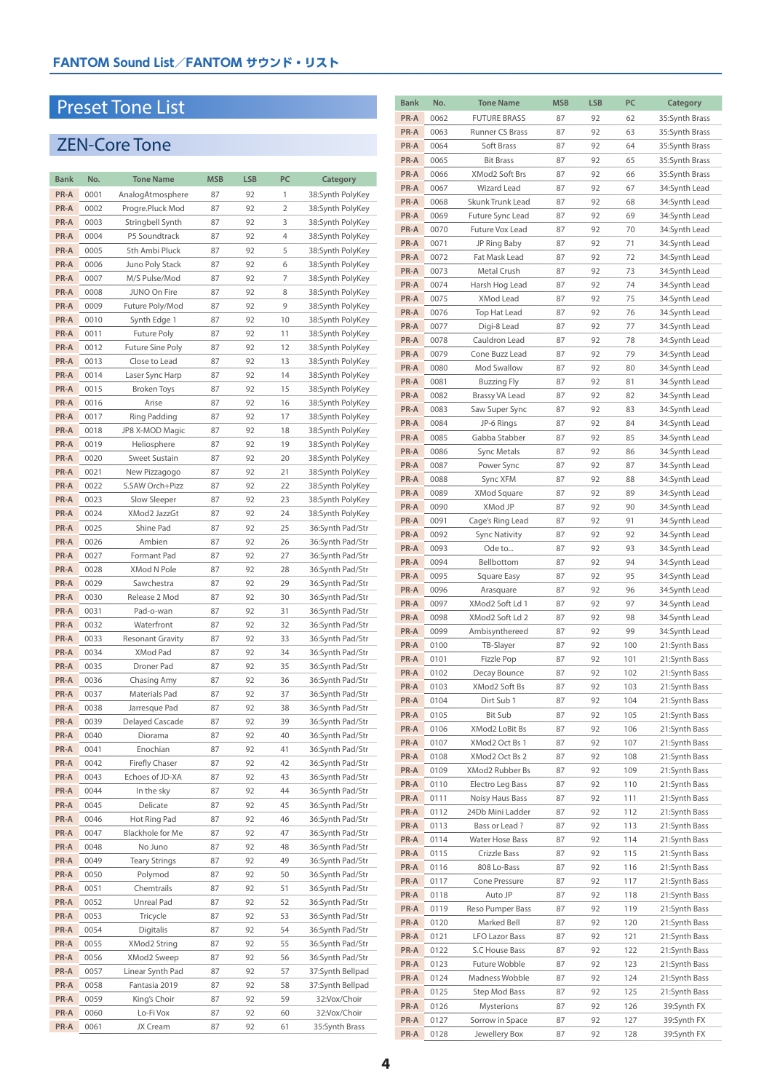## Preset Tone Lis t

# ZEN-Core Tone

| Bank | No.  | <b>Tone Name</b>        | <b>MSB</b> | <b>LSB</b> | PC             | Category         |
|------|------|-------------------------|------------|------------|----------------|------------------|
| PR-A | 0001 | AnalogAtmosphere        | 87         | 92         | 1              | 38:Synth PolyKey |
| PR-A | 0002 | Progre.Pluck Mod        | 87         | 92         | $\overline{2}$ | 38:Synth PolyKey |
| PR-A | 0003 | Stringbell Synth        | 87         | 92         | 3              | 38:Synth PolyKey |
| PR-A | 0004 | P5 Soundtrack           | 87         | 92         | $\overline{4}$ | 38:Synth PolyKey |
| PR-A | 0005 | 5th Ambi Pluck          | 87         | 92         | 5              | 38:Synth PolyKey |
| PR-A | 0006 | Juno Poly Stack         | 87         | 92         | 6              | 38:Synth PolyKey |
| PR-A | 0007 | M/S Pulse/Mod           | 87         | 92         | 7              | 38:Synth PolyKey |
| PR-A | 0008 | JUNO On Fire            | 87         | 92         | 8              | 38:Synth PolyKey |
| PR-A | 0009 | Future Poly/Mod         | 87         | 92         | 9              | 38:Synth PolyKey |
| PR-A | 0010 | Synth Edge 1            | 87         | 92         | 10             | 38:Synth PolyKey |
| PR-A | 0011 | Future Poly             | 87         | 92         | 11             | 38:Synth PolyKey |
|      |      |                         |            |            |                |                  |
| PR-A | 0012 | <b>Future Sine Poly</b> | 87         | 92         | 12             | 38:Synth PolyKey |
| PR-A | 0013 | Close to Lead           | 87         | 92         | 13             | 38:Synth PolyKey |
| PR-A | 0014 | Laser Sync Harp         | 87         | 92         | 14             | 38:Synth PolyKey |
| PR-A | 0015 | <b>Broken Toys</b>      | 87         | 92         | 15             | 38:Synth PolyKey |
| PR-A | 0016 | Arise                   | 87         | 92         | 16             | 38:Synth PolyKey |
| PR-A | 0017 | Ring Padding            | 87         | 92         | 17             | 38:Synth PolyKey |
| PR-A | 0018 | JP8 X-MOD Magic         | 87         | 92         | 18             | 38:Synth PolyKey |
| PR-A | 0019 | Heliosphere             | 87         | 92         | 19             | 38:Synth PolyKey |
| PR-A | 0020 | <b>Sweet Sustain</b>    | 87         | 92         | 20             | 38:Synth PolyKey |
| PR-A | 0021 | New Pizzagogo           | 87         | 92         | 21             | 38:Synth PolyKey |
| PR-A | 0022 | S.SAW Orch+Pizz         | 87         | 92         | 22             | 38:Synth PolyKey |
| PR-A | 0023 | Slow Sleeper            | 87         | 92         | 23             | 38:Synth PolyKey |
| PR-A | 0024 | XMod2 JazzGt            | 87         | 92         | 24             | 38:Synth PolyKey |
| PR-A | 0025 | Shine Pad               | 87         | 92         | 25             | 36:Synth Pad/Str |
| PR-A | 0026 | Ambien                  | 87         | 92         | 26             | 36:Synth Pad/Str |
| PR-A | 0027 | Formant Pad             | 87         | 92         | 27             | 36:Synth Pad/Str |
| PR-A | 0028 | XMod N Pole             | 87         | 92         | 28             | 36:Synth Pad/Str |
| PR-A | 0029 | Sawchestra              | 87         | 92         | 29             | 36:Synth Pad/Str |
| PR-A | 0030 | Release 2 Mod           | 87         | 92         | 30             | 36:Synth Pad/Str |
| PR-A | 0031 | Pad-o-wan               | 87         | 92         | 31             | 36:Synth Pad/Str |
| PR-A | 0032 | Waterfront              | 87         | 92         | 32             | 36:Synth Pad/Str |
| PR-A | 0033 | <b>Resonant Gravity</b> | 87         | 92         | 33             | 36:Synth Pad/Str |
| PR-A | 0034 | XMod Pad                | 87         | 92         | 34             | 36:Synth Pad/Str |
| PR-A | 0035 | Droner Pad              | 87         | 92         | 35             | 36:Synth Pad/Str |
| PR-A | 0036 | Chasing Amy             | 87         | 92         | 36             | 36:Synth Pad/Str |
| PR-A | 0037 | Materials Pad           | 87         | 92         | 37             | 36:Synth Pad/Str |
| PR-A | 0038 | Jarresque Pad           | 87         | 92         | 38             | 36:Synth Pad/Str |
| PR-A | 0039 | Delayed Cascade         | 87         | 92         | 39             | 36:Synth Pad/Str |
| PR-A | 0040 | Diorama                 | 87         | 92         | 40             | 36:Synth Pad/Str |
| PR-A | 0041 | Enochian                | 87         | 92         | 41             | 36:Synth Pad/Str |
| PR-A | 0042 | Firefly Chaser          | 87         | 92         | 42             |                  |
|      |      |                         |            |            |                | 36:Synth Pad/Str |
| PR-A | 0043 | Echoes of JD-XA         | 87         | 92         | 43             | 36:Synth Pad/Str |
| PR-A | 0044 | In the sky              | 87         | 92         | 44             | 36:Synth Pad/Str |
| PR-A | 0045 | Delicate                | 87         | 92         | 45             | 36:Synth Pad/Str |
| PR-A | 0046 | Hot Ring Pad            | 87         | 92         | 46             | 36:Synth Pad/Str |
| PR-A | 0047 | Blackhole for Me        | 87         | 92         | 47             | 36:Synth Pad/Str |
| PR-A | 0048 | No Juno                 | 87         | 92         | 48             | 36:Synth Pad/Str |
| PR-A | 0049 | <b>Teary Strings</b>    | 87         | 92         | 49             | 36:Synth Pad/Str |
| PR-A | 0050 | Polymod                 | 87         | 92         | 50             | 36:Synth Pad/Str |
| PR-A | 0051 | Chemtrails              | 87         | 92         | 51             | 36:Synth Pad/Str |
| PR-A | 0052 | Unreal Pad              | 87         | 92         | 52             | 36:Synth Pad/Str |
| PR-A | 0053 | Tricycle                | 87         | 92         | 53             | 36:Synth Pad/Str |
| PR-A | 0054 | Digitalis               | 87         | 92         | 54             | 36:Synth Pad/Str |
| PR-A | 0055 | XMod2 String            | 87         | 92         | 55             | 36:Synth Pad/Str |
| PR-A | 0056 | XMod2 Sweep             | 87         | 92         | 56             | 36:Synth Pad/Str |
| PR-A | 0057 | Linear Synth Pad        | 87         | 92         | 57             | 37:Synth Bellpad |
| PR-A | 0058 | Fantasia 2019           | 87         | 92         | 58             | 37:Synth Bellpad |
| PR-A | 0059 | King's Choir            | 87         | 92         | 59             | 32:Vox/Choir     |
| PR-A | 0060 | Lo-Fi Vox               | 87         | 92         | 60             | 32:Vox/Choir     |
| PR-A | 0061 | JX Cream                | 87         | 92         | 61             | 35:Synth Brass   |

| <b>Bank</b>  | No.          | <b>Tone Name</b>                   | <b>MSB</b> | <b>LSB</b> | PC         | Category                       |
|--------------|--------------|------------------------------------|------------|------------|------------|--------------------------------|
| PR-A         | 0062         | <b>FUTURE BRASS</b>                | 87         | 92         | 62         | 35:Synth Brass                 |
| PR-A         | 0063         | <b>Runner CS Brass</b>             | 87         | 92         | 63         | 35:Synth Brass                 |
| PR-A         | 0064         | Soft Brass                         | 87         | 92         | 64         | 35:Synth Brass                 |
| PR-A         | 0065         | <b>Bit Brass</b>                   | 87         | 92         | 65         | 35:Synth Brass                 |
| PR-A         | 0066         | XMod2 Soft Brs                     | 87         | 92         | 66         | 35:Synth Brass                 |
| PR-A         | 0067         | <b>Wizard Lead</b>                 | 87         | 92         | 67         | 34:Synth Lead                  |
| PR-A         | 0068         | Skunk Trunk Lead                   | 87         | 92         | 68         | 34:Synth Lead                  |
| PR-A         | 0069         | Future Sync Lead                   | 87         | 92         | 69         | 34:Synth Lead                  |
| PR-A         | 0070         | Future Vox Lead                    | 87         | 92         | 70         | 34:Synth Lead                  |
| PR-A         | 0071         | JP Ring Baby                       | 87         | 92         | 71         | 34:Synth Lead                  |
| PR-A         | 0072         | Fat Mask Lead                      | 87         | 92         | 72         | 34:Synth Lead                  |
| PR-A         | 0073         | Metal Crush                        | 87         | 92         | 73         | 34:Synth Lead                  |
| PR-A         | 0074         | Harsh Hog Lead                     | 87         | 92         | 74         | 34:Synth Lead                  |
| PR-A<br>PR-A | 0075<br>0076 | <b>XMod Lead</b>                   | 87<br>87   | 92<br>92   | 75<br>76   | 34:Synth Lead                  |
| PR-A         | 0077         | Top Hat Lead<br>Digi-8 Lead        | 87         | 92         | 77         | 34:Synth Lead<br>34:Synth Lead |
| PR-A         | 0078         | Cauldron Lead                      | 87         | 92         | 78         | 34:Synth Lead                  |
| PR-A         | 0079         | Cone Buzz Lead                     | 87         | 92         | 79         | 34:Synth Lead                  |
| PR-A         | 0080         | Mod Swallow                        | 87         | 92         | 80         | 34:Synth Lead                  |
| PR-A         | 0081         | <b>Buzzing Fly</b>                 | 87         | 92         | 81         | 34:Synth Lead                  |
| PR-A         | 0082         | <b>Brassy VA Lead</b>              | 87         | 92         | 82         | 34:Synth Lead                  |
| PR-A         | 0083         | Saw Super Sync                     | 87         | 92         | 83         | 34:Synth Lead                  |
| PR-A         | 0084         | JP-6 Rings                         | 87         | 92         | 84         | 34:Synth Lead                  |
| PR-A         | 0085         | Gabba Stabber                      | 87         | 92         | 85         | 34:Synth Lead                  |
| PR-A         | 0086         | Sync Metals                        | 87         | 92         | 86         | 34:Synth Lead                  |
| PR-A         | 0087         | Power Sync                         | 87         | 92         | 87         | 34:Synth Lead                  |
| PR-A         | 0088         | Sync XFM                           | 87         | 92         | 88         | 34:Synth Lead                  |
| PR-A         | 0089         | XMod Square                        | 87         | 92         | 89         | 34:Synth Lead                  |
| PR-A         | 0090         | XMod JP                            | 87         | 92         | 90         | 34:Synth Lead                  |
| PR-A         | 0091         | Cage's Ring Lead                   | 87         | 92         | 91         | 34:Synth Lead                  |
| PR-A         | 0092         | <b>Sync Nativity</b>               | 87         | 92         | 92         | 34:Synth Lead                  |
| PR-A         | 0093         | Ode to                             | 87         | 92         | 93         | 34:Synth Lead                  |
| PR-A         | 0094         | Bellbottom                         | 87         | 92         | 94         | 34:Synth Lead                  |
| PR-A         | 0095         | Square Easy                        | 87         | 92         | 95         | 34:Synth Lead                  |
| PR-A         | 0096         | Arasquare                          | 87         | 92         | 96         | 34:Synth Lead                  |
| PR-A<br>PR-A | 0097<br>0098 | XMod2 Soft Ld 1<br>XMod2 Soft Ld 2 | 87<br>87   | 92<br>92   | 97<br>98   | 34:Synth Lead<br>34:Synth Lead |
| PR-A         | 0099         | Ambisynthereed                     | 87         | 92         | 99         | 34:Synth Lead                  |
| PR-A         | 0100         | TB-Slayer                          | 87         | 92         | 100        | 21:Synth Bass                  |
| PR-A         | 0101         | Fizzle Pop                         | 87         | 92         | 101        | 21:Synth Bass                  |
| PR-A         | 0102         | Decay Bounce                       | 87         | 92         | 102        | 21:Synth Bass                  |
| PR-A         | 0103         | XMod2 Soft Bs                      | 87         | 92         | 103        | 21:Synth Bass                  |
| PR-A         | 0104         | Dirt Sub 1                         | 87         | 92         | 104        | 21:Synth Bass                  |
| PR-A         | 0105         | Bit Sub                            | 87         | 92         | 105        | 21:Synth Bass                  |
| PR-A         | 0106         | XMod2 LoBit Bs                     | 87         | 92         | 106        | 21:Synth Bass                  |
| PR-A         | 0107         | XMod2 Oct Bs 1                     | 87         | 92         | 107        | 21:Synth Bass                  |
| PR-A         | 0108         | XMod2 Oct Bs 2                     | 87         | 92         | 108        | 21:Synth Bass                  |
| PR-A         | 0109         | XMod2 Rubber Bs                    | 87         | 92         | 109        | 21:Synth Bass                  |
| PR-A         | 0110         | Electro Leg Bass                   | 87         | 92         | 110        | 21:Synth Bass                  |
| PR-A         | 0111         | Noisy Haus Bass                    | 87         | 92         | 111        | 21:Synth Bass                  |
| PR-A         | 0112         | 24Db Mini Ladder                   | 87         | 92         | 112        | 21:Synth Bass                  |
| PR-A         | 0113         | Bass or Lead?                      | 87         | 92         | 113        | 21:Synth Bass                  |
| PR-A         | 0114         | Water Hose Bass                    | 87         | 92         | 114        | 21:Synth Bass                  |
| PR-A<br>PR-A | 0115<br>0116 | Crizzle Bass<br>808 Lo-Bass        | 87<br>87   | 92<br>92   | 115<br>116 | 21:Synth Bass<br>21:Synth Bass |
| PR-A         | 0117         | Cone Pressure                      | 87         | 92         | 117        | 21:Synth Bass                  |
| PR-A         | 0118         | Auto JP                            | 87         | 92         | 118        | 21:Synth Bass                  |
| PR-A         | 0119         | Reso Pumper Bass                   | 87         | 92         | 119        | 21:Synth Bass                  |
| PR-A         | 0120         | Marked Bell                        | 87         | 92         | 120        | 21:Synth Bass                  |
| PR-A         | 0121         | <b>LFO Lazor Bass</b>              | 87         | 92         | 121        | 21:Synth Bass                  |
| PR-A         | 0122         | S.C House Bass                     | 87         | 92         | 122        | 21:Synth Bass                  |
| PR-A         | 0123         | Future Wobble                      | 87         | 92         | 123        | 21:Synth Bass                  |
| PR-A         | 0124         | Madness Wobble                     | 87         | 92         | 124        | 21:Synth Bass                  |
| PR-A         | 0125         | Step Mod Bass                      | 87         | 92         | 125        | 21:Synth Bass                  |
| PR-A         | 0126         | Mysterions                         | 87         | 92         | 126        | 39:Synth FX                    |
| PR-A         | 0127         | Sorrow in Space                    | 87         | 92         | 127        | 39:Synth FX                    |
| PR-A         | 0128         | Jewellery Box                      | 87         | 92         | 128        | 39:Synth FX                    |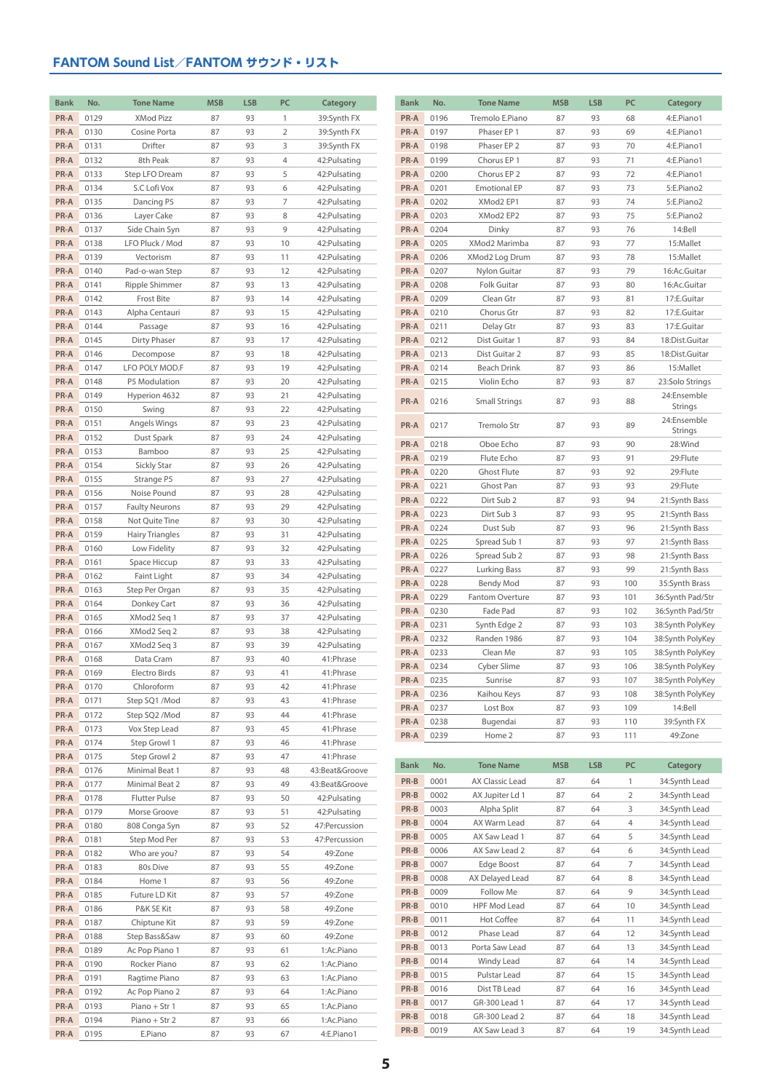| <b>Bank</b>  | No.          | <b>Tone Name</b>                  | <b>MSB</b> | <b>LSB</b> | PC             | Category                       | <b>Bank</b>  | No.          | <b>Tone Name</b>              | <b>MSB</b> | <b>LSB</b> | PC                  | Category                             |
|--------------|--------------|-----------------------------------|------------|------------|----------------|--------------------------------|--------------|--------------|-------------------------------|------------|------------|---------------------|--------------------------------------|
| PR-A         | 0129         | XMod Pizz                         | 87         | 93         | $\mathbf{1}$   | 39:Synth FX                    | PR-A         | 0196         | Tremolo E.Piano               | 87         | 93         | 68                  | 4:E.Piano1                           |
| PR-A         | 0130         | Cosine Porta                      | 87         | 93         | $\overline{2}$ | 39:Synth FX                    | PR-A         | 0197         | Phaser EP 1                   | 87         | 93         | 69                  | 4:E.Piano1                           |
| PR-A         | 0131         | Drifter                           | 87         | 93         | 3              | 39:Synth FX                    | PR-A         | 0198         | Phaser EP 2                   | 87         | 93         | 70                  | 4:E.Piano1                           |
| PR-A         | 0132         | 8th Peak                          | 87         | 93         | $\overline{4}$ | 42: Pulsating                  | PR-A         | 0199         | Chorus EP 1                   | 87         | 93         | 71                  | 4:E.Piano1                           |
| PR-A         | 0133         | Step LFO Dream                    | 87         | 93         | 5              | 42: Pulsating                  | PR-A         | 0200         | Chorus EP 2                   | 87         | 93         | 72                  | 4:E.Piano1                           |
| PR-A         | 0134         | S.C Lofi Vox                      | 87         | 93         | 6              | 42: Pulsating                  | PR-A         | 0201         | <b>Emotional EP</b>           | 87         | 93         | 73                  | 5:E.Piano2                           |
| PR-A         | 0135         | Dancing P5                        | 87         | 93         | $\overline{7}$ | 42: Pulsating                  | PR-A         | 0202         | XMod2 EP1                     | 87         | 93         | 74                  | 5:E.Piano2                           |
| PR-A         | 0136         | Layer Cake                        | 87         | 93         | 8              | 42: Pulsating                  | PR-A         | 0203         | XMod2 EP2                     | 87         | 93         | 75                  | 5:E.Piano2                           |
| PR-A<br>PR-A | 0137<br>0138 | Side Chain Syn<br>LFO Pluck / Mod | 87<br>87   | 93<br>93   | 9<br>10        | 42: Pulsating<br>42: Pulsating | PR-A<br>PR-A | 0204<br>0205 | Dinky<br>XMod2 Marimba        | 87<br>87   | 93<br>93   | 76<br>77            | 14:Bell<br>15:Mallet                 |
| PR-A         | 0139         | Vectorism                         | 87         | 93         | 11             | 42: Pulsating                  | PR-A         | 0206         | XMod2 Log Drum                | 87         | 93         | 78                  | 15:Mallet                            |
| PR-A         | 0140         | Pad-o-wan Step                    | 87         | 93         | 12             | 42: Pulsating                  | PR-A         | 0207         | Nylon Guitar                  | 87         | 93         | 79                  | 16:Ac.Guitar                         |
| PR-A         | 0141         | Ripple Shimmer                    | 87         | 93         | 13             | 42: Pulsating                  | PR-A         | 0208         | Folk Guitar                   | 87         | 93         | 80                  | 16:Ac.Guitar                         |
| PR-A         | 0142         | Frost Bite                        | 87         | 93         | 14             | 42: Pulsating                  | PR-A         | 0209         | Clean Gtr                     | 87         | 93         | 81                  | 17:E.Guitar                          |
| PR-A         | 0143         | Alpha Centauri                    | 87         | 93         | 15             | 42: Pulsating                  | PR-A         | 0210         | Chorus Gtr                    | 87         | 93         | 82                  | 17:E.Guitar                          |
| PR-A         | 0144         | Passage                           | 87         | 93         | 16             | 42: Pulsating                  | PR-A         | 0211         | Delay Gtr                     | 87         | 93         | 83                  | 17:E.Guitar                          |
| PR-A         | 0145         | Dirty Phaser                      | 87         | 93         | 17             | 42: Pulsating                  | PR-A         | 0212         | Dist Guitar 1                 | 87         | 93         | 84                  | 18:Dist.Guitar                       |
| PR-A         | 0146         | Decompose                         | 87         | 93         | 18             | 42: Pulsating                  | PR-A         | 0213         | Dist Guitar 2                 | 87         | 93         | 85                  | 18:Dist.Guitar                       |
| PR-A         | 0147         | LFO POLY MOD.F                    | 87         | 93         | 19             | 42: Pulsating                  | PR-A         | 0214         | Beach Drink                   | 87         | 93         | 86                  | 15:Mallet                            |
| PR-A         | 0148         | P5 Modulation                     | 87         | 93         | 20             | 42: Pulsating                  | PR-A         | 0215         | Violin Echo                   | 87         | 93         | 87                  | 23:Solo Strings                      |
| PR-A         | 0149         | Hyperion 4632                     | 87         | 93         | 21             | 42: Pulsating                  | PR-A         | 0216         | Small Strings                 | 87         | 93         | 88                  | 24:Ensemble<br>Strings               |
| PR-A<br>PR-A | 0150<br>0151 | Swing<br>Angels Wings             | 87<br>87   | 93<br>93   | 22<br>23       | 42: Pulsating<br>42: Pulsating |              |              |                               |            |            |                     | 24:Ensemble                          |
| PR-A         | 0152         | Dust Spark                        | 87         | 93         | 24             | 42: Pulsating                  | PR-A         | 0217         | Tremolo Str                   | 87         | 93         | 89                  | Strings                              |
| PR-A         | 0153         | Bamboo                            | 87         | 93         | 25             | 42: Pulsating                  | PR-A         | 0218         | Oboe Echo                     | 87         | 93         | 90                  | 28:Wind                              |
| PR-A         | 0154         | <b>Sickly Star</b>                | 87         | 93         | 26             | 42: Pulsating                  | PR-A         | 0219         | Flute Echo                    | 87         | 93         | 91                  | 29:Flute                             |
| PR-A         | 0155         | Strange P5                        | 87         | 93         | 27             | 42: Pulsating                  | PR-A         | 0220         | Ghost Flute                   | 87         | 93         | 92                  | 29:Flute                             |
| PR-A         | 0156         | Noise Pound                       | 87         | 93         | 28             | 42: Pulsating                  | PR-A         | 0221         | Ghost Pan                     | 87         | 93         | 93                  | 29:Flute                             |
| PR-A         | 0157         | <b>Faulty Neurons</b>             | 87         | 93         | 29             | 42: Pulsating                  | PR-A<br>PR-A | 0222<br>0223 | Dirt Sub 2<br>Dirt Sub 3      | 87<br>87   | 93<br>93   | 94<br>95            | 21:Synth Bass<br>21:Synth Bass       |
| PR-A         | 0158         | Not Quite Tine                    | 87         | 93         | 30             | 42: Pulsating                  | PR-A         | 0224         | Dust Sub                      | 87         | 93         | 96                  | 21:Synth Bass                        |
| PR-A         | 0159         | <b>Hairy Triangles</b>            | 87         | 93         | 31             | 42: Pulsating                  | PR-A         | 0225         | Spread Sub 1                  | 87         | 93         | 97                  | 21:Synth Bass                        |
| PR-A         | 0160         | Low Fidelity                      | 87         | 93         | 32             | 42: Pulsating                  | PR-A         | 0226         | Spread Sub 2                  | 87         | 93         | 98                  | 21:Synth Bass                        |
| PR-A         | 0161         | Space Hiccup                      | 87         | 93         | 33             | 42: Pulsating                  | PR-A         | 0227         | Lurking Bass                  | 87         | 93         | 99                  | 21:Synth Bass                        |
| PR-A<br>PR-A | 0162<br>0163 | Faint Light<br>Step Per Organ     | 87<br>87   | 93<br>93   | 34<br>35       | 42: Pulsating<br>42: Pulsating | PR-A         | 0228         | Bendy Mod                     | 87         | 93         | 100                 | 35:Synth Brass                       |
| PR-A         | 0164         | Donkey Cart                       | 87         | 93         | 36             | 42: Pulsating                  | PR-A         | 0229         | Fantom Overture               | 87         | 93         | 101                 | 36:Synth Pad/Str                     |
| PR-A         | 0165         | XMod2 Seq 1                       | 87         | 93         | 37             | 42: Pulsating                  | PR-A         | 0230         | Fade Pad                      | 87         | 93         | 102                 | 36:Synth Pad/Str                     |
| PR-A         | 0166         | XMod2 Seq 2                       | 87         | 93         | 38             | 42: Pulsating                  | PR-A         | 0231         | Synth Edge 2                  | 87         | 93         | 103                 | 38:Synth PolyKey                     |
| PR-A         | 0167         | XMod2 Seq 3                       | 87         | 93         | 39             | 42: Pulsating                  | PR-A         | 0232         | Randen 1986                   | 87         | 93         | 104                 | 38:Synth PolyKey                     |
| PR-A         | 0168         | Data Cram                         | 87         | 93         | 40             | 41: Phrase                     | PR-A<br>PR-A | 0233<br>0234 | Clean Me<br>Cyber Slime       | 87<br>87   | 93<br>93   | 105<br>106          | 38:Synth PolyKey<br>38:Synth PolyKey |
| PR-A         | 0169         | Electro Birds                     | 87         | 93         | 41             | 41:Phrase                      | PR-A         | 0235         | Sunrise                       | 87         | 93         | 107                 | 38:Synth PolyKey                     |
| PR-A         | 0170         | Chloroform                        | 87         | 93         | 42             | 41: Phrase                     | PR-A         | 0236         | Kaihou Keys                   | 87         | 93         | 108                 | 38:Synth PolyKey                     |
| PR-A         | 0171         | Step SQ1 /Mod                     | 87         | 93         | 43             | 41: Phrase                     | PR-A         | 0237         | Lost Box                      | 87         | 93         | 109                 | 14:Bell                              |
| PR-A         | 0172         | Step SQ2 /Mod                     | 87         | 93         | 44             | 41: Phrase                     | PR-A         | 0238         | Bugendai                      | 87         | 93         | 110                 | 39:Synth FX                          |
| PR-A<br>PR-A | 0173<br>0174 | Vox Step Lead<br>Step Growl 1     | 87<br>87   | 93<br>93   | 45<br>46       | 41: Phrase<br>41: Phrase       | PR-A         | 0239         | Home 2                        | 87         | 93         | 111                 | 49:Zone                              |
| PR-A         | 0175         | Step Growl 2                      | 87         | 93         | 47             | 41: Phrase                     |              |              |                               |            |            |                     |                                      |
| PR-A         | 0176         | Minimal Beat 1                    | 87         | 93         | 48             | 43:Beat&Groove                 | <b>Bank</b>  | No.          | <b>Tone Name</b>              | <b>MSB</b> | <b>LSB</b> | PC                  | Category                             |
| PR-A         | 0177         | Minimal Beat 2                    | 87         | 93         | 49             | 43:Beat&Groove                 | PR-B         | 0001         | AX Classic Lead               | 87         | 64         | $\mathbf{1}$        | 34:Synth Lead                        |
| PR-A         | 0178         | <b>Flutter Pulse</b>              | 87         | 93         | 50             | 42: Pulsating                  | PR-B         | 0002         | AX Jupiter Ld 1               | 87         | 64         | $\overline{2}$      | 34:Synth Lead                        |
| PR-A         | 0179         | Morse Groove                      | 87         | 93         | 51             | 42: Pulsating                  | PR-B         | 0003         | Alpha Split                   | 87         | 64         | 3                   | 34:Synth Lead                        |
| PR-A         | 0180         | 808 Conga Syn                     | 87         | 93         | 52             | 47:Percussion                  | PR-B         | 0004         | AX Warm Lead                  | 87         | 64         | 4                   | 34:Synth Lead                        |
| PR-A         | 0181         | Step Mod Per                      | 87         | 93         | 53             | 47:Percussion                  | PR-B         | 0005         | AX Saw Lead 1                 | 87         | 64         | 5                   | 34:Synth Lead                        |
| PR-A         | 0182         | Who are you?                      | 87         | 93         | 54             | 49:Zone                        | PR-B         | 0006         | AX Saw Lead 2                 | 87         | 64         | 6                   | 34:Synth Lead                        |
| PR-A         | 0183         | 80s Dive                          | 87         | 93         | 55             | 49:Zone                        | PR-B<br>PR-B | 0007<br>0008 | Edge Boost<br>AX Delayed Lead | 87<br>87   | 64<br>64   | $\overline{7}$<br>8 | 34:Synth Lead<br>34:Synth Lead       |
| PR-A         | 0184         | Home 1                            | 87         | 93         | 56             | 49:Zone                        | PR-B         | 0009         | Follow Me                     | 87         | 64         | 9                   | 34:Synth Lead                        |
| PR-A         | 0185         | Future LD Kit                     | 87         | 93         | 57             | 49:Zone                        | PR-B         | 0010         | HPF Mod Lead                  | 87         | 64         | 10                  | 34:Synth Lead                        |
| PR-A<br>PR-A | 0186<br>0187 | P&K SE Kit<br>Chiptune Kit        | 87<br>87   | 93<br>93   | 58<br>59       | 49:Zone<br>49:Zone             | PR-B         | 0011         | Hot Coffee                    | 87         | 64         | 11                  | 34:Synth Lead                        |
| PR-A         | 0188         | Step Bass&Saw                     | 87         | 93         | 60             | 49:Zone                        | PR-B         | 0012         | Phase Lead                    | 87         | 64         | 12                  | 34:Synth Lead                        |
| PR-A         | 0189         | Ac Pop Piano 1                    | 87         | 93         | 61             | 1:Ac.Piano                     | PR-B         | 0013         | Porta Saw Lead                | 87         | 64         | 13                  | 34:Synth Lead                        |
| PR-A         | 0190         | Rocker Piano                      | 87         | 93         | 62             | 1:Ac.Piano                     | PR-B         | 0014         | Windy Lead                    | 87         | 64         | 14                  | 34:Synth Lead                        |
| PR-A         | 0191         | Ragtime Piano                     | 87         | 93         | 63             | 1:Ac.Piano                     | PR-B         | 0015         | Pulstar Lead                  | 87         | 64         | 15                  | 34:Synth Lead                        |
| PR-A         | 0192         | Ac Pop Piano 2                    | 87         | 93         | 64             | 1:Ac.Piano                     | PR-B         | 0016         | Dist TB Lead                  | 87         | 64         | 16                  | 34:Synth Lead                        |
| PR-A         | 0193         | Piano + Str 1                     | 87         | 93         | 65             | 1:Ac.Piano                     | PR-B         | 0017         | GR-300 Lead 1                 | 87         | 64         | 17                  | 34:Synth Lead                        |
| PR-A         | 0194         | Piano + Str 2                     | 87         | 93         | 66             | 1:Ac.Piano                     | PR-B         | 0018         | GR-300 Lead 2                 | 87         | 64         | 18                  | 34:Synth Lead                        |
| PR-A         | 0195         | E.Piano                           | 87         | 93         | 67             | 4:E.Piano1                     | PR-B         | 0019         | AX Saw Lead 3                 | 87         | 64         | 19                  | 34:Synth Lead                        |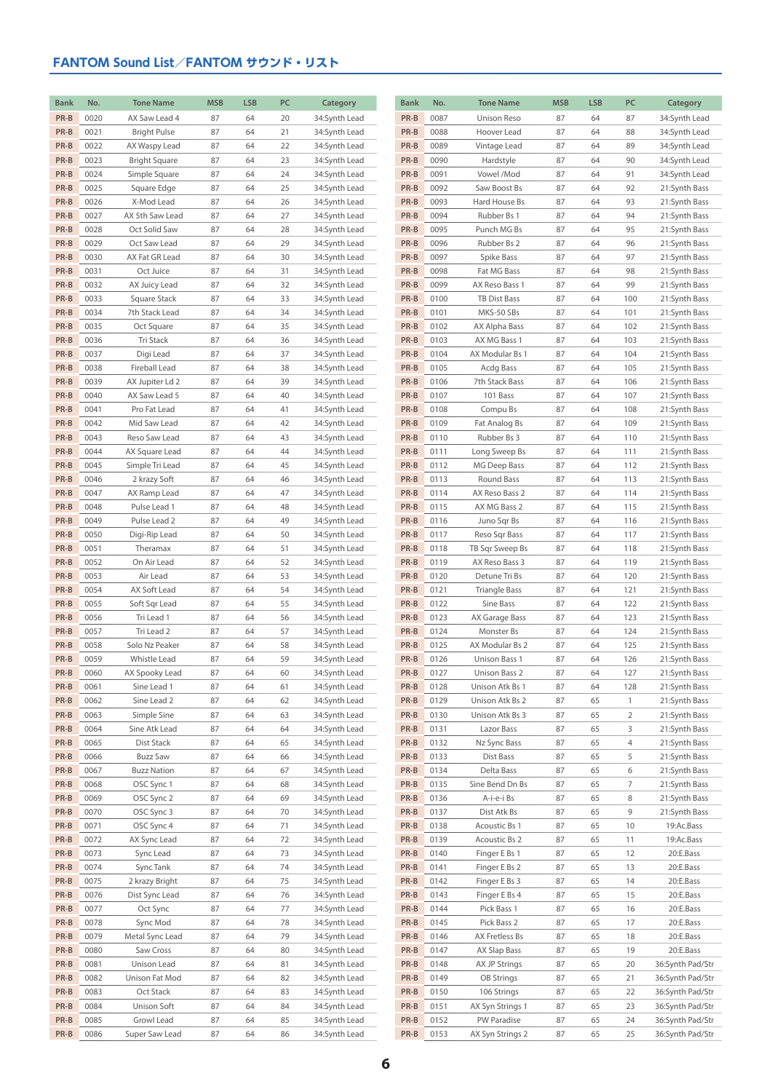| <b>Bank</b> | No.  | <b>Tone Name</b>    | <b>MSB</b> | <b>LSB</b> | PC | Category      | <b>Bank</b> | No.  | <b>Tone Name</b> | <b>MSB</b> | <b>LSB</b> | PC             | Category                       |
|-------------|------|---------------------|------------|------------|----|---------------|-------------|------|------------------|------------|------------|----------------|--------------------------------|
| PR-B        | 0020 | AX Saw Lead 4       | 87         | 64         | 20 | 34:Synth Lead | PR-B        | 0087 | Unison Reso      | 87         | 64         | 87             | 34:Synth Lead                  |
| PR-B        | 0021 | <b>Bright Pulse</b> | 87         | 64         | 21 | 34:Synth Lead | PR-B        | 0088 | Hoover Lead      | 87         | 64         | 88             | 34:Synth Lead                  |
| PR-B        | 0022 | AX Waspy Lead       | 87         | 64         | 22 | 34:Synth Lead | PR-B        | 0089 | Vintage Lead     | 87         | 64         | 89             | 34:Synth Lead                  |
| PR-B        | 0023 | Bright Square       | 87         | 64         | 23 | 34:Synth Lead | PR-B        | 0090 | Hardstyle        | 87         | 64         | 90             | 34:Synth Lead                  |
| PR-B        | 0024 | Simple Square       | 87         | 64         | 24 | 34:Synth Lead | PR-B        | 0091 | Vowel /Mod       | 87         | 64         | 91             | 34:Synth Lead                  |
| PR-B        | 0025 | Square Edge         | 87         | 64         | 25 | 34:Synth Lead | PR-B        | 0092 | Saw Boost Bs     | 87         | 64         | 92             | 21:Synth Bass                  |
| PR-B        | 0026 | X-Mod Lead          | 87         | 64         | 26 | 34:Synth Lead | PR-B        | 0093 | Hard House Bs    | 87         | 64         | 93             | 21:Synth Bass                  |
| PR-B        | 0027 | AX 5th Saw Lead     | 87         | 64         | 27 | 34:Synth Lead | PR-B        | 0094 | Rubber Bs 1      | 87         | 64         | 94             | 21:Synth Bass                  |
| PR-B        | 0028 | Oct Solid Saw       | 87         | 64         | 28 | 34:Synth Lead | PR-B        | 0095 | Punch MG Bs      | 87         | 64         | 95             | 21:Synth Bass                  |
| PR-B        | 0029 | Oct Saw Lead        | 87         | 64         | 29 | 34:Synth Lead | PR-B        | 0096 | Rubber Bs 2      | 87         | 64         | 96             | 21:Synth Bass                  |
| PR-B        | 0030 | AX Fat GR Lead      | 87         | 64         | 30 | 34:Synth Lead | PR-B        | 0097 | Spike Bass       | 87         | 64         | 97             | 21:Synth Bass                  |
| PR-B        | 0031 | Oct Juice           | 87         | 64         | 31 | 34:Synth Lead | PR-B        | 0098 | Fat MG Bass      | 87         | 64         | 98             | 21:Synth Bass                  |
| PR-B        | 0032 | AX Juicy Lead       | 87         | 64         | 32 | 34:Synth Lead | PR-B        | 0099 | AX Reso Bass 1   | 87         | 64         | 99             | 21:Synth Bass                  |
| PR-B        | 0033 | Square Stack        | 87         | 64         | 33 | 34:Synth Lead | PR-B        | 0100 | TB Dist Bass     | 87         | 64         | 100            | 21:Synth Bass                  |
| PR-B        | 0034 | 7th Stack Lead      | 87         | 64         | 34 | 34:Synth Lead | PR-B        | 0101 | MKS-50 SBs       | 87         | 64         | 101            | 21:Synth Bass                  |
| PR-B        | 0035 | Oct Square          | 87         | 64         | 35 | 34:Synth Lead | PR-B        | 0102 | AX Alpha Bass    | 87         | 64         | 102            | 21:Synth Bass                  |
| PR-B        | 0036 | Tri Stack           | 87         | 64         | 36 | 34:Synth Lead | PR-B        | 0103 | AX MG Bass 1     | 87         | 64         | 103            | 21:Synth Bass                  |
| PR-B        | 0037 | Digi Lead           | 87         | 64         | 37 | 34:Synth Lead | PR-B        | 0104 | AX Modular Bs 1  | 87         | 64         | 104            | 21:Synth Bass                  |
| PR-B        | 0038 | Fireball Lead       | 87         | 64         | 38 | 34:Synth Lead | PR-B        | 0105 | Acdg Bass        | 87         | 64         | 105            | 21:Synth Bass                  |
| PR-B        | 0039 | AX Jupiter Ld 2     | 87         | 64         | 39 | 34:Synth Lead | PR-B        | 0106 | 7th Stack Bass   | 87         | 64         | 106            | 21:Synth Bass                  |
| PR-B        | 0040 | AX Saw Lead 5       | 87         | 64         | 40 | 34:Synth Lead | PR-B        | 0107 | 101 Bass         | 87         | 64         | 107            | 21:Synth Bass                  |
| PR-B        | 0041 | Pro Fat Lead        | 87         | 64         | 41 | 34:Synth Lead | PR-B        | 0108 | Compu Bs         | 87         | 64         | 108            | 21:Synth Bass                  |
| PR-B        | 0042 | Mid Saw Lead        | 87         | 64         | 42 | 34:Synth Lead | PR-B        | 0109 | Fat Analog Bs    | 87         | 64         | 109            | 21:Synth Bass                  |
| PR-B        | 0043 | Reso Saw Lead       |            |            |    |               | PR-B        | 0110 | Rubber Bs 3      |            |            |                |                                |
| PR-B        | 0044 |                     | 87         | 64<br>64   | 43 | 34:Synth Lead | PR-B        |      |                  | 87         | 64<br>64   | 110            | 21:Synth Bass<br>21:Synth Bass |
|             |      | AX Square Lead      | 87         |            | 44 | 34:Synth Lead |             | 0111 | Long Sweep Bs    | 87         |            | 111            |                                |
| PR-B        | 0045 | Simple Tri Lead     | 87         | 64         | 45 | 34:Synth Lead | PR-B        | 0112 | MG Deep Bass     | 87         | 64         | 112            | 21:Synth Bass                  |
| PR-B        | 0046 | 2 krazy Soft        | 87         | 64         | 46 | 34:Synth Lead | PR-B        | 0113 | Round Bass       | 87         | 64         | 113            | 21:Synth Bass                  |
| PR-B        | 0047 | AX Ramp Lead        | 87         | 64         | 47 | 34:Synth Lead | PR-B        | 0114 | AX Reso Bass 2   | 87         | 64         | 114            | 21:Synth Bass                  |
| PR-B        | 0048 | Pulse Lead 1        | 87         | 64         | 48 | 34:Synth Lead | PR-B        | 0115 | AX MG Bass 2     | 87         | 64         | 115            | 21:Synth Bass                  |
| PR-B        | 0049 | Pulse Lead 2        | 87         | 64         | 49 | 34:Synth Lead | PR-B        | 0116 | Juno Sqr Bs      | 87         | 64         | 116            | 21:Synth Bass                  |
| PR-B        | 0050 | Digi-Rip Lead       | 87         | 64         | 50 | 34:Synth Lead | PR-B        | 0117 | Reso Sqr Bass    | 87         | 64         | 117            | 21:Synth Bass                  |
| PR-B        | 0051 | Theramax            | 87         | 64         | 51 | 34:Synth Lead | PR-B        | 0118 | TB Sqr Sweep Bs  | 87         | 64         | 118            | 21:Synth Bass                  |
| PR-B        | 0052 | On Air Lead         | 87         | 64         | 52 | 34:Synth Lead | PR-B        | 0119 | AX Reso Bass 3   | 87         | 64         | 119            | 21:Synth Bass                  |
| PR-B        | 0053 | Air Lead            | 87         | 64         | 53 | 34:Synth Lead | PR-B        | 0120 | Detune Tri Bs    | 87         | 64         | 120            | 21:Synth Bass                  |
| PR-B        | 0054 | AX Soft Lead        | 87         | 64         | 54 | 34:Synth Lead | PR-B        | 0121 | Triangle Bass    | 87         | 64         | 121            | 21:Synth Bass                  |
| PR-B        | 0055 | Soft Sqr Lead       | 87         | 64         | 55 | 34:Synth Lead | PR-B        | 0122 | Sine Bass        | 87         | 64         | 122            | 21:Synth Bass                  |
| PR-B        | 0056 | Tri Lead 1          | 87         | 64         | 56 | 34:Synth Lead | PR-B        | 0123 | AX Garage Bass   | 87         | 64         | 123            | 21:Synth Bass                  |
| PR-B        | 0057 | Tri Lead 2          | 87         | 64         | 57 | 34:Synth Lead | PR-B        | 0124 | Monster Bs       | 87         | 64         | 124            | 21:Synth Bass                  |
| PR-B        | 0058 | Solo Nz Peaker      | 87         | 64         | 58 | 34:Synth Lead | PR-B        | 0125 | AX Modular Bs 2  | 87         | 64         | 125            | 21:Synth Bass                  |
| PR-B        | 0059 | Whistle Lead        | 87         | 64         | 59 | 34:Synth Lead | PR-B        | 0126 | Unison Bass 1    | 87         | 64         | 126            | 21:Synth Bass                  |
| PR-B        | 0060 | AX Spooky Lead      | 87         | 64         | 60 | 34:Synth Lead | PR-B        | 0127 | Unison Bass 2    | 87         | 64         | 127            | 21:Synth Bass                  |
| PR-B        | 0061 | Sine Lead 1         | 87         | 64         | 61 | 34:Synth Lead | PR-B        | 0128 | Unison Atk Bs 1  | 87         | 64         | 128            | 21:Synth Bass                  |
| PR-B        | 0062 | Sine Lead 2         | 87         | 64         | 62 | 34:Synth Lead | PR-B        | 0129 | Unison Atk Bs 2  | 87         | 65         | $\overline{1}$ | 21:Synth Bass                  |
| PR-B        | 0063 | Simple Sine         | 87         | 64         | 63 | 34:Synth Lead | PR-B        | 0130 | Unison Atk Bs 3  | 87         | 65         | $\overline{2}$ | 21:Synth Bass                  |
| PR-B        | 0064 | Sine Atk Lead       | 87         | 64         | 64 | 34:Synth Lead | PR-B        | 0131 | Lazor Bass       | 87         | 65         | 3              | 21:Synth Bass                  |
| PR-B        | 0065 | Dist Stack          | 87         | 64         | 65 | 34:Synth Lead | PR-B        | 0132 | Nz Sync Bass     | 87         | 65         | 4              | 21:Synth Bass                  |
| PR-B        | 0066 | <b>Buzz Saw</b>     | 87         | 64         | 66 | 34:Synth Lead | PR-B        | 0133 | Dist Bass        | 87         | 65         | 5              | 21:Synth Bass                  |
| PR-B        | 0067 | <b>Buzz Nation</b>  | 87         | 64         | 67 | 34:Synth Lead | PR-B        | 0134 | Delta Bass       | 87         | 65         | 6              | 21:Synth Bass                  |
| PR-B        | 0068 | OSC Sync 1          | 87         | 64         | 68 | 34:Synth Lead | PR-B        | 0135 | Sine Bend Dn Bs  | 87         | 65         | 7              | 21:Synth Bass                  |
| PR-B        | 0069 | OSC Sync 2          | 87         | 64         | 69 | 34:Synth Lead | PR-B        | 0136 | A-i-e-i Bs       | 87         | 65         | 8              | 21:Synth Bass                  |
| PR-B        | 0070 | OSC Sync 3          | 87         | 64         | 70 | 34:Synth Lead | PR-B        | 0137 | Dist Atk Bs      | 87         | 65         | 9              | 21:Synth Bass                  |
| PR-B        | 0071 | OSC Sync 4          | 87         | 64         | 71 | 34:Synth Lead | PR-B        | 0138 | Acoustic Bs 1    | 87         | 65         | 10             | 19:Ac.Bass                     |
| PR-B        | 0072 | AX Sync Lead        | 87         | 64         | 72 | 34:Synth Lead | PR-B        | 0139 | Acoustic Bs 2    | 87         | 65         | 11             | 19:Ac.Bass                     |
| PR-B        | 0073 | Sync Lead           | 87         | 64         | 73 | 34:Synth Lead | PR-B        | 0140 | Finger E Bs 1    | 87         | 65         | 12             | 20:E.Bass                      |
| PR-B        | 0074 | Sync Tank           | 87         | 64         | 74 | 34:Synth Lead | PR-B        | 0141 | Finger E Bs 2    | 87         | 65         | 13             | 20:E.Bass                      |
| PR-B        | 0075 | 2 krazy Bright      | 87         | 64         | 75 | 34:Synth Lead | PR-B        | 0142 | Finger E Bs 3    | 87         | 65         | 14             | 20:E.Bass                      |
| PR-B        | 0076 | Dist Sync Lead      | 87         | 64         | 76 | 34:Synth Lead | PR-B        | 0143 | Finger E Bs 4    | 87         | 65         | 15             | 20:E.Bass                      |
| PR-B        | 0077 | Oct Sync            | 87         | 64         | 77 | 34:Synth Lead | PR-B        | 0144 | Pick Bass 1      | 87         | 65         | 16             | 20:E.Bass                      |
| PR-B        | 0078 | Sync Mod            | 87         | 64         | 78 | 34:Synth Lead | PR-B        | 0145 | Pick Bass 2      | 87         | 65         | 17             | 20:E.Bass                      |
| PR-B        | 0079 | Metal Sync Lead     | 87         | 64         | 79 | 34:Synth Lead | PR-B        | 0146 | AX Fretless Bs   | 87         | 65         | 18             | 20:E.Bass                      |
| PR-B        | 0080 | Saw Cross           | 87         | 64         | 80 | 34:Synth Lead | PR-B        | 0147 | AX Slap Bass     | 87         | 65         | 19             | 20:E.Bass                      |
| PR-B        | 0081 | Unison Lead         | 87         | 64         | 81 | 34:Synth Lead | PR-B        | 0148 | AX JP Strings    | 87         | 65         | 20             | 36:Synth Pad/Str               |
| PR-B        | 0082 | Unison Fat Mod      | 87         | 64         | 82 | 34:Synth Lead | PR-B        | 0149 | OB Strings       | 87         | 65         | 21             | 36:Synth Pad/Str               |
| PR-B        | 0083 | Oct Stack           | 87         | 64         | 83 | 34:Synth Lead | PR-B        | 0150 | 106 Strings      | 87         | 65         | 22             | 36:Synth Pad/Str               |
| PR-B        | 0084 | Unison Soft         | 87         | 64         | 84 | 34:Synth Lead | PR-B        | 0151 | AX Syn Strings 1 | 87         | 65         | 23             | 36:Synth Pad/Str               |
| PR-B        | 0085 | Growl Lead          | 87         | 64         | 85 | 34:Synth Lead | PR-B        | 0152 | PW Paradise      | 87         | 65         | 24             | 36:Synth Pad/Str               |
| PR-B        | 0086 | Super Saw Lead      | 87         | 64         | 86 | 34:Synth Lead | PR-B        | 0153 | AX Syn Strings 2 | 87         | 65         | 25             | 36:Synth Pad/Str               |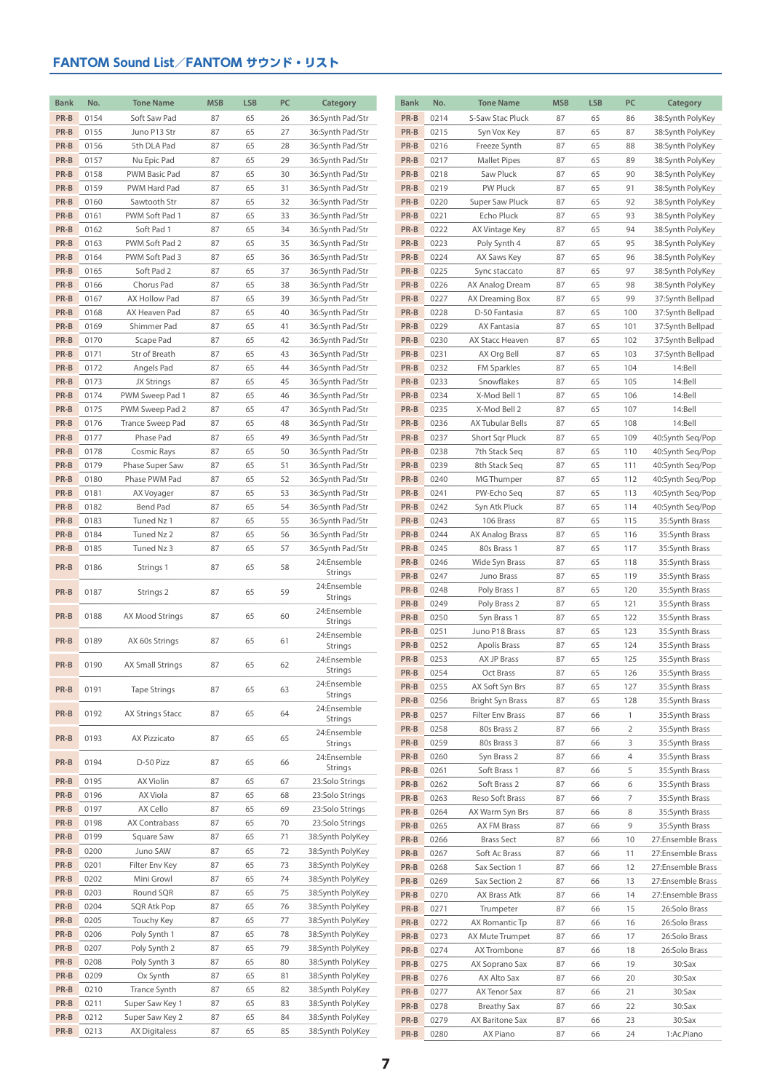| <b>Bank</b>  | No.          | <b>Tone Name</b>             | <b>MSB</b> | <b>LSB</b> | PC       | Category                             | <b>Bank</b>  | No.          | <b>Tone Name</b>               | <b>MSB</b> | <b>LSB</b> | PC             | Category                         |
|--------------|--------------|------------------------------|------------|------------|----------|--------------------------------------|--------------|--------------|--------------------------------|------------|------------|----------------|----------------------------------|
| PR-B         | 0154         | Soft Saw Pad                 | 87         | 65         | 26       | 36:Synth Pad/Str                     | PR-B         | 0214         | S-Saw Stac Pluck               | 87         | 65         | 86             | 38:Synth PolyKey                 |
| PR-B         | 0155         | Juno P13 Str                 | 87         | 65         | 27       | 36:Synth Pad/Str                     | PR-B         | 0215         | Syn Vox Key                    | 87         | 65         | 87             | 38:Synth PolyKey                 |
| PR-B         | 0156         | 5th DLA Pad                  | 87         | 65         | 28       | 36:Synth Pad/Str                     | PR-B         | 0216         | Freeze Synth                   | 87         | 65         | 88             | 38:Synth PolyKey                 |
| PR-B         | 0157         | Nu Epic Pad                  | 87         | 65         | 29       | 36:Synth Pad/Str                     | PR-B         | 0217         | <b>Mallet Pipes</b>            | 87         | 65         | 89             | 38:Synth PolyKey                 |
| PR-B         | 0158         | PWM Basic Pad                | 87         | 65         | 30       | 36:Synth Pad/Str                     | PR-B         | 0218         | Saw Pluck                      | 87         | 65         | 90             | 38:Synth PolyKey                 |
| PR-B         | 0159         | PWM Hard Pad                 | 87         | 65         | 31       | 36:Synth Pad/Str                     | PR-B         | 0219         | PW Pluck                       | 87         | 65         | 91             | 38:Synth PolyKey                 |
| PR-B         | 0160         | Sawtooth Str                 | 87         | 65         | 32       | 36:Synth Pad/Str                     | PR-B         | 0220         | Super Saw Pluck                | 87         | 65         | 92             | 38:Synth PolyKey                 |
| PR-B         | 0161         | PWM Soft Pad 1               | 87         | 65         | 33       | 36:Synth Pad/Str                     | PR-B         | 0221         | Echo Pluck                     | 87         | 65         | 93             | 38:Synth PolyKey                 |
| PR-B         | 0162         | Soft Pad 1                   | 87         | 65         | 34       | 36:Synth Pad/Str                     | PR-B         | 0222         | AX Vintage Key                 | 87         | 65         | 94             | 38:Synth PolyKey                 |
| PR-B         | 0163         | PWM Soft Pad 2               | 87         | 65         | 35       | 36:Synth Pad/Str                     | PR-B         | 0223         | Poly Synth 4                   | 87         | 65         | 95             | 38:Synth PolyKey                 |
| PR-B         | 0164         | PWM Soft Pad 3               | 87         | 65         | 36       | 36:Synth Pad/Str                     | PR-B         | 0224         | AX Saws Key                    | 87         | 65         | 96             | 38:Synth PolyKey                 |
| PR-B         | 0165         | Soft Pad 2                   | 87         | 65         | 37       | 36:Synth Pad/Str                     | PR-B         | 0225         | Sync staccato                  | 87         | 65         | 97             | 38:Synth PolyKey                 |
| PR-B         | 0166         | Chorus Pad                   | 87         | 65         | 38       | 36:Synth Pad/Str                     | PR-B         | 0226         | AX Analog Dream                | 87         | 65         | 98             | 38:Synth PolyKey                 |
| PR-B         | 0167         | AX Hollow Pad                | 87         | 65         | 39       | 36:Synth Pad/Str                     | PR-B         | 0227         | AX Dreaming Box                | 87         | 65         | 99             | 37:Synth Bellpad                 |
| PR-B         | 0168         | AX Heaven Pad                | 87         | 65         | 40       | 36:Synth Pad/Str                     | PR-B         | 0228         | D-50 Fantasia                  | 87         | 65         | 100            | 37:Synth Bellpad                 |
| PR-B         | 0169         | Shimmer Pad                  | 87         | 65         | 41       | 36:Synth Pad/Str                     | PR-B         | 0229         | AX Fantasia                    | 87         | 65         | 101            | 37:Synth Bellpad                 |
| PR-B         | 0170         | Scape Pad                    | 87         | 65         | 42       | 36:Synth Pad/Str                     | PR-B         | 0230         | AX Stacc Heaven                | 87         | 65         | 102            | 37:Synth Bellpad                 |
| PR-B         | 0171         | Str of Breath                | 87         | 65         | 43       | 36:Synth Pad/Str                     | PR-B         | 0231         | AX Org Bell                    | 87         | 65         | 103            | 37:Synth Bellpad                 |
| PR-B         | 0172         | Angels Pad                   | 87         | 65         | 44       | 36:Synth Pad/Str                     | PR-B         | 0232         | FM Sparkles                    | 87         | 65         | 104            | 14:Bell                          |
| PR-B         | 0173         | JX Strings                   | 87         | 65         | 45       | 36:Synth Pad/Str                     | PR-B         | 0233         | Snowflakes                     | 87         | 65         | 105            | 14:Bell                          |
| PR-B         | 0174         | PWM Sweep Pad 1              | 87         | 65         | 46       | 36:Synth Pad/Str                     | PR-B         | 0234         | X-Mod Bell 1                   | 87         | 65         | 106            | 14:Bell                          |
| PR-B         | 0175         | PWM Sweep Pad 2              | 87         | 65         | 47       | 36:Synth Pad/Str                     | PR-B         | 0235         | X-Mod Bell 2                   | 87         | 65         | 107            | 14:Bell                          |
| PR-B         | 0176         | Trance Sweep Pad             | 87         | 65         | 48       | 36:Synth Pad/Str                     | PR-B         | 0236         | AX Tubular Bells               | 87         | 65         | 108            | 14:Bell                          |
| PR-B         | 0177         | Phase Pad                    | 87         | 65         | 49       | 36:Synth Pad/Str                     | PR-B         | 0237         | Short Sqr Pluck                | 87         | 65         | 109            | 40:Synth Seq/Pop                 |
| PR-B         | 0178         | Cosmic Rays                  | 87         | 65         | 50       | 36:Synth Pad/Str                     | PR-B         | 0238         | 7th Stack Seg                  | 87         | 65         | 110            | 40:Synth Seg/Pop                 |
| PR-B         | 0179         | Phase Super Saw              | 87         | 65         | 51       | 36:Synth Pad/Str                     | PR-B         | 0239         | 8th Stack Seg                  | 87         | 65         | 111            | 40:Synth Seg/Pop                 |
| PR-B         | 0180         | Phase PWM Pad                | 87         | 65         | 52       | 36:Synth Pad/Str                     | PR-B         | 0240         | MG Thumper                     | 87         | 65         | 112            | 40:Synth Seq/Pop                 |
| PR-B         | 0181         | AX Voyager                   | 87         | 65         | 53       | 36:Synth Pad/Str                     | PR-B         | 0241         | PW-Echo Seq                    | 87         | 65         | 113            | 40:Synth Seq/Pop                 |
| PR-B         | 0182         | Bend Pad                     | 87         | 65         | 54       | 36:Synth Pad/Str                     | PR-B         | 0242         | Syn Atk Pluck                  | 87         | 65         | 114            | 40:Synth Seq/Pop                 |
| PR-B         | 0183         | Tuned Nz 1                   | 87         | 65         | 55       | 36:Synth Pad/Str                     | PR-B         | 0243         | 106 Brass                      | 87         | 65         | 115            | 35:Synth Brass                   |
| PR-B         | 0184         | Tuned Nz 2                   | 87         | 65         | 56       | 36:Synth Pad/Str                     | PR-B         | 0244         | AX Analog Brass                | 87         | 65         | 116            | 35:Synth Brass                   |
| PR-B         | 0185         | Tuned Nz 3                   | 87         | 65         | 57       | 36:Synth Pad/Str                     | PR-B         | 0245         | 80s Brass 1                    | 87         | 65         | 117            | 35:Synth Brass                   |
| PR-B         | 0186         | Strings 1                    | 87         | 65         | 58       | 24:Ensemble<br>Strings               | PR-B         | 0246         | Wide Syn Brass                 | 87         | 65         | 118            | 35:Synth Brass                   |
|              |              |                              |            |            |          | 24:Ensemble                          | PR-B         | 0247         | Juno Brass                     | 87         | 65         | 119            | 35:Synth Brass                   |
| PR-B         | 0187         | Strings 2                    | 87         | 65         | 59       | Strings                              | PR-B<br>PR-B | 0248<br>0249 | Poly Brass 1<br>Poly Brass 2   | 87<br>87   | 65<br>65   | 120<br>121     | 35:Synth Brass                   |
| PR-B         | 0188         | AX Mood Strings              | 87         | 65         | 60       | 24:Ensemble                          | PR-B         | 0250         | Syn Brass 1                    | 87         | 65         | 122            | 35:Synth Brass<br>35:Synth Brass |
|              |              |                              |            |            |          | Strings                              | PR-B         | 0251         | Juno P18 Brass                 | 87         | 65         | 123            | 35:Synth Brass                   |
| PR-B         | 0189         | AX 60s Strings               | 87         | 65         | 61       | 24:Ensemble<br>Strings               | PR-B         | 0252         | Apolis Brass                   | 87         | 65         | 124            | 35:Synth Brass                   |
|              |              |                              |            |            |          | 24:Ensemble                          | PR-B         | 0253         | AX JP Brass                    | 87         | 65         | 125            | 35:Synth Brass                   |
| PR-B         | 0190         | <b>AX Small Strings</b>      | 87         | 65         | 62       | <b>Strings</b>                       | PR-B         | 0254         | Oct Brass                      | 87         | 65         | 126            | 35:Synth Brass                   |
| PR-B         | 0191         | <b>Tape Strings</b>          | 87         | 65         | 63       | 24:Ensemble                          | PR-B         | 0255         | AX Soft Syn Brs                | 87         | 65         | 127            | 35:Synth Brass                   |
|              |              |                              |            |            |          | Strings                              | PR-B         | 0256         | <b>Bright Syn Brass</b>        | 87         | 65         | 128            | 35:Synth Brass                   |
| PR-B         | 0192         | <b>AX Strings Stacc</b>      | 87         | 65         | 64       | 24:Ensemble<br>Strings               | PR-B         | 0257         | Filter Env Brass               | 87         | 66         | $\mathbf{1}$   | 35:Synth Brass                   |
|              |              |                              |            |            |          | 24:Ensemble                          | PR-B         | 0258         | 80s Brass 2                    | 87         | 66         | $\overline{2}$ | 35:Synth Brass                   |
| PR-B         | 0193         | AX Pizzicato                 | 87         | 65         | 65       | Strings                              | PR-B         | 0259         | 80s Brass 3                    | 87         | 66         | 3              | 35:Synth Brass                   |
|              |              |                              |            |            |          | 24:Ensemble                          | PR-B         | 0260         | Syn Brass 2                    | 87         | 66         | 4              | 35:Synth Brass                   |
| PR-B         | 0194         | D-50 Pizz                    | 87         | 65         | 66       | Strings                              | PR-B         | 0261         | Soft Brass 1                   | 87         | 66         | 5              | 35:Synth Brass                   |
| PR-B         | 0195         | <b>AX Violin</b>             | 87         | 65         | 67       | 23:Solo Strings                      | PR-B         | 0262         | Soft Brass 2                   | 87         | 66         | 6              | 35:Synth Brass                   |
| PR-B         | 0196         | AX Viola                     | 87         | 65         | 68       | 23:Solo Strings                      | PR-B         | 0263         | Reso Soft Brass                | 87         | 66         | 7              | 35:Synth Brass                   |
| PR-B         | 0197         | AX Cello                     | 87         | 65         | 69       | 23:Solo Strings                      | PR-B         | 0264         | AX Warm Syn Brs                | 87         | 66         | 8              | 35:Synth Brass                   |
| PR-B         | 0198         | AX Contrabass                | 87         | 65         | 70       | 23:Solo Strings                      | PR-B         | 0265         | AX FM Brass                    | 87         | 66         | 9              | 35:Synth Brass                   |
| PR-B         | 0199         | Square Saw                   | 87         | 65         | 71       | 38:Synth PolyKey                     | PR-B         | 0266         | <b>Brass Sect</b>              | 87         | 66         | 10             | 27:Ensemble Brass                |
| PR-B         | 0200         | Juno SAW                     | 87         | 65         | 72       | 38:Synth PolyKey                     | PR-B         | 0267         | Soft Ac Brass                  | 87         | 66         | 11             | 27:Ensemble Brass                |
| PR-B         | 0201         | Filter Env Key               | 87         | 65         | 73       | 38:Synth PolyKey                     | PR-B         | 0268         | Sax Section 1                  | 87         | 66         | 12             | 27:Ensemble Brass                |
| PR-B         | 0202         | Mini Growl                   | 87         | 65         | 74       | 38:Synth PolyKey                     | PR-B         | 0269         | Sax Section 2                  | 87         | 66         | 13             | 27:Ensemble Brass                |
| PR-B         | 0203         | Round SQR                    | 87         | 65         | 75       | 38:Synth PolyKey                     | PR-B         | 0270         | AX Brass Atk                   | 87         | 66         | 14             | 27:Ensemble Brass                |
| PR-B         | 0204         | SQR Atk Pop                  | 87         | 65         | 76       | 38:Synth PolyKey                     | PR-B         | 0271         | Trumpeter                      | 87         | 66         | 15             | 26:Solo Brass                    |
| PR-B         | 0205         | Touchy Key                   | 87         | 65         | 77       | 38:Synth PolyKey                     | PR-B         | 0272         | AX Romantic Tp                 | 87         | 66         | 16             | 26:Solo Brass                    |
| PR-B<br>PR-B | 0206<br>0207 | Poly Synth 1                 | 87         | 65<br>65   | 78<br>79 | 38:Synth PolyKey                     | PR-B         | 0273         | AX Mute Trumpet                | 87         | 66         | 17             | 26:Solo Brass                    |
| PR-B         | 0208         | Poly Synth 2<br>Poly Synth 3 | 87<br>87   | 65         | 80       | 38:Synth PolyKey<br>38:Synth PolyKey | PR-B         | 0274         | AX Trombone                    | 87         | 66         | 18             | 26:Solo Brass                    |
| PR-B         | 0209         | Ox Synth                     | 87         | 65         | 81       | 38:Synth PolyKey                     | PR-B         | 0275         | AX Soprano Sax                 | 87         | 66         | 19             | 30:Sax                           |
| PR-B         | 0210         | Trance Synth                 | 87         | 65         | 82       | 38:Synth PolyKey                     | PR-B         | 0276         | AX Alto Sax                    | 87         | 66         | 20             | 30:Sax                           |
| PR-B         | 0211         | Super Saw Key 1              | 87         | 65         | 83       | 38:Synth PolyKey                     | PR-B<br>PR-B | 0277<br>0278 | AX Tenor Sax                   | 87<br>87   | 66         | 21<br>22       | 30:Sax                           |
| PR-B         | 0212         | Super Saw Key 2              | 87         | 65         | 84       | 38:Synth PolyKey                     | PR-B         | 0279         | Breathy Sax<br>AX Baritone Sax | 87         | 66<br>66   | 23             | 30:Sax<br>$30:$ Sax              |
| PR-B         | 0213         | AX Digitaless                | 87         | 65         | 85       | 38:Synth PolyKey                     | PR-B         | 0280         | AX Piano                       | 87         | 66         | 24             | 1:Ac.Piano                       |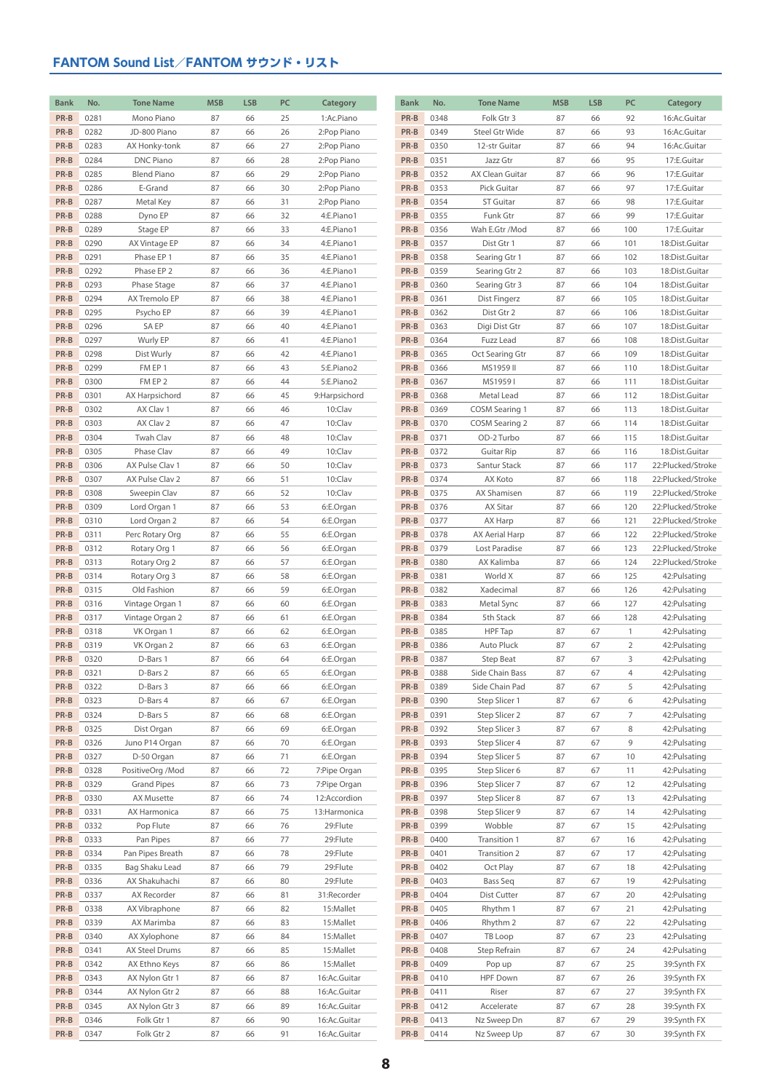| <b>Bank</b> | No.  | <b>Tone Name</b>   | <b>MSB</b> | <b>LSB</b> | PC | Category      | <b>Bank</b> | No.  | <b>Tone Name</b>  | <b>MSB</b> | <b>LSB</b> | PC  | Category          |
|-------------|------|--------------------|------------|------------|----|---------------|-------------|------|-------------------|------------|------------|-----|-------------------|
|             |      |                    |            |            |    |               | PR-B        |      |                   |            |            |     |                   |
| PR-B        | 0281 | Mono Piano         | 87         | 66         | 25 | 1:Ac.Piano    |             | 0348 | Folk Gtr 3        | 87         | 66         | 92  | 16:Ac.Guitar      |
| PR-B        | 0282 | JD-800 Piano       | 87         | 66         | 26 | 2:Pop Piano   | PR-B        | 0349 | Steel Gtr Wide    | 87         | 66         | 93  | 16:Ac.Guitar      |
| PR-B        | 0283 | AX Honky-tonk      | 87         | 66         | 27 | 2:Pop Piano   | PR-B        | 0350 | 12-str Guitar     | 87         | 66         | 94  | 16:Ac.Guitar      |
| PR-B        | 0284 | <b>DNC Piano</b>   | 87         | 66         | 28 | 2:Pop Piano   | PR-B        | 0351 | Jazz Gtr          | 87         | 66         | 95  | 17:E.Guitar       |
| PR-B        | 0285 | <b>Blend Piano</b> | 87         | 66         | 29 | 2:Pop Piano   | PR-B        | 0352 | AX Clean Guitar   | 87         | 66         | 96  | 17:E.Guitar       |
| PR-B        | 0286 | E-Grand            | 87         | 66         | 30 | 2:Pop Piano   | PR-B        | 0353 | Pick Guitar       | 87         | 66         | 97  | 17:E.Guitar       |
| PR-B        | 0287 | Metal Key          | 87         | 66         | 31 | 2:Pop Piano   | PR-B        | 0354 | <b>ST Guitar</b>  | 87         | 66         | 98  | 17:E.Guitar       |
| PR-B        | 0288 | Dyno EP            | 87         | 66         | 32 | 4:E.Piano1    | PR-B        | 0355 | Funk Gtr          | 87         | 66         | 99  | 17:E.Guitar       |
| PR-B        | 0289 | Stage EP           | 87         | 66         | 33 | 4:E.Piano1    | PR-B        | 0356 | Wah E.Gtr /Mod    | 87         | 66         | 100 | 17:E.Guitar       |
| PR-B        | 0290 | AX Vintage EP      | 87         | 66         | 34 | 4:E.Piano1    | PR-B        | 0357 | Dist Gtr 1        | 87         | 66         | 101 | 18:Dist.Guitar    |
| PR-B        | 0291 | Phase EP 1         | 87         | 66         | 35 | 4:E.Piano1    | PR-B        | 0358 | Searing Gtr 1     | 87         | 66         | 102 | 18:Dist.Guitar    |
|             | 0292 |                    | 87         | 66         |    |               | PR-B        |      |                   | 87         |            |     |                   |
| PR-B        |      | Phase EP 2         |            |            | 36 | 4:E.Piano1    |             | 0359 | Searing Gtr 2     |            | 66         | 103 | 18:Dist.Guitar    |
| PR-B        | 0293 | Phase Stage        | 87         | 66         | 37 | 4:E.Piano1    | PR-B        | 0360 | Searing Gtr 3     | 87         | 66         | 104 | 18:Dist.Guitar    |
| PR-B        | 0294 | AX Tremolo EP      | 87         | 66         | 38 | 4:E.Piano1    | PR-B        | 0361 | Dist Fingerz      | 87         | 66         | 105 | 18:Dist.Guitar    |
| PR-B        | 0295 | Psycho EP          | 87         | 66         | 39 | 4:E.Piano1    | PR-B        | 0362 | Dist Gtr 2        | 87         | 66         | 106 | 18:Dist.Guitar    |
| PR-B        | 0296 | <b>SAEP</b>        | 87         | 66         | 40 | 4:E.Piano1    | PR-B        | 0363 | Digi Dist Gtr     | 87         | 66         | 107 | 18:Dist.Guitar    |
| PR-B        | 0297 | Wurly EP           | 87         | 66         | 41 | 4:E.Piano1    | PR-B        | 0364 | Fuzz Lead         | 87         | 66         | 108 | 18:Dist.Guitar    |
| PR-B        | 0298 | Dist Wurly         | 87         | 66         | 42 | 4:E.Piano1    | PR-B        | 0365 | Oct Searing Gtr   | 87         | 66         | 109 | 18:Dist.Guitar    |
| PR-B        | 0299 | FM EP 1            | 87         | 66         | 43 | 5:E.Piano2    | PR-B        | 0366 | MS1959 II         | 87         | 66         | 110 | 18:Dist.Guitar    |
| PR-B        | 0300 | FM EP 2            | 87         | 66         | 44 | 5:E.Piano2    | PR-B        | 0367 | MS19591           | 87         | 66         | 111 | 18:Dist.Guitar    |
| PR-B        | 0301 | AX Harpsichord     | 87         | 66         | 45 | 9:Harpsichord | PR-B        | 0368 | Metal Lead        | 87         | 66         | 112 | 18:Dist.Guitar    |
| PR-B        | 0302 | AX Clav 1          | 87         | 66         | 46 | 10:Clav       | PR-B        | 0369 | COSM Searing 1    | 87         | 66         | 113 | 18:Dist.Guitar    |
| PR-B        | 0303 | AX Clav 2          | 87         | 66         | 47 | 10:Clav       | PR-B        | 0370 | COSM Searing 2    | 87         | 66         | 114 | 18:Dist.Guitar    |
|             |      |                    |            |            |    |               |             |      |                   |            |            |     |                   |
| PR-B        | 0304 | Twah Clav          | 87         | 66         | 48 | 10:Clav       | PR-B        | 0371 | OD-2 Turbo        | 87         | 66         | 115 | 18:Dist.Guitar    |
| PR-B        | 0305 | Phase Clav         | 87         | 66         | 49 | 10:Clav       | PR-B        | 0372 | <b>Guitar Rip</b> | 87         | 66         | 116 | 18:Dist.Guitar    |
| PR-B        | 0306 | AX Pulse Clav 1    | 87         | 66         | 50 | 10:Clav       | PR-B        | 0373 | Santur Stack      | 87         | 66         | 117 | 22:Plucked/Stroke |
| PR-B        | 0307 | AX Pulse Clav 2    | 87         | 66         | 51 | 10:Clav       | PR-B        | 0374 | AX Koto           | 87         | 66         | 118 | 22:Plucked/Stroke |
| PR-B        | 0308 | Sweepin Clav       | 87         | 66         | 52 | 10:Clav       | PR-B        | 0375 | AX Shamisen       | 87         | 66         | 119 | 22:Plucked/Stroke |
| PR-B        | 0309 | Lord Organ 1       | 87         | 66         | 53 | 6:E.Organ     | PR-B        | 0376 | <b>AX Sitar</b>   | 87         | 66         | 120 | 22:Plucked/Stroke |
| PR-B        | 0310 | Lord Organ 2       | 87         | 66         | 54 | 6:E.Organ     | PR-B        | 0377 | AX Harp           | 87         | 66         | 121 | 22:Plucked/Stroke |
| PR-B        | 0311 | Perc Rotary Org    | 87         | 66         | 55 | 6:E.Organ     | PR-B        | 0378 | AX Aerial Harp    | 87         | 66         | 122 | 22:Plucked/Stroke |
| PR-B        | 0312 | Rotary Org 1       | 87         | 66         | 56 | 6:E.Organ     | PR-B        | 0379 | Lost Paradise     | 87         | 66         | 123 | 22:Plucked/Stroke |
| PR-B        | 0313 | Rotary Org 2       | 87         | 66         | 57 | 6:E.Organ     | PR-B        | 0380 | AX Kalimba        | 87         | 66         | 124 | 22:Plucked/Stroke |
| PR-B        | 0314 | Rotary Org 3       | 87         | 66         | 58 | 6:E.Organ     | PR-B        | 0381 | World X           | 87         | 66         | 125 | 42: Pulsating     |
| PR-B        | 0315 | Old Fashion        | 87         | 66         | 59 | 6:E.Organ     | PR-B        | 0382 | Xadecimal         | 87         | 66         | 126 | 42: Pulsating     |
| PR-B        | 0316 | Vintage Organ 1    | 87         | 66         | 60 | 6:E.Organ     | PR-B        | 0383 | Metal Sync        | 87         | 66         | 127 | 42: Pulsating     |
| PR-B        | 0317 | Vintage Organ 2    | 87         | 66         | 61 | 6:E.Organ     | PR-B        | 0384 | 5th Stack         | 87         | 66         | 128 | 42: Pulsating     |
| PR-B        | 0318 | VK Organ 1         | 87         | 66         | 62 | 6:E.Organ     | PR-B        | 0385 | <b>HPF</b> Tap    | 87         | 67         | 1   | 42: Pulsating     |
| PR-B        |      |                    |            |            |    |               |             |      |                   |            | 67         | 2   |                   |
|             | 0319 | VK Organ 2         | 87         | 66         | 63 | 6:E.Organ     | PR-B        | 0386 | Auto Pluck        | 87         |            |     | 42: Pulsating     |
| PR-B        | 0320 | D-Bars 1           | 87         | 66         | 64 | 6:E.Organ     | PR-B        | 0387 | Step Beat         | 87         | 67         | 3   | 42: Pulsating     |
| PR-B        | 0321 | D-Bars 2           | 87         | 66         | 65 | 6:E.Organ     | PR-B        | 0388 | Side Chain Bass   | 87         | 67         | 4   | 42: Pulsating     |
| PR-B        | 0322 | D-Bars 3           | 87         | 66         | 66 | 6:E.Organ     | PR-B        | 0389 | Side Chain Pad    | 87         | 67         | 5   | 42: Pulsating     |
| PR-B        | 0323 | D-Bars 4           | 87         | 66         | 67 | 6:E.Organ     | PR-B        | 0390 | Step Slicer 1     | 87         | 67         | 6   | 42: Pulsating     |
| PR-B        | 0324 | D-Bars 5           | 87         | 66         | 68 | 6:E.Organ     | PR-B        | 0391 | Step Slicer 2     | 87         | 67         | 7   | 42: Pulsating     |
| PR-B        | 0325 | Dist Organ         | 87         | 66         | 69 | 6:E.Organ     | PR-B        | 0392 | Step Slicer 3     | 87         | 67         | 8   | 42: Pulsating     |
| PR-B        | 0326 | Juno P14 Organ     | 87         | 66         | 70 | 6:E.Organ     | PR-B        | 0393 | Step Slicer 4     | 87         | 67         | 9   | 42: Pulsating     |
| PR-B        | 0327 | D-50 Organ         | 87         | 66         | 71 | 6:E.Organ     | PR-B        | 0394 | Step Slicer 5     | 87         | 67         | 10  | 42: Pulsating     |
| PR-B        | 0328 | PositiveOrg /Mod   | 87         | 66         | 72 | 7:Pipe Organ  | PR-B        | 0395 | Step Slicer 6     | 87         | 67         | 11  | 42: Pulsating     |
| PR-B        | 0329 | <b>Grand Pipes</b> | 87         | 66         | 73 | 7:Pipe Organ  | PR-B        | 0396 | Step Slicer 7     | 87         | 67         | 12  | 42: Pulsating     |
| PR-B        | 0330 | AX Musette         | 87         | 66         | 74 | 12:Accordion  | PR-B        | 0397 | Step Slicer 8     | 87         | 67         | 13  | 42: Pulsating     |
| PR-B        | 0331 | AX Harmonica       | 87         | 66         | 75 | 13: Harmonica | PR-B        | 0398 | Step Slicer 9     | 87         | 67         | 14  | 42: Pulsating     |
| PR-B        | 0332 | Pop Flute          | 87         | 66         | 76 | 29:Flute      | PR-B        | 0399 | Wobble            | 87         | 67         | 15  | 42: Pulsating     |
| PR-B        |      |                    |            |            |    |               | PR-B        |      |                   |            |            |     |                   |
|             | 0333 | Pan Pipes          | 87         | 66         | 77 | 29:Flute      |             | 0400 | Transition 1      | 87         | 67         | 16  | 42: Pulsating     |
| PR-B        | 0334 | Pan Pipes Breath   | 87         | 66         | 78 | 29:Flute      | PR-B        | 0401 | Transition 2      | 87         | 67         | 17  | 42: Pulsating     |
| PR-B        | 0335 | Bag Shaku Lead     | 87         | 66         | 79 | 29:Flute      | PR-B        | 0402 | Oct Play          | 87         | 67         | 18  | 42: Pulsating     |
| PR-B        | 0336 | AX Shakuhachi      | 87         | 66         | 80 | 29:Flute      | PR-B        | 0403 | Bass Seq          | 87         | 67         | 19  | 42: Pulsating     |
| PR-B        | 0337 | AX Recorder        | 87         | 66         | 81 | 31:Recorder   | PR-B        | 0404 | Dist Cutter       | 87         | 67         | 20  | 42: Pulsating     |
| PR-B        | 0338 | AX Vibraphone      | 87         | 66         | 82 | 15:Mallet     | PR-B        | 0405 | Rhythm 1          | 87         | 67         | 21  | 42: Pulsating     |
| PR-B        | 0339 | AX Marimba         | 87         | 66         | 83 | 15:Mallet     | PR-B        | 0406 | Rhythm 2          | 87         | 67         | 22  | 42: Pulsating     |
| PR-B        | 0340 | AX Xylophone       | 87         | 66         | 84 | 15:Mallet     | PR-B        | 0407 | TB Loop           | 87         | 67         | 23  | 42: Pulsating     |
| PR-B        | 0341 | AX Steel Drums     | 87         | 66         | 85 | 15:Mallet     | PR-B        | 0408 | Step Refrain      | 87         | 67         | 24  | 42: Pulsating     |
| PR-B        | 0342 | AX Ethno Keys      | 87         | 66         | 86 | 15:Mallet     | PR-B        | 0409 | Pop up            | 87         | 67         | 25  | 39:Synth FX       |
| PR-B        | 0343 | AX Nylon Gtr 1     | 87         | 66         | 87 | 16:Ac.Guitar  | PR-B        | 0410 | <b>HPF Down</b>   | 87         | 67         | 26  | 39:Synth FX       |
| PR-B        | 0344 | AX Nylon Gtr 2     | 87         | 66         | 88 | 16:Ac.Guitar  | PR-B        | 0411 | Riser             | 87         | 67         | 27  | 39:Synth FX       |
| PR-B        | 0345 | AX Nylon Gtr 3     | 87         | 66         | 89 | 16:Ac.Guitar  | PR-B        | 0412 | Accelerate        | 87         | 67         | 28  | 39:Synth FX       |
|             | 0346 | Folk Gtr 1         | 87         | 66         |    | 16:Ac.Guitar  | PR-B        | 0413 | Nz Sweep Dn       | 87         | 67         | 29  | 39:Synth FX       |
| PR-B        |      |                    |            |            | 90 |               |             |      |                   |            |            |     |                   |
| PR-B        | 0347 | Folk Gtr 2         | 87         | 66         | 91 | 16:Ac.Guitar  | PR-B        | 0414 | Nz Sweep Up       | 87         | 67         | 30  | 39:Synth FX       |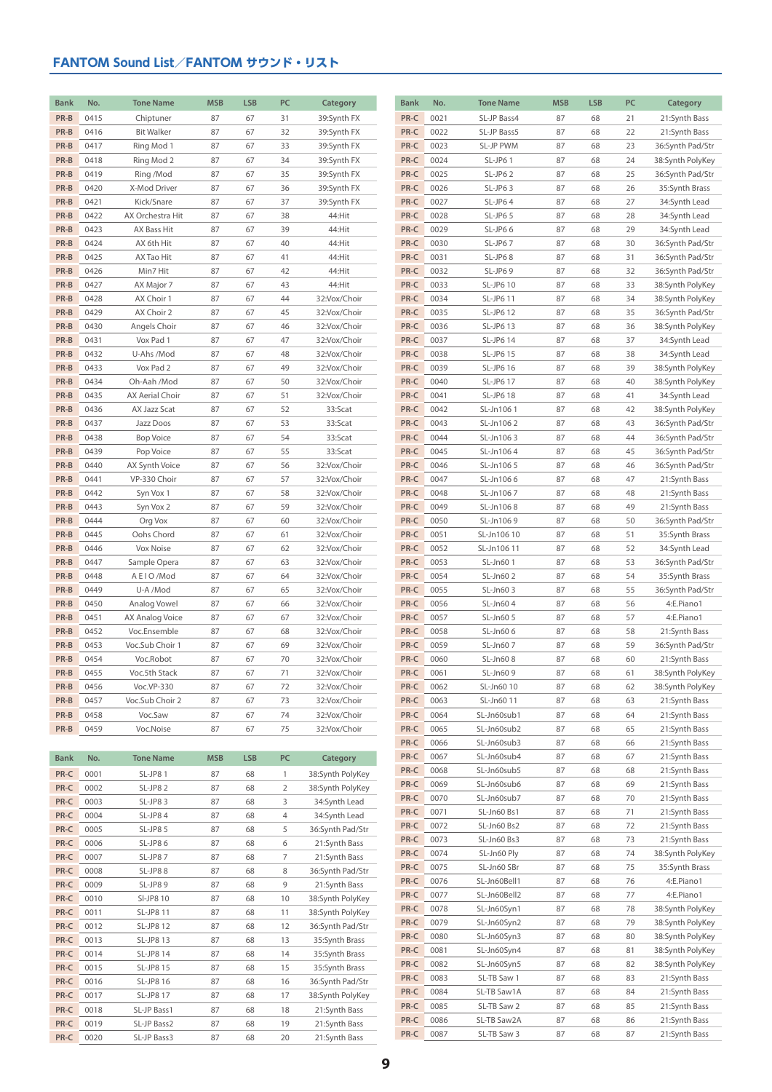| <b>Bank</b>  | No.          | <b>Tone Name</b>         | <b>MSB</b> | <b>LSB</b> | PC             | Category                          | <b>Bank</b>  | No.          | <b>Tone Name</b>           | <b>MSB</b> | <b>LSB</b> | PC       | Category                             |
|--------------|--------------|--------------------------|------------|------------|----------------|-----------------------------------|--------------|--------------|----------------------------|------------|------------|----------|--------------------------------------|
| PR-B         | 0415         | Chiptuner                | 87         | 67         | 31             | 39:Synth FX                       | PR-C         | 0021         | SL-JP Bass4                | 87         | 68         | 21       | 21:Synth Bass                        |
| PR-B         | 0416         | <b>Bit Walker</b>        | 87         | 67         | 32             | 39:Synth FX                       | PR-C         | 0022         | SL-JP Bass5                | 87         | 68         | 22       | 21:Synth Bass                        |
| PR-B<br>PR-B | 0417<br>0418 | Ring Mod 1<br>Ring Mod 2 | 87<br>87   | 67<br>67   | 33<br>34       | 39:Synth FX<br>39:Synth FX        | PR-C<br>PR-C | 0023<br>0024 | SL-JP PWM<br>SL-JP61       | 87<br>87   | 68<br>68   | 23<br>24 | 36:Synth Pad/Str<br>38:Synth PolyKey |
| PR-B         | 0419         | Ring /Mod                | 87         | 67         | 35             | 39:Synth FX                       | PR-C         | 0025         | SL-JP62                    | 87         | 68         | 25       | 36:Synth Pad/Str                     |
| PR-B         | 0420         | X-Mod Driver             | 87         | 67         | 36             | 39:Synth FX                       | PR-C         | 0026         | SL-JP63                    | 87         | 68         | 26       | 35:Synth Brass                       |
| PR-B         | 0421         | Kick/Snare               | 87         | 67         | 37             | 39:Synth FX                       | PR-C         | 0027         | SL-JP64                    | 87         | 68         | 27       | 34:Synth Lead                        |
| PR-B         | 0422         | AX Orchestra Hit         | 87         | 67         | 38             | 44:Hit                            | PR-C         | 0028         | SL-JP65                    | 87         | 68         | 28       | 34:Synth Lead                        |
| PR-B         | 0423         | AX Bass Hit              | 87         | 67         | 39             | 44:Hit                            | PR-C         | 0029         | SL-JP66                    | 87         | 68         | 29       | 34:Synth Lead                        |
| PR-B         | 0424         | AX 6th Hit               | 87         | 67         | 40             | 44:Hit                            | PR-C         | 0030         | SL-JP67                    | 87         | 68         | 30       | 36:Synth Pad/Str                     |
| PR-B         | 0425         | AX Tao Hit               | 87         | 67         | 41             | 44:Hit                            | PR-C         | 0031         | SL-JP68                    | 87         | 68         | 31       | 36:Synth Pad/Str                     |
| PR-B         | 0426         | Min7 Hit                 | 87         | 67         | 42             | 44:Hit                            | PR-C         | 0032         | SL-JP69                    | 87         | 68         | 32       | 36:Synth Pad/Str                     |
| PR-B         | 0427         | AX Major 7               | 87         | 67         | 43             | 44:Hit                            | PR-C         | 0033         | SL-JP6 10                  | 87         | 68         | 33       | 38:Synth PolyKey                     |
| PR-B         | 0428         | AX Choir 1               | 87         | 67         | 44             | 32:Vox/Choir                      | PR-C         | 0034         | SL-JP6 11                  | 87         | 68         | 34       | 38:Synth PolyKey                     |
| PR-B         | 0429         | AX Choir 2               | 87         | 67         | 45             | 32:Vox/Choir                      | PR-C         | 0035         | SL-JP6 12                  | 87         | 68         | 35       | 36:Synth Pad/Str                     |
| PR-B         | 0430         | Angels Choir             | 87         | 67         | 46             | 32:Vox/Choir                      | PR-C         | 0036         | SL-JP6 13                  | 87         | 68         | 36       | 38:Synth PolyKey                     |
| PR-B         | 0431         | Vox Pad 1                | 87         | 67         | 47             | 32:Vox/Choir                      | PR-C         | 0037         | SL-JP6 14                  | 87         | 68         | 37       | 34:Synth Lead                        |
| PR-B         | 0432         | U-Ahs /Mod               | 87         | 67         | 48             | 32:Vox/Choir                      | PR-C         | 0038         | SL-JP6 15                  | 87         | 68         | 38       | 34:Synth Lead                        |
| PR-B         | 0433         | Vox Pad 2                | 87         | 67         | 49             | 32:Vox/Choir                      | PR-C         | 0039         | SL-JP6 16                  | 87         | 68         | 39       | 38:Synth PolyKey                     |
| PR-B         | 0434         | Oh-Aah /Mod              | 87         | 67         | 50             | 32:Vox/Choir                      | PR-C         | 0040         | SL-JP6 17                  | 87         | 68         | 40       | 38:Synth PolyKey                     |
| PR-B         | 0435         | AX Aerial Choir          | 87         | 67         | 51             | 32:Vox/Choir                      | PR-C         | 0041         | SL-JP6 18                  | 87         | 68         | 41       | 34:Synth Lead                        |
| PR-B         | 0436         | AX Jazz Scat             | 87         | 67         | 52             | 33:Scat                           | PR-C         | 0042         | SL-Jn1061                  | 87         | 68         | 42       | 38:Synth PolyKey                     |
| PR-B         | 0437         | Jazz Doos                | 87         | 67         | 53             | 33:Scat                           | PR-C         | 0043         | SL-Jn1062                  | 87         | 68         | 43       | 36:Synth Pad/Str                     |
| PR-B         | 0438         | <b>Bop Voice</b>         | 87         | 67         | 54             | 33:Scat                           | PR-C         | 0044         | SL-Jn1063                  | 87         | 68         | 44       | 36:Synth Pad/Str                     |
| PR-B         | 0439         | Pop Voice                | 87         | 67         | 55             | 33:Scat                           | PR-C         | 0045         | SL-Jn1064                  | 87         | 68         | 45       | 36:Synth Pad/Str                     |
| PR-B         | 0440         | AX Synth Voice           | 87         | 67         | 56             | 32:Vox/Choir                      | PR-C         | 0046         | SL-Jn1065                  | 87         | 68         | 46       | 36:Synth Pad/Str                     |
| PR-B         | 0441         | VP-330 Choir             | 87         | 67         | 57             | 32:Vox/Choir                      | PR-C         | 0047         | SL-Jn1066                  | 87         | 68         | 47       | 21:Synth Bass                        |
| PR-B<br>PR-B | 0442<br>0443 | Syn Vox 1                | 87         | 67         | 58<br>59       | 32:Vox/Choir                      | PR-C<br>PR-C | 0048<br>0049 | SL-Jn1067                  | 87         | 68         | 48       | 21:Synth Bass                        |
| PR-B         | 0444         | Syn Vox 2<br>Org Vox     | 87<br>87   | 67<br>67   | 60             | 32:Vox/Choir<br>32:Vox/Choir      | PR-C         | 0050         | SL-Jn1068<br>SL-Jn1069     | 87<br>87   | 68<br>68   | 49<br>50 | 21:Synth Bass<br>36:Synth Pad/Str    |
| PR-B         | 0445         | Oohs Chord               | 87         | 67         | 61             | 32:Vox/Choir                      | PR-C         | 0051         | SL-Jn106 10                | 87         | 68         | 51       | 35:Synth Brass                       |
| PR-B         | 0446         | Vox Noise                | 87         | 67         | 62             | 32:Vox/Choir                      | PR-C         | 0052         | SL-Jn10611                 | 87         | 68         | 52       | 34:Synth Lead                        |
| PR-B         | 0447         | Sample Opera             | 87         | 67         | 63             | 32:Vox/Choir                      | PR-C         | 0053         | SL-Jn601                   | 87         | 68         | 53       | 36:Synth Pad/Str                     |
| PR-B         | 0448         | A E I O /Mod             | 87         | 67         | 64             | 32:Vox/Choir                      | PR-C         | 0054         | SL-Jn60 2                  | 87         | 68         | 54       | 35:Synth Brass                       |
| PR-B         | 0449         | U-A /Mod                 | 87         | 67         | 65             | 32:Vox/Choir                      | PR-C         | 0055         | SL-Jn603                   | 87         | 68         | 55       | 36:Synth Pad/Str                     |
| PR-B         | 0450         | Analog Vowel             | 87         | 67         | 66             | 32:Vox/Choir                      | PR-C         | 0056         | SL-Jn604                   | 87         | 68         | 56       | 4:E.Piano1                           |
| PR-B         | 0451         | AX Analog Voice          | 87         | 67         | 67             | 32:Vox/Choir                      | PR-C         | 0057         | SL-Jn60 5                  | 87         | 68         | 57       | 4:E.Piano1                           |
| PR-B         | 0452         | Voc.Ensemble             | 87         | 67         | 68             | 32:Vox/Choir                      | PR-C         | 0058         | SL-Jn606                   | 87         | 68         | 58       | 21:Synth Bass                        |
| PR-B         | 0453         | Voc.Sub Choir 1          | 87         | 67         | 69             | 32:Vox/Choir                      | PR-C         | 0059         | SL-Jn607                   | 87         | 68         | 59       | 36:Synth Pad/Str                     |
| PR-B         | 0454         | Voc.Robot                | 87         | 67         | 70             | 32:Vox/Choir                      | PR-C         | 0060         | SL-Jn608                   | 87         | 68         | 60       | 21:Synth Bass                        |
| PR-B         | 0455         | Voc.5th Stack            | 87         | 67         | 71             | 32:Vox/Choir                      | PR-C         | 0061         | SL-Jn609                   | 87         | 68         | 61       | 38:Synth PolyKey                     |
| PR-B         | 0456         | Voc.VP-330               | 87         | 67         | 72             | 32:Vox/Choir                      | PR-C         | 0062         | SL-Jn60 10                 | 87         | 68         | 62       | 38:Synth PolyKey                     |
| PR-B         | 0457         | Voc.Sub Choir 2          | 87         | 67         | 73             | 32:Vox/Choir                      | PR-C         | 0063         | SL-Jn60 11                 | 87         | 68         | 63       | 21:Synth Bass                        |
| PR-B         | 0458         | Voc.Saw                  | 87         | 67         | 74             | 32:Vox/Choir                      | PR-C         | 0064         | SL-Jn60sub1                | 87         | 68         | 64       | 21:Synth Bass                        |
| PR-B         | 0459         | Voc.Noise                | 87         | 67         | 75             | 32:Vox/Choir                      | PR-C         | 0065         | SL-Jn60sub2                | 87         | 68         | 65       | 21:Synth Bass                        |
|              |              |                          |            |            |                |                                   | PR-C         | 0066         | SL-Jn60sub3                | 87         | 68         | 66       | 21:Synth Bass                        |
| <b>Bank</b>  | No.          | <b>Tone Name</b>         | <b>MSB</b> | <b>LSB</b> | PC             | Category                          | PR-C         | 0067         | SL-Jn60sub4                | 87         | 68         | 67       | 21:Synth Bass                        |
| PR-C         | 0001         | SL-JP81                  | 87         | 68         | $\mathbf{1}$   | 38:Synth PolyKey                  | PR-C         | 0068         | SL-Jn60sub5                | 87         | 68         | 68       | 21:Synth Bass                        |
| PR-C         | 0002         | SL-JP82                  | 87         | 68         | $\overline{2}$ | 38:Synth PolyKey                  | PR-C<br>PR-C | 0069<br>0070 | SL-Jn60sub6<br>SL-Jn60sub7 | 87         | 68         | 69       | 21:Synth Bass<br>21:Synth Bass       |
| PR-C         | 0003         | SL-JP83                  | 87         | 68         | 3              | 34:Synth Lead                     | PR-C         | 0071         | SL-Jn60 Bs1                | 87<br>87   | 68<br>68   | 70<br>71 | 21:Synth Bass                        |
| PR-C         | 0004         | SL-JP84                  | 87         | 68         | 4              | 34:Synth Lead                     | PR-C         | 0072         | SL-Jn60 Bs2                | 87         | 68         | 72       | 21:Synth Bass                        |
| PR-C         | 0005         | SL-JP85                  | 87         | 68         | 5              | 36:Synth Pad/Str                  | PR-C         | 0073         | SL-Jn60 Bs3                | 87         | 68         | 73       | 21:Synth Bass                        |
| PR-C         | 0006         | SL-JP86                  | 87         | 68         | 6              | 21:Synth Bass                     | PR-C         | 0074         | SL-Jn60 Ply                | 87         | 68         | 74       | 38:Synth PolyKey                     |
| PR-C<br>PR-C | 0007         | SL-JP87                  | 87         | 68         | 7              | 21:Synth Bass                     | PR-C         | 0075         | SL-Jn60 SBr                | 87         | 68         | 75       | 35:Synth Brass                       |
| PR-C         | 0008<br>0009 | SL-JP88<br>SL-JP89       | 87<br>87   | 68<br>68   | 8<br>9         | 36:Synth Pad/Str<br>21:Synth Bass | PR-C         | 0076         | SL-Jn60Bell1               | 87         | 68         | 76       | 4:E.Piano1                           |
| PR-C         | 0010         | SI-JP8 10                | 87         | 68         | 10             | 38:Synth PolyKey                  | PR-C         | 0077         | SL-Jn60Bell2               | 87         | 68         | 77       | 4:E.Piano1                           |
| PR-C         | 0011         | SL-JP8 11                | 87         | 68         | 11             | 38:Synth PolyKey                  | PR-C         | 0078         | SL-Jn60Syn1                | 87         | 68         | 78       | 38:Synth PolyKey                     |
| PR-C         | 0012         | SL-JP8 12                | 87         | 68         | 12             | 36:Synth Pad/Str                  | PR-C         | 0079         | SL-Jn60Syn2                | 87         | 68         | 79       | 38:Synth PolyKey                     |
| PR-C         | 0013         | SL-JP8 13                | 87         | 68         | 13             | 35:Synth Brass                    | PR-C         | 0080         | SL-Jn60Syn3                | 87         | 68         | 80       | 38:Synth PolyKey                     |
| PR-C         | 0014         | SL-JP8 14                | 87         | 68         | 14             | 35:Synth Brass                    | PR-C         | 0081         | SL-Jn60Syn4                | 87         | 68         | 81       | 38:Synth PolyKey                     |
| PR-C         | 0015         | SL-JP8 15                | 87         | 68         | 15             | 35:Synth Brass                    | PR-C         | 0082         | SL-Jn60Syn5                | 87         | 68         | 82       | 38:Synth PolyKey                     |
| PR-C         | 0016         | SL-JP8 16                | 87         | 68         | 16             | 36:Synth Pad/Str                  | PR-C         | 0083         | SL-TB Saw 1                | 87         | 68         | 83       | 21:Synth Bass                        |
| PR-C         | 0017         | SL-JP8 17                | 87         | 68         | 17             | 38:Synth PolyKey                  | PR-C         | 0084         | SL-TB Saw1A                | 87         | 68         | 84       | 21:Synth Bass                        |
| PR-C         | 0018         | SL-JP Bass1              | 87         | 68         | 18             | 21:Synth Bass                     | PR-C         | 0085         | SL-TB Saw 2                | 87         | 68         | 85       | 21:Synth Bass                        |
| PR-C         | 0019         | SL-JP Bass2              | 87         | 68         | 19             | 21:Synth Bass                     | PR-C         | 0086         | SL-TB Saw2A                | 87         | 68         | 86       | 21:Synth Bass                        |
| PR-C         | 0020         | SL-JP Bass3              | 87         | 68         | 20             | 21:Synth Bass                     | PR-C         | 0087         | SL-TB Saw 3                | 87         | 68         | 87       | 21:Synth Bass                        |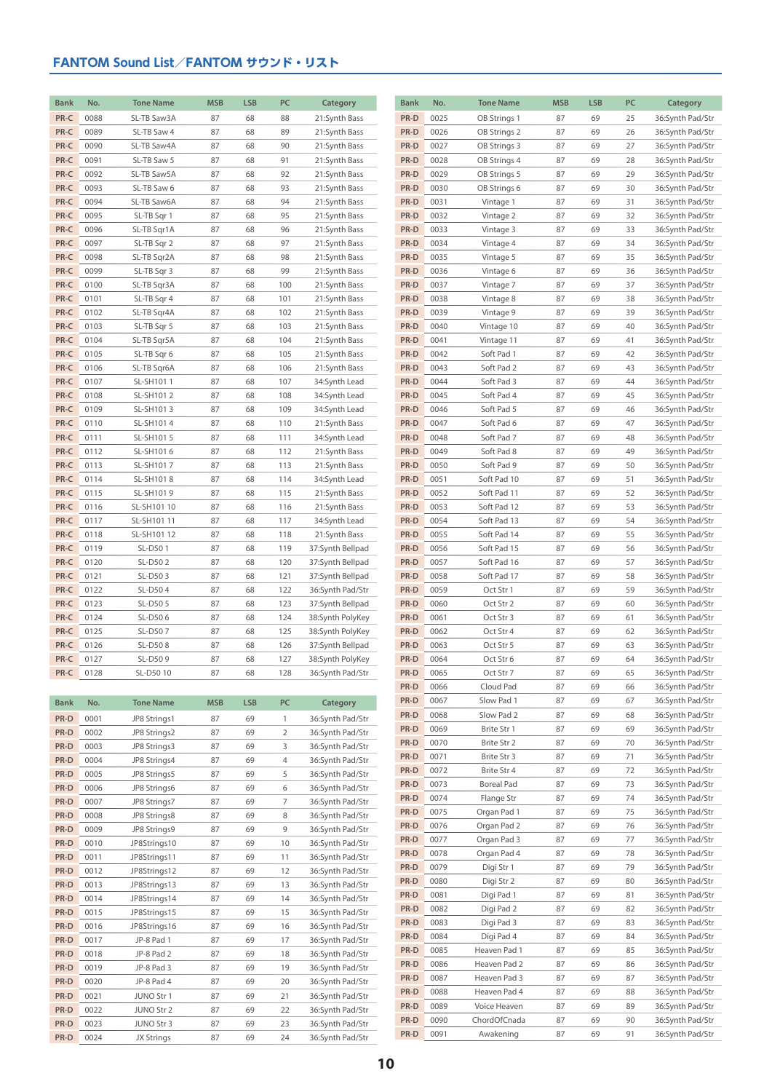| <b>Bank</b>  | No.          | <b>Tone Name</b>       | <b>MSB</b> | <b>LSB</b> | PC             | Category                       | <b>Bank</b>  | No.          | <b>Tone Name</b>           |
|--------------|--------------|------------------------|------------|------------|----------------|--------------------------------|--------------|--------------|----------------------------|
| PR-C         | 0088         | SL-TB Saw3A            | 87         | 68         | 88             | 21:Synth Bass                  | PR-D         | 0025         | OB Strings 1               |
| PR-C         | 0089         | SL-TB Saw 4            | 87         | 68         | 89             | 21:Synth Bass                  | PR-D         | 0026         | OB Strings 2               |
| PR-C         | 0090         | SL-TB Saw4A            | 87         | 68         | 90             | 21:Synth Bass                  | PR-D         | 0027         | OB Strings 3               |
| PR-C         | 0091         | SL-TB Saw 5            | 87         | 68         | 91             | 21:Synth Bass                  | PR-D         | 0028         | OB Strings 4               |
| PR-C         | 0092         | SL-TB Saw5A            | 87         | 68         | 92             | 21:Synth Bass                  | PR-D         | 0029         | OB Strings 5               |
| PR-C         | 0093         | SL-TB Saw 6            | 87         | 68         | 93             | 21:Synth Bass                  | PR-D         | 0030         | OB Strings 6               |
| PR-C         | 0094         | SL-TB Saw6A            | 87         | 68         | 94             | 21:Synth Bass                  | PR-D         | 0031         | Vintage 1                  |
| PR-C         | 0095         | SL-TB Sqr 1            | 87         | 68         | 95             | 21:Synth Bass                  | PR-D         | 0032         | Vintage 2                  |
| PR-C         | 0096         | SL-TB Sqr1A            | 87         | 68         | 96             | 21:Synth Bass                  | PR-D         | 0033         | Vintage 3                  |
| PR-C         | 0097         | SL-TB Sqr 2            | 87         | 68         | 97             | 21:Synth Bass                  | PR-D         | 0034         | Vintage 4                  |
| PR-C         | 0098         | SL-TB Sqr2A            | 87         | 68         | 98             | 21:Synth Bass                  | PR-D         | 0035         | Vintage 5                  |
| PR-C         | 0099         | SL-TB Sqr 3            | 87         | 68         | 99             | 21:Synth Bass                  | PR-D         | 0036         | Vintage 6                  |
| PR-C         | 0100         | SL-TB Sqr3A            | 87         | 68         | 100            | 21:Synth Bass                  | PR-D         | 0037         | Vintage 7                  |
| PR-C         | 0101         | SL-TB Sqr 4            | 87         | 68         | 101            | 21:Synth Bass                  | PR-D         | 0038         | Vintage 8                  |
| PR-C         | 0102         | SL-TB Sqr4A            | 87         | 68         | 102            | 21:Synth Bass                  | PR-D         | 0039         | Vintage 9                  |
| PR-C         | 0103         | SL-TB Sqr 5            | 87         | 68         | 103            | 21:Synth Bass                  | PR-D         | 0040         | Vintage 10                 |
| PR-C         | 0104         | SL-TB Sqr5A            | 87         | 68         | 104            | 21:Synth Bass                  | PR-D         | 0041         | Vintage 11                 |
| PR-C         | 0105         | SL-TB Sqr 6            | 87         | 68         | 105            | 21:Synth Bass                  | PR-D         | 0042         | Soft Pad 1                 |
| PR-C         | 0106         | SL-TB Sqr6A            | 87         | 68         | 106            | 21:Synth Bass                  | PR-D         | 0043         | Soft Pad 2                 |
| PR-C         | 0107         | SL-SH1011              | 87         | 68         | 107            | 34:Synth Lead                  | PR-D         | 0044         | Soft Pad 3                 |
| PR-C         | 0108         | SL-SH1012              | 87         | 68         | 108            | 34:Synth Lead                  | PR-D         | 0045         | Soft Pad 4                 |
| PR-C         | 0109         | SL-SH1013              | 87         | 68         | 109            | 34:Synth Lead                  | PR-D         | 0046         | Soft Pad 5                 |
| PR-C         | 0110         | SL-SH1014              | 87         | 68         | 110            | 21:Synth Bass                  | PR-D         | 0047         | Soft Pad 6                 |
| PR-C         | 0111         | SL-SH1015              | 87         | 68         | 111            | 34:Synth Lead                  | PR-D         | 0048         | Soft Pad 7                 |
| PR-C         | 0112         | SL-SH1016              | 87         | 68         | 112            | 21:Synth Bass                  | PR-D         | 0049         | Soft Pad 8                 |
| PR-C<br>PR-C | 0113         | SL-SH1017              | 87         | 68         | 113            | 21:Synth Bass                  | PR-D<br>PR-D | 0050<br>0051 | Soft Pad 9                 |
| PR-C         | 0114<br>0115 | SL-SH1018<br>SL-SH1019 | 87<br>87   | 68<br>68   | 114<br>115     | 34:Synth Lead<br>21:Synth Bass | PR-D         | 0052         | Soft Pad 10<br>Soft Pad 11 |
| PR-C         | 0116         | SL-SH101 10            | 87         | 68         | 116            | 21:Synth Bass                  | PR-D         | 0053         | Soft Pad 12                |
| PR-C         | 0117         | SL-SH101 11            | 87         | 68         | 117            | 34:Synth Lead                  | PR-D         | 0054         | Soft Pad 13                |
| PR-C         | 0118         | SL-SH101 12            | 87         | 68         | 118            | 21:Synth Bass                  | PR-D         | 0055         | Soft Pad 14                |
| PR-C         | 0119         | SL-D501                | 87         | 68         | 119            | 37:Synth Bellpad               | PR-D         | 0056         | Soft Pad 15                |
| PR-C         | 0120         | SL-D502                | 87         | 68         | 120            | 37:Synth Bellpad               | PR-D         | 0057         | Soft Pad 16                |
| PR-C         | 0121         | SL-D503                | 87         | 68         | 121            | 37:Synth Bellpad               | PR-D         | 0058         | Soft Pad 17                |
| PR-C         | 0122         | SL-D504                | 87         | 68         | 122            | 36:Synth Pad/Str               | PR-D         | 0059         | Oct Str 1                  |
| PR-C         | 0123         | SL-D505                | 87         | 68         | 123            | 37:Synth Bellpad               | PR-D         | 0060         | Oct Str 2                  |
| PR-C         | 0124         | SL-D506                | 87         | 68         | 124            | 38:Synth PolyKey               | PR-D         | 0061         | Oct Str 3                  |
| PR-C         | 0125         | SL-D507                | 87         | 68         | 125            | 38:Synth PolyKey               | PR-D         | 0062         | Oct Str 4                  |
| PR-C         | 0126         | SL-D508                | 87         | 68         | 126            | 37:Synth Bellpad               | PR-D         | 0063         | Oct Str 5                  |
| PR-C         | 0127         | SL-D509                | 87         | 68         | 127            | 38:Synth PolyKey               | PR-D         | 0064         | Oct Str 6                  |
| PR-C         | 0128         | SL-D50 10              | 87         | 68         | 128            | 36:Synth Pad/Str               | PR-D         | 0065         | Oct Str 7                  |
|              |              |                        |            |            |                |                                | PR-D         | 0066         | Cloud Pad                  |
| <b>Bank</b>  | No.          | <b>Tone Name</b>       | <b>MSB</b> | <b>LSB</b> | PC             | Category                       | PR-D         | 0067         | Slow Pad 1                 |
| PR-D         | 0001         | JP8 Strings1           | 87         | 69         | $\mathbf{1}$   | 36:Synth Pad/Str               | PR-D         | 0068         | Slow Pad 2                 |
| PR-D         | 0002         | JP8 Strings2           | 87         | 69         | $\overline{2}$ | 36:Synth Pad/Str               | PR-D         | 0069         | Brite Str 1                |
| PR-D         | 0003         | JP8 Strings3           | 87         | 69         | 3              | 36:Synth Pad/Str               | PR-D         | 0070         | Brite Str 2                |
|              |              |                        |            |            |                |                                |              |              |                            |

| PR-D | 0002 | JP8 Strings2      | 87 | 69 | 2              | 36:Synth Pad/Str |
|------|------|-------------------|----|----|----------------|------------------|
| PR-D | 0003 | JP8 Strings3      | 87 | 69 | 3              | 36:Synth Pad/Str |
| PR-D | 0004 | JP8 Strings4      | 87 | 69 | $\overline{4}$ | 36:Synth Pad/Str |
| PR-D | 0005 | JP8 Strings5      | 87 | 69 | 5              | 36:Synth Pad/Str |
| PR-D | 0006 | JP8 Strings6      | 87 | 69 | 6              | 36:Synth Pad/Str |
| PR-D | 0007 | JP8 Strings7      | 87 | 69 | $\overline{7}$ | 36:Synth Pad/Str |
| PR-D | 0008 | JP8 Strings8      | 87 | 69 | 8              | 36:Svnth Pad/Str |
| PR-D | 0009 | JP8 Strings9      | 87 | 69 | 9              | 36:Synth Pad/Str |
| PR-D | 0010 | JP8Strings10      | 87 | 69 | 10             | 36:Synth Pad/Str |
| PR-D | 0011 | JP8Strings11      | 87 | 69 | 11             | 36:Synth Pad/Str |
| PR-D | 0012 | JP8Strings12      | 87 | 69 | 12             | 36:Svnth Pad/Str |
| PR-D | 0013 | JP8Strings13      | 87 | 69 | 13             | 36:Synth Pad/Str |
| PR-D | 0014 | JP8Strings14      | 87 | 69 | 14             | 36:Synth Pad/Str |
| PR-D | 0015 | JP8Strings15      | 87 | 69 | 15             | 36:Synth Pad/Str |
| PR-D | 0016 | JP8Strings16      | 87 | 69 | 16             | 36:Synth Pad/Str |
| PR-D | 0017 | JP-8 Pad 1        | 87 | 69 | 17             | 36:Synth Pad/Str |
| PR-D | 0018 | JP-8 Pad 2        | 87 | 69 | 18             | 36:Synth Pad/Str |
| PR-D | 0019 | JP-8 Pad 3        | 87 | 69 | 19             | 36:Synth Pad/Str |
| PR-D | 0020 | JP-8 Pad 4        | 87 | 69 | 20             | 36:Synth Pad/Str |
| PR-D | 0021 | <b>JUNO Str 1</b> | 87 | 69 | 21             | 36:Synth Pad/Str |
| PR-D | 0022 | JUNO Str 2        | 87 | 69 | 22             | 36:Synth Pad/Str |
| PR-D | 0023 | JUNO Str 3        | 87 | 69 | 23             | 36:Synth Pad/Str |
| PR-D | 0024 | JX Strings        | 87 | 69 | 24             | 36:Synth Pad/Str |

| Bank | No.  | <b>Tone Name</b> | MSB | <b>LSB</b> | PC | Category         |
|------|------|------------------|-----|------------|----|------------------|
| PR-D | 0025 | OB Strings 1     | 87  | 69         | 25 | 36:Synth Pad/Str |
| PR-D | 0026 | OB Strings 2     | 87  | 69         | 26 | 36:Synth Pad/Str |
| PR-D | 0027 | OB Strings 3     | 87  | 69         | 27 | 36:Synth Pad/Str |
| PR-D | 0028 | OB Strings 4     | 87  | 69         | 28 | 36:Synth Pad/Str |
| PR-D | 0029 | OB Strings 5     | 87  | 69         | 29 | 36:Synth Pad/Str |
| PR-D | 0030 | OB Strings 6     | 87  | 69         | 30 | 36:Synth Pad/Str |
| PR-D | 0031 | Vintage 1        | 87  | 69         | 31 | 36:Synth Pad/Str |
|      |      |                  |     |            |    |                  |
| PR-D | 0032 | Vintage 2        | 87  | 69         | 32 | 36:Synth Pad/Str |
| PR-D | 0033 | Vintage 3        | 87  | 69         | 33 | 36:Synth Pad/Str |
| PR-D | 0034 | Vintage 4        | 87  | 69         | 34 | 36:Synth Pad/Str |
| PR-D | 0035 | Vintage 5        | 87  | 69         | 35 | 36:Synth Pad/Str |
| PR-D | 0036 | Vintage 6        | 87  | 69         | 36 | 36:Synth Pad/Str |
| PR-D | 0037 | Vintage 7        | 87  | 69         | 37 | 36:Synth Pad/Str |
| PR-D | 0038 | Vintage 8        | 87  | 69         | 38 | 36:Synth Pad/Str |
| PR-D | 0039 | Vintage 9        | 87  | 69         | 39 | 36:Synth Pad/Str |
| PR-D | 0040 | Vintage 10       | 87  | 69         | 40 | 36:Synth Pad/Str |
| PR-D | 0041 | Vintage 11       | 87  | 69         | 41 | 36:Synth Pad/Str |
| PR-D | 0042 | Soft Pad 1       | 87  | 69         | 42 | 36:Synth Pad/Str |
| PR-D | 0043 | Soft Pad 2       | 87  | 69         | 43 | 36:Synth Pad/Str |
| PR-D | 0044 | Soft Pad 3       | 87  | 69         | 44 | 36:Synth Pad/Str |
| PR-D | 0045 | Soft Pad 4       | 87  | 69         | 45 | 36:Synth Pad/Str |
| PR-D | 0046 | Soft Pad 5       | 87  | 69         | 46 | 36:Synth Pad/Str |
| PR-D | 0047 | Soft Pad 6       | 87  | 69         | 47 | 36:Synth Pad/Str |
| PR-D | 0048 | Soft Pad 7       | 87  | 69         | 48 | 36:Synth Pad/Str |
| PR-D | 0049 | Soft Pad 8       | 87  | 69         | 49 | 36:Synth Pad/Str |
| PR-D | 0050 | Soft Pad 9       | 87  | 69         | 50 | 36:Synth Pad/Str |
| PR-D | 0051 | Soft Pad 10      | 87  | 69         | 51 | 36:Synth Pad/Str |
| PR-D | 0052 | Soft Pad 11      | 87  | 69         | 52 | 36:Synth Pad/Str |
| PR-D | 0053 | Soft Pad 12      | 87  | 69         | 53 | 36:Synth Pad/Str |
| PR-D | 0054 | Soft Pad 13      | 87  | 69         | 54 | 36:Synth Pad/Str |
| PR-D |      |                  | 87  | 69         |    |                  |
| PR-D | 0055 | Soft Pad 14      |     |            | 55 | 36:Synth Pad/Str |
|      | 0056 | Soft Pad 15      | 87  | 69         | 56 | 36:Synth Pad/Str |
| PR-D | 0057 | Soft Pad 16      | 87  | 69         | 57 | 36:Synth Pad/Str |
| PR-D | 0058 | Soft Pad 17      | 87  | 69         | 58 | 36:Synth Pad/Str |
| PR-D | 0059 | Oct Str 1        | 87  | 69         | 59 | 36:Synth Pad/Str |
| PR-D | 0060 | Oct Str 2        | 87  | 69         | 60 | 36:Synth Pad/Str |
| PR-D | 0061 | Oct Str 3        | 87  | 69         | 61 | 36:Synth Pad/Str |
| PR-D | 0062 | Oct Str 4        | 87  | 69         | 62 | 36:Synth Pad/Str |
| PR-D | 0063 | Oct Str 5        | 87  | 69         | 63 | 36:Synth Pad/Str |
| PR-D | 0064 | Oct Str 6        | 87  | 69         | 64 | 36:Synth Pad/Str |
| PR-D | 0065 | Oct Str 7        | 87  | 69         | 65 | 36:Synth Pad/Str |
| PR-D | 0066 | Cloud Pad        | 87  | 69         | 66 | 36:Synth Pad/Str |
| PR-D | 0067 | Slow Pad 1       | 87  | 69         | 67 | 36:Synth Pad/Str |
| PR-D | 0068 | Slow Pad 2       | 87  | 69         | 68 | 36:Synth Pad/Str |
| PR-D | 0069 | Brite Str 1      | 87  | 69         | 69 | 36:Synth Pad/Str |
| PR-D | 0070 | Brite Str 2      | 87  | 69         | 70 | 36:Synth Pad/Str |
| PR-D | 0071 | Brite Str 3      | 87  | 69         | 71 | 36:Synth Pad/Str |
| PR-D | 0072 | Brite Str 4      | 87  | 69         | 72 | 36:Synth Pad/Str |
| PR-D | 0073 | Boreal Pad       | 87  | 69         | 73 | 36:Synth Pad/Str |
| PR-D | 0074 | Flange Str       | 87  | 69         | 74 | 36:Synth Pad/Str |
| PR-D | 0075 | Organ Pad 1      | 87  | 69         | 75 | 36:Synth Pad/Str |
| PR-D | 0076 | Organ Pad 2      | 87  | 69         | 76 | 36:Synth Pad/Str |
| PR-D | 0077 | Organ Pad 3      | 87  | 69         | 77 | 36:Synth Pad/Str |
| PR-D | 0078 | Organ Pad 4      | 87  | 69         | 78 | 36:Synth Pad/Str |
| PR-D | 0079 | Digi Str 1       | 87  | 69         | 79 | 36:Synth Pad/Str |
| PR-D | 0080 | Digi Str 2       | 87  | 69         | 80 | 36:Synth Pad/Str |
| PR-D | 0081 | Digi Pad 1       | 87  | 69         | 81 | 36:Synth Pad/Str |
| PR-D | 0082 | Digi Pad 2       | 87  | 69         | 82 | 36:Synth Pad/Str |
| PR-D | 0083 | Digi Pad 3       | 87  | 69         | 83 | 36:Synth Pad/Str |
| PR-D | 0084 | Digi Pad 4       | 87  | 69         | 84 | 36:Synth Pad/Str |
| PR-D | 0085 | Heaven Pad 1     | 87  | 69         | 85 | 36:Synth Pad/Str |
|      |      |                  |     |            |    |                  |
| PR-D | 0086 | Heaven Pad 2     | 87  | 69         | 86 | 36:Synth Pad/Str |
| PR-D | 0087 | Heaven Pad 3     | 87  | 69         | 87 | 36:Synth Pad/Str |
| PR-D | 0088 | Heaven Pad 4     | 87  | 69         | 88 | 36:Synth Pad/Str |
| PR-D | 0089 | Voice Heaven     | 87  | 69         | 89 | 36:Synth Pad/Str |
| PR-D | 0090 | ChordOfCnada     | 87  | 69         | 90 | 36:Synth Pad/Str |
| PR-D | 0091 | Awakening        | 87  | 69         | 91 | 36:Synth Pad/Str |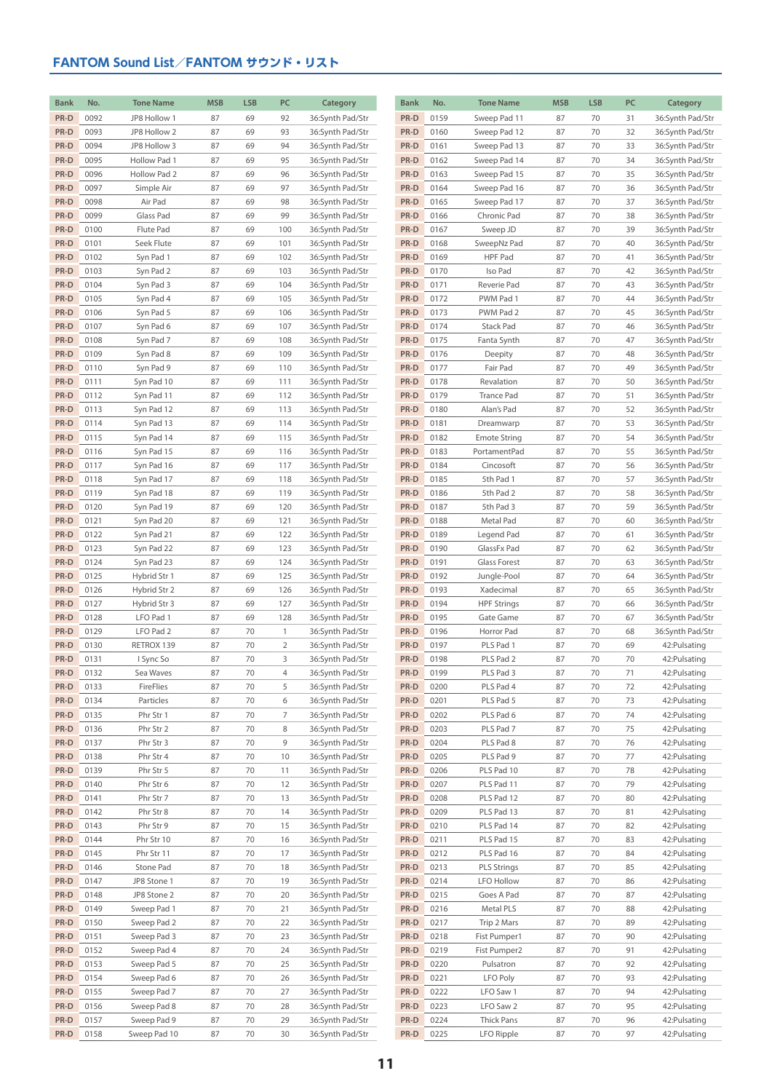| <b>Bank</b>  | No.          | <b>Tone Name</b>       | <b>MSB</b> | <b>LSB</b> | PC                  | Category                             | <b>Bank</b>  | No.          | <b>Tone Name</b>       | <b>MSB</b> | <b>LSB</b> | PC       | Category                       |
|--------------|--------------|------------------------|------------|------------|---------------------|--------------------------------------|--------------|--------------|------------------------|------------|------------|----------|--------------------------------|
| PR-D         | 0092         | JP8 Hollow 1           | 87         | 69         | 92                  | 36:Synth Pad/Str                     | PR-D         | 0159         | Sweep Pad 11           | 87         | 70         | 31       | 36:Synth Pad/Str               |
| PR-D         | 0093         | JP8 Hollow 2           | 87         | 69         | 93                  | 36:Synth Pad/Str                     | PR-D         | 0160         | Sweep Pad 12           | 87         | 70         | 32       | 36:Synth Pad/Str               |
| PR-D         | 0094         | JP8 Hollow 3           | 87         | 69         | 94                  | 36:Synth Pad/Str                     | PR-D         | 0161         | Sweep Pad 13           | 87         | 70         | 33       | 36:Synth Pad/Str               |
| PR-D         | 0095         | Hollow Pad 1           | 87         | 69         | 95                  | 36:Synth Pad/Str                     | PR-D         | 0162         | Sweep Pad 14           | 87         | 70         | 34       | 36:Synth Pad/Str               |
| PR-D         | 0096         | Hollow Pad 2           | 87         | 69         | 96                  | 36:Synth Pad/Str                     | PR-D         | 0163         | Sweep Pad 15           | 87         | 70         | 35       | 36:Synth Pad/Str               |
| PR-D         | 0097         | Simple Air             | 87         | 69         | 97                  | 36:Synth Pad/Str                     | PR-D         | 0164         | Sweep Pad 16           | 87         | 70         | 36       | 36:Synth Pad/Str               |
| PR-D         | 0098         | Air Pad                | 87         | 69         | 98                  | 36:Synth Pad/Str                     | PR-D         | 0165         | Sweep Pad 17           | 87         | 70         | 37       | 36:Synth Pad/Str               |
| PR-D         | 0099         | Glass Pad              | 87         | 69         | 99                  | 36:Synth Pad/Str                     | PR-D         | 0166         | Chronic Pad            | 87         | 70         | 38       | 36:Synth Pad/Str               |
| PR-D         | 0100         | Flute Pad              | 87         | 69         | 100                 | 36:Synth Pad/Str                     | PR-D         | 0167         | Sweep JD               | 87         | 70         | 39       | 36:Synth Pad/Str               |
| PR-D         | 0101         | Seek Flute             | 87         | 69         | 101                 | 36:Synth Pad/Str                     | PR-D         | 0168         | SweepNz Pad            | 87         | 70         | 40       | 36:Synth Pad/Str               |
| PR-D         | 0102         | Syn Pad 1              | 87         | 69         | 102                 | 36:Synth Pad/Str                     | PR-D         | 0169         | HPF Pad                | 87         | 70         | 41       | 36:Synth Pad/Str               |
| PR-D         | 0103         | Syn Pad 2              | 87         | 69         | 103                 | 36:Synth Pad/Str                     | PR-D         | 0170         | Iso Pad                | 87         | 70         | 42       | 36:Synth Pad/Str               |
| PR-D         | 0104         | Syn Pad 3              | 87         | 69         | 104                 | 36:Synth Pad/Str                     | PR-D         | 0171         | Reverie Pad            | 87         | 70         | 43       | 36:Synth Pad/Str               |
| PR-D         | 0105         | Syn Pad 4              | 87         | 69         | 105                 | 36:Synth Pad/Str                     | PR-D         | 0172         | PWM Pad 1              | 87         | 70         | 44       | 36:Synth Pad/Str               |
| PR-D         | 0106         | Syn Pad 5              | 87         | 69         | 106                 | 36:Synth Pad/Str                     | PR-D         | 0173         | PWM Pad 2              | 87         | 70         | 45       | 36:Synth Pad/Str               |
| PR-D         | 0107         | Syn Pad 6              | 87         | 69         | 107                 | 36:Synth Pad/Str                     | PR-D         | 0174         | Stack Pad              | 87         | 70         | 46       | 36:Synth Pad/Str               |
| PR-D         | 0108         | Syn Pad 7              | 87         | 69         | 108                 | 36:Synth Pad/Str                     | PR-D         | 0175         | Fanta Synth            | 87         | 70         | 47       | 36:Synth Pad/Str               |
| PR-D         | 0109         | Syn Pad 8              | 87         | 69         | 109                 | 36:Synth Pad/Str                     | PR-D         | 0176         | Deepity                | 87         | 70         | 48       | 36:Synth Pad/Str               |
| PR-D         | 0110         | Syn Pad 9              | 87         | 69         | 110                 | 36:Synth Pad/Str                     | PR-D         | 0177         | Fair Pad               | 87         | 70         | 49       | 36:Synth Pad/Str               |
| PR-D         | 0111         | Syn Pad 10             | 87         | 69         | 111                 | 36:Synth Pad/Str                     | PR-D         | 0178         | Revalation             | 87         | 70         | 50       | 36:Synth Pad/Str               |
| PR-D         | 0112         | Syn Pad 11             | 87         | 69         | 112                 | 36:Synth Pad/Str                     | PR-D         | 0179         | Trance Pad             | 87         | 70         | 51       | 36:Synth Pad/Str               |
| PR-D         | 0113         | Syn Pad 12             | 87         | 69         | 113                 | 36:Synth Pad/Str                     | PR-D         | 0180         | Alan's Pad             | 87         | 70         | 52       | 36:Synth Pad/Str               |
| PR-D         | 0114         | Syn Pad 13             | 87         | 69         | 114                 | 36:Synth Pad/Str                     | PR-D         | 0181         | Dreamwarp              | 87         | 70         | 53       | 36:Synth Pad/Str               |
| PR-D         | 0115         | Syn Pad 14             | 87         | 69         | 115                 | 36:Synth Pad/Str                     | PR-D         | 0182         | <b>Emote String</b>    | 87         | 70         | 54       | 36:Synth Pad/Str               |
| PR-D         | 0116         | Syn Pad 15             | 87         | 69         | 116                 | 36:Synth Pad/Str                     | PR-D         | 0183         | PortamentPad           | 87         | 70         | 55       | 36:Synth Pad/Str               |
| PR-D         | 0117         | Syn Pad 16             | 87         | 69         | 117                 | 36:Synth Pad/Str                     | PR-D         | 0184         | Cincosoft              | 87         | 70         | 56       | 36:Synth Pad/Str               |
| PR-D         | 0118         | Syn Pad 17             | 87         | 69         | 118                 | 36:Synth Pad/Str                     | PR-D         | 0185         | 5th Pad 1              | 87         | 70         | 57       | 36:Synth Pad/Str               |
| PR-D         | 0119         | Syn Pad 18             | 87         | 69         | 119                 | 36:Synth Pad/Str                     | PR-D         | 0186         | 5th Pad 2              | 87         | 70         | 58       | 36:Synth Pad/Str               |
| PR-D         | 0120         | Syn Pad 19             | 87         | 69         | 120                 | 36:Synth Pad/Str                     | PR-D         | 0187         | 5th Pad 3              | 87         | 70         | 59       | 36:Synth Pad/Str               |
| PR-D         | 0121         | Syn Pad 20             | 87         | 69         | 121                 | 36:Synth Pad/Str                     | PR-D         | 0188         | Metal Pad              | 87         | 70         | 60       | 36:Synth Pad/Str               |
| PR-D         | 0122         | Syn Pad 21             | 87         | 69         | 122                 | 36:Synth Pad/Str                     | PR-D         | 0189         | Legend Pad             | 87         | 70         | 61       | 36:Synth Pad/Str               |
| PR-D         | 0123         | Syn Pad 22             | 87         | 69         | 123                 | 36:Synth Pad/Str                     | PR-D         | 0190         | GlassFx Pad            | 87         | 70         | 62       | 36:Synth Pad/Str               |
| PR-D         | 0124         | Syn Pad 23             | 87         | 69         | 124                 | 36:Synth Pad/Str                     | PR-D         | 0191         | Glass Forest           | 87         | 70         | 63       | 36:Synth Pad/Str               |
| PR-D         | 0125         | Hybrid Str 1           | 87         | 69         | 125                 | 36:Synth Pad/Str                     | PR-D         | 0192         | Jungle-Pool            | 87         | 70         | 64       | 36:Synth Pad/Str               |
| PR-D         | 0126         | Hybrid Str 2           | 87         | 69         | 126                 | 36:Synth Pad/Str                     | PR-D         | 0193         | Xadecimal              | 87         | 70         | 65       | 36:Synth Pad/Str               |
| PR-D         | 0127         | Hybrid Str 3           | 87         | 69         | 127                 | 36:Synth Pad/Str                     | PR-D         | 0194         | <b>HPF Strings</b>     | 87         | 70         | 66       | 36:Synth Pad/Str               |
| PR-D         | 0128         | LFO Pad 1              | 87         | 69         | 128                 | 36:Synth Pad/Str                     | PR-D         | 0195         | Gate Game              | 87         | 70         | 67       | 36:Synth Pad/Str               |
| PR-D         | 0129         | LFO Pad 2              | 87         | 70         | $\mathbf{1}$        | 36:Synth Pad/Str                     | PR-D         | 0196         | Horror Pad             | 87         | 70         | 68       | 36:Synth Pad/Str               |
| PR-D<br>PR-D | 0130<br>0131 | RETROX 139             | 87<br>87   | 70<br>70   | $\overline{2}$<br>3 | 36:Synth Pad/Str                     | PR-D<br>PR-D | 0197<br>0198 | PLS Pad 1<br>PLS Pad 2 | 87<br>87   | 70<br>70   | 69<br>70 | 42: Pulsating                  |
| PR-D         |              | I Sync So              | 87         |            | $\overline{4}$      | 36:Synth Pad/Str                     | PR-D         |              | PLS Pad 3              | 87         |            |          | 42: Pulsating                  |
| PR-D         | 0132<br>0133 | Sea Waves<br>FireFlies | 87         | 70<br>70   | 5                   | 36:Synth Pad/Str<br>36:Synth Pad/Str | PR-D         | 0199<br>0200 | PLS Pad 4              | 87         | 70         | 71       | 42: Pulsating<br>42: Pulsating |
| PR-D         | 0134         | Particles              | 87         | 70         | 6                   | 36:Synth Pad/Str                     | PR-D         | 0201         | PLS Pad 5              | 87         | 70<br>70   | 72<br>73 | 42: Pulsating                  |
| PR-D         | 0135         | Phr Str 1              | 87         | 70         | 7                   | 36:Synth Pad/Str                     | PR-D         | 0202         | PLS Pad 6              | 87         | 70         | 74       | 42: Pulsating                  |
| PR-D         | 0136         | Phr Str 2              | 87         | 70         | 8                   | 36:Synth Pad/Str                     | PR-D         | 0203         | PLS Pad 7              | 87         | 70         | 75       | 42: Pulsating                  |
| PR-D         | 0137         | Phr Str 3              | 87         | 70         | 9                   | 36:Synth Pad/Str                     | PR-D         | 0204         | PLS Pad 8              | 87         | 70         | 76       | 42: Pulsating                  |
| PR-D         | 0138         | Phr Str 4              | 87         | 70         | 10                  | 36:Synth Pad/Str                     | PR-D         | 0205         | PLS Pad 9              | 87         | 70         | 77       | 42: Pulsating                  |
| PR-D         | 0139         | Phr Str 5              | 87         | 70         | 11                  | 36:Synth Pad/Str                     | PR-D         | 0206         | PLS Pad 10             | 87         | 70         | 78       | 42: Pulsating                  |
| PR-D         | 0140         | Phr Str 6              | 87         | 70         | 12                  | 36:Synth Pad/Str                     | PR-D         | 0207         | PLS Pad 11             | 87         | 70         | 79       | 42: Pulsating                  |
| PR-D         | 0141         | Phr Str 7              | 87         | 70         | 13                  | 36:Synth Pad/Str                     | PR-D         | 0208         | PLS Pad 12             | 87         | 70         | 80       | 42: Pulsating                  |
| PR-D         | 0142         | Phr Str 8              | 87         | 70         | 14                  | 36:Synth Pad/Str                     | PR-D         | 0209         | PLS Pad 13             | 87         | 70         | 81       | 42: Pulsating                  |
| PR-D         | 0143         | Phr Str 9              | 87         | 70         | 15                  | 36:Synth Pad/Str                     | PR-D         | 0210         | PLS Pad 14             | 87         | 70         | 82       | 42:Pulsating                   |
| PR-D         | 0144         | Phr Str 10             | 87         | 70         | 16                  | 36:Synth Pad/Str                     | PR-D         | 0211         | PLS Pad 15             | 87         | 70         | 83       | 42: Pulsating                  |
| PR-D         | 0145         | Phr Str 11             | 87         | 70         | 17                  | 36:Synth Pad/Str                     | PR-D         | 0212         | PLS Pad 16             | 87         | 70         | 84       | 42: Pulsating                  |
| PR-D         | 0146         | Stone Pad              | 87         | 70         | 18                  | 36:Synth Pad/Str                     | PR-D         | 0213         | <b>PLS Strings</b>     | 87         | 70         | 85       | 42: Pulsating                  |
| PR-D         | 0147         | JP8 Stone 1            | 87         | 70         | 19                  | 36:Synth Pad/Str                     | PR-D         | 0214         | <b>LFO Hollow</b>      | 87         | 70         | 86       | 42: Pulsating                  |
| PR-D         | 0148         | JP8 Stone 2            | 87         | 70         | 20                  | 36:Synth Pad/Str                     | PR-D         | 0215         | Goes A Pad             | 87         | 70         | 87       | 42: Pulsating                  |
| PR-D         | 0149         | Sweep Pad 1            | 87         | 70         | 21                  | 36:Synth Pad/Str                     | PR-D         | 0216         | Metal PLS              | 87         | 70         | 88       | 42: Pulsating                  |
| PR-D         | 0150         | Sweep Pad 2            | 87         | 70         | 22                  | 36:Synth Pad/Str                     | PR-D         | 0217         | Trip 2 Mars            | 87         | 70         | 89       | 42: Pulsating                  |
| PR-D         | 0151         | Sweep Pad 3            | 87         | 70         | 23                  | 36:Synth Pad/Str                     | PR-D         | 0218         | Fist Pumper1           | 87         | 70         | 90       | 42: Pulsating                  |
| PR-D         | 0152         | Sweep Pad 4            | 87         | 70         | 24                  | 36:Synth Pad/Str                     | PR-D         | 0219         | Fist Pumper2           | 87         | 70         | 91       | 42: Pulsating                  |
| PR-D         | 0153         | Sweep Pad 5            | 87         | 70         | 25                  | 36:Synth Pad/Str                     | PR-D         | 0220         | Pulsatron              | 87         | 70         | 92       | 42: Pulsating                  |
| PR-D         | 0154         | Sweep Pad 6            | 87         | 70         | 26                  | 36:Synth Pad/Str                     | PR-D         | 0221         | LFO Poly               | 87         | 70         | 93       | 42: Pulsating                  |
| PR-D         | 0155         | Sweep Pad 7            | 87         | 70         | 27                  | 36:Synth Pad/Str                     | PR-D         | 0222         | LFO Saw 1              | 87         | 70         | 94       | 42: Pulsating                  |
| PR-D         | 0156         | Sweep Pad 8            | 87         | 70         | 28                  | 36:Synth Pad/Str                     | PR-D         | 0223         | LFO Saw 2              | 87         | 70         | 95       | 42: Pulsating                  |
| PR-D         | 0157         | Sweep Pad 9            | 87         | 70         | 29                  | 36:Synth Pad/Str                     | PR-D         | 0224         | Thick Pans             | 87         | 70         | 96       | 42: Pulsating                  |
| PR-D         | 0158         | Sweep Pad 10           | 87         | 70         | 30                  | 36:Synth Pad/Str                     | PR-D         | 0225         | LFO Ripple             | 87         | 70         | 97       | 42: Pulsating                  |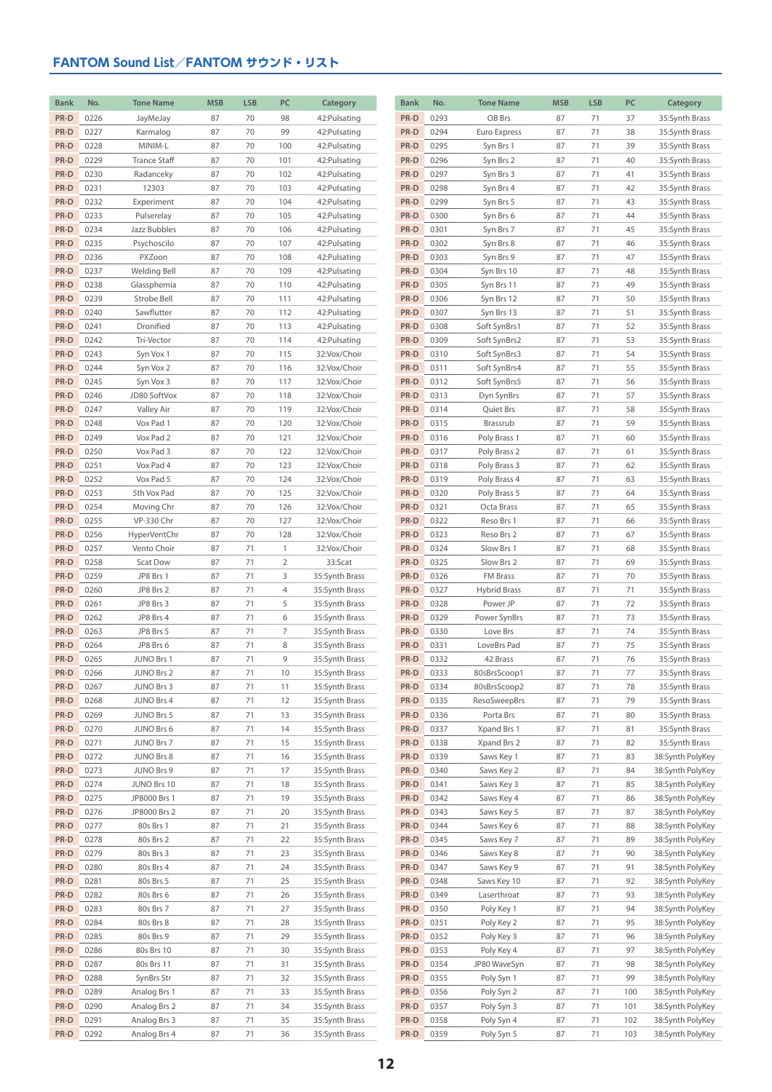| <b>Bank</b>  | No.          | <b>Tone Name</b>         | <b>MSB</b> | <b>LSB</b> | PC             | Category                         | <b>Bank</b>  | No.          | <b>Tone Name</b>             | <b>MSB</b> | <b>LSB</b> | PC       | Category                             |
|--------------|--------------|--------------------------|------------|------------|----------------|----------------------------------|--------------|--------------|------------------------------|------------|------------|----------|--------------------------------------|
| PR-D         | 0226         | JayMeJay                 | 87         | 70         | 98             | 42: Pulsating                    | PR-D         | 0293         | OB Brs                       | 87         | 71         | 37       | 35:Synth Brass                       |
| PR-D         | 0227         | Karmalog                 | 87         | 70         | 99             | 42: Pulsating                    | PR-D         | 0294         | Euro Express                 | 87         | 71         | 38       | 35:Synth Brass                       |
| PR-D         | 0228         | MINIM-L                  | 87         | 70         | 100            | 42: Pulsating                    | PR-D         | 0295         | Syn Brs 1                    | 87         | 71         | 39       | 35:Synth Brass                       |
| PR-D         | 0229         | <b>Trance Staff</b>      | 87         | 70         | 101            | 42: Pulsating                    | PR-D         | 0296         | Syn Brs 2                    | 87         | 71         | 40       | 35:Synth Brass                       |
| PR-D         | 0230         | Radanceky                | 87         | 70         | 102            | 42: Pulsating                    | PR-D         | 0297         | Syn Brs 3                    | 87         | 71         | 41       | 35:Synth Brass                       |
| PR-D         | 0231         | 12303                    | 87         | 70         | 103            | 42: Pulsating                    | PR-D         | 0298         | Syn Brs 4                    | 87         | 71         | 42       | 35:Synth Brass                       |
| PR-D         | 0232         | Experiment               | 87         | 70         | 104            | 42: Pulsating                    | PR-D         | 0299         | Syn Brs 5                    | 87         | 71         | 43       | 35:Synth Brass                       |
| PR-D         | 0233         | Pulserelay               | 87         | 70         | 105            | 42: Pulsating                    | PR-D         | 0300         | Syn Brs 6                    | 87         | 71         | 44       | 35:Synth Brass                       |
| PR-D         | 0234         | Jazz Bubbles             | 87         | 70         | 106            | 42: Pulsating                    | PR-D         | 0301         | Syn Brs 7                    | 87         | 71         | 45       | 35:Synth Brass                       |
| PR-D         | 0235         | Psychoscilo              | 87         | 70         | 107            | 42: Pulsating                    | PR-D         | 0302         | Syn Brs 8                    | 87         | 71         | 46       | 35:Synth Brass                       |
| PR-D         | 0236         | PXZoon                   | 87         | 70         | 108            | 42: Pulsating                    | PR-D         | 0303         | Syn Brs 9                    | 87         | 71         | 47       | 35:Synth Brass                       |
| PR-D         | 0237         | <b>Welding Bell</b>      | 87         | 70         | 109            | 42: Pulsating                    | PR-D         | 0304         | Syn Brs 10                   | 87         | 71         | 48       | 35:Synth Brass                       |
| PR-D         | 0238         | Glassphemia              | 87         | 70         | 110            | 42: Pulsating                    | PR-D         | 0305         | Syn Brs 11                   | 87         | 71         | 49       | 35:Synth Brass                       |
| PR-D         | 0239         | Strobe Bell              | 87         | 70         | 111            | 42: Pulsating                    | PR-D         | 0306         | Syn Brs 12                   | 87         | 71         | 50       | 35:Synth Brass                       |
| PR-D         | 0240         | Sawflutter               | 87         | 70         | 112            | 42: Pulsating                    | PR-D         | 0307         | Syn Brs 13                   | 87         | 71         | 51       | 35:Synth Brass                       |
| PR-D<br>PR-D | 0241         | Dronified                | 87         | 70<br>70   | 113            | 42: Pulsating                    | PR-D<br>PR-D | 0308         | Soft SynBrs1                 | 87<br>87   | 71<br>71   | 52       | 35:Synth Brass                       |
| PR-D         | 0242<br>0243 | Tri-Vector<br>Syn Vox 1  | 87<br>87   | 70         | 114            | 42: Pulsating                    | PR-D         | 0309<br>0310 | Soft SynBrs2<br>Soft SynBrs3 | 87         | 71         | 53<br>54 | 35:Synth Brass                       |
| PR-D         | 0244         | Syn Vox 2                | 87         | 70         | 115<br>116     | 32:Vox/Choir<br>32:Vox/Choir     | PR-D         | 0311         | Soft SynBrs4                 | 87         | 71         | 55       | 35:Synth Brass<br>35:Synth Brass     |
| PR-D         | 0245         | Syn Vox 3                | 87         | 70         | 117            | 32:Vox/Choir                     | PR-D         | 0312         | Soft SynBrs5                 | 87         | 71         | 56       | 35:Synth Brass                       |
| PR-D         | 0246         | JD80 SoftVox             | 87         | 70         | 118            | 32:Vox/Choir                     | PR-D         | 0313         | Dyn SynBrs                   | 87         | 71         | 57       | 35:Synth Brass                       |
| PR-D         | 0247         | Valley Air               | 87         | 70         | 119            | 32:Vox/Choir                     | PR-D         | 0314         | Quiet Brs                    | 87         | 71         | 58       | 35:Synth Brass                       |
| PR-D         | 0248         | Vox Pad 1                | 87         | 70         | 120            | 32:Vox/Choir                     | PR-D         | 0315         | Brassrub                     | 87         | 71         | 59       | 35:Synth Brass                       |
| PR-D         | 0249         | Vox Pad 2                | 87         | 70         | 121            | 32:Vox/Choir                     | PR-D         | 0316         | Poly Brass 1                 | 87         | 71         | 60       | 35:Synth Brass                       |
| PR-D         | 0250         | Vox Pad 3                | 87         | 70         | 122            | 32:Vox/Choir                     | PR-D         | 0317         | Poly Brass 2                 | 87         | 71         | 61       | 35:Synth Brass                       |
| PR-D         | 0251         | Vox Pad 4                | 87         | 70         | 123            | 32:Vox/Choir                     | PR-D         | 0318         | Poly Brass 3                 | 87         | 71         | 62       | 35:Synth Brass                       |
| PR-D         | 0252         | Vox Pad 5                | 87         | 70         | 124            | 32:Vox/Choir                     | PR-D         | 0319         | Poly Brass 4                 | 87         | 71         | 63       | 35:Synth Brass                       |
| PR-D         | 0253         | 5th Vox Pad              | 87         | 70         | 125            | 32:Vox/Choir                     | PR-D         | 0320         | Poly Brass 5                 | 87         | 71         | 64       | 35:Synth Brass                       |
| PR-D         | 0254         | Moving Chr               | 87         | 70         | 126            | 32:Vox/Choir                     | PR-D         | 0321         | Octa Brass                   | 87         | 71         | 65       | 35:Synth Brass                       |
| PR-D         | 0255         | VP-330 Chr               | 87         | 70         | 127            | 32:Vox/Choir                     | PR-D         | 0322         | Reso Brs 1                   | 87         | 71         | 66       | 35:Synth Brass                       |
| PR-D         | 0256         | HyperVentChr             | 87         | 70         | 128            | 32:Vox/Choir                     | PR-D         | 0323         | Reso Brs 2                   | 87         | 71         | 67       | 35:Synth Brass                       |
| PR-D         | 0257         | Vento Choir              | 87         | 71         | $\mathbf{1}$   | 32:Vox/Choir                     | PR-D         | 0324         | Slow Brs 1                   | 87         | 71         | 68       | 35:Synth Brass                       |
| PR-D         | 0258         | Scat Dow                 | 87         | 71         | $\overline{2}$ | 33:Scat                          | PR-D         | 0325         | Slow Brs 2                   | 87         | 71         | 69       | 35:Synth Brass                       |
| PR-D         | 0259         | JP8 Brs 1                | 87         | 71         | 3              | 35:Synth Brass                   | PR-D         | 0326         | FM Brass                     | 87         | 71         | 70       | 35:Synth Brass                       |
| PR-D         | 0260         | JP8 Brs 2                | 87         | 71         | 4              | 35:Synth Brass                   | PR-D         | 0327         | <b>Hybrid Brass</b>          | 87         | 71         | 71       | 35:Synth Brass                       |
| PR-D         | 0261         | JP8 Brs 3                | 87         | 71         | 5              | 35:Synth Brass                   | PR-D         | 0328         | Power JP                     | 87         | 71         | 72       | 35:Synth Brass                       |
| PR-D         | 0262         | JP8 Brs 4                | 87         | 71         | 6              | 35:Synth Brass                   | PR-D         | 0329         | Power SynBrs                 | 87         | 71         | 73       | 35:Synth Brass                       |
| PR-D         | 0263         | JP8 Brs 5                | 87         | 71         | 7              | 35:Synth Brass                   | PR-D         | 0330         | Love Brs                     | 87         | 71         | 74       | 35:Synth Brass                       |
| PR-D<br>PR-D | 0264<br>0265 | JP8 Brs 6                | 87<br>87   | 71<br>71   | 8<br>9         | 35:Synth Brass                   | PR-D<br>PR-D | 0331<br>0332 | LoveBrs Pad                  | 87<br>87   | 71<br>71   | 75<br>76 | 35:Synth Brass                       |
| PR-D         | 0266         | JUNO Brs 1<br>JUNO Brs 2 | 87         | 71         | 10             | 35:Synth Brass<br>35:Synth Brass | PR-D         | 0333         | 42 Brass<br>80sBrsScoop1     | 87         | 71         | 77       | 35:Synth Brass<br>35:Synth Brass     |
| PR-D         | 0267         | JUNO Brs 3               | 87         | 71         | 11             | 35:Synth Brass                   | PR-D         | 0334         | 80sBrsScoop2                 | 87         | 71         | 78       | 35:Synth Brass                       |
| PR-D         | 0268         | JUNO Brs 4               | 87         | 71         | 12             | 35:Synth Brass                   | PR-D         | 0335         | ResoSweepBrs                 | 87         | 71         | 79       | 35:Synth Brass                       |
| PR-D         | 0269         | JUNO Brs 5               | 87         | 71         | 13             | 35:Synth Brass                   | PR-D         | 0336         | Porta Brs                    | 87         | 71         | 80       | 35:Synth Brass                       |
| PR-D         | 0270         | JUNO Brs 6               | 87         | 71         | 14             | 35:Synth Brass                   | PR-D         | 0337         | Xpand Brs 1                  | 87         | 71         | 81       | 35:Synth Brass                       |
| PR-D         | 0271         | JUNO Brs 7               | 87         | 71         | 15             | 35:Synth Brass                   | PR-D         | 0338         | Xpand Brs 2                  | 87         | 71         | 82       | 35:Synth Brass                       |
| PR-D         | 0272         | JUNO Brs 8               | 87         | 71         | 16             | 35:Synth Brass                   | PR-D         | 0339         | Saws Key 1                   | 87         | 71         | 83       | 38:Synth PolyKey                     |
| PR-D         | 0273         | JUNO Brs 9               | 87         | 71         | 17             | 35:Synth Brass                   | PR-D         | 0340         | Saws Key 2                   | 87         | 71         | 84       | 38:Synth PolyKey                     |
| PR-D         | 0274         | JUNO Brs 10              | 87         | 71         | 18             | 35:Synth Brass                   | PR-D         | 0341         | Saws Key 3                   | 87         | 71         | 85       | 38:Synth PolyKey                     |
| PR-D         | 0275         | JP8000 Brs 1             | 87         | 71         | 19             | 35:Synth Brass                   | PR-D         | 0342         | Saws Key 4                   | 87         | 71         | 86       | 38:Synth PolyKey                     |
| PR-D         | 0276         | JP8000 Brs 2             | 87         | 71         | 20             | 35:Synth Brass                   | PR-D         | 0343         | Saws Key 5                   | 87         | 71         | 87       | 38:Synth PolyKey                     |
| PR-D         | 0277         | 80s Brs 1                | 87         | 71         | 21             | 35:Synth Brass                   | PR-D         | 0344         | Saws Key 6                   | 87         | 71         | 88       | 38:Synth PolyKey                     |
| PR-D         | 0278         | 80s Brs 2                | 87         | 71         | 22             | 35:Synth Brass                   | PR-D         | 0345         | Saws Key 7                   | 87         | 71         | 89       | 38:Synth PolyKey                     |
| PR-D         | 0279         | 80s Brs 3                | 87         | 71         | 23             | 35:Synth Brass                   | PR-D         | 0346         | Saws Key 8                   | 87         | 71         | 90       | 38:Synth PolyKey                     |
| PR-D         | 0280         | 80s Brs 4                | 87         | 71         | 24             | 35:Synth Brass                   | PR-D         | 0347         | Saws Key 9                   | 87         | 71         | 91       | 38:Synth PolyKey                     |
| PR-D         | 0281         | 80s Brs 5                | 87         | 71         | 25             | 35:Synth Brass                   | PR-D         | 0348         | Saws Key 10                  | 87         | 71         | 92       | 38:Synth PolyKey                     |
| PR-D         | 0282         | 80s Brs 6                | 87         | 71         | 26             | 35:Synth Brass                   | PR-D         | 0349         | Laserthroat                  | 87         | 71         | 93       | 38:Synth PolyKey                     |
| PR-D         | 0283         | 80s Brs 7                | 87         | 71         | 27             | 35:Synth Brass                   | PR-D         | 0350         | Poly Key 1                   | 87         | 71         | 94       | 38:Synth PolyKey                     |
| PR-D         | 0284         | 80s Brs 8                | 87         | 71<br>71   | 28             | 35:Synth Brass                   | PR-D<br>PR-D | 0351<br>0352 | Poly Key 2                   | 87         | 71         | 95       | 38:Synth PolyKey                     |
| PR-D<br>PR-D | 0285<br>0286 | 80s Brs 9<br>80s Brs 10  | 87<br>87   | 71         | 29<br>30       | 35:Synth Brass<br>35:Synth Brass | PR-D         | 0353         | Poly Key 3<br>Poly Key 4     | 87<br>87   | 71<br>71   | 96<br>97 | 38:Synth PolyKey<br>38:Synth PolyKey |
| PR-D         | 0287         | 80s Brs 11               | 87         | 71         | 31             | 35:Synth Brass                   | PR-D         | 0354         | JP80 WaveSyn                 | 87         | 71         | 98       | 38:Synth PolyKey                     |
| PR-D         | 0288         | SynBrs Str               | 87         | 71         | 32             | 35:Synth Brass                   | PR-D         | 0355         | Poly Syn 1                   | 87         | 71         | 99       | 38:Synth PolyKey                     |
| PR-D         | 0289         | Analog Brs 1             | 87         | 71         | 33             | 35:Synth Brass                   | PR-D         | 0356         | Poly Syn 2                   | 87         | 71         | 100      | 38:Synth PolyKey                     |
| PR-D         | 0290         | Analog Brs 2             | 87         | 71         | 34             | 35:Synth Brass                   | PR-D         | 0357         | Poly Syn 3                   | 87         | 71         | 101      | 38:Synth PolyKey                     |
| PR-D         | 0291         | Analog Brs 3             | 87         | 71         | 35             | 35:Synth Brass                   | PR-D         | 0358         | Poly Syn 4                   | 87         | 71         | 102      | 38:Synth PolyKey                     |
| PR-D         | 0292         | Analog Brs 4             | 87         | 71         | 36             | 35:Synth Brass                   | PR-D         | 0359         | Poly Syn 5                   | 87         | 71         | 103      | 38:Synth PolyKey                     |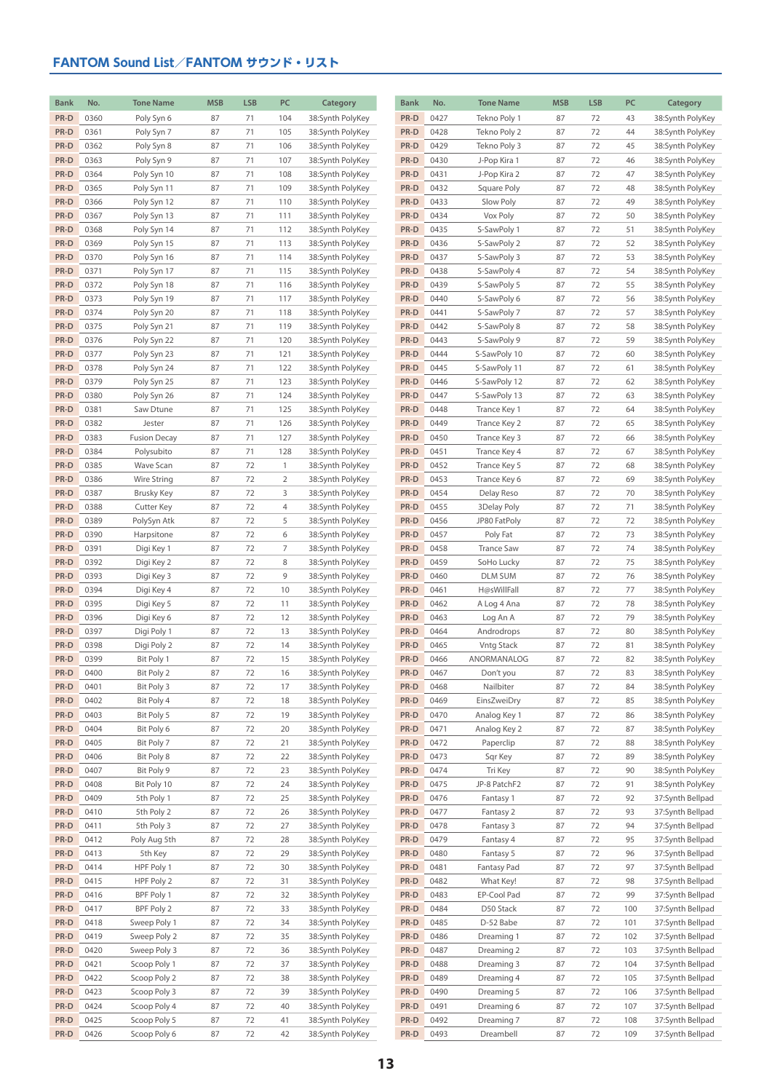| <b>Bank</b>  | No.          | <b>Tone Name</b>             | <b>MSB</b> | <b>LSB</b> | PC             | Category                             | <b>Bank</b>  | No.          | <b>Tone Name</b>              | <b>MSB</b> | <b>LSB</b> | PC       | Category                             |
|--------------|--------------|------------------------------|------------|------------|----------------|--------------------------------------|--------------|--------------|-------------------------------|------------|------------|----------|--------------------------------------|
| PR-D         | 0360         | Poly Syn 6                   | 87         | 71         | 104            | 38:Synth PolyKey                     | PR-D         | 0427         | Tekno Poly 1                  | 87         | 72         | 43       | 38:Synth PolyKey                     |
| PR-D         | 0361         | Poly Syn 7                   | 87         | 71         | 105            | 38:Synth PolyKey                     | PR-D         | 0428         | Tekno Poly 2                  | 87         | 72         | 44       | 38:Synth PolyKey                     |
| PR-D         | 0362         | Poly Syn 8                   | 87         | 71         | 106            | 38:Synth PolyKey                     | PR-D         | 0429         | Tekno Poly 3                  | 87         | 72         | 45       | 38:Synth PolyKey                     |
| PR-D         | 0363         | Poly Syn 9                   | 87         | 71         | 107            | 38:Synth PolyKey                     | PR-D         | 0430         | J-Pop Kira 1                  | 87         | 72         | 46       | 38:Synth PolyKey                     |
| PR-D         | 0364         | Poly Syn 10                  | 87         | 71         | 108            | 38:Synth PolyKey                     | PR-D         | 0431         | J-Pop Kira 2                  | 87         | 72         | 47       | 38:Synth PolyKey                     |
| PR-D         | 0365         | Poly Syn 11                  | 87         | 71         | 109            | 38:Synth PolyKey                     | PR-D         | 0432         | Square Poly                   | 87         | 72         | 48       | 38:Synth PolyKey                     |
| PR-D         | 0366         | Poly Syn 12                  | 87         | 71         | 110            | 38:Synth PolyKey                     | PR-D         | 0433         | Slow Poly                     | 87         | 72         | 49       | 38:Synth PolyKey                     |
| PR-D         | 0367         | Poly Syn 13                  | 87         | 71         | 111            | 38:Synth PolyKey                     | PR-D         | 0434         | Vox Poly                      | 87         | 72         | 50       | 38:Synth PolyKey                     |
| PR-D         | 0368         | Poly Syn 14                  | 87         | 71         | 112            | 38:Synth PolyKey                     | PR-D         | 0435         | S-SawPoly 1                   | 87         | 72         | 51       | 38:Synth PolyKey                     |
| PR-D         | 0369         | Poly Syn 15                  | 87         | 71         | 113            | 38:Synth PolyKey                     | PR-D         | 0436         | S-SawPoly 2                   | 87         | 72         | 52       | 38:Synth PolyKey                     |
| PR-D         | 0370         | Poly Syn 16                  | 87         | 71         | 114            | 38:Synth PolyKey                     | PR-D         | 0437         | S-SawPoly 3                   | 87         | 72         | 53       | 38:Synth PolyKey                     |
| PR-D         | 0371         | Poly Syn 17                  | 87         | 71         | 115            | 38:Synth PolyKey                     | PR-D         | 0438         | S-SawPoly 4                   | 87         | 72         | 54       | 38:Synth PolyKey                     |
| PR-D         | 0372         | Poly Syn 18                  | 87         | 71         | 116            | 38:Synth PolyKey                     | PR-D         | 0439         | S-SawPoly 5                   | 87         | 72         | 55       | 38:Synth PolyKey                     |
| PR-D         | 0373         | Poly Syn 19                  | 87         | 71         | 117            | 38:Synth PolyKey                     | PR-D         | 0440         | S-SawPoly 6                   | 87         | 72         | 56       | 38:Synth PolyKey                     |
| PR-D         | 0374         | Poly Syn 20                  | 87         | 71         | 118            | 38:Synth PolyKey                     | PR-D         | 0441         | S-SawPoly 7                   | 87         | 72         | 57       | 38:Synth PolyKey                     |
| PR-D         | 0375         | Poly Syn 21                  | 87         | 71         | 119            | 38:Synth PolyKey                     | PR-D         | 0442         | S-SawPoly 8                   | 87         | 72         | 58       | 38:Synth PolyKey                     |
| PR-D         | 0376         | Poly Syn 22                  | 87         | 71         | 120            | 38:Synth PolyKey                     | PR-D         | 0443         | S-SawPoly 9                   | 87         | 72         | 59       | 38:Synth PolyKey                     |
| PR-D         | 0377         | Poly Syn 23                  | 87         | 71         | 121            | 38:Synth PolyKey                     | PR-D         | 0444         | S-SawPoly 10                  | 87         | 72         | 60       | 38:Synth PolyKey                     |
| PR-D         | 0378         | Poly Syn 24                  | 87         | 71         | 122            | 38:Synth PolyKey                     | PR-D         | 0445         | S-SawPoly 11                  | 87         | 72         | 61       | 38:Synth PolyKey                     |
| PR-D         | 0379         | Poly Syn 25                  | 87         | 71         | 123            | 38:Synth PolyKey                     | PR-D         | 0446         | S-SawPoly 12                  | 87         | 72         | 62       | 38:Synth PolyKey                     |
| PR-D         | 0380         | Poly Syn 26                  | 87         | 71         | 124            | 38:Synth PolyKey                     | PR-D         | 0447         | S-SawPoly 13                  | 87         | 72         | 63       | 38:Synth PolyKey                     |
| PR-D         | 0381         | Saw Dtune                    | 87         | 71         | 125            | 38:Synth PolyKey                     | PR-D         | 0448         | Trance Key 1                  | 87         | 72         | 64       | 38:Synth PolyKey                     |
| PR-D         | 0382         | Jester                       | 87         | 71         | 126            | 38:Synth PolyKey                     | PR-D         | 0449         | Trance Key 2                  | 87         | 72         | 65       | 38:Synth PolyKey                     |
| PR-D         | 0383         | <b>Fusion Decay</b>          | 87         | 71         | 127            | 38:Synth PolyKey                     | PR-D         | 0450         | Trance Key 3                  | 87         | 72         | 66       | 38:Synth PolyKey                     |
| PR-D         | 0384         | Polysubito                   | 87         | 71         | 128            | 38:Synth PolyKey                     | PR-D         | 0451         | Trance Key 4                  | 87         | 72         | 67       | 38:Synth PolyKey                     |
| PR-D         | 0385         | Wave Scan                    | 87         | 72         | $\mathbf{1}$   | 38:Synth PolyKey                     | PR-D         | 0452         | Trance Key 5                  | 87         | 72         | 68       | 38:Synth PolyKey                     |
| PR-D         | 0386         | Wire String                  | 87         | 72         | $\overline{2}$ | 38:Synth PolyKey                     | PR-D         | 0453         | Trance Key 6                  | 87         | 72         | 69       | 38:Synth PolyKey                     |
| PR-D         | 0387         | <b>Brusky Key</b>            | 87         | 72         | 3              | 38:Synth PolyKey                     | PR-D         | 0454         | Delay Reso                    | 87         | 72         | 70       | 38:Synth PolyKey                     |
| PR-D         | 0388         | Cutter Key                   | 87         | 72         | 4              | 38:Synth PolyKey                     | PR-D         | 0455         | 3Delay Poly                   | 87         | 72         | 71       | 38:Synth PolyKey                     |
| PR-D         | 0389         | PolySyn Atk                  | 87         | 72         | 5              | 38:Synth PolyKey                     | PR-D         | 0456         | JP80 FatPoly                  | 87         | 72         | 72       | 38:Synth PolyKey                     |
| PR-D<br>PR-D | 0390<br>0391 | Harpsitone<br>Digi Key 1     | 87<br>87   | 72<br>72   | 6<br>7         | 38:Synth PolyKey<br>38:Synth PolyKey | PR-D<br>PR-D | 0457<br>0458 | Poly Fat<br><b>Trance Saw</b> | 87<br>87   | 72<br>72   | 73<br>74 | 38:Synth PolyKey<br>38:Synth PolyKey |
| PR-D         | 0392         | Digi Key 2                   | 87         | 72         | 8              | 38:Synth PolyKey                     | PR-D         | 0459         | SoHo Lucky                    | 87         | 72         | 75       | 38:Synth PolyKey                     |
| PR-D         | 0393         | Digi Key 3                   | 87         | 72         | 9              | 38:Synth PolyKey                     | PR-D         | 0460         | <b>DLM SUM</b>                | 87         | 72         | 76       | 38:Synth PolyKey                     |
| PR-D         | 0394         | Digi Key 4                   | 87         | 72         | 10             | 38:Synth PolyKey                     | PR-D         | 0461         | H@sWillFall                   | 87         | 72         | 77       | 38:Synth PolyKey                     |
| PR-D         | 0395         | Digi Key 5                   | 87         | 72         | 11             | 38:Synth PolyKey                     | PR-D         | 0462         | A Log 4 Ana                   | 87         | 72         | 78       | 38:Synth PolyKey                     |
| PR-D         | 0396         | Digi Key 6                   | 87         | 72         | 12             | 38:Synth PolyKey                     | PR-D         | 0463         | Log An A                      | 87         | 72         | 79       | 38:Synth PolyKey                     |
| PR-D         | 0397         | Digi Poly 1                  | 87         | 72         | 13             | 38:Synth PolyKey                     | PR-D         | 0464         | Androdrops                    | 87         | 72         | 80       | 38:Synth PolyKey                     |
| PR-D         | 0398         | Digi Poly 2                  | 87         | 72         | 14             | 38:Synth PolyKey                     | PR-D         | 0465         | <b>Vntg Stack</b>             | 87         | 72         | 81       | 38:Synth PolyKey                     |
| PR-D         | 0399         | Bit Poly 1                   | 87         | 72         | 15             | 38:Synth PolyKey                     | PR-D         | 0466         | ANORMANALOG                   | 87         | 72         | 82       | 38:Synth PolyKey                     |
| PR-D         | 0400         | Bit Poly 2                   | 87         | 72         | 16             | 38:Synth PolyKey                     | $PR-D$       | 0467         | Don't you                     | 87         | 72         | 83       | 38:Synth PolyKey                     |
| PR-D         | 0401         | Bit Poly 3                   | 87         | 72         | 17             | 38:Synth PolyKey                     | PR-D         | 0468         | Nailbiter                     | 87         | 72         | 84       | 38:Synth PolyKey                     |
| PR-D         | 0402         | Bit Poly 4                   | 87         | 72         | 18             | 38:Synth PolyKey                     | PR-D         | 0469         | EinsZweiDry                   | 87         | 72         | 85       | 38:Synth PolyKey                     |
| PR-D         | 0403         | Bit Poly 5                   | 87         | 72         | 19             | 38:Synth PolyKey                     | PR-D         | 0470         | Analog Key 1                  | 87         | 72         | 86       | 38:Synth PolyKey                     |
| PR-D         | 0404         | Bit Poly 6                   | 87         | 72         | 20             | 38:Synth PolyKey                     | PR-D         | 0471         | Analog Key 2                  | 87         | 72         | 87       | 38:Synth PolyKey                     |
| PR-D         | 0405         | Bit Poly 7                   | 87         | 72         | 21             | 38:Synth PolyKey                     | PR-D         | 0472         | Paperclip                     | 87         | 72         | 88       | 38:Synth PolyKey                     |
| PR-D         | 0406         | Bit Poly 8                   | 87         | 72         | 22             | 38:Synth PolyKey                     | PR-D         | 0473         | Sqr Key                       | 87         | 72         | 89       | 38:Synth PolyKey                     |
| PR-D         | 0407         | Bit Poly 9                   | 87         | 72         | 23             | 38:Synth PolyKey                     | PR-D         | 0474         | Tri Key                       | 87         | 72         | 90       | 38:Synth PolyKey                     |
| PR-D         | 0408         | Bit Poly 10                  | 87         | 72         | 24             | 38:Synth PolyKey                     | PR-D         | 0475         | JP-8 PatchF2                  | 87         | 72         | 91       | 38:Synth PolyKey                     |
| PR-D         | 0409         | 5th Poly 1                   | 87         | 72         | 25             | 38:Synth PolyKey                     | PR-D         | 0476         | Fantasy 1                     | 87         | 72         | 92       | 37:Synth Bellpad                     |
| PR-D         | 0410         | 5th Poly 2                   | 87         | 72         | 26             | 38:Synth PolyKey                     | PR-D         | 0477         | Fantasy 2                     | 87         | 72         | 93       | 37:Synth Bellpad                     |
| PR-D         | 0411         | 5th Poly 3                   | 87         | 72         | 27             | 38:Synth PolyKey                     | PR-D         | 0478         | Fantasy 3                     | 87         | 72         | 94       | 37:Synth Bellpad                     |
| PR-D         | 0412         | Poly Aug 5th                 | 87         | 72         | 28             | 38:Synth PolyKey                     | PR-D         | 0479         | Fantasy 4                     | 87         | 72         | 95       | 37:Synth Bellpad                     |
| PR-D         | 0413         | 5th Key                      | 87         | 72         | 29             | 38:Synth PolyKey                     | PR-D         | 0480         | Fantasy 5                     | 87         | 72         | 96       | 37:Synth Bellpad                     |
| PR-D         | 0414         | HPF Poly 1                   | 87         | 72         | 30             | 38:Synth PolyKey                     | PR-D         | 0481         | Fantasy Pad                   | 87         | 72         | 97       | 37:Synth Bellpad                     |
| PR-D         | 0415         | HPF Poly 2                   | 87         | 72         | 31             | 38:Synth PolyKey                     | PR-D         | 0482         | What Key!                     | 87         | 72         | 98       | 37:Synth Bellpad                     |
| PR-D         | 0416         | BPF Poly 1                   | 87         | 72         | 32             | 38:Synth PolyKey                     | PR-D         | 0483         | EP-Cool Pad                   | 87         | 72         | 99       | 37:Synth Bellpad                     |
| PR-D         | 0417         | BPF Poly 2                   | 87         | 72         | 33             | 38:Synth PolyKey                     | PR-D         | 0484         | D50 Stack                     | 87         | 72         | 100      | 37:Synth Bellpad                     |
| PR-D         | 0418         | Sweep Poly 1                 | 87         | 72         | 34             | 38:Synth PolyKey                     | PR-D         | 0485         | D-52 Babe                     | 87         | 72         | 101      | 37:Synth Bellpad                     |
| PR-D         | 0419         | Sweep Poly 2                 | 87         | 72         | 35             | 38:Synth PolyKey                     | PR-D         | 0486         | Dreaming 1                    | 87         | 72         | 102      | 37:Synth Bellpad                     |
| PR-D         | 0420         | Sweep Poly 3                 | 87         | 72         | 36             | 38:Synth PolyKey                     | PR-D         | 0487         | Dreaming 2                    | 87         | 72         | 103      | 37:Synth Bellpad                     |
| PR-D         | 0421         | Scoop Poly 1                 | 87         | 72         | 37             | 38:Synth PolyKey                     | PR-D         | 0488         | Dreaming 3                    | 87         | 72         | 104      | 37:Synth Bellpad                     |
| PR-D         | 0422         | Scoop Poly 2                 | 87         | 72         | 38             | 38:Synth PolyKey                     | PR-D         | 0489         | Dreaming 4                    | 87         | 72         | 105      | 37:Synth Bellpad                     |
| PR-D         | 0423         | Scoop Poly 3                 | 87         | 72         | 39             | 38:Synth PolyKey                     | PR-D         | 0490         | Dreaming 5                    | 87         | 72         | 106      | 37:Synth Bellpad                     |
| PR-D         | 0424         | Scoop Poly 4                 | 87         | 72         | 40             | 38:Synth PolyKey                     | PR-D         | 0491         | Dreaming 6                    | 87         | 72         | 107      | 37:Synth Bellpad                     |
| PR-D<br>PR-D | 0425<br>0426 | Scoop Poly 5<br>Scoop Poly 6 | 87<br>87   | 72<br>72   | 41<br>42       | 38:Synth PolyKey<br>38:Synth PolyKey | PR-D<br>PR-D | 0492<br>0493 | Dreaming 7<br>Dreambell       | 87<br>87   | 72<br>72   | 108      | 37:Synth Bellpad<br>37:Synth Bellpad |
|              |              |                              |            |            |                |                                      |              |              |                               |            |            | 109      |                                      |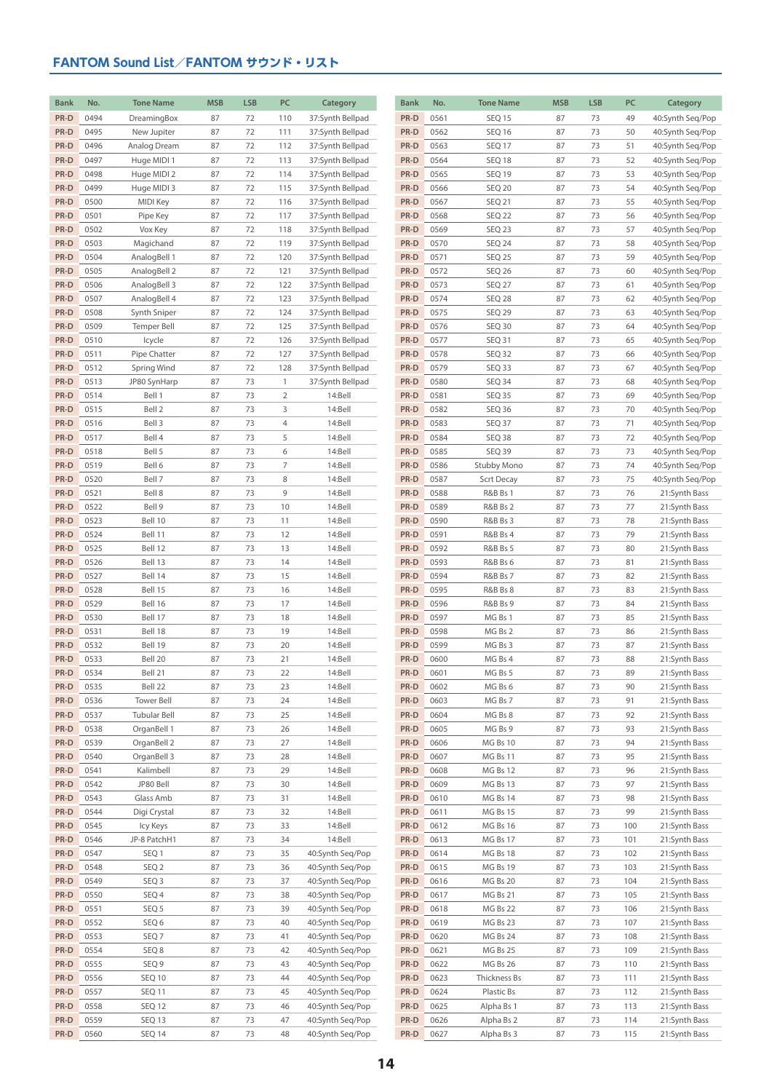| <b>Bank</b>  | No.          | <b>Tone Name</b>         | <b>MSB</b> | <b>LSB</b> | PC             | Category                             | <b>Bank</b>  | No.          | <b>Tone Name</b>            | <b>MSB</b> | <b>LSB</b> | PC         | Category                             |
|--------------|--------------|--------------------------|------------|------------|----------------|--------------------------------------|--------------|--------------|-----------------------------|------------|------------|------------|--------------------------------------|
| PR-D         | 0494         | DreamingBox              | 87         | 72         | 110            | 37:Synth Bellpad                     | PR-D         | 0561         | <b>SEQ 15</b>               | 87         | 73         | 49         | 40:Synth Seq/Pop                     |
| PR-D         | 0495         | New Jupiter              | 87         | 72         | 111            | 37:Synth Bellpad                     | PR-D         | 0562         | <b>SEQ 16</b>               | 87         | 73         | 50         | 40:Synth Seq/Pop                     |
| PR-D         | 0496         | Analog Dream             | 87         | 72         | 112            | 37:Synth Bellpad                     | PR-D         | 0563         | <b>SEQ 17</b>               | 87         | 73         | 51         | 40:Synth Seq/Pop                     |
| PR-D         | 0497         | Huge MIDI 1              | 87         | 72         | 113            | 37:Synth Bellpad                     | PR-D         | 0564         | SEQ 18                      | 87         | 73         | 52         | 40:Synth Seq/Pop                     |
| PR-D         | 0498         | Huge MIDI 2              | 87         | 72         | 114            | 37:Synth Bellpad                     | PR-D         | 0565         | <b>SEQ 19</b>               | 87         | 73         | 53         | 40:Synth Seq/Pop                     |
| PR-D         | 0499         | Huge MIDI 3              | 87         | 72         | 115            | 37:Synth Bellpad                     | PR-D         | 0566         | <b>SEQ 20</b>               | 87         | 73         | 54         | 40:Synth Seq/Pop                     |
| PR-D         | 0500         | MIDI Key                 | 87         | 72         | 116            | 37:Synth Bellpad                     | PR-D         | 0567         | <b>SEQ 21</b>               | 87         | 73         | 55         | 40:Synth Seq/Pop                     |
| PR-D         | 0501         | Pipe Key                 | 87         | 72         | 117            | 37:Synth Bellpad                     | PR-D         | 0568         | SEQ 22                      | 87         | 73         | 56         | 40:Synth Seq/Pop                     |
| PR-D         | 0502         | Vox Key                  | 87         | 72         | 118            | 37:Synth Bellpad                     | PR-D         | 0569         | SEQ 23                      | 87         | 73         | 57         | 40:Synth Seq/Pop                     |
| PR-D         | 0503         | Magichand                | 87         | 72         | 119            | 37:Synth Bellpad                     | PR-D         | 0570         | <b>SEQ 24</b>               | 87         | 73         | 58         | 40:Synth Seq/Pop                     |
| PR-D         | 0504         | AnalogBell 1             | 87         | 72         | 120            | 37:Synth Bellpad                     | PR-D         | 0571         | SEQ <sub>25</sub>           | 87         | 73         | 59         | 40:Synth Seq/Pop                     |
| PR-D         | 0505         | AnalogBell 2             | 87         | 72         | 121            | 37:Synth Bellpad                     | PR-D         | 0572         | SEQ 26                      | 87         | 73         | 60         | 40:Synth Seq/Pop                     |
| PR-D         | 0506         | AnalogBell 3             | 87         | 72         | 122            | 37:Synth Bellpad                     | PR-D         | 0573         | <b>SEQ 27</b>               | 87         | 73         | 61         | 40:Synth Seq/Pop                     |
| PR-D         | 0507         | AnalogBell 4             | 87         | 72         | 123            | 37:Synth Bellpad                     | PR-D         | 0574         | SEQ 28                      | 87         | 73         | 62         | 40:Synth Seq/Pop                     |
| PR-D         | 0508         | Synth Sniper             | 87         | 72         | 124            | 37:Synth Bellpad                     | PR-D         | 0575         | <b>SEQ 29</b>               | 87         | 73         | 63         | 40:Synth Seq/Pop                     |
| PR-D<br>PR-D | 0509         | <b>Temper Bell</b>       | 87         | 72<br>72   | 125            | 37:Synth Bellpad                     | PR-D<br>PR-D | 0576         | SEQ 30                      | 87         | 73         | 64         | 40:Synth Seq/Pop                     |
| PR-D         | 0510<br>0511 | Icycle<br>Pipe Chatter   | 87<br>87   | 72         | 126<br>127     | 37:Synth Bellpad<br>37:Synth Bellpad | PR-D         | 0577<br>0578 | SEQ <sub>31</sub><br>SEQ 32 | 87<br>87   | 73<br>73   | 65<br>66   | 40:Synth Seq/Pop<br>40:Synth Seq/Pop |
| PR-D         | 0512         | Spring Wind              | 87         | 72         | 128            | 37:Synth Bellpad                     | PR-D         | 0579         | SEQ 33                      | 87         | 73         | 67         | 40:Synth Seq/Pop                     |
| PR-D         | 0513         | JP80 SynHarp             | 87         | 73         | $\mathbf{1}$   | 37:Synth Bellpad                     | PR-D         | 0580         | SEQ 34                      | 87         | 73         | 68         | 40:Synth Seq/Pop                     |
| PR-D         | 0514         | Bell 1                   | 87         | 73         | $\overline{2}$ | 14:Bell                              | PR-D         | 0581         | <b>SEQ 35</b>               | 87         | 73         | 69         | 40:Synth Seq/Pop                     |
| PR-D         | 0515         | Bell 2                   | 87         | 73         | 3              | 14:Bell                              | PR-D         | 0582         | SEQ 36                      | 87         | 73         | 70         | 40:Synth Seq/Pop                     |
| PR-D         | 0516         | Bell 3                   | 87         | 73         | $\overline{4}$ | 14:Bell                              | PR-D         | 0583         | SEQ 37                      | 87         | 73         | 71         | 40:Synth Seq/Pop                     |
| PR-D         | 0517         | Bell 4                   | 87         | 73         | 5              | 14:Bell                              | PR-D         | 0584         | SEQ 38                      | 87         | 73         | 72         | 40:Synth Seq/Pop                     |
| PR-D         | 0518         | Bell 5                   | 87         | 73         | 6              | 14:Bell                              | PR-D         | 0585         | SEQ 39                      | 87         | 73         | 73         | 40:Synth Seq/Pop                     |
| PR-D         | 0519         | Bell 6                   | 87         | 73         | $\overline{7}$ | 14:Bell                              | PR-D         | 0586         | Stubby Mono                 | 87         | 73         | 74         | 40:Synth Seq/Pop                     |
| PR-D         | 0520         | Bell 7                   | 87         | 73         | 8              | 14:Bell                              | PR-D         | 0587         | Scrt Decay                  | 87         | 73         | 75         | 40:Synth Seq/Pop                     |
| PR-D         | 0521         | Bell 8                   | 87         | 73         | 9              | 14:Bell                              | PR-D         | 0588         | <b>R&amp;B Bs 1</b>         | 87         | 73         | 76         | 21:Synth Bass                        |
| PR-D         | 0522         | Bell 9                   | 87         | 73         | 10             | 14:Bell                              | PR-D         | 0589         | R&B Bs 2                    | 87         | 73         | 77         | 21:Synth Bass                        |
| PR-D         | 0523         | Bell 10                  | 87         | 73         | 11             | 14:Bell                              | PR-D         | 0590         | R&B Bs 3                    | 87         | 73         | 78         | 21:Synth Bass                        |
| PR-D         | 0524         | Bell 11                  | 87         | 73         | 12             | 14:Bell                              | PR-D         | 0591         | R&B Bs 4                    | 87         | 73         | 79         | 21:Synth Bass                        |
| PR-D         | 0525         | Bell 12                  | 87         | 73         | 13             | 14:Bell                              | PR-D         | 0592         | <b>R&amp;B Bs 5</b>         | 87         | 73         | 80         | 21:Synth Bass                        |
| PR-D         | 0526         | Bell 13                  | 87         | 73         | 14             | 14:Bell                              | PR-D         | 0593         | R&B Bs 6                    | 87         | 73         | 81         | 21:Synth Bass                        |
| PR-D         | 0527         | Bell 14                  | 87         | 73         | 15             | 14:Bell                              | PR-D         | 0594         | <b>R&amp;B Bs 7</b>         | 87         | 73         | 82         | 21:Synth Bass                        |
| PR-D         | 0528         | Bell 15                  | 87         | 73         | 16             | 14:Bell                              | PR-D         | 0595         | R&B Bs 8                    | 87         | 73         | 83         | 21:Synth Bass                        |
| PR-D<br>PR-D | 0529         | Bell 16                  | 87         | 73         | 17             | 14:Bell<br>14:Bell                   | PR-D<br>PR-D | 0596<br>0597 | <b>R&amp;B Bs 9</b>         | 87         | 73         | 84         | 21:Synth Bass                        |
| PR-D         | 0530<br>0531 | Bell 17<br>Bell 18       | 87<br>87   | 73<br>73   | 18<br>19       | 14:Bell                              | PR-D         | 0598         | MG Bs 1<br>MG Bs 2          | 87<br>87   | 73<br>73   | 85<br>86   | 21:Synth Bass<br>21:Synth Bass       |
| PR-D         | 0532         | Bell 19                  | 87         | 73         | 20             | 14:Bell                              | PR-D         | 0599         | MG Bs 3                     | 87         | 73         | 87         | 21:Synth Bass                        |
| PR-D         | 0533         | Bell 20                  | 87         | 73         | 21             | 14:Bell                              | PR-D         | 0600         | MG Bs 4                     | 87         | 73         | 88         | 21:Synth Bass                        |
| PR-D         | 0534         | Bell 21                  | 87         | 73         | 22             | 14:Bell                              | PR-D         | 0601         | MG Bs 5                     | 87         | 73         | 89         | 21:Synth Bass                        |
| PR-D         | 0535         | Bell 22                  | 87         | 73         | 23             | 14:Bell                              | PR-D         | 0602         | MG Bs 6                     | 87         | 73         | 90         | 21:Synth Bass                        |
| PR-D         | 0536         | Tower Bell               | 87         | 73         | 24             | 14:Bell                              | PR-D         | 0603         | MG Bs 7                     | 87         | 73         | 91         | 21:Synth Bass                        |
| PR-D         | 0537         | Tubular Bell             | 87         | 73         | 25             | 14:Bell                              | PR-D         | 0604         | MG Bs 8                     | 87         | 73         | 92         | 21:Synth Bass                        |
| PR-D         | 0538         | OrganBell 1              | 87         | 73         | 26             | 14:Bell                              | PR-D         | 0605         | MG Bs 9                     | 87         | 73         | 93         | 21:Synth Bass                        |
| PR-D         | 0539         | OrganBell 2              | 87         | 73         | 27             | 14:Bell                              | PR-D         | 0606         | MG Bs 10                    | 87         | 73         | 94         | 21:Synth Bass                        |
| PR-D         | 0540         | OrganBell 3              | 87         | 73         | 28             | 14:Bell                              | PR-D         | 0607         | MG Bs 11                    | 87         | 73         | 95         | 21:Synth Bass                        |
| PR-D         | 0541         | Kalimbell                | 87         | 73         | 29             | 14:Bell                              | PR-D         | 0608         | MG Bs 12                    | 87         | 73         | 96         | 21:Synth Bass                        |
| PR-D         | 0542         | JP80 Bell                | 87         | 73         | 30             | 14:Bell                              | PR-D         | 0609         | MG Bs 13                    | 87         | 73         | 97         | 21:Synth Bass                        |
| PR-D         | 0543         | Glass Amb                | 87         | 73         | 31             | 14:Bell                              | PR-D         | 0610         | MG Bs 14                    | 87         | 73         | 98         | 21:Synth Bass                        |
| PR-D         | 0544         | Digi Crystal             | 87         | 73         | 32             | 14:Bell                              | PR-D         | 0611         | MG Bs 15                    | 87         | 73         | 99         | 21:Synth Bass                        |
| PR-D<br>PR-D | 0545         | Icy Keys<br>JP-8 PatchH1 | 87         | 73         | 33<br>34       | 14:Bell<br>14:Bell                   | PR-D<br>PR-D | 0612         | MG Bs 16                    | 87         | 73         | 100        | 21:Synth Bass                        |
| PR-D         | 0546<br>0547 |                          | 87<br>87   | 73<br>73   | 35             | 40:Synth Seq/Pop                     | PR-D         | 0613<br>0614 | MG Bs 17                    | 87<br>87   | 73<br>73   | 101<br>102 | 21:Synth Bass<br>21:Synth Bass       |
| PR-D         | 0548         | SEQ 1<br>SEQ 2           | 87         | 73         | 36             | 40:Synth Seq/Pop                     | PR-D         | 0615         | MG Bs 18<br>MG Bs 19        | 87         | 73         | 103        | 21:Synth Bass                        |
| PR-D         | 0549         | SEQ <sub>3</sub>         | 87         | 73         | 37             | 40:Synth Seq/Pop                     | PR-D         | 0616         | MG Bs 20                    | 87         | 73         | 104        | 21:Synth Bass                        |
| PR-D         | 0550         | SEQ 4                    | 87         | 73         | 38             | 40:Synth Seq/Pop                     | PR-D         | 0617         | MG Bs 21                    | 87         | 73         | 105        | 21:Synth Bass                        |
| PR-D         | 0551         | SEQ 5                    | 87         | 73         | 39             | 40:Synth Seq/Pop                     | PR-D         | 0618         | MG Bs 22                    | 87         | 73         | 106        | 21:Synth Bass                        |
| PR-D         | 0552         | SEQ 6                    | 87         | 73         | 40             | 40:Synth Seq/Pop                     | PR-D         | 0619         | MG Bs 23                    | 87         | 73         | 107        | 21:Synth Bass                        |
| PR-D         | 0553         | SEQ <sub>7</sub>         | 87         | 73         | 41             | 40:Synth Seq/Pop                     | PR-D         | 0620         | MG Bs 24                    | 87         | 73         | 108        | 21:Synth Bass                        |
| PR-D         | 0554         | SEQ 8                    | 87         | 73         | 42             | 40:Synth Seq/Pop                     | PR-D         | 0621         | MG Bs 25                    | 87         | 73         | 109        | 21:Synth Bass                        |
| PR-D         | 0555         | SEQ 9                    | 87         | 73         | 43             | 40:Synth Seq/Pop                     | PR-D         | 0622         | MG Bs 26                    | 87         | 73         | 110        | 21:Synth Bass                        |
| PR-D         | 0556         | <b>SEQ 10</b>            | 87         | 73         | 44             | 40:Synth Seq/Pop                     | PR-D         | 0623         | Thickness Bs                | 87         | 73         | 111        | 21:Synth Bass                        |
| PR-D         | 0557         | <b>SEQ 11</b>            | 87         | 73         | 45             | 40:Synth Seq/Pop                     | PR-D         | 0624         | Plastic Bs                  | 87         | 73         | 112        | 21:Synth Bass                        |
| PR-D         | 0558         | SEQ 12                   | 87         | 73         | 46             | 40:Synth Seq/Pop                     | PR-D         | 0625         | Alpha Bs 1                  | 87         | 73         | 113        | 21:Synth Bass                        |
| PR-D         | 0559         | SEQ 13                   | 87         | 73         | 47             | 40:Synth Seq/Pop                     | PR-D         | 0626         | Alpha Bs 2                  | 87         | 73         | 114        | 21:Synth Bass                        |
| PR-D         | 0560         | SEQ 14                   | 87         | 73         | 48             | 40:Synth Seq/Pop                     | PR-D         | 0627         | Alpha Bs 3                  | 87         | 73         | 115        | 21:Synth Bass                        |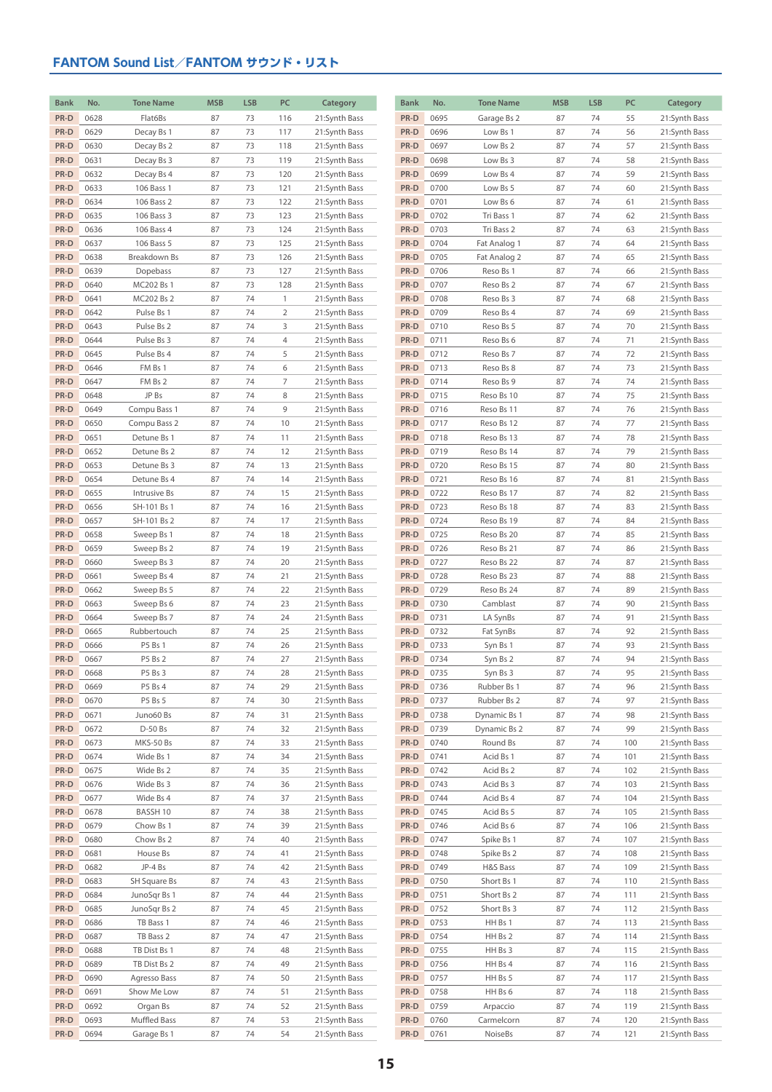| <b>Bank</b> | No.  | <b>Tone Name</b> | <b>MSB</b> | <b>LSB</b> | PC             | Category      | <b>Bank</b> | No.  | <b>Tone Name</b> | <b>MSB</b> | <b>LSB</b> | PC  | Category      |
|-------------|------|------------------|------------|------------|----------------|---------------|-------------|------|------------------|------------|------------|-----|---------------|
| PR-D        | 0628 | Flat6Bs          | 87         | 73         | 116            | 21:Synth Bass | PR-D        | 0695 | Garage Bs 2      | 87         | 74         | 55  | 21:Synth Bass |
| PR-D        | 0629 | Decay Bs 1       | 87         | 73         | 117            | 21:Synth Bass | PR-D        | 0696 | Low Bs 1         | 87         | 74         | 56  | 21:Synth Bass |
| PR-D        | 0630 | Decay Bs 2       | 87         | 73         | 118            | 21:Synth Bass | PR-D        | 0697 | Low Bs 2         | 87         | 74         | 57  | 21:Synth Bass |
| PR-D        | 0631 | Decay Bs 3       | 87         | 73         | 119            | 21:Synth Bass | PR-D        | 0698 | Low Bs 3         | 87         | 74         | 58  | 21:Synth Bass |
| PR-D        | 0632 | Decay Bs 4       | 87         | 73         | 120            | 21:Synth Bass | PR-D        | 0699 | Low Bs 4         | 87         | 74         | 59  | 21:Synth Bass |
| PR-D        | 0633 | 106 Bass 1       | 87         | 73         | 121            | 21:Synth Bass | PR-D        | 0700 | Low Bs 5         | 87         | 74         | 60  | 21:Synth Bass |
| PR-D        | 0634 | 106 Bass 2       | 87         | 73         | 122            | 21:Synth Bass | PR-D        | 0701 | Low Bs 6         | 87         | 74         | 61  | 21:Synth Bass |
| PR-D        | 0635 | 106 Bass 3       | 87         | 73         | 123            | 21:Synth Bass | PR-D        | 0702 | Tri Bass 1       | 87         | 74         | 62  | 21:Synth Bass |
| PR-D        | 0636 | 106 Bass 4       | 87         | 73         | 124            | 21:Synth Bass | PR-D        | 0703 | Tri Bass 2       | 87         | 74         | 63  | 21:Synth Bass |
| PR-D        | 0637 | 106 Bass 5       | 87         | 73         | 125            | 21:Synth Bass | PR-D        | 0704 | Fat Analog 1     | 87         | 74         | 64  | 21:Synth Bass |
| PR-D        | 0638 | Breakdown Bs     | 87         | 73         | 126            | 21:Synth Bass | PR-D        | 0705 | Fat Analog 2     | 87         | 74         | 65  | 21:Synth Bass |
| PR-D        | 0639 | Dopebass         | 87         | 73         | 127            | 21:Synth Bass | PR-D        | 0706 | Reso Bs 1        | 87         | 74         | 66  | 21:Synth Bass |
| PR-D        | 0640 | MC202 Bs 1       | 87         | 73         | 128            | 21:Synth Bass | PR-D        | 0707 | Reso Bs 2        | 87         | 74         | 67  | 21:Synth Bass |
| PR-D        | 0641 | MC202 Bs 2       | 87         | 74         | $\mathbf{1}$   | 21:Synth Bass | PR-D        | 0708 | Reso Bs 3        | 87         | 74         | 68  | 21:Synth Bass |
| PR-D        | 0642 | Pulse Bs 1       | 87         | 74         | $\overline{2}$ | 21:Synth Bass | PR-D        | 0709 | Reso Bs 4        | 87         | 74         | 69  | 21:Synth Bass |
| PR-D        | 0643 | Pulse Bs 2       | 87         | 74         | 3              | 21:Synth Bass | PR-D        | 0710 | Reso Bs 5        | 87         | 74         | 70  | 21:Synth Bass |
| PR-D        | 0644 | Pulse Bs 3       | 87         | 74         | 4              | 21:Synth Bass | PR-D        | 0711 | Reso Bs 6        | 87         | 74         | 71  | 21:Synth Bass |
| PR-D        | 0645 | Pulse Bs 4       | 87         | 74         | 5              | 21:Synth Bass | PR-D        | 0712 | Reso Bs 7        | 87         | 74         | 72  | 21:Synth Bass |
| PR-D        | 0646 | FM Bs 1          | 87         | 74         | 6              | 21:Synth Bass | PR-D        | 0713 | Reso Bs 8        | 87         | 74         | 73  | 21:Synth Bass |
| PR-D        | 0647 | FM Bs 2          | 87         | 74         | 7              | 21:Synth Bass | PR-D        | 0714 | Reso Bs 9        | 87         | 74         | 74  | 21:Synth Bass |
| PR-D        | 0648 | JP Bs            | 87         | 74         | 8              | 21:Synth Bass | PR-D        | 0715 | Reso Bs 10       | 87         | 74         | 75  | 21:Synth Bass |
| PR-D        | 0649 | Compu Bass 1     | 87         | 74         | 9              | 21:Synth Bass | PR-D        | 0716 | Reso Bs 11       | 87         | 74         | 76  | 21:Synth Bass |
| PR-D        | 0650 | Compu Bass 2     | 87         | 74         | 10             | 21:Synth Bass | PR-D        | 0717 | Reso Bs 12       | 87         | 74         | 77  | 21:Synth Bass |
| PR-D        | 0651 | Detune Bs 1      | 87         | 74         | 11             | 21:Synth Bass | PR-D        | 0718 | Reso Bs 13       | 87         | 74         | 78  | 21:Synth Bass |
| PR-D        | 0652 | Detune Bs 2      | 87         | 74         | 12             | 21:Synth Bass | PR-D        | 0719 | Reso Bs 14       | 87         | 74         | 79  | 21:Synth Bass |
| PR-D        | 0653 | Detune Bs 3      | 87         | 74         | 13             | 21:Synth Bass | PR-D        | 0720 | Reso Bs 15       | 87         | 74         | 80  | 21:Synth Bass |
| PR-D        | 0654 | Detune Bs 4      | 87         | 74         | 14             | 21:Synth Bass | PR-D        | 0721 | Reso Bs 16       | 87         | 74         | 81  | 21:Synth Bass |
| PR-D        | 0655 | Intrusive Bs     | 87         | 74         | 15             | 21:Synth Bass | PR-D        | 0722 | Reso Bs 17       | 87         | 74         | 82  | 21:Synth Bass |
| PR-D        | 0656 | SH-101 Bs 1      | 87         | 74         | 16             | 21:Synth Bass | PR-D        | 0723 | Reso Bs 18       | 87         | 74         | 83  | 21:Synth Bass |
| PR-D        | 0657 | SH-101 Bs 2      | 87         | 74         | 17             | 21:Synth Bass | PR-D        | 0724 | Reso Bs 19       | 87         | 74         | 84  | 21:Synth Bass |
| PR-D        | 0658 | Sweep Bs 1       | 87         | 74         | 18             | 21:Synth Bass | PR-D        | 0725 | Reso Bs 20       | 87         | 74         | 85  | 21:Synth Bass |
| PR-D        | 0659 | Sweep Bs 2       | 87         | 74         | 19             | 21:Synth Bass | PR-D        | 0726 | Reso Bs 21       | 87         | 74         | 86  | 21:Synth Bass |
| PR-D        | 0660 | Sweep Bs 3       | 87         | 74         | 20             | 21:Synth Bass | PR-D        | 0727 | Reso Bs 22       | 87         | 74         | 87  | 21:Synth Bass |
| PR-D        | 0661 | Sweep Bs 4       | 87         | 74         | 21             | 21:Synth Bass | PR-D        | 0728 | Reso Bs 23       | 87         | 74         | 88  | 21:Synth Bass |
| PR-D        | 0662 | Sweep Bs 5       | 87         | 74         | 22             | 21:Synth Bass | PR-D        | 0729 | Reso Bs 24       | 87         | 74         | 89  | 21:Synth Bass |
| PR-D        | 0663 | Sweep Bs 6       | 87         | 74         | 23             | 21:Synth Bass | PR-D        | 0730 | Camblast         | 87         | 74         | 90  | 21:Synth Bass |
| PR-D        | 0664 | Sweep Bs 7       | 87         | 74         | 24             | 21:Synth Bass | PR-D        | 0731 | LA SynBs         | 87         | 74         | 91  | 21:Synth Bass |
| PR-D        | 0665 | Rubbertouch      | 87         | 74         | 25             | 21:Synth Bass | PR-D        | 0732 | Fat SynBs        | 87         | 74         | 92  | 21:Synth Bass |
| PR-D        | 0666 | P5 Bs 1          | 87         | 74         | 26             | 21:Synth Bass | PR-D        | 0733 | Syn Bs 1         | 87         | 74         | 93  | 21:Synth Bass |
| PR-D        | 0667 | P5 Bs 2          | 87         | 74         | 27             | 21:Synth Bass | PR-D        | 0734 | Syn Bs 2         | 87         | 74         | 94  | 21:Synth Bass |
| PR-D        | 0668 | P5 Bs 3          | 87         | 74         | 28             | 21:Synth Bass | $PR-D$      | 0735 | Syn Bs 3         | 87         | 74         | 95  | 21:Synth Bass |
| PR-D        | 0669 | P5 Bs 4          | 87         | 74         | 29             | 21:Synth Bass | PR-D        | 0736 | Rubber Bs 1      | 87         | 74         | 96  | 21:Synth Bass |
| PR-D        | 0670 | P5 Bs 5          | 87         | 74         | 30             | 21:Synth Bass | PR-D        | 0737 | Rubber Bs 2      | 87         | 74         | 97  | 21:Synth Bass |
| PR-D        | 0671 | Juno60 Bs        | 87         | 74         | 31             | 21:Synth Bass | PR-D        | 0738 | Dynamic Bs 1     | 87         | 74         | 98  | 21:Synth Bass |
| PR-D        | 0672 | D-50 Bs          | 87         | 74         | 32             | 21:Synth Bass | PR-D        | 0739 | Dynamic Bs 2     | 87         | 74         | 99  | 21:Synth Bass |
| PR-D        | 0673 | MKS-50 Bs        | 87         | 74         | 33             | 21:Synth Bass | PR-D        | 0740 | Round Bs         | 87         | 74         | 100 | 21:Synth Bass |
| PR-D        | 0674 | Wide Bs 1        | 87         | 74         | 34             | 21:Synth Bass | PR-D        | 0741 | Acid Bs 1        | 87         | 74         | 101 | 21:Synth Bass |
| PR-D        | 0675 | Wide Bs 2        | 87         | 74         | 35             | 21:Synth Bass | PR-D        | 0742 | Acid Bs 2        | 87         | 74         | 102 | 21:Synth Bass |
| PR-D        | 0676 | Wide Bs 3        | 87         | 74         | 36             | 21:Synth Bass | PR-D        | 0743 | Acid Bs 3        | 87         | 74         | 103 | 21:Synth Bass |
| PR-D        | 0677 | Wide Bs 4        | 87         | 74         | 37             | 21:Synth Bass | PR-D        | 0744 | Acid Bs 4        | 87         | 74         | 104 | 21:Synth Bass |
| PR-D        | 0678 | BASSH 10         | 87         | 74         | 38             | 21:Synth Bass | PR-D        | 0745 | Acid Bs 5        | 87         | 74         | 105 | 21:Synth Bass |
| PR-D        | 0679 | Chow Bs 1        | 87         | 74         | 39             | 21:Synth Bass | PR-D        | 0746 | Acid Bs 6        | 87         | 74         | 106 | 21:Synth Bass |
| PR-D        | 0680 | Chow Bs 2        | 87         | 74         | 40             | 21:Synth Bass | PR-D        | 0747 | Spike Bs 1       | 87         | 74         | 107 | 21:Synth Bass |
| PR-D        | 0681 | House Bs         | 87         | 74         | 41             | 21:Synth Bass | PR-D        | 0748 | Spike Bs 2       | 87         | 74         | 108 | 21:Synth Bass |
| PR-D        | 0682 | JP-4 Bs          | 87         | 74         | 42             | 21:Synth Bass | PR-D        | 0749 | H&S Bass         | 87         | 74         | 109 | 21:Synth Bass |
| PR-D        | 0683 | SH Square Bs     | 87         | 74         | 43             | 21:Synth Bass | PR-D        | 0750 | Short Bs 1       | 87         | 74         | 110 | 21:Synth Bass |
| PR-D        | 0684 | JunoSqr Bs 1     | 87         | 74         | 44             | 21:Synth Bass | PR-D        | 0751 | Short Bs 2       | 87         | 74         | 111 | 21:Synth Bass |
| PR-D        | 0685 | JunoSqr Bs 2     | 87         | 74         | 45             | 21:Synth Bass | PR-D        | 0752 | Short Bs 3       | 87         | 74         | 112 | 21:Synth Bass |
| PR-D        | 0686 | TB Bass 1        | 87         | 74         | 46             | 21:Synth Bass | PR-D        | 0753 | HH Bs 1          | 87         | 74         | 113 | 21:Synth Bass |
| PR-D        | 0687 | TB Bass 2        | 87         | 74         | 47             | 21:Synth Bass | PR-D        | 0754 | HH Bs 2          | 87         | 74         | 114 | 21:Synth Bass |
| PR-D        | 0688 | TB Dist Bs 1     | 87         | 74         | 48             | 21:Synth Bass | PR-D        | 0755 | HH Bs 3          | 87         | 74         | 115 | 21:Synth Bass |
| PR-D        | 0689 | TB Dist Bs 2     | 87         | 74         | 49             | 21:Synth Bass | PR-D        | 0756 | HH Bs 4          | 87         | 74         | 116 | 21:Synth Bass |
| PR-D        | 0690 | Agresso Bass     | 87         | 74         | 50             | 21:Synth Bass | PR-D        | 0757 | HH Bs 5          | 87         | 74         | 117 | 21:Synth Bass |
| PR-D        | 0691 | Show Me Low      | 87         | 74         | 51             | 21:Synth Bass | PR-D        | 0758 | HH Bs 6          | 87         | 74         | 118 | 21:Synth Bass |
| PR-D        | 0692 | Organ Bs         | 87         | 74         | 52             | 21:Synth Bass | PR-D        | 0759 | Arpaccio         | 87         | 74         | 119 | 21:Synth Bass |
| PR-D        | 0693 | Muffled Bass     | 87         | 74         | 53             | 21:Synth Bass | PR-D        | 0760 | Carmelcorn       | 87         | 74         | 120 | 21:Synth Bass |
| PR-D        | 0694 | Garage Bs 1      | 87         | 74         | 54             | 21:Synth Bass | PR-D        | 0761 | NoiseBs          | 87         | 74         | 121 | 21:Synth Bass |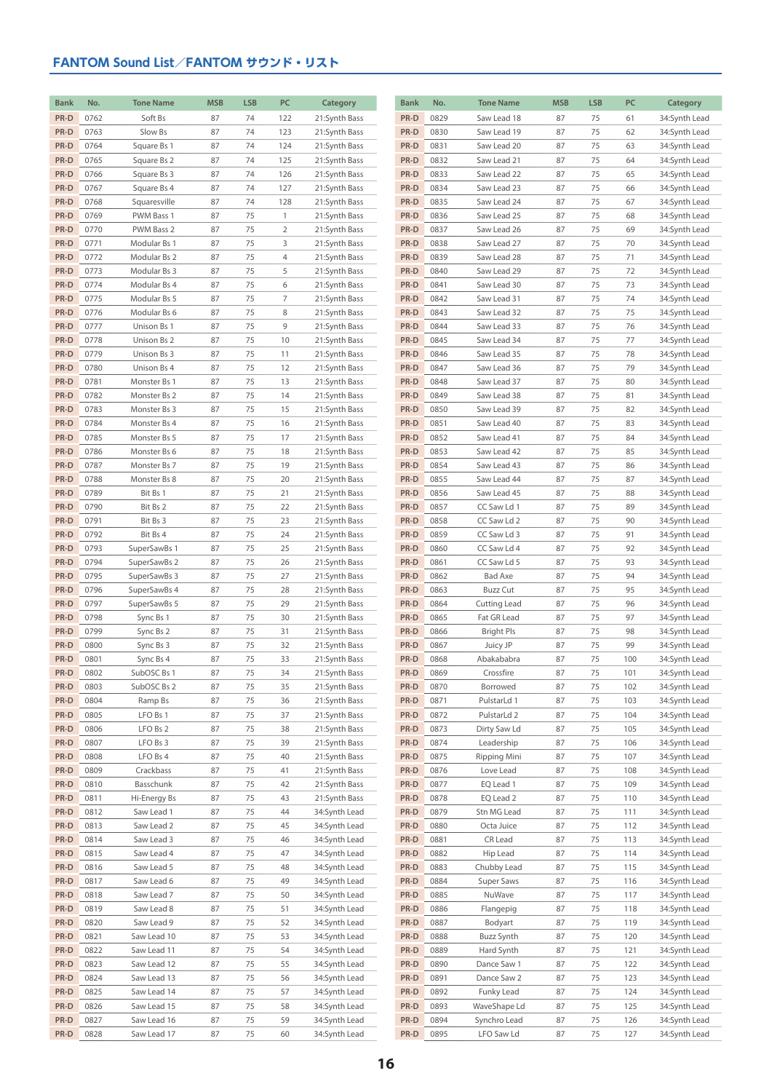| <b>Bank</b>  | No.          | <b>Tone Name</b>             | <b>MSB</b> | <b>LSB</b> | PC             | Category                       | Bank         | No.          | <b>Tone Name</b>           | <b>MSB</b> | <b>LSB</b> | PC         | Category                       |
|--------------|--------------|------------------------------|------------|------------|----------------|--------------------------------|--------------|--------------|----------------------------|------------|------------|------------|--------------------------------|
| PR-D         | 0762         | Soft Bs                      | 87         | 74         | 122            | 21:Synth Bass                  | PR-D         | 0829         | Saw Lead 18                | 87         | 75         | 61         | 34:Synth Lead                  |
| PR-D         | 0763         | Slow Bs                      | 87         | 74         | 123            | 21:Synth Bass                  | PR-D         | 0830         | Saw Lead 19                | 87         | 75         | 62         | 34:Synth Lead                  |
| PR-D         | 0764         | Square Bs 1                  | 87         | 74         | 124            | 21:Synth Bass                  | PR-D         | 0831         | Saw Lead 20                | 87         | 75         | 63         | 34:Synth Lead                  |
| PR-D         | 0765         | Square Bs 2                  | 87         | 74         | 125            | 21:Synth Bass                  | PR-D         | 0832         | Saw Lead 21                | 87         | 75         | 64         | 34:Synth Lead                  |
| PR-D         | 0766         | Square Bs 3                  | 87         | 74         | 126            | 21:Synth Bass                  | PR-D         | 0833         | Saw Lead 22                | 87         | 75         | 65         | 34:Synth Lead                  |
| PR-D         | 0767         | Square Bs 4                  | 87         | 74         | 127            | 21:Synth Bass                  | PR-D         | 0834         | Saw Lead 23                | 87         | 75         | 66         | 34:Synth Lead                  |
| PR-D         | 0768         | Squaresville                 | 87         | 74         | 128            | 21:Synth Bass                  | PR-D         | 0835         | Saw Lead 24                | 87         | 75         | 67         | 34:Synth Lead                  |
| PR-D         | 0769         | PWM Bass 1                   | 87         | 75         | $\mathbf{1}$   | 21:Synth Bass                  | PR-D         | 0836         | Saw Lead 25                | 87         | 75         | 68         | 34:Synth Lead                  |
| PR-D         | 0770         | PWM Bass 2                   | 87         | 75         | $\overline{2}$ | 21:Synth Bass                  | PR-D         | 0837         | Saw Lead 26                | 87         | 75         | 69         | 34:Synth Lead                  |
| PR-D         | 0771         | Modular Bs 1                 | 87         | 75         | 3              | 21:Synth Bass                  | PR-D         | 0838         | Saw Lead 27                | 87         | 75         | 70         | 34:Synth Lead                  |
| PR-D         | 0772         | Modular Bs 2                 | 87         | 75         | 4              | 21:Synth Bass                  | PR-D         | 0839         | Saw Lead 28                | 87         | 75         | 71         | 34:Synth Lead                  |
| PR-D         | 0773         | Modular Bs 3                 | 87         | 75         | 5              | 21:Synth Bass                  | PR-D         | 0840         | Saw Lead 29                | 87         | 75         | 72         | 34:Synth Lead                  |
| PR-D         | 0774         | Modular Bs 4                 | 87         | 75         | 6              | 21:Synth Bass                  | PR-D         | 0841         | Saw Lead 30                | 87         | 75         | 73         | 34:Synth Lead                  |
| PR-D         | 0775         | Modular Bs 5                 | 87         | 75         | 7              | 21:Synth Bass                  | PR-D         | 0842         | Saw Lead 31                | 87         | 75         | 74         | 34:Synth Lead                  |
| PR-D         | 0776         | Modular Bs 6                 | 87         | 75         | 8              | 21:Synth Bass                  | PR-D         | 0843         | Saw Lead 32                | 87         | 75         | 75         | 34:Synth Lead                  |
| PR-D         | 0777         | Unison Bs 1                  | 87         | 75         | 9              | 21:Synth Bass                  | PR-D         | 0844         | Saw Lead 33                | 87         | 75         | 76         | 34:Synth Lead                  |
| PR-D         | 0778         | Unison Bs 2                  | 87         | 75         | 10             | 21:Synth Bass                  | PR-D         | 0845         | Saw Lead 34                | 87         | 75         | 77         | 34:Synth Lead                  |
| PR-D         | 0779         | Unison Bs 3                  | 87         | 75         | 11             | 21:Synth Bass                  | PR-D         | 0846         | Saw Lead 35                | 87         | 75         | 78         | 34:Synth Lead                  |
| PR-D         | 0780         | Unison Bs 4                  | 87         | 75         | 12             | 21:Synth Bass                  | PR-D         | 0847         | Saw Lead 36                | 87         | 75         | 79         | 34:Synth Lead                  |
| PR-D         | 0781         | Monster Bs 1                 | 87         | 75         | 13             | 21:Synth Bass                  | PR-D         | 0848         | Saw Lead 37                | 87         | 75         | 80         | 34:Synth Lead                  |
| PR-D         | 0782         | Monster Bs 2                 | 87         | 75         | 14             | 21:Synth Bass                  | PR-D         | 0849         | Saw Lead 38                | 87         | 75         | 81         | 34:Synth Lead                  |
| PR-D<br>PR-D | 0783<br>0784 | Monster Bs 3<br>Monster Bs 4 | 87<br>87   | 75<br>75   | 15<br>16       | 21:Synth Bass<br>21:Synth Bass | PR-D<br>PR-D | 0850<br>0851 | Saw Lead 39<br>Saw Lead 40 | 87<br>87   | 75<br>75   | 82<br>83   | 34:Synth Lead<br>34:Synth Lead |
| PR-D         | 0785         | Monster Bs 5                 | 87         | 75         | 17             | 21:Synth Bass                  | PR-D         | 0852         | Saw Lead 41                | 87         | 75         | 84         | 34:Synth Lead                  |
| PR-D         | 0786         | Monster Bs 6                 | 87         | 75         | 18             | 21:Synth Bass                  | PR-D         | 0853         | Saw Lead 42                | 87         | 75         | 85         | 34:Synth Lead                  |
| PR-D         | 0787         | Monster Bs 7                 | 87         | 75         | 19             | 21:Synth Bass                  | PR-D         | 0854         | Saw Lead 43                | 87         | 75         | 86         | 34:Synth Lead                  |
| PR-D         | 0788         | Monster Bs 8                 | 87         | 75         | 20             | 21:Synth Bass                  | PR-D         | 0855         | Saw Lead 44                | 87         | 75         | 87         | 34:Synth Lead                  |
| PR-D         | 0789         | Bit Bs 1                     | 87         | 75         | 21             | 21:Synth Bass                  | PR-D         | 0856         | Saw Lead 45                | 87         | 75         | 88         | 34:Synth Lead                  |
| PR-D         | 0790         | Bit Bs 2                     | 87         | 75         | 22             | 21:Synth Bass                  | PR-D         | 0857         | CC Saw Ld 1                | 87         | 75         | 89         | 34:Synth Lead                  |
| PR-D         | 0791         | Bit Bs 3                     | 87         | 75         | 23             | 21:Synth Bass                  | PR-D         | 0858         | CC Saw Ld 2                | 87         | 75         | 90         | 34:Synth Lead                  |
| PR-D         | 0792         | Bit Bs 4                     | 87         | 75         | 24             | 21:Synth Bass                  | PR-D         | 0859         | CC Saw Ld 3                | 87         | 75         | 91         | 34:Synth Lead                  |
| PR-D         | 0793         | SuperSawBs 1                 | 87         | 75         | 25             | 21:Synth Bass                  | PR-D         | 0860         | CC Saw Ld 4                | 87         | 75         | 92         | 34:Synth Lead                  |
| PR-D         | 0794         | SuperSawBs 2                 | 87         | 75         | 26             | 21:Synth Bass                  | PR-D         | 0861         | CC Saw Ld 5                | 87         | 75         | 93         | 34:Synth Lead                  |
| PR-D         | 0795         | SuperSawBs 3                 | 87         | 75         | 27             | 21:Synth Bass                  | PR-D         | 0862         | Bad Axe                    | 87         | 75         | 94         | 34:Synth Lead                  |
| PR-D         | 0796         | SuperSawBs 4                 | 87         | 75         | 28             | 21:Synth Bass                  | PR-D         | 0863         | <b>Buzz Cut</b>            | 87         | 75         | 95         | 34:Synth Lead                  |
| PR-D         | 0797         | SuperSawBs 5                 | 87         | 75         | 29             | 21:Synth Bass                  | PR-D         | 0864         | Cutting Lead               | 87         | 75         | 96         | 34:Synth Lead                  |
| PR-D         | 0798         | Sync Bs 1                    | 87         | 75         | 30             | 21:Synth Bass                  | PR-D         | 0865         | Fat GR Lead                | 87         | 75         | 97         | 34:Synth Lead                  |
| PR-D         | 0799         | Sync Bs 2                    | 87         | 75         | 31             | 21:Synth Bass                  | PR-D         | 0866         | <b>Bright Pls</b>          | 87         | 75         | 98         | 34:Synth Lead                  |
| PR-D         | 0800         | Sync Bs 3                    | 87         | 75         | 32             | 21:Synth Bass                  | PR-D         | 0867         | Juicy JP                   | 87         | 75         | 99         | 34:Synth Lead                  |
| PR-D         | 0801         | Sync Bs 4                    | 87         | 75         | 33             | 21:Synth Bass                  | PR-D         | 0868         | Abakababra                 | 87         | 75         | 100        | 34:Synth Lead                  |
| PR-D         | 0802         | SubOSC Bs 1                  | 87         | 75         | 34             | 21:Synth Bass                  | PR-D         | 0869         | Crossfire                  | 87         | 75         | 101        | 34:Synth Lead                  |
| PR-D         | 0803         | SubOSC Bs 2                  | 87         | 75         | 35             | 21:Synth Bass                  | PR-D         | 0870         | Borrowed                   | 87         | 75         | 102        | 34:Synth Lead                  |
| PR-D         | 0804         | Ramp Bs                      | 87         | 75         | 36             | 21:Synth Bass                  | PR-D         | 0871         | PulstarLd 1                | 87         | 75         | 103        | 34:Synth Lead                  |
| PR-D         | 0805         | LFO Bs 1                     | 87         | 75         | 37             | 21:Synth Bass                  | PR-D         | 0872         | PulstarLd 2                | 87         | 75         | 104        | 34:Synth Lead                  |
| PR-D         | 0806         | LFO Bs 2                     | 87         | 75         | 38             | 21:Synth Bass                  | PR-D         | 0873         | Dirty Saw Ld               | 87         | 75         | 105        | 34:Synth Lead                  |
| PR-D         | 0807         | LFO Bs 3                     | 87         | 75         | 39             | 21:Synth Bass                  | PR-D         | 0874         | Leadership                 | 87         | 75         | 106        | 34:Synth Lead                  |
| PR-D         | 0808         | LFO Bs 4                     | 87         | 75         | 40             | 21:Synth Bass                  | PR-D         | 0875         | <b>Ripping Mini</b>        | 87         | 75         | 107        | 34:Synth Lead                  |
| PR-D         | 0809<br>0810 | Crackbass<br>Basschunk       | 87         | 75<br>75   | 41             | 21:Synth Bass                  | PR-D<br>PR-D | 0876<br>0877 | Love Lead                  | 87         | 75<br>75   | 108<br>109 | 34:Synth Lead                  |
| PR-D<br>PR-D | 0811         | Hi-Energy Bs                 | 87<br>87   | 75         | 42<br>43       | 21:Synth Bass<br>21:Synth Bass | PR-D         | 0878         | EQ Lead 1<br>EQ Lead 2     | 87<br>87   | 75         | 110        | 34:Synth Lead<br>34:Synth Lead |
| PR-D         | 0812         | Saw Lead 1                   | 87         | 75         | 44             | 34:Synth Lead                  | PR-D         | 0879         | Stn MG Lead                | 87         | 75         | 111        | 34:Synth Lead                  |
| PR-D         | 0813         | Saw Lead 2                   | 87         | 75         | 45             | 34:Synth Lead                  | PR-D         | 0880         | Octa Juice                 | 87         | 75         | 112        | 34:Synth Lead                  |
| PR-D         | 0814         | Saw Lead 3                   | 87         | 75         | 46             | 34:Synth Lead                  | PR-D         | 0881         | CR Lead                    | 87         | 75         | 113        | 34:Synth Lead                  |
| PR-D         | 0815         | Saw Lead 4                   | 87         | 75         | 47             | 34:Synth Lead                  | PR-D         | 0882         | Hip Lead                   | 87         | 75         | 114        | 34:Synth Lead                  |
| PR-D         | 0816         | Saw Lead 5                   | 87         | 75         | 48             | 34:Synth Lead                  | PR-D         | 0883         | Chubby Lead                | 87         | 75         | 115        | 34:Synth Lead                  |
| PR-D         | 0817         | Saw Lead 6                   | 87         | 75         | 49             | 34:Synth Lead                  | PR-D         | 0884         | Super Saws                 | 87         | 75         | 116        | 34:Synth Lead                  |
| PR-D         | 0818         | Saw Lead 7                   | 87         | 75         | 50             | 34:Synth Lead                  | PR-D         | 0885         | NuWave                     | 87         | 75         | 117        | 34:Synth Lead                  |
| PR-D         | 0819         | Saw Lead 8                   | 87         | 75         | 51             | 34:Synth Lead                  | PR-D         | 0886         | Flangepig                  | 87         | 75         | 118        | 34:Synth Lead                  |
| PR-D         | 0820         | Saw Lead 9                   | 87         | 75         | 52             | 34:Synth Lead                  | PR-D         | 0887         | Bodyart                    | 87         | 75         | 119        | 34:Synth Lead                  |
| PR-D         | 0821         | Saw Lead 10                  | 87         | 75         | 53             | 34:Synth Lead                  | PR-D         | 0888         | Buzz Synth                 | 87         | 75         | 120        | 34:Synth Lead                  |
| PR-D         | 0822         | Saw Lead 11                  | 87         | 75         | 54             | 34:Synth Lead                  | PR-D         | 0889         | Hard Synth                 | 87         | 75         | 121        | 34:Synth Lead                  |
| PR-D         | 0823         | Saw Lead 12                  | 87         | 75         | 55             | 34:Synth Lead                  | PR-D         | 0890         | Dance Saw 1                | 87         | 75         | 122        | 34:Synth Lead                  |
| PR-D         | 0824         | Saw Lead 13                  | 87         | 75         | 56             | 34:Synth Lead                  | PR-D         | 0891         | Dance Saw 2                | 87         | 75         | 123        | 34:Synth Lead                  |
| PR-D         | 0825         | Saw Lead 14                  | 87         | 75         | 57             | 34:Synth Lead                  | PR-D         | 0892         | Funky Lead                 | 87         | 75         | 124        | 34:Synth Lead                  |
| PR-D         | 0826         | Saw Lead 15                  | 87         | 75         | 58             | 34:Synth Lead                  | PR-D         | 0893         | WaveShape Ld               | 87         | 75         | 125        | 34:Synth Lead                  |
| PR-D         | 0827         | Saw Lead 16                  | 87         | 75         | 59             | 34:Synth Lead                  | PR-D         | 0894         | Synchro Lead               | 87         | 75         | 126        | 34:Synth Lead                  |
| PR-D         | 0828         | Saw Lead 17                  | 87         | 75         | 60             | 34:Synth Lead                  | PR-D         | 0895         | LFO Saw Ld                 | 87         | 75         | 127        | 34:Synth Lead                  |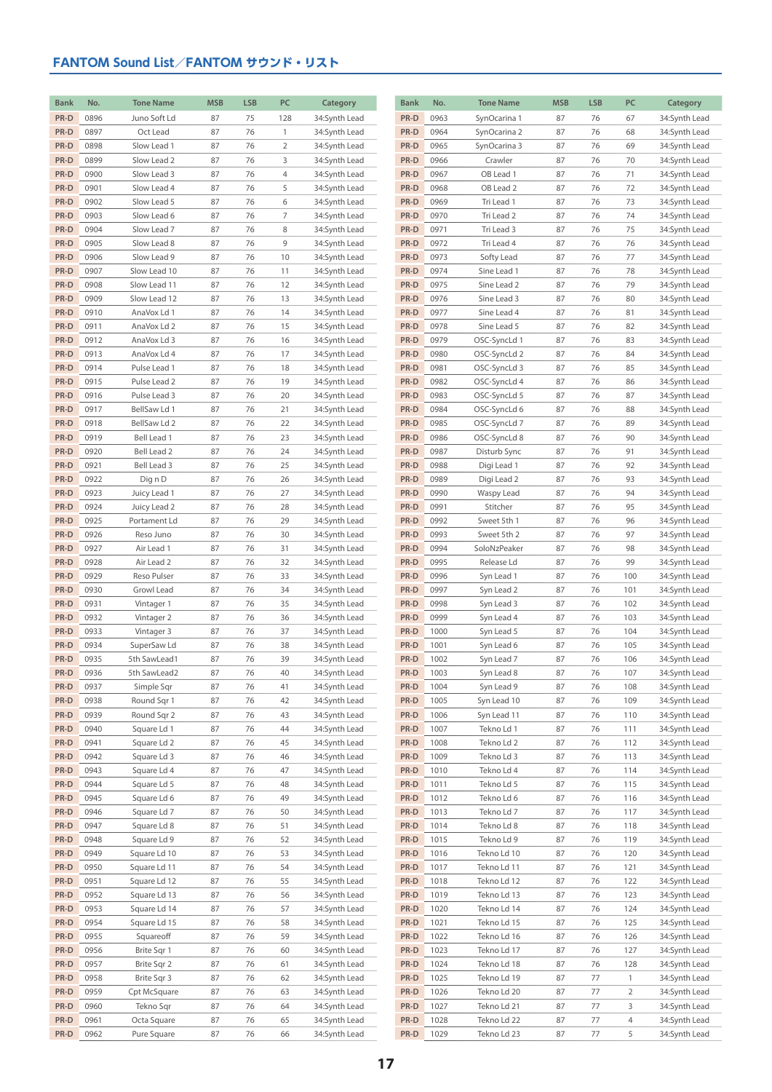| <b>Bank</b>  | No.          | <b>Tone Name</b>           | <b>MSB</b> | <b>LSB</b> | PC             | Category                       | <b>Bank</b>  | No.          | <b>Tone Name</b>         | <b>MSB</b> | <b>LSB</b> | PC           | Category                       |
|--------------|--------------|----------------------------|------------|------------|----------------|--------------------------------|--------------|--------------|--------------------------|------------|------------|--------------|--------------------------------|
| PR-D         | 0896         | Juno Soft Ld               | 87         | 75         | 128            | 34:Synth Lead                  | PR-D         | 0963         | SynOcarina 1             | 87         | 76         | 67           | 34:Synth Lead                  |
| PR-D         | 0897         | Oct Lead                   | 87         | 76         | $\mathbf{1}$   | 34:Synth Lead                  | PR-D         | 0964         | SynOcarina 2             | 87         | 76         | 68           | 34:Synth Lead                  |
| PR-D         | 0898         | Slow Lead 1                | 87         | 76         | $\overline{2}$ | 34:Synth Lead                  | PR-D         | 0965         | SynOcarina 3             | 87         | 76         | 69           | 34:Synth Lead                  |
| PR-D         | 0899         | Slow Lead 2                | 87         | 76         | 3              | 34:Synth Lead                  | PR-D         | 0966         | Crawler                  | 87         | 76         | 70           | 34:Synth Lead                  |
| PR-D         | 0900         | Slow Lead 3                | 87         | 76         | 4              | 34:Synth Lead                  | PR-D         | 0967         | OB Lead 1                | 87         | 76         | 71           | 34:Synth Lead                  |
| PR-D         | 0901         | Slow Lead 4                | 87         | 76         | 5              | 34:Synth Lead                  | PR-D         | 0968         | OB Lead 2                | 87         | 76         | 72           | 34:Synth Lead                  |
| PR-D         | 0902         | Slow Lead 5                | 87         | 76         | 6              | 34:Synth Lead                  | PR-D         | 0969         | Tri Lead 1               | 87         | 76         | 73           | 34:Synth Lead                  |
| PR-D         | 0903         | Slow Lead 6                | 87         | 76         | $\overline{7}$ | 34:Synth Lead                  | PR-D         | 0970         | Tri Lead 2               | 87         | 76         | 74           | 34:Synth Lead                  |
| PR-D         | 0904         | Slow Lead 7                | 87         | 76         | 8              | 34:Synth Lead                  | PR-D         | 0971         | Tri Lead 3               | 87         | 76         | 75           | 34:Synth Lead                  |
| PR-D         | 0905         | Slow Lead 8                | 87         | 76         | 9              | 34:Synth Lead                  | PR-D         | 0972         | Tri Lead 4               | 87         | 76         | 76           | 34:Synth Lead                  |
| PR-D         | 0906         | Slow Lead 9                | 87         | 76         | 10             | 34:Synth Lead                  | PR-D         | 0973         | Softy Lead               | 87         | 76         | 77           | 34:Synth Lead                  |
| PR-D         | 0907         | Slow Lead 10               | 87         | 76         | 11             | 34:Synth Lead                  | PR-D         | 0974         | Sine Lead 1              | 87         | 76         | 78           | 34:Synth Lead                  |
| PR-D         | 0908         | Slow Lead 11               | 87         | 76         | 12             | 34:Synth Lead                  | PR-D         | 0975         | Sine Lead 2              | 87         | 76         | 79           | 34:Synth Lead                  |
| PR-D         | 0909         | Slow Lead 12               | 87         | 76         | 13             | 34:Synth Lead                  | PR-D         | 0976         | Sine Lead 3              | 87         | 76         | 80           | 34:Synth Lead                  |
| PR-D         | 0910         | AnaVox Ld 1                | 87         | 76         | 14             | 34:Synth Lead                  | PR-D         | 0977         | Sine Lead 4              | 87         | 76         | 81           | 34:Synth Lead                  |
| PR-D         | 0911         | AnaVox Ld 2                | 87         | 76         | 15             | 34:Synth Lead                  | PR-D         | 0978         | Sine Lead 5              | 87         | 76         | 82           | 34:Synth Lead                  |
| PR-D         | 0912         | AnaVox Ld 3                | 87         | 76         | 16             | 34:Synth Lead                  | PR-D         | 0979         | OSC-SyncLd 1             | 87         | 76         | 83           | 34:Synth Lead                  |
| PR-D         | 0913         | AnaVox Ld 4                | 87         | 76         | 17             | 34:Synth Lead                  | PR-D         | 0980         | OSC-SyncLd 2             | 87         | 76         | 84           | 34:Synth Lead                  |
| PR-D         | 0914         | Pulse Lead 1               | 87         | 76         | 18             | 34:Synth Lead                  | PR-D         | 0981         | OSC-SyncLd 3             | 87         | 76         | 85           | 34:Synth Lead                  |
| PR-D         | 0915         | Pulse Lead 2               | 87         | 76         | 19             | 34:Synth Lead                  | PR-D         | 0982         | OSC-SyncLd 4             | 87         | 76         | 86           | 34:Synth Lead                  |
| PR-D         | 0916         | Pulse Lead 3               | 87         | 76         | 20             | 34:Synth Lead                  | PR-D         | 0983         | OSC-SyncLd 5             | 87         | 76         | 87           | 34:Synth Lead                  |
| PR-D         | 0917         | BellSaw Ld 1               | 87         | 76         | 21             | 34:Synth Lead                  | PR-D         | 0984         | OSC-SyncLd 6             | 87         | 76         | 88           | 34:Synth Lead                  |
| PR-D         | 0918         | BellSaw Ld 2               | 87         | 76         | 22             | 34:Synth Lead                  | PR-D         | 0985         | OSC-SyncLd 7             | 87         | 76         | 89           | 34:Synth Lead                  |
| PR-D         | 0919         | Bell Lead 1                | 87         | 76         | 23             | 34:Synth Lead                  | PR-D         | 0986         | OSC-SyncLd 8             | 87         | 76         | 90           | 34:Synth Lead                  |
| PR-D         | 0920         | Bell Lead 2                | 87         | 76         | 24             | 34:Synth Lead                  | PR-D         | 0987         | Disturb Sync             | 87         | 76         | 91           | 34:Synth Lead                  |
| PR-D         | 0921         | Bell Lead 3                | 87         | 76         | 25             | 34:Synth Lead                  | PR-D         | 0988         | Digi Lead 1              | 87         | 76         | 92           | 34:Synth Lead                  |
| PR-D         | 0922         | Dig n D                    | 87         | 76         | 26             | 34:Synth Lead                  | PR-D         | 0989         | Digi Lead 2              | 87         | 76         | 93           | 34:Synth Lead                  |
| PR-D         | 0923         | Juicy Lead 1               | 87         | 76         | 27             | 34:Synth Lead                  | PR-D         | 0990         | Waspy Lead               | 87         | 76         | 94           | 34:Synth Lead                  |
| PR-D         | 0924         | Juicy Lead 2               | 87         | 76         | 28             | 34:Synth Lead                  | PR-D         | 0991         | Stitcher                 | 87         | 76         | 95           | 34:Synth Lead                  |
| PR-D         | 0925         | Portament Ld               | 87         | 76         | 29             | 34:Synth Lead                  | PR-D         | 0992         | Sweet 5th 1              | 87         | 76         | 96           | 34:Synth Lead                  |
| PR-D         | 0926         | Reso Juno                  | 87         | 76         | 30             | 34:Synth Lead                  | PR-D         | 0993         | Sweet 5th 2              | 87         | 76         | 97           | 34:Synth Lead                  |
| PR-D         | 0927         | Air Lead 1                 | 87         | 76         | 31             | 34:Synth Lead                  | PR-D         | 0994         | SoloNzPeaker             | 87         | 76         | 98           | 34:Synth Lead                  |
| PR-D         | 0928         | Air Lead 2                 | 87         | 76         | 32             | 34:Synth Lead                  | PR-D         | 0995         | Release Ld               | 87         | 76         | 99           | 34:Synth Lead                  |
| PR-D         | 0929         | Reso Pulser                | 87         | 76         | 33             | 34:Synth Lead                  | PR-D         | 0996         | Syn Lead 1               | 87         | 76         | 100          | 34:Synth Lead                  |
| PR-D         | 0930         | Growl Lead                 | 87         | 76         | 34             | 34:Synth Lead                  | PR-D         | 0997         | Syn Lead 2               | 87         | 76         | 101          | 34:Synth Lead                  |
| PR-D         | 0931         | Vintager 1                 | 87         | 76         | 35             | 34:Synth Lead                  | PR-D         | 0998         | Syn Lead 3               | 87         | 76         | 102          | 34:Synth Lead                  |
| PR-D         | 0932         | Vintager 2                 | 87         | 76         | 36             | 34:Synth Lead                  | PR-D         | 0999         | Syn Lead 4               | 87         | 76         | 103          | 34:Synth Lead                  |
| PR-D         | 0933         | Vintager 3                 | 87         | 76         | 37             | 34:Synth Lead                  | PR-D         | 1000         | Syn Lead 5               | 87         | 76         | 104          | 34:Synth Lead                  |
| PR-D         | 0934<br>0935 | SuperSaw Ld                | 87         | 76<br>76   | 38<br>39       | 34:Synth Lead                  | PR-D         | 1001<br>1002 | Syn Lead 6               | 87<br>87   | 76<br>76   | 105<br>106   | 34:Synth Lead                  |
| PR-D<br>PR-D | 0936         | 5th SawLead1               | 87<br>87   |            | 40             | 34:Synth Lead                  | PR-D<br>PR-D | 1003         | Syn Lead 7               | 87         |            |              | 34:Synth Lead                  |
| PR-D         | 0937         | 5th SawLead2<br>Simple Sqr | 87         | 76<br>76   | 41             | 34:Synth Lead                  | PR-D         | 1004         | Syn Lead 8<br>Syn Lead 9 | 87         | 76<br>76   | 107<br>108   | 34:Synth Lead<br>34:Synth Lead |
| PR-D         | 0938         | Round Sqr 1                | 87         | 76         | 42             | 34:Synth Lead<br>34:Synth Lead | PR-D         | 1005         | Syn Lead 10              | 87         | 76         | 109          | 34:Synth Lead                  |
| PR-D         | 0939         | Round Sqr 2                | 87         | 76         | 43             | 34:Synth Lead                  | PR-D         | 1006         | Syn Lead 11              | 87         | 76         | 110          | 34:Synth Lead                  |
| PR-D         | 0940         | Square Ld 1                | 87         | 76         | 44             | 34:Synth Lead                  | PR-D         | 1007         | Tekno Ld 1               | 87         | 76         | 111          | 34:Synth Lead                  |
| PR-D         | 0941         | Square Ld 2                | 87         | 76         | 45             | 34:Synth Lead                  | PR-D         | 1008         | Tekno Ld 2               | 87         | 76         | 112          | 34:Synth Lead                  |
| PR-D         | 0942         | Square Ld 3                | 87         | 76         | 46             | 34:Synth Lead                  | PR-D         | 1009         | Tekno Ld 3               | 87         | 76         | 113          | 34:Synth Lead                  |
| PR-D         | 0943         | Square Ld 4                | 87         | 76         | 47             | 34:Synth Lead                  | PR-D         | 1010         | Tekno Ld 4               | 87         | 76         | 114          | 34:Synth Lead                  |
| PR-D         | 0944         | Square Ld 5                | 87         | 76         | 48             | 34:Synth Lead                  | PR-D         | 1011         | Tekno Ld 5               | 87         | 76         | 115          | 34:Synth Lead                  |
| PR-D         | 0945         | Square Ld 6                | 87         | 76         | 49             | 34:Synth Lead                  | PR-D         | 1012         | Tekno Ld 6               | 87         | 76         | 116          | 34:Synth Lead                  |
| PR-D         | 0946         | Square Ld 7                | 87         | 76         | 50             | 34:Synth Lead                  | PR-D         | 1013         | Tekno Ld 7               | 87         | 76         | 117          | 34:Synth Lead                  |
| PR-D         | 0947         | Square Ld 8                | 87         | 76         | 51             | 34:Synth Lead                  | PR-D         | 1014         | Tekno Ld 8               | 87         | 76         | 118          | 34:Synth Lead                  |
| PR-D         | 0948         | Square Ld 9                | 87         | 76         | 52             | 34:Synth Lead                  | PR-D         | 1015         | Tekno Ld 9               | 87         | 76         | 119          | 34:Synth Lead                  |
| PR-D         | 0949         | Square Ld 10               | 87         | 76         | 53             | 34:Synth Lead                  | PR-D         | 1016         | Tekno Ld 10              | 87         | 76         | 120          | 34:Synth Lead                  |
| PR-D         | 0950         | Square Ld 11               | 87         | 76         | 54             | 34:Synth Lead                  | PR-D         | 1017         | Tekno Ld 11              | 87         | 76         | 121          | 34:Synth Lead                  |
| PR-D         | 0951         | Square Ld 12               | 87         | 76         | 55             | 34:Synth Lead                  | PR-D         | 1018         | Tekno Ld 12              | 87         | 76         | 122          | 34:Synth Lead                  |
| PR-D         | 0952         | Square Ld 13               | 87         | 76         | 56             | 34:Synth Lead                  | PR-D         | 1019         | Tekno Ld 13              | 87         | 76         | 123          | 34:Synth Lead                  |
| PR-D         | 0953         | Square Ld 14               | 87         | 76         | 57             | 34:Synth Lead                  | PR-D         | 1020         | Tekno Ld 14              | 87         | 76         | 124          | 34:Synth Lead                  |
| PR-D         | 0954         | Square Ld 15               | 87         | 76         | 58             | 34:Synth Lead                  | PR-D         | 1021         | Tekno Ld 15              | 87         | 76         | 125          | 34:Synth Lead                  |
| PR-D         | 0955         | Squareoff                  | 87         | 76         | 59             | 34:Synth Lead                  | PR-D         | 1022         | Tekno Ld 16              | 87         | 76         | 126          | 34:Synth Lead                  |
| PR-D         | 0956         | Brite Sqr 1                | 87         | 76         | 60             | 34:Synth Lead                  | PR-D         | 1023         | Tekno Ld 17              | 87         | 76         | 127          | 34:Synth Lead                  |
| PR-D         | 0957         | Brite Sqr 2                | 87         | 76         | 61             | 34:Synth Lead                  | PR-D         | 1024         | Tekno Ld 18              | 87         | 76         | 128          | 34:Synth Lead                  |
| PR-D         | 0958         | Brite Sqr 3                | 87         | 76         | 62             | 34:Synth Lead                  | PR-D         | 1025         | Tekno Ld 19              | 87         | 77         | $\mathbf{1}$ | 34:Synth Lead                  |
| PR-D         | 0959         | Cpt McSquare               | 87         | 76         | 63             | 34:Synth Lead                  | PR-D         | 1026         | Tekno Ld 20              | 87         | 77         | 2            | 34:Synth Lead                  |
| PR-D         | 0960         | Tekno Sqr                  | 87         | 76         | 64             | 34:Synth Lead                  | PR-D         | 1027         | Tekno Ld 21              | 87         | 77         | 3            | 34:Synth Lead                  |
| PR-D         | 0961         | Octa Square                | 87         | 76         | 65             | 34:Synth Lead                  | PR-D         | 1028         | Tekno Ld 22              | 87         | 77         | 4            | 34:Synth Lead                  |
| PR-D         | 0962         | Pure Square                | 87         | 76         | 66             | 34:Synth Lead                  | PR-D         | 1029         | Tekno Ld 23              | 87         | 77         | 5            | 34:Synth Lead                  |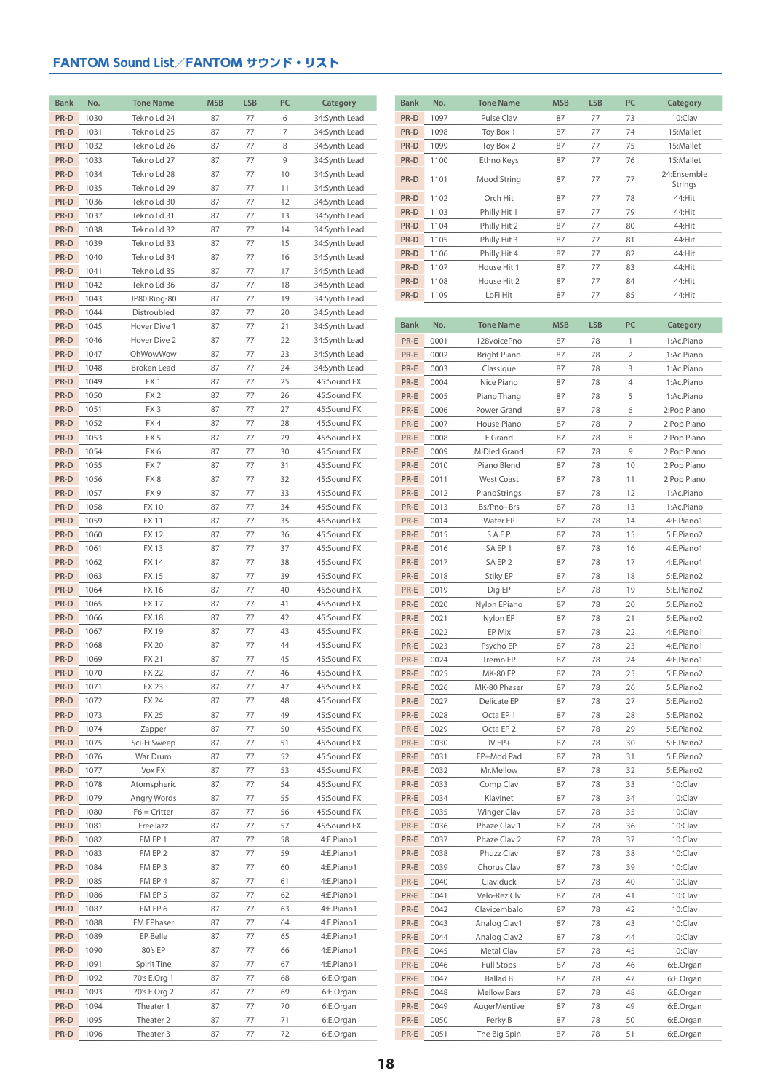| <b>Bank</b> | No.  | <b>Tone Name</b>   | <b>MSB</b> | <b>LSB</b> | PC | Category      | <b>Bank</b> | No.  | <b>Tone Name</b>     | <b>MSB</b> | <b>LSB</b> | PC           | Category    |
|-------------|------|--------------------|------------|------------|----|---------------|-------------|------|----------------------|------------|------------|--------------|-------------|
| PR-D        | 1030 | Tekno Ld 24        | 87         | 77         | 6  | 34:Synth Lead | PR-D        | 1097 | Pulse Clav           | 87         | 77         | 73           | 10:Clav     |
| PR-D        | 1031 | Tekno Ld 25        | 87         | 77         | 7  | 34:Synth Lead | PR-D        | 1098 | Toy Box 1            | 87         | 77         | 74           | 15:Mallet   |
| PR-D        | 1032 | Tekno Ld 26        | 87         | 77         | 8  | 34:Synth Lead | PR-D        | 1099 | Toy Box 2            | 87         | 77         | 75           | 15:Mallet   |
| PR-D        | 1033 | Tekno Ld 27        | 87         | 77         | 9  | 34:Synth Lead | PR-D        | 1100 | Ethno Keys           | 87         | 77         | 76           | 15:Mallet   |
| PR-D        | 1034 | Tekno Ld 28        | 87         | 77         | 10 | 34:Synth Lead | PR-D        |      |                      | 87         | 77         | 77           | 24:Ensemble |
| PR-D        | 1035 | Tekno Ld 29        | 87         | 77         | 11 | 34:Synth Lead |             | 1101 | Mood String          |            |            |              | Strings     |
| PR-D        | 1036 | Tekno Ld 30        | 87         | 77         | 12 | 34:Synth Lead | PR-D        | 1102 | Orch Hit             | 87         | 77         | 78           | 44:Hit      |
| PR-D        | 1037 | Tekno Ld 31        | 87         | 77         | 13 | 34:Synth Lead | PR-D        | 1103 | Philly Hit 1         | 87         | 77         | 79           | 44:Hit      |
| PR-D        | 1038 | Tekno Ld 32        | 87         | 77         | 14 | 34:Synth Lead | PR-D        | 1104 | Philly Hit 2         | 87         | 77         | 80           | 44:Hit      |
| PR-D        | 1039 | Tekno Ld 33        | 87         | 77         | 15 | 34:Synth Lead | PR-D        | 1105 | Philly Hit 3         | 87         | 77         | 81           | 44:Hit      |
| PR-D        | 1040 | Tekno Ld 34        | 87         | 77         | 16 | 34:Synth Lead | PR-D        | 1106 | Philly Hit 4         | 87         | 77         | 82           | 44:Hit      |
| PR-D        | 1041 | Tekno Ld 35        | 87         | 77         | 17 | 34:Synth Lead | PR-D        | 1107 | House Hit 1          | 87         | 77         | 83           | 44:Hit      |
| PR-D        | 1042 | Tekno Ld 36        | 87         | 77         | 18 | 34:Synth Lead | PR-D        | 1108 | House Hit 2          | 87         | 77         | 84           | 44:Hit      |
| PR-D        | 1043 | JP80 Ring-80       | 87         | 77         | 19 | 34:Synth Lead | PR-D        | 1109 | LoFi Hit             | 87         | 77         | 85           | 44:Hit      |
| PR-D        | 1044 | Distroubled        | 87         | 77         | 20 | 34:Synth Lead |             |      |                      |            |            |              |             |
| PR-D        | 1045 | Hover Dive 1       | 87         | 77         | 21 | 34:Synth Lead | <b>Bank</b> | No.  | <b>Tone Name</b>     | <b>MSB</b> | <b>LSB</b> | PC           | Category    |
| PR-D        | 1046 | Hover Dive 2       | 87         | 77         | 22 | 34:Synth Lead | PR-E        | 0001 | 128voicePno          | 87         | 78         | $\mathbf{1}$ | 1:Ac.Piano  |
| PR-D        | 1047 | OhWowWow           | 87         | 77         | 23 | 34:Synth Lead | PR-E        | 0002 | <b>Bright Piano</b>  | 87         | 78         | 2            | 1:Ac.Piano  |
| PR-D        | 1048 | Broken Lead        | 87         | 77         | 24 | 34:Synth Lead | PR-E        | 0003 | Classique            | 87         | 78         | 3            | 1:Ac.Piano  |
| PR-D        | 1049 | FX1                | 87         | 77         | 25 | 45:Sound FX   | PR-E        | 0004 | Nice Piano           | 87         | 78         | 4            | 1:Ac.Piano  |
| PR-D        | 1050 | FX <sub>2</sub>    | 87         | 77         | 26 | 45:Sound FX   | PR-E        | 0005 | Piano Thang          | 87         | 78         | 5            | 1:Ac.Piano  |
| PR-D        | 1051 | FX <sub>3</sub>    | 87         | 77         | 27 | 45:Sound FX   | PR-E        | 0006 | Power Grand          | 87         | 78         | 6            |             |
| PR-D        |      | FX4                | 87         | 77         |    | 45:Sound FX   |             |      |                      |            |            |              | 2:Pop Piano |
|             | 1052 |                    |            |            | 28 |               | PR-E        | 0007 | House Piano          | 87         | 78         | 7            | 2:Pop Piano |
| PR-D        | 1053 | FX <sub>5</sub>    | 87         | 77         | 29 | 45:Sound FX   | PR-E        | 0008 | E.Grand              | 87         | 78         | 8            | 2:Pop Piano |
| PR-D        | 1054 | FX6                | 87         | 77         | 30 | 45:Sound FX   | PR-E        | 0009 | <b>MIDIed Grand</b>  | 87         | 78         | 9            | 2:Pop Piano |
| PR-D        | 1055 | FX7                | 87         | 77         | 31 | 45:Sound FX   | PR-E        | 0010 | Piano Blend          | 87         | 78         | 10           | 2:Pop Piano |
| PR-D        | 1056 | FX8                | 87         | 77         | 32 | 45:Sound FX   | PR-E        | 0011 | <b>West Coast</b>    | 87         | 78         | 11           | 2:Pop Piano |
| PR-D        | 1057 | FX <sub>9</sub>    | 87         | 77         | 33 | 45:Sound FX   | PR-E        | 0012 | PianoStrings         | 87         | 78         | 12           | 1:Ac.Piano  |
| PR-D        | 1058 | <b>FX10</b>        | 87         | 77         | 34 | 45:Sound FX   | PR-E        | 0013 | Bs/Pno+Brs           | 87         | 78         | 13           | 1:Ac.Piano  |
| PR-D        | 1059 | <b>FX11</b>        | 87         | 77         | 35 | 45:Sound FX   | PR-E        | 0014 | Water EP             | 87         | 78         | 14           | 4:E.Piano1  |
| PR-D        | 1060 | <b>FX12</b>        | 87         | 77         | 36 | 45:Sound FX   | PR-E        | 0015 | S.A.E.P.             | 87         | 78         | 15           | 5:E.Piano2  |
| PR-D        | 1061 | <b>FX13</b>        | 87         | 77         | 37 | 45:Sound FX   | PR-E        | 0016 | SA EP 1              | 87         | 78         | 16           | 4:E.Piano1  |
| PR-D        | 1062 | <b>FX14</b>        | 87         | 77         | 38 | 45:Sound FX   | PR-E        | 0017 | SA EP 2              | 87         | 78         | 17           | 4:E.Piano1  |
| PR-D        | 1063 | <b>FX15</b>        | 87         | 77         | 39 | 45:Sound FX   | PR-E        | 0018 | Stiky EP             | 87         | 78         | 18           | 5:E.Piano2  |
| PR-D        | 1064 | <b>FX16</b>        | 87         | 77         | 40 | 45:Sound FX   | PR-E        | 0019 | Dig EP               | 87         | 78         | 19           | 5:E.Piano2  |
| PR-D        | 1065 | <b>FX17</b>        | 87         | 77         | 41 | 45:Sound FX   | PR-E        | 0020 | Nylon EPiano         | 87         | 78         | 20           | 5:E.Piano2  |
| PR-D        | 1066 | <b>FX18</b>        | 87         | 77         | 42 | 45:Sound FX   | PR-E        | 0021 | Nylon EP             | 87         | 78         | 21           | 5:E.Piano2  |
| PR-D        | 1067 | <b>FX19</b>        | 87         | 77         | 43 | 45:Sound FX   | PR-E        | 0022 | EP Mix               | 87         | 78         | 22           | 4:E.Piano1  |
| PR-D        | 1068 | <b>FX 20</b>       | 87         | 77         | 44 | 45:Sound FX   | PR-E        | 0023 | Psycho EP            | 87         | 78         | 23           | 4:E.Piano1  |
| PR-D        | 1069 | <b>FX 21</b>       | 87         | 77         | 45 | 45:Sound FX   | PR-E        | 0024 | Tremo EP             | 87         | 78         | 24           | 4:E.Piano1  |
| PR-D        | 1070 | <b>FX 22</b>       | 87         | 77         | 46 | 45:Sound FX   | PR-E        | 0025 | <b>MK-80 EP</b>      | 87         | 78         | 25           | 5:E.Piano2  |
| PR-D        | 1071 | <b>FX23</b>        | 87         | 77         | 47 | 45:Sound FX   | PR-E        | 0026 | MK-80 Phaser         | 87         | 78         | 26           | 5:E.Piano2  |
| PR-D        | 1072 | <b>FX 24</b>       | 87         | 77         | 48 | 45:Sound FX   | PR-E        | 0027 | Delicate EP          | 87         | 78         | 27           | 5:E.Piano2  |
| PR-D        | 1073 | <b>FX 25</b>       | 87         | 77         | 49 | 45:Sound FX   | PR-E        | 0028 | Octa EP1             | 87         | 78         | 28           | 5:E.Piano2  |
| PR-D        | 1074 | Zapper             | 87         | 77         | 50 | 45:Sound FX   | PR-E        | 0029 | Octa EP <sub>2</sub> | 87         | 78         | 29           | 5:E.Piano2  |
| PR-D        | 1075 | Sci-Fi Sweep       | 87         | 77         | 51 | 45:Sound FX   | PR-E        | 0030 | JV EP+               | 87         | 78         | 30           | 5:E.Piano2  |
| PR-D        | 1076 | War Drum           | 87         | 77         | 52 | 45:Sound FX   | PR-E        | 0031 | EP+Mod Pad           | 87         | 78         | 31           | 5:E.Piano2  |
| PR-D        | 1077 | Vox FX             | 87         | 77         | 53 | 45:Sound FX   | PR-E        | 0032 | Mr.Mellow            | 87         | 78         | 32           | 5:E.Piano2  |
| PR-D        | 1078 | Atomspheric        | 87         | 77         | 54 | 45:Sound FX   | PR-E        | 0033 | Comp Clav            | 87         | 78         | 33           | 10:Clav     |
| PR-D        | 1079 | Angry Words        | 87         | 77         | 55 | 45:Sound FX   | PR-E        | 0034 | Klavinet             | 87         | 78         | 34           | 10:Clav     |
| PR-D        | 1080 | $F6 =$ Critter     | 87         | 77         | 56 | 45:Sound FX   | PR-E        | 0035 | <b>Winger Clav</b>   | 87         | 78         | 35           | 10:Clav     |
| PR-D        | 1081 | FreeJazz           | 87         | 77         | 57 | 45:Sound FX   | PR-E        | 0036 | Phaze Clav 1         | 87         | 78         | 36           | 10:Clav     |
| PR-D        | 1082 | FM EP 1            | 87         | 77         | 58 | 4:E.Piano1    | PR-E        | 0037 | Phaze Clav 2         | 87         | 78         | 37           | 10:Clav     |
| PR-D        | 1083 | FM EP 2            | 87         | 77         | 59 | 4:E.Piano1    | PR-E        | 0038 | Phuzz Clav           | 87         | 78         | 38           | 10:Clav     |
| PR-D        | 1084 | FM EP 3            | 87         | 77         | 60 | 4:E.Piano1    | PR-E        | 0039 | Chorus Clav          | 87         | 78         | 39           | 10:Clav     |
| PR-D        | 1085 | FM EP 4            | 87         | 77         | 61 | 4:E.Piano1    | PR-E        | 0040 | Claviduck            | 87         | 78         | 40           | 10:Clav     |
| PR-D        | 1086 | FM EP 5            | 87         | 77         | 62 | 4:E.Piano1    | PR-E        | 0041 | Velo-Rez Clv         | 87         | 78         | 41           | 10:Clav     |
| PR-D        | 1087 | FM EP 6            | 87         | 77         | 63 | 4:E.Piano1    | PR-E        | 0042 | Clavicembalo         | 87         | 78         | 42           | 10:Clav     |
| PR-D        | 1088 | <b>FM EPhaser</b>  | 87         | 77         | 64 | 4:E.Piano1    | PR-E        | 0043 | Analog Clav1         | 87         | 78         | 43           | 10:Clav     |
| PR-D        | 1089 | EP Belle           | 87         | 77         | 65 | 4:E.Piano1    | PR-E        | 0044 | Analog Clav2         | 87         | 78         | 44           | 10:Clav     |
| PR-D        | 1090 | 80's EP            | 87         | 77         | 66 | 4:E.Piano1    | PR-E        | 0045 | Metal Clav           | 87         | 78         | 45           | 10:Clav     |
| PR-D        | 1091 | <b>Spirit Tine</b> | 87         | 77         | 67 | 4:E.Piano1    | PR-E        | 0046 | <b>Full Stops</b>    | 87         | 78         | 46           | 6:E.Organ   |
| PR-D        | 1092 | 70's E.Org 1       | 87         | 77         | 68 | 6:E.Organ     | PR-E        | 0047 | <b>Ballad B</b>      | 87         | 78         | 47           | 6:E.Organ   |
| PR-D        | 1093 | 70's E.Org 2       | 87         | 77         | 69 | 6:E.Organ     | PR-E        | 0048 | <b>Mellow Bars</b>   | 87         | 78         | 48           | 6:E.Organ   |
| PR-D        | 1094 | Theater 1          | 87         | 77         | 70 | 6:E.Organ     | PR-E        | 0049 | AugerMentive         | 87         | 78         | 49           | 6:E.Organ   |
| PR-D        | 1095 | Theater 2          | 87         | 77         | 71 | 6:E.Organ     | PR-E        | 0050 | Perky B              | 87         | 78         | 50           | 6:E.Organ   |
| PR-D        | 1096 | Theater 3          | 87         | 77         | 72 | 6:E.Organ     | PR-E        | 0051 | The Big Spin         | 87         | 78         | 51           | 6:E.Organ   |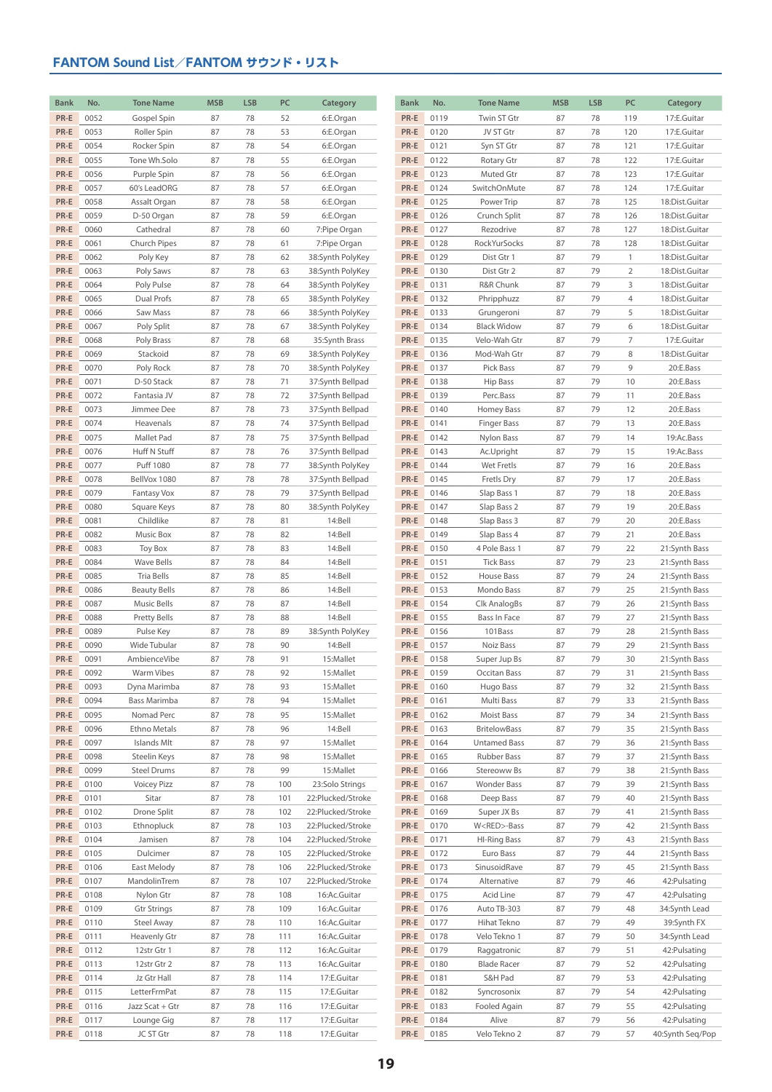| <b>Bank</b> | No.  | <b>Tone Name</b>        | <b>MSB</b> | <b>LSB</b> | PC  | Category          | <b>Bank</b> | No.  | <b>Tone Name</b>    | <b>MSB</b> | <b>LSB</b> | PC             | Category         |
|-------------|------|-------------------------|------------|------------|-----|-------------------|-------------|------|---------------------|------------|------------|----------------|------------------|
| PR-E        | 0052 | Gospel Spin             | 87         | 78         | 52  | 6:E.Organ         | PR-E        | 0119 | Twin ST Gtr         | 87         | 78         | 119            | 17:E.Guitar      |
| PR-E        | 0053 | Roller Spin             | 87         | 78         | 53  | 6:E.Organ         | PR-E        | 0120 | JV ST Gtr           | 87         | 78         | 120            | 17:E.Guitar      |
| PR-E        | 0054 |                         |            | 78         | 54  |                   | PR-E        |      |                     | 87         | 78         | 121            |                  |
| PR-E        |      | Rocker Spin             | 87         |            |     | 6:E.Organ         |             | 0121 | Syn ST Gtr          |            |            |                | 17:E.Guitar      |
|             | 0055 | Tone Wh.Solo            | 87         | 78         | 55  | 6:E.Organ         | PR-E        | 0122 | Rotary Gtr          | 87         | 78         | 122            | 17:E.Guitar      |
| PR-E        | 0056 | Purple Spin             | 87         | 78         | 56  | 6:E.Organ         | PR-E        | 0123 | Muted Gtr           | 87         | 78         | 123            | 17:E.Guitar      |
| PR-E        | 0057 | 60's LeadORG            | 87         | 78         | 57  | 6:E.Organ         | PR-E        | 0124 | SwitchOnMute        | 87         | 78         | 124            | 17:E.Guitar      |
| PR-E        | 0058 | Assalt Organ            | 87         | 78         | 58  | 6:E.Organ         | PR-E        | 0125 | Power Trip          | 87         | 78         | 125            | 18:Dist.Guitar   |
| PR-E        | 0059 | D-50 Organ              | 87         | 78         | 59  | 6:E.Organ         | PR-E        | 0126 | Crunch Split        | 87         | 78         | 126            | 18:Dist.Guitar   |
| PR-E        | 0060 | Cathedral               | 87         | 78         | 60  | 7:Pipe Organ      | PR-E        | 0127 | Rezodrive           | 87         | 78         | 127            | 18:Dist.Guitar   |
| PR-E        | 0061 | Church Pipes            | 87         | 78         | 61  | 7:Pipe Organ      | PR-E        | 0128 | RockYurSocks        | 87         | 78         | 128            | 18:Dist.Guitar   |
| PR-E        | 0062 | Poly Key                | 87         | 78         | 62  | 38:Synth PolyKey  | PR-E        | 0129 | Dist Gtr 1          | 87         | 79         | $\mathbf{1}$   | 18:Dist.Guitar   |
| PR-E        | 0063 | Poly Saws               | 87         | 78         | 63  | 38:Synth PolyKey  | PR-E        | 0130 | Dist Gtr 2          | 87         | 79         | $\overline{2}$ | 18:Dist.Guitar   |
| PR-E        | 0064 | Poly Pulse              | 87         | 78         | 64  | 38:Synth PolyKey  | PR-E        | 0131 | R&R Chunk           | 87         | 79         | 3              | 18:Dist.Guitar   |
| PR-E        | 0065 | Dual Profs              | 87         | 78         | 65  | 38:Synth PolyKey  | PR-E        | 0132 | Phripphuzz          | 87         | 79         | 4              | 18:Dist.Guitar   |
| PR-E        | 0066 | Saw Mass                | 87         | 78         | 66  | 38:Synth PolyKey  | PR-E        | 0133 | Grungeroni          | 87         | 79         | 5              | 18:Dist.Guitar   |
| PR-E        | 0067 | Poly Split              | 87         | 78         | 67  | 38:Synth PolyKey  | PR-E        | 0134 | <b>Black Widow</b>  | 87         | 79         | 6              | 18:Dist.Guitar   |
| PR-E        | 0068 | Poly Brass              | 87         | 78         | 68  | 35:Synth Brass    | PR-E        | 0135 | Velo-Wah Gtr        | 87         | 79         | $\overline{7}$ | 17:E.Guitar      |
| PR-E        | 0069 | Stackoid                | 87         | 78         | 69  | 38:Synth PolyKey  | PR-E        | 0136 | Mod-Wah Gtr         | 87         | 79         | 8              | 18:Dist.Guitar   |
| PR-E        | 0070 | Poly Rock               | 87         | 78         | 70  | 38:Synth PolyKey  | PR-E        | 0137 | Pick Bass           | 87         | 79         | 9              | 20:E.Bass        |
| PR-E        | 0071 | D-50 Stack              | 87         | 78         | 71  | 37:Synth Bellpad  | PR-E        | 0138 | Hip Bass            | 87         | 79         | 10             | 20:E.Bass        |
| PR-E        | 0072 | Fantasia JV             | 87         | 78         | 72  | 37:Synth Bellpad  | PR-E        | 0139 | Perc.Bass           | 87         | 79         | 11             | 20:E.Bass        |
| PR-E        | 0073 | Jimmee Dee              | 87         | 78         | 73  | 37:Synth Bellpad  | PR-E        | 0140 | Homey Bass          | 87         | 79         | 12             | 20:E.Bass        |
| PR-E        | 0074 | Heavenals               | 87         | 78         | 74  | 37:Synth Bellpad  | PR-E        | 0141 | <b>Finger Bass</b>  | 87         | 79         | 13             | 20:E.Bass        |
| PR-E        | 0075 | Mallet Pad              | 87         | 78         | 75  | 37:Synth Bellpad  | PR-E        | 0142 | Nylon Bass          | 87         | 79         | 14             | 19:Ac.Bass       |
| PR-E        | 0076 | Huff N Stuff            | 87         | 78         | 76  | 37:Synth Bellpad  | PR-E        | 0143 | Ac.Upright          | 87         | 79         | 15             | 19:Ac.Bass       |
| PR-E        | 0077 | Puff 1080               | 87         | 78         | 77  | 38:Synth PolyKey  | PR-E        | 0144 | Wet Fretls          | 87         | 79         | 16             | 20:E.Bass        |
| PR-E        | 0078 | BellVox 1080            | 87         | 78         | 78  | 37:Synth Bellpad  | PR-E        | 0145 | Fretls Dry          | 87         | 79         | 17             | 20:E.Bass        |
| PR-E        | 0079 | <b>Fantasy Vox</b>      | 87         | 78         | 79  | 37:Synth Bellpad  | PR-E        | 0146 | Slap Bass 1         | 87         | 79         | 18             | 20:E.Bass        |
| PR-E        | 0080 |                         | 87         | 78         | 80  |                   | PR-E        | 0147 |                     | 87         | 79         | 19             | 20:E.Bass        |
| PR-E        |      | Square Keys             | 87         |            |     | 38:Synth PolyKey  |             |      | Slap Bass 2         | 87         | 79         | 20             |                  |
|             | 0081 | Childlike               |            | 78         | 81  | 14:Bell           | PR-E        | 0148 | Slap Bass 3         |            |            |                | 20:E.Bass        |
| PR-E        | 0082 | Music Box               | 87         | 78         | 82  | 14:Bell           | PR-E        | 0149 | Slap Bass 4         | 87         | 79         | 21             | 20:E.Bass        |
| PR-E        | 0083 | Toy Box                 | 87         | 78         | 83  | 14:Bell           | PR-E        | 0150 | 4 Pole Bass 1       | 87         | 79         | 22             | 21:Synth Bass    |
| PR-E        | 0084 | Wave Bells              | 87         | 78         | 84  | 14:Bell           | PR-E        | 0151 | <b>Tick Bass</b>    | 87         | 79         | 23             | 21:Synth Bass    |
| PR-E        | 0085 | Tria Bells              | 87         | 78         | 85  | 14:Bell           | PR-E        | 0152 | House Bass          | 87         | 79         | 24             | 21:Synth Bass    |
| PR-E        | 0086 | <b>Beauty Bells</b>     | 87         | 78         | 86  | 14:Bell           | PR-E        | 0153 | Mondo Bass          | 87         | 79         | 25             | 21:Synth Bass    |
| PR-E        | 0087 | <b>Music Bells</b>      | 87         | 78         | 87  | 14:Bell           | PR-E        | 0154 | Clk AnalogBs        | 87         | 79         | 26             | 21:Synth Bass    |
| PR-E        | 0088 | Pretty Bells            | 87         | 78         | 88  | 14:Bell           | PR-E        | 0155 | Bass In Face        | 87         | 79         | 27             | 21:Synth Bass    |
| PR-E        | 0089 | Pulse Key               | 87         | 78         | 89  | 38:Synth PolyKey  | PR-E        | 0156 | 101Bass             | 87         | 79         | 28             | 21:Synth Bass    |
| PR-E        | 0090 | Wide Tubular            | 87         | 78         | 90  | 14:Bell           | PR-E        | 0157 | Noiz Bass           | 87         | 79         | 29             | 21:Synth Bass    |
| PR-E        | 0091 | AmbienceVibe            | 87         | 78         | 91  | 15:Mallet         | PR-E        | 0158 | Super Jup Bs        | 87         | 79         | 30             | 21:Synth Bass    |
| PR-E        | 0092 | Warm Vibes              | 87         | 78         | 92  | 15:Mallet         | PR-E        | 0159 | Occitan Bass        | 87         | 79         | 31             | 21:Synth Bass    |
| PR-E        | 0093 | Dyna Marimba            | 87         | 78         | 93  | 15:Mallet         | PR-E        | 0160 | Hugo Bass           | 87         | 79         | 32             | 21:Synth Bass    |
| PR-E        | 0094 | Bass Marimba            | 87         | 78         | 94  | 15:Mallet         | PR-E        | 0161 | Multi Bass          | 87         | 79         | 33             | 21:Synth Bass    |
| PR-E        | 0095 | Nomad Perc              | 87         | 78         | 95  | 15:Mallet         | PR-E        | 0162 | Moist Bass          | 87         | 79         | 34             | 21:Synth Bass    |
| PR-E        | 0096 | Ethno Metals            | 87         | 78         | 96  | 14:Bell           | PR-E        | 0163 | <b>BritelowBass</b> | 87         | 79         | 35             | 21:Synth Bass    |
| PR-E        | 0097 | Islands Mlt             | 87         | 78         | 97  | 15:Mallet         | PR-E        | 0164 | Untamed Bass        | 87         | 79         | 36             | 21:Synth Bass    |
| PR-E        | 0098 | Steelin Keys            | 87         | 78         | 98  | 15:Mallet         | PR-E        | 0165 | Rubber Bass         | 87         | 79         | 37             | 21:Synth Bass    |
| PR-E        | 0099 | <b>Steel Drums</b>      | 87         | 78         | 99  | 15:Mallet         | PR-E        | 0166 | Stereoww Bs         | 87         | 79         | 38             | 21:Synth Bass    |
| PR-E        | 0100 | <b>Voicey Pizz</b>      | 87         | 78         | 100 | 23:Solo Strings   | PR-E        | 0167 | Wonder Bass         | 87         | 79         | 39             | 21:Synth Bass    |
| PR-E        | 0101 | Sitar                   | 87         | 78         | 101 | 22:Plucked/Stroke | PR-E        | 0168 | Deep Bass           | 87         | 79         | 40             | 21:Synth Bass    |
| PR-E        | 0102 | Drone Split             | 87         | 78         | 102 | 22:Plucked/Stroke | PR-E        | 0169 | Super JX Bs         | 87         | 79         | 41             | 21:Synth Bass    |
| PR-E        | 0103 | Ethnopluck              | 87         | 78         | 103 | 22:Plucked/Stroke | PR-E        | 0170 | W <red>-Bass</red>  | 87         | 79         | 42             | 21:Synth Bass    |
| PR-E        | 0104 | Jamisen                 | 87         | 78         | 104 | 22:Plucked/Stroke | PR-E        | 0171 | <b>HI-Ring Bass</b> | 87         | 79         | 43             | 21:Synth Bass    |
| PR-E        | 0105 | Dulcimer                | 87         | 78         | 105 | 22:Plucked/Stroke | PR-E        | 0172 | Euro Bass           | 87         | 79         | 44             | 21:Synth Bass    |
| PR-E        | 0106 | East Melody             | 87         | 78         | 106 | 22:Plucked/Stroke | PR-E        | 0173 | SinusoidRave        | 87         | 79         | 45             | 21:Synth Bass    |
| PR-E        | 0107 | MandolinTrem            | 87         | 78         | 107 | 22:Plucked/Stroke | PR-E        | 0174 | Alternative         | 87         | 79         | 46             | 42: Pulsating    |
| PR-E        | 0108 | Nylon Gtr               | 87         | 78         | 108 | 16:Ac.Guitar      | PR-E        | 0175 | Acid Line           | 87         | 79         | 47             | 42: Pulsating    |
| PR-E        | 0109 | <b>Gtr Strings</b>      | 87         | 78         | 109 | 16:Ac.Guitar      | PR-E        | 0176 | Auto TB-303         | 87         | 79         | 48             | 34:Synth Lead    |
| PR-E        | 0110 | Steel Away              | 87         | 78         | 110 | 16:Ac.Guitar      | PR-E        | 0177 | Hihat Tekno         | 87         | 79         | 49             | 39:Synth FX      |
| PR-E        | 0111 | Heavenly Gtr            | 87         | 78         | 111 | 16:Ac.Guitar      | PR-E        | 0178 | Velo Tekno 1        | 87         | 79         | 50             | 34:Synth Lead    |
| PR-E        | 0112 | 12str Gtr 1             | 87         | 78         | 112 | 16:Ac.Guitar      | PR-E        | 0179 | Raggatronic         | 87         | 79         | 51             | 42: Pulsating    |
| PR-E        | 0113 | 12str Gtr 2             | 87         | 78         | 113 | 16:Ac.Guitar      | PR-E        | 0180 | <b>Blade Racer</b>  | 87         | 79         | 52             | 42: Pulsating    |
| PR-E        | 0114 | Jz Gtr Hall             | 87         | 78         | 114 | 17:E.Guitar       | PR-E        | 0181 | S&H Pad             | 87         | 79         | 53             | 42: Pulsating    |
| PR-E        | 0115 | LetterFrmPat            | 87         | 78         | 115 | 17:E.Guitar       | PR-E        | 0182 | Syncrosonix         | 87         | 79         | 54             | 42: Pulsating    |
| PR-E        | 0116 | Jazz Scat + Gtr         | 87         | 78         | 116 | 17:E.Guitar       | PR-E        | 0183 | Fooled Again        | 87         | 79         | 55             | 42: Pulsating    |
| PR-E        | 0117 |                         |            | 78         | 117 | 17:E.Guitar       | PR-E        | 0184 | Alive               |            | 79         | 56             | 42: Pulsating    |
| PR-E        | 0118 | Lounge Gig<br>JC ST Gtr | 87<br>87   | 78         | 118 | 17:E.Guitar       | PR-E        | 0185 | Velo Tekno 2        | 87<br>87   | 79         | 57             | 40:Synth Seq/Pop |
|             |      |                         |            |            |     |                   |             |      |                     |            |            |                |                  |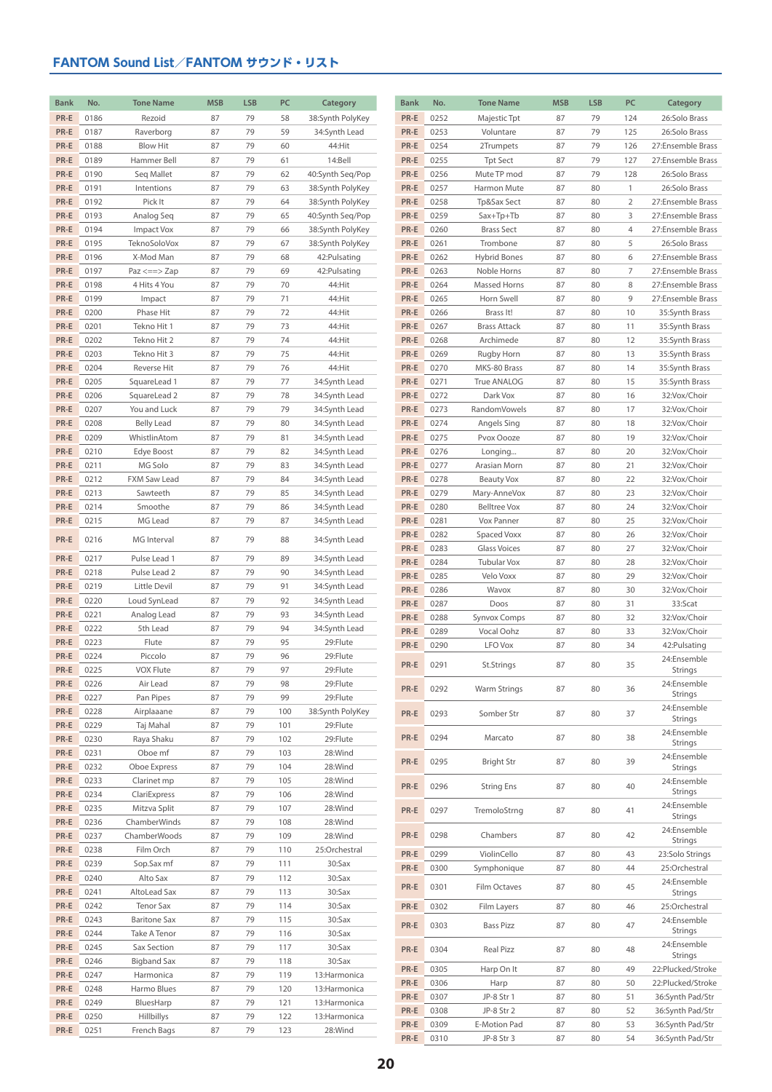| <b>Bank</b>  | No.          | <b>Tone Name</b>           | <b>MSB</b> | <b>LSB</b> | <b>PC</b>  | Category                       | <b>Bank</b>  | No.          | <b>Tone Name</b>                 | <b>MSB</b> | <b>LSB</b> | PC             | Category                         |
|--------------|--------------|----------------------------|------------|------------|------------|--------------------------------|--------------|--------------|----------------------------------|------------|------------|----------------|----------------------------------|
| PR-E         | 0186         | Rezoid                     | 87         | 79         | 58         | 38:Synth PolyKey               | PR-E         | 0252         | Majestic Tpt                     | 87         | 79         | 124            | 26:Solo Brass                    |
| PR-E         | 0187         | Raverborg                  | 87         | 79         | 59         | 34:Synth Lead                  | PR-E         | 0253         | Voluntare                        | 87         | 79         | 125            | 26:Solo Brass                    |
| PR-E         | 0188         | <b>Blow Hit</b>            | 87         | 79         | 60         | 44:Hit                         | PR-E         | 0254         | 2Trumpets                        | 87         | 79         | 126            | 27:Ensemble Brass                |
| PR-E         | 0189         | Hammer Bell                | 87         | 79         | 61         | 14:Bell                        | PR-E         | 0255         | <b>Tpt Sect</b>                  | 87         | 79         | 127            | 27:Ensemble Brass                |
| PR-E         | 0190         | Seq Mallet                 | 87         | 79         | 62         | 40:Synth Seq/Pop               | PR-E         | 0256         | Mute TP mod                      | 87         | 79         | 128            | 26:Solo Brass                    |
| PR-E         | 0191         | Intentions                 | 87         | 79         | 63         | 38:Synth PolyKey               | PR-E         | 0257         | Harmon Mute                      | 87         | 80         | $\mathbf{1}$   | 26:Solo Brass                    |
| PR-E         | 0192         | Pick It                    | 87         | 79         | 64         | 38:Synth PolyKey               | PR-E         | 0258         | Tp&Sax Sect                      | 87         | 80         | $\overline{2}$ | 27:Ensemble Brass                |
| PR-E         | 0193         | Analog Seq                 | 87         | 79         | 65         | 40:Synth Seq/Pop               | PR-E         | 0259         | Sax+Tp+Tb                        | 87         | 80         | 3              | 27:Ensemble Brass                |
| PR-E         | 0194         | <b>Impact Vox</b>          | 87         | 79         | 66         | 38:Synth PolyKey               | PR-E         | 0260         | <b>Brass Sect</b>                | 87         | 80         | $\overline{4}$ | 27:Ensemble Brass                |
| PR-E         | 0195         | TeknoSoloVox               | 87         | 79         | 67         | 38:Synth PolyKey               | PR-E         | 0261         | Trombone                         | 87         | 80         | 5              | 26:Solo Brass                    |
| PR-E         | 0196         | X-Mod Man                  | 87         | 79         | 68         | 42: Pulsating                  | PR-E         | 0262         | <b>Hybrid Bones</b>              | 87         | 80         | 6              | 27:Ensemble Brass                |
| PR-E         | 0197         | $Paz \leq z \leq z$        | 87         | 79         | 69         | 42: Pulsating                  | PR-E         | 0263         | Noble Horns                      | 87         | 80         | 7              | 27:Ensemble Brass                |
| PR-E         | 0198         | 4 Hits 4 You               | 87         | 79         | 70         | 44:Hit                         | PR-E         | 0264         | Massed Horns                     | 87         | 80         | 8              | 27:Ensemble Brass                |
| PR-E         | 0199         | Impact                     | 87         | 79         | 71         | 44:Hit                         | PR-E         | 0265         | Horn Swell                       | 87         | 80         | 9              | 27:Ensemble Brass                |
| PR-E         | 0200         | Phase Hit                  | 87         | 79         | 72         | 44:Hit                         | PR-E         | 0266         | Brass It!                        | 87         | 80         | 10             | 35:Synth Brass                   |
| PR-E<br>PR-E | 0201<br>0202 | Tekno Hit 1<br>Tekno Hit 2 | 87<br>87   | 79<br>79   | 73<br>74   | 44:Hit<br>44:Hit               | PR-E<br>PR-E | 0267<br>0268 | <b>Brass Attack</b><br>Archimede | 87<br>87   | 80<br>80   | 11<br>12       | 35:Synth Brass                   |
| PR-E         | 0203         | Tekno Hit 3                | 87         | 79         | 75         | 44:Hit                         | PR-E         | 0269         | Rugby Horn                       | 87         | 80         | 13             | 35:Synth Brass<br>35:Synth Brass |
| PR-E         | 0204         | Reverse Hit                | 87         | 79         | 76         | 44:Hit                         | PR-E         | 0270         | MKS-80 Brass                     | 87         | 80         | 14             | 35:Synth Brass                   |
| PR-E         | 0205         | SquareLead 1               | 87         | 79         | 77         | 34:Synth Lead                  | PR-E         | 0271         | True ANALOG                      | 87         | 80         | 15             | 35:Synth Brass                   |
| PR-E         | 0206         | SquareLead 2               | 87         | 79         | 78         | 34:Synth Lead                  | PR-E         | 0272         | Dark Vox                         | 87         | 80         | 16             | 32:Vox/Choir                     |
| PR-E         | 0207         | You and Luck               | 87         | 79         | 79         | 34:Synth Lead                  | PR-E         | 0273         | RandomVowels                     | 87         | 80         | 17             | 32:Vox/Choir                     |
| PR-E         | 0208         | <b>Belly Lead</b>          | 87         | 79         | 80         | 34:Synth Lead                  | PR-E         | 0274         | Angels Sing                      | 87         | 80         | 18             | 32:Vox/Choir                     |
| PR-E         | 0209         | WhistlinAtom               | 87         | 79         | 81         | 34:Synth Lead                  | PR-E         | 0275         | Pvox Oooze                       | 87         | 80         | 19             | 32:Vox/Choir                     |
| PR-E         | 0210         | Edye Boost                 | 87         | 79         | 82         | 34:Synth Lead                  | PR-E         | 0276         | Longing                          | 87         | 80         | 20             | 32:Vox/Choir                     |
| PR-E         | 0211         | MG Solo                    | 87         | 79         | 83         | 34:Synth Lead                  | PR-E         | 0277         | Arasian Morn                     | 87         | 80         | 21             | 32:Vox/Choir                     |
| PR-E         | 0212         | FXM Saw Lead               | 87         | 79         | 84         | 34:Synth Lead                  | PR-E         | 0278         | <b>Beauty Vox</b>                | 87         | 80         | 22             | 32:Vox/Choir                     |
| PR-E         | 0213         | Sawteeth                   | 87         | 79         | 85         | 34:Synth Lead                  | PR-E         | 0279         | Mary-AnneVox                     | 87         | 80         | 23             | 32:Vox/Choir                     |
| PR-E         | 0214         | Smoothe                    | 87         | 79         | 86         | 34:Synth Lead                  | PR-E         | 0280         | <b>Belltree Vox</b>              | 87         | 80         | 24             | 32:Vox/Choir                     |
| PR-E         | 0215         | MG Lead                    | 87         | 79         | 87         | 34:Synth Lead                  | PR-E         | 0281         | Vox Panner                       | 87         | 80         | 25             | 32:Vox/Choir                     |
| PR-E         | 0216         | MG Interval                | 87         | 79         | 88         | 34:Synth Lead                  | PR-E         | 0282         | Spaced Voxx                      | 87         | 80         | 26             | 32:Vox/Choir                     |
| PR-E         | 0217         | Pulse Lead 1               | 87         | 79         | 89         | 34:Synth Lead                  | PR-E         | 0283         | Glass Voices                     | 87         | 80         | 27             | 32:Vox/Choir                     |
| PR-E         | 0218         | Pulse Lead 2               | 87         | 79         | 90         | 34:Synth Lead                  | PR-E         | 0284         | Tubular Vox                      | 87         | 80         | 28             | 32:Vox/Choir                     |
| PR-E         | 0219         | Little Devil               | 87         | 79         | 91         | 34:Synth Lead                  | PR-E         | 0285         | Velo Voxx                        | 87         | 80         | 29             | 32:Vox/Choir                     |
| PR-E         | 0220         | Loud SynLead               | 87         | 79         | 92         | 34:Synth Lead                  | PR-E<br>PR-E | 0286<br>0287 | Wavox<br>Doos                    | 87<br>87   | 80<br>80   | 30<br>31       | 32:Vox/Choir<br>33:Scat          |
| PR-E         | 0221         | Analog Lead                | 87         | 79         | 93         | 34:Synth Lead                  | PR-E         | 0288         | Synvox Comps                     | 87         | 80         | 32             | 32:Vox/Choir                     |
| PR-E         | 0222         | 5th Lead                   | 87         | 79         | 94         | 34:Synth Lead                  | PR-E         | 0289         | Vocal Oohz                       | 87         | 80         | 33             | 32:Vox/Choir                     |
| PR-E         | 0223         | Flute                      | 87         | 79         | 95         | 29:Flute                       | PR-E         | 0290         | LFO Vox                          | 87         | 80         | 34             | 42: Pulsating                    |
| PR-E         | 0224         | Piccolo                    | 87         | 79         | 96         | 29:Flute                       |              |              |                                  |            |            |                | 24:Ensemble                      |
| PR-E         | 0225         | <b>VOX Flute</b>           | 87         | 79         | 97         | 29:Flute                       | PR-E         | 0291         | St.Strings                       | 87         | 80         | 35             | <b>Strings</b>                   |
| PR-E         | 0226         | Air Lead                   | 87         | 79         | 98         | 29:Flute                       | PR-E         | 0292         | <b>Warm Strings</b>              | 87         | 80         | 36             | 24:Ensemble                      |
| PR-E         | 0227         | Pan Pipes                  | 87         | 79         | 99         | 29:Flute                       |              |              |                                  |            |            |                | <b>Strings</b><br>24:Ensemble    |
| PR-E         | 0228         | Airplaaane                 | 87         | 79         | 100        | 38:Synth PolyKey               | PR-E         | 0293         | Somber Str                       | 87         | 80         | 37             | Strings                          |
| PR-E         | 0229         | Taj Mahal                  | 87         | 79         | 101        | 29:Flute                       | PR-E         | 0294         | Marcato                          | 87         | 80         | 38             | 24:Ensemble                      |
| PR-E         | 0230         | Raya Shaku                 | 87         | 79         | 102        | 29:Flute                       |              |              |                                  |            |            |                | Strings                          |
| PR-E<br>PR-E | 0231<br>0232 | Oboe mf<br>Oboe Express    | 87<br>87   | 79<br>79   | 103<br>104 | 28:Wind<br>28:Wind             | PR-E         | 0295         | <b>Bright Str</b>                | 87         | 80         | 39             | 24:Ensemble                      |
| PR-E         | 0233         | Clarinet mp                | 87         | 79         | 105        | 28:Wind                        |              |              |                                  |            |            |                | Strings<br>24:Ensemble           |
| PR-E         | 0234         | ClariExpress               | 87         | 79         | 106        | 28:Wind                        | PR-E         | 0296         | <b>String Ens</b>                | 87         | 80         | 40             | Strings                          |
| PR-E         | 0235         | Mitzva Split               | 87         | 79         | 107        | 28:Wind                        | PR-E         | 0297         | TremoloStrng                     | 87         | 80         | 41             | 24:Ensemble                      |
| PR-E         | 0236         | ChamberWinds               | 87         | 79         | 108        | 28:Wind                        |              |              |                                  |            |            |                | Strings                          |
| PR-E         | 0237         | ChamberWoods               | 87         | 79         | 109        | 28:Wind                        | PR-E         | 0298         | Chambers                         | 87         | 80         | 42             | 24:Ensemble<br>Strings           |
| PR-E         | 0238         | Film Orch                  | 87         | 79         | 110        | 25:Orchestral                  | PR-E         | 0299         | ViolinCello                      | 87         | 80         | 43             | 23:Solo Strings                  |
| PR-E         | 0239         | Sop.Sax mf                 | 87         | 79         | 111        | 30:Sax                         | PR-E         | 0300         | Symphonique                      | 87         | 80         | 44             | 25:Orchestral                    |
| PR-E         | 0240         | Alto Sax                   | 87         | 79         | 112        | 30:Sax                         |              |              |                                  |            |            |                | 24:Ensemble                      |
| PR-E         | 0241         | AltoLead Sax               | 87         | 79         | 113        | 30:Sax                         | PR-E         | 0301         | Film Octaves                     | 87         | 80         | 45             | Strings                          |
| PR-E         | 0242         | <b>Tenor Sax</b>           | 87         | 79         | 114        | 30:Sax                         | PR-E         | 0302         | Film Layers                      | 87         | 80         | 46             | 25:Orchestral                    |
| PR-E         | 0243         | <b>Baritone Sax</b>        | 87         | 79         | 115        | 30:Sax                         | PR-E         | 0303         | <b>Bass Pizz</b>                 | 87         | 80         | 47             | 24:Ensemble                      |
| PR-E         | 0244         | Take A Tenor               | 87         | 79         | 116        | 30:Sax                         |              |              |                                  |            |            |                | Strings<br>24:Ensemble           |
| PR-E         | 0245         | Sax Section                | 87         | 79         | 117        | 30:Sax                         | PR-E         | 0304         | Real Pizz                        | 87         | 80         | 48             | Strings                          |
| PR-E         | 0246         | <b>Bigband Sax</b>         | 87         | 79         | 118        | 30:Sax                         | PR-E         | 0305         | Harp On It                       | 87         | 80         | 49             | 22:Plucked/Stroke                |
| PR-E         | 0247         | Harmonica                  | 87         | 79         | 119        | 13: Harmonica                  | PR-E         | 0306         | Harp                             | 87         | 80         | 50             | 22:Plucked/Stroke                |
| PR-E<br>PR-E | 0248<br>0249 | Harmo Blues<br>BluesHarp   | 87<br>87   | 79<br>79   | 120<br>121 | 13: Harmonica<br>13: Harmonica | PR-E         | 0307         | JP-8 Str 1                       | 87         | 80         | 51             | 36:Synth Pad/Str                 |
| PR-E         | 0250         | <b>Hillbillys</b>          | 87         | 79         | 122        | 13: Harmonica                  | PR-E         | 0308         | JP-8 Str 2                       | 87         | 80         | 52             | 36:Synth Pad/Str                 |
| PR-E         | 0251         | French Bags                | 87         | 79         | 123        | 28:Wind                        | PR-E         | 0309         | E-Motion Pad                     | 87         | 80         | 53             | 36:Synth Pad/Str                 |
|              |              |                            |            |            |            |                                | PR-E         | 0310         | JP-8 Str 3                       | 87         | 80         | 54             | 36:Synth Pad/Str                 |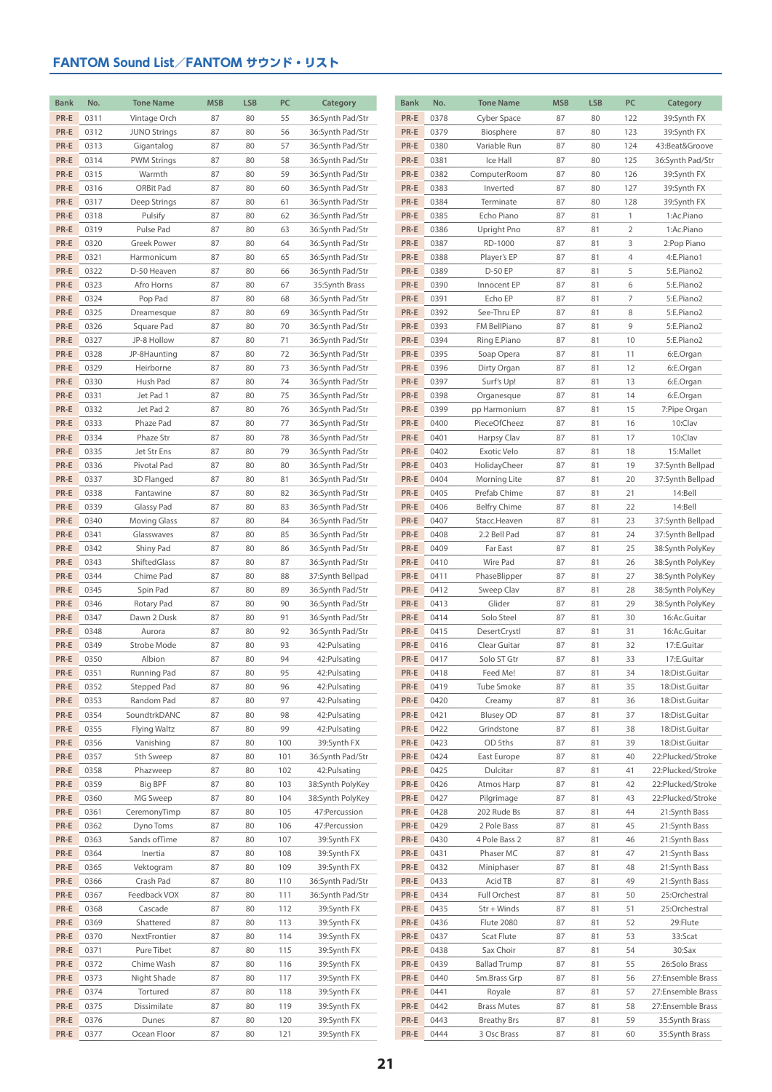| <b>Bank</b>  | No.          | <b>Tone Name</b>           | <b>MSB</b> | <b>LSB</b> | PC         | Category                             | <b>Bank</b>  | No.          | <b>Tone Name</b>             | <b>MSB</b> | <b>LSB</b> | PC             | Category                       |
|--------------|--------------|----------------------------|------------|------------|------------|--------------------------------------|--------------|--------------|------------------------------|------------|------------|----------------|--------------------------------|
| PR-E         | 0311         | Vintage Orch               | 87         | 80         | 55         | 36:Synth Pad/Str                     | PR-E         | 0378         | Cyber Space                  | 87         | 80         | 122            | 39:Synth FX                    |
| PR-E         | 0312         | <b>JUNO Strings</b>        | 87         | 80         | 56         | 36:Synth Pad/Str                     | PR-E         | 0379         | Biosphere                    | 87         | 80         | 123            | 39:Synth FX                    |
| PR-E         | 0313         | Gigantalog                 | 87         | 80         | 57         | 36:Synth Pad/Str                     | PR-E         | 0380         | Variable Run                 | 87         | 80         | 124            | 43:Beat&Groove                 |
| PR-E         | 0314         | <b>PWM Strings</b>         | 87         | 80         | 58         | 36:Synth Pad/Str                     | PR-E         | 0381         | Ice Hall                     | 87         | 80         | 125            | 36:Synth Pad/Str               |
| PR-E         | 0315         | Warmth                     | 87         | 80         | 59         | 36:Synth Pad/Str                     | PR-E         | 0382         | ComputerRoom                 | 87         | 80         | 126            | 39:Synth FX                    |
| PR-E         | 0316         | ORBit Pad                  | 87         | 80         | 60         | 36:Synth Pad/Str                     | PR-E         | 0383         | Inverted                     | 87         | 80         | 127            | 39:Synth FX                    |
| PR-E         | 0317         | Deep Strings               | 87         | 80         | 61         | 36:Synth Pad/Str                     | PR-E         | 0384         | Terminate                    | 87         | 80         | 128            | 39:Synth FX                    |
| PR-E         | 0318         | Pulsify                    | 87         | 80         | 62         | 36:Synth Pad/Str                     | PR-E         | 0385         | Echo Piano                   | 87         | 81         | $\overline{1}$ | 1:Ac.Piano                     |
| PR-E         | 0319         | Pulse Pad                  | 87         | 80         | 63         | 36:Synth Pad/Str                     | PR-E         | 0386         | Upright Pno                  | 87         | 81         | $\overline{2}$ | 1:Ac.Piano                     |
| PR-E         | 0320         | Greek Power                | 87         | 80         | 64         | 36:Synth Pad/Str                     | PR-E         | 0387         | RD-1000                      | 87         | 81         | 3              | 2:Pop Piano                    |
| PR-E         | 0321         | Harmonicum                 | 87         | 80         | 65         | 36:Synth Pad/Str                     | PR-E         | 0388         | Player's EP                  | 87         | 81         | 4              | 4:E.Piano1                     |
| PR-E         | 0322         | D-50 Heaven                | 87         | 80         | 66         | 36:Synth Pad/Str                     | PR-E         | 0389         | D-50 EP                      | 87         | 81         | 5              | 5:E.Piano2                     |
| PR-E         | 0323         | Afro Horns                 | 87         | 80         | 67         | 35:Synth Brass                       | PR-E         | 0390         | Innocent EP                  | 87         | 81         | 6              | 5:E.Piano2                     |
| PR-E         | 0324         | Pop Pad                    | 87         | 80         | 68         | 36:Synth Pad/Str                     | PR-E         | 0391         | Echo EP                      | 87         | 81         | 7              | 5:E.Piano2                     |
| PR-E         | 0325         | Dreamesque                 | 87         | 80         | 69         | 36:Synth Pad/Str                     | PR-E         | 0392         | See-Thru EP                  | 87         | 81         | 8              | 5:E.Piano2                     |
| PR-E         | 0326         | Square Pad                 | 87         | 80         | 70         | 36:Synth Pad/Str                     | PR-E         | 0393         | FM BellPiano                 | 87         | 81         | 9              | 5:E.Piano2                     |
| PR-E         | 0327         | JP-8 Hollow                | 87         | 80         | 71         | 36:Synth Pad/Str                     | PR-E         | 0394         | Ring E.Piano                 | 87         | 81         | 10             | 5:E.Piano2                     |
| PR-E         | 0328         | JP-8Haunting               | 87         | 80         | 72         | 36:Synth Pad/Str                     | PR-E         | 0395         | Soap Opera                   | 87         | 81         | 11             | 6:E.Organ                      |
| PR-E         | 0329         | Heirborne                  | 87         | 80         | 73         | 36:Synth Pad/Str                     | PR-E         | 0396         | Dirty Organ                  | 87         | 81         | 12             | 6:E.Organ                      |
| PR-E         | 0330         | Hush Pad                   | 87         | 80         | 74         | 36:Synth Pad/Str                     | PR-E         | 0397         | Surf's Up!                   | 87         | 81         | 13             | 6:E.Organ                      |
| PR-E         | 0331<br>0332 | Jet Pad 1                  | 87         | 80         | 75         | 36:Synth Pad/Str                     | PR-E         | 0398<br>0399 | Organesque                   | 87         | 81         | 14             | 6:E.Organ                      |
| PR-E<br>PR-E | 0333         | Jet Pad 2<br>Phaze Pad     | 87<br>87   | 80<br>80   | 76<br>77   | 36:Synth Pad/Str<br>36:Synth Pad/Str | PR-E<br>PR-E | 0400         | pp Harmonium<br>PieceOfCheez | 87<br>87   | 81<br>81   | 15<br>16       | 7:Pipe Organ<br>10:Clav        |
| PR-E         | 0334         | Phaze Str                  | 87         | 80         | 78         | 36:Synth Pad/Str                     | PR-E         | 0401         | Harpsy Clav                  | 87         | 81         | 17             | 10:Clav                        |
| PR-E         | 0335         | Jet Str Ens                | 87         | 80         | 79         | 36:Synth Pad/Str                     | PR-E         | 0402         | Exotic Velo                  | 87         | 81         | 18             | 15:Mallet                      |
| PR-E         | 0336         | Pivotal Pad                | 87         | 80         | 80         | 36:Synth Pad/Str                     | PR-E         | 0403         | HolidayCheer                 | 87         | 81         | 19             | 37:Synth Bellpad               |
| PR-E         | 0337         | 3D Flanged                 | 87         | 80         | 81         | 36:Synth Pad/Str                     | PR-E         | 0404         | Morning Lite                 | 87         | 81         | 20             | 37:Synth Bellpad               |
| PR-E         | 0338         | Fantawine                  | 87         | 80         | 82         | 36:Synth Pad/Str                     | PR-E         | 0405         | Prefab Chime                 | 87         | 81         | 21             | 14:Bell                        |
| PR-E         | 0339         | Glassy Pad                 | 87         | 80         | 83         | 36:Synth Pad/Str                     | PR-E         | 0406         | <b>Belfry Chime</b>          | 87         | 81         | 22             | 14:Bell                        |
| PR-E         | 0340         | <b>Moving Glass</b>        | 87         | 80         | 84         | 36:Synth Pad/Str                     | PR-E         | 0407         | Stacc.Heaven                 | 87         | 81         | 23             | 37:Synth Bellpad               |
| PR-E         | 0341         | Glasswaves                 | 87         | 80         | 85         | 36:Synth Pad/Str                     | PR-E         | 0408         | 2.2 Bell Pad                 | 87         | 81         | 24             | 37:Synth Bellpad               |
| PR-E         | 0342         | Shiny Pad                  | 87         | 80         | 86         | 36:Synth Pad/Str                     | PR-E         | 0409         | Far East                     | 87         | 81         | 25             | 38:Synth PolyKey               |
| PR-E         | 0343         | ShiftedGlass               | 87         | 80         | 87         | 36:Synth Pad/Str                     | PR-E         | 0410         | <b>Wire Pad</b>              | 87         | 81         | 26             | 38:Synth PolyKey               |
| PR-E         | 0344         | Chime Pad                  | 87         | 80         | 88         | 37:Synth Bellpad                     | PR-E         | 0411         | PhaseBlipper                 | 87         | 81         | 27             | 38:Synth PolyKey               |
| PR-E         | 0345         | Spin Pad                   | 87         | 80         | 89         | 36:Synth Pad/Str                     | PR-E         | 0412         | Sweep Clav                   | 87         | 81         | 28             | 38:Synth PolyKey               |
| PR-E         | 0346         | Rotary Pad                 | 87         | 80         | 90         | 36:Synth Pad/Str                     | PR-E         | 0413         | Glider                       | 87         | 81         | 29             | 38:Synth PolyKey               |
| PR-E         | 0347         | Dawn 2 Dusk                | 87         | 80         | 91         | 36:Synth Pad/Str                     | PR-E         | 0414         | Solo Steel                   | 87         | 81         | 30             | 16:Ac.Guitar                   |
| PR-E         | 0348         | Aurora                     | 87         | 80         | 92         | 36:Synth Pad/Str                     | PR-E         | 0415         | DesertCrystl                 | 87         | 81         | 31             | 16:Ac.Guitar                   |
| PR-E         | 0349         | Strobe Mode                | 87         | 80         | 93         | 42: Pulsating                        | PR-E         | 0416         | Clear Guitar                 | 87         | 81         | 32             | 17:E.Guitar                    |
| PR-E         | 0350         | Albion                     | 87         | 80         | 94         | 42: Pulsating                        | PR-E         | 0417         | Solo ST Gtr                  | 87         | 81         | 33             | 17:E.Guitar                    |
| PR-E         | 0351         | Running Pad                | 87         | 80         | 95         | 42: Pulsating                        | PR-E         | 0418         | Feed Me!                     | 87         | 81         | 34             | 18:Dist.Guitar                 |
| PR-E         | 0352         | Stepped Pad                | 87         | 80         | 96         | 42: Pulsating                        | PR-E         | 0419         | <b>Tube Smoke</b>            | 87         | 81         | 35             | 18:Dist.Guitar                 |
| PR-E         | 0353         | Random Pad                 | 87         | 80         | 97         | 42: Pulsating                        | PR-E         | 0420         | Creamy                       | 87         | 81         | 36             | 18:Dist.Guitar                 |
| PR-E         | 0354         | SoundtrkDANC               | 87         | 80         | 98         | 42: Pulsating                        | PR-E         | 0421         | <b>Blusey OD</b>             | 87         | 81         | 37             | 18:Dist.Guitar                 |
| PR-E         | 0355         | Flying Waltz               | 87         | 80         | 99         | 42: Pulsating                        | PR-E         | 0422         | Grindstone                   | 87         | 81         | 38             | 18:Dist.Guitar                 |
| PR-E         | 0356         | Vanishing                  | 87         | 80         | 100        | 39:Synth FX                          | PR-E         | 0423         | OD 5ths                      | 87         | 81         | 39             | 18:Dist.Guitar                 |
| PR-E         | 0357         | 5th Sweep                  | 87         | 80         | 101        | 36:Synth Pad/Str                     | PR-E         | 0424         | East Europe                  | 87         | 81         | 40             | 22:Plucked/Stroke              |
| PR-E         | 0358         | Phazweep                   | 87         | 80         | 102        | 42: Pulsating                        | PR-E         | 0425         | Dulcitar                     | 87         | 81         | 41             | 22:Plucked/Stroke              |
| PR-E         | 0359         | Big BPF                    | 87         | 80         | 103        | 38:Synth PolyKey                     | PR-E         | 0426         | Atmos Harp                   | 87         | 81         | 42             | 22:Plucked/Stroke              |
| PR-E         | 0360         | MG Sweep                   | 87         | 80         | 104        | 38:Synth PolyKey                     | PR-E         | 0427         | Pilgrimage                   | 87         | 81         | 43             | 22:Plucked/Stroke              |
| PR-E         | 0361         | CeremonyTimp               | 87         | 80         | 105        | 47: Percussion                       | PR-E         | 0428         | 202 Rude Bs                  | 87         | 81         | 44             | 21:Synth Bass                  |
| PR-E<br>PR-E | 0362<br>0363 | Dyno Toms<br>Sands of Time | 87<br>87   | 80<br>80   | 106<br>107 | 47: Percussion                       | PR-E<br>PR-E | 0429<br>0430 | 2 Pole Bass<br>4 Pole Bass 2 | 87<br>87   | 81         | 45<br>46       | 21:Synth Bass                  |
| PR-E         | 0364         | Inertia                    | 87         | 80         | 108        | 39:Synth FX<br>39:Synth FX           | PR-E         | 0431         | Phaser MC                    | 87         | 81<br>81   | 47             | 21:Synth Bass<br>21:Synth Bass |
| PR-E         | 0365         | Vektogram                  | 87         | 80         | 109        | 39:Synth FX                          | PR-E         | 0432         | Miniphaser                   | 87         | 81         | 48             | 21:Synth Bass                  |
| PR-E         | 0366         | Crash Pad                  | 87         | 80         | 110        | 36:Synth Pad/Str                     | PR-E         | 0433         | Acid TB                      | 87         | 81         | 49             | 21:Synth Bass                  |
| PR-E         | 0367         | Feedback VOX               | 87         | 80         | 111        | 36:Synth Pad/Str                     | PR-E         | 0434         | Full Orchest                 | 87         | 81         | 50             | 25:Orchestral                  |
| PR-E         | 0368         | Cascade                    | 87         | 80         | 112        | 39:Synth FX                          | PR-E         | 0435         | Str + Winds                  | 87         | 81         | 51             | 25:Orchestral                  |
| PR-E         | 0369         | Shattered                  | 87         | 80         | 113        | 39:Synth FX                          | PR-E         | 0436         | Flute 2080                   | 87         | 81         | 52             | 29:Flute                       |
| PR-E         | 0370         | NextFrontier               | 87         | 80         | 114        | 39:Synth FX                          | PR-E         | 0437         | Scat Flute                   | 87         | 81         | 53             | 33:Scat                        |
| PR-E         | 0371         | Pure Tibet                 | 87         | 80         | 115        | 39:Synth FX                          | PR-E         | 0438         | Sax Choir                    | 87         | 81         | 54             | 30:Sax                         |
| PR-E         | 0372         | Chime Wash                 | 87         | 80         | 116        | 39:Synth FX                          | PR-E         | 0439         | <b>Ballad Trump</b>          | 87         | 81         | 55             | 26:Solo Brass                  |
| PR-E         | 0373         | Night Shade                | 87         | 80         | 117        | 39:Synth FX                          | PR-E         | 0440         | Sm.Brass Grp                 | 87         | 81         | 56             | 27:Ensemble Brass              |
| PR-E         | 0374         | Tortured                   | 87         | 80         | 118        | 39:Synth FX                          | PR-E         | 0441         | Royale                       | 87         | 81         | 57             | 27:Ensemble Brass              |
| PR-E         | 0375         | Dissimilate                | 87         | 80         | 119        | 39:Synth FX                          | PR-E         | 0442         | <b>Brass Mutes</b>           | 87         | 81         | 58             | 27:Ensemble Brass              |
| PR-E         | 0376         | Dunes                      | 87         | 80         | 120        | 39:Synth FX                          | PR-E         | 0443         | <b>Breathy Brs</b>           | 87         | 81         | 59             | 35:Synth Brass                 |
| PR-E         | 0377         | Ocean Floor                | 87         | 80         | 121        | 39:Synth FX                          | PR-E         | 0444         | 3 Osc Brass                  | 87         | 81         | 60             | 35:Synth Brass                 |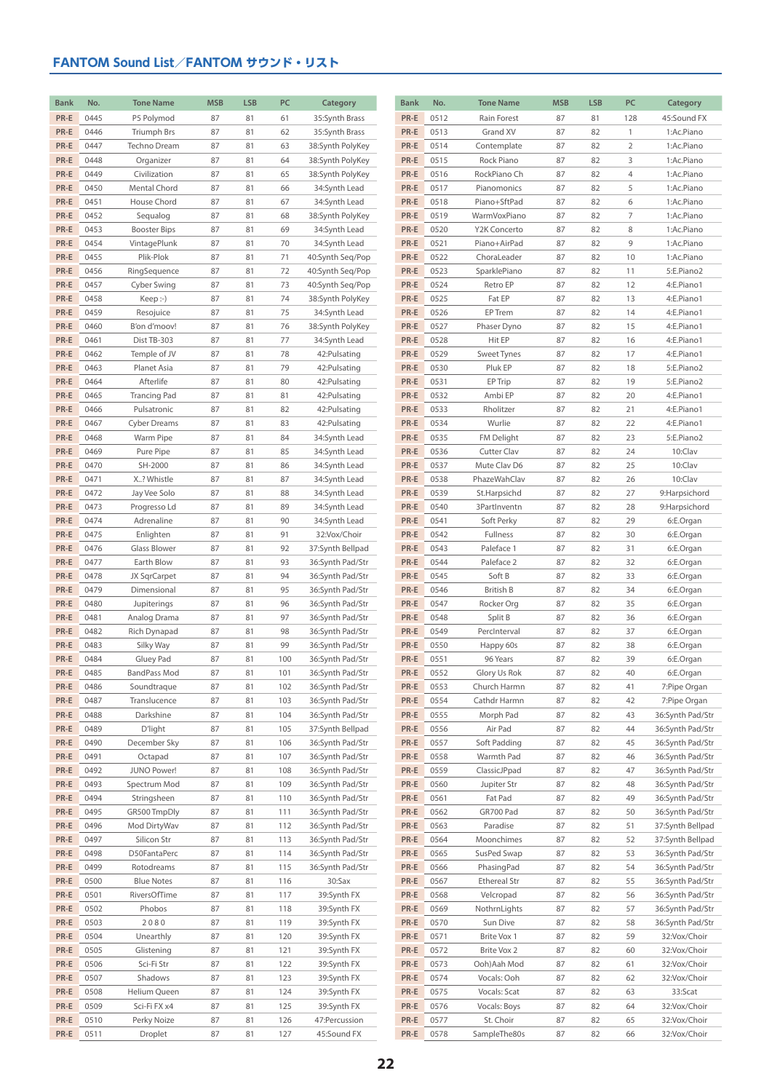| <b>Bank</b>  | No.          | <b>Tone Name</b>                 | <b>MSB</b> | <b>LSB</b> | PC         | Category                             | <b>Bank</b>  | No.          | <b>Tone Name</b>        | <b>MSB</b> | <b>LSB</b> | PC             | Category                             |
|--------------|--------------|----------------------------------|------------|------------|------------|--------------------------------------|--------------|--------------|-------------------------|------------|------------|----------------|--------------------------------------|
| PR-E         | 0445         | P5 Polymod                       | 87         | 81         | 61         | 35:Synth Brass                       | PR-E         | 0512         | Rain Forest             | 87         | 81         | 128            | 45:Sound FX                          |
| PR-E         | 0446         | <b>Triumph Brs</b>               | 87         | 81         | 62         | 35:Synth Brass                       | PR-E         | 0513         | Grand XV                | 87         | 82         | $\mathbf{1}$   | 1:Ac.Piano                           |
| PR-E         | 0447         | Techno Dream                     | 87         | 81         | 63         | 38:Synth PolyKey                     | PR-E         | 0514         | Contemplate             | 87         | 82         | $\overline{2}$ | 1:Ac.Piano                           |
| PR-E         | 0448         | Organizer                        | 87         | 81         | 64         | 38:Synth PolyKey                     | PR-E         | 0515         | Rock Piano              | 87         | 82         | 3              | 1:Ac.Piano                           |
| PR-E         | 0449         | Civilization                     | 87         | 81         | 65         | 38:Synth PolyKey                     | PR-E         | 0516         | RockPiano Ch            | 87         | 82         | $\overline{4}$ | 1:Ac.Piano                           |
| PR-E         | 0450         | Mental Chord                     | 87         | 81         | 66         | 34:Synth Lead                        | PR-E         | 0517         | Pianomonics             | 87         | 82         | 5              | 1:Ac.Piano                           |
| PR-E         | 0451         | House Chord                      | 87         | 81         | 67         | 34:Synth Lead                        | PR-E         | 0518         | Piano+SftPad            | 87         | 82         | 6              | 1:Ac.Piano                           |
| PR-E         | 0452         | Sequalog                         | 87         | 81         | 68         | 38:Synth PolyKey                     | PR-E         | 0519         | WarmVoxPiano            | 87         | 82         | $\overline{7}$ | 1:Ac.Piano                           |
| PR-E         | 0453         | <b>Booster Bips</b>              | 87         | 81         | 69         | 34:Synth Lead                        | PR-E         | 0520         | Y2K Concerto            | 87         | 82         | 8              | 1:Ac.Piano                           |
| PR-E         | 0454         | VintagePlunk                     | 87         | 81         | 70         | 34:Synth Lead                        | PR-E         | 0521         | Piano+AirPad            | 87         | 82         | 9              | 1:Ac.Piano                           |
| PR-E         | 0455         | Plik-Plok                        | 87         | 81         | 71         | 40:Synth Seq/Pop                     | PR-E         | 0522         | ChoraLeader             | 87         | 82         | 10             | 1:Ac.Piano                           |
| PR-E         | 0456         | RingSequence                     | 87         | 81         | 72         | 40:Synth Seq/Pop                     | PR-E         | 0523         | SparklePiano            | 87         | 82         | 11             | 5:E.Piano2                           |
| PR-E         | 0457         | Cyber Swing                      | 87         | 81         | 73         | 40:Synth Seq/Pop                     | PR-E         | 0524         | Retro EP                | 87         | 82         | 12             | 4:E.Piano1                           |
| PR-E         | 0458         | Keep: )                          | 87         | 81         | 74         | 38:Synth PolyKey                     | PR-E         | 0525         | Fat EP                  | 87         | 82         | 13             | 4:E.Piano1                           |
| PR-E         | 0459         | Resojuice                        | 87         | 81         | 75         | 34:Synth Lead                        | PR-E         | 0526         | EP Trem                 | 87         | 82         | 14             | 4:E.Piano1                           |
| PR-E         | 0460         | B'on d'moov!                     | 87         | 81         | 76         | 38:Synth PolyKey                     | PR-E         | 0527         | Phaser Dyno             | 87         | 82         | 15             | 4:E.Piano1                           |
| PR-E         | 0461         | Dist TB-303                      | 87         | 81         | 77         | 34:Synth Lead                        | PR-E         | 0528         | Hit EP                  | 87         | 82         | 16             | 4:E.Piano1                           |
| PR-E         | 0462         | Temple of JV                     | 87         | 81         | 78         | 42: Pulsating                        | PR-E         | 0529         | Sweet Tynes             | 87         | 82         | 17             | 4:E.Piano1<br>5:E.Piano2             |
| PR-E         | 0463         | Planet Asia                      | 87         | 81         | 79         | 42: Pulsating                        | PR-E         | 0530         | Pluk EP                 | 87         | 82<br>82   | 18             |                                      |
| PR-E<br>PR-E | 0464<br>0465 | Afterlife<br><b>Trancing Pad</b> | 87<br>87   | 81<br>81   | 80<br>81   | 42: Pulsating<br>42: Pulsating       | PR-E<br>PR-E | 0531<br>0532 | EP Trip<br>Ambi EP      | 87<br>87   | 82         | 19<br>20       | 5:E.Piano2<br>4:E.Piano1             |
| PR-E         | 0466         | Pulsatronic                      | 87         | 81         | 82         | 42: Pulsating                        | PR-E         | 0533         | Rholitzer               | 87         | 82         | 21             | 4:E.Piano1                           |
| PR-E         | 0467         | <b>Cyber Dreams</b>              | 87         | 81         | 83         | 42: Pulsating                        | PR-E         | 0534         | Wurlie                  | 87         | 82         | 22             | 4:E.Piano1                           |
| PR-E         | 0468         | Warm Pipe                        | 87         | 81         | 84         | 34:Synth Lead                        | PR-E         | 0535         | FM Delight              | 87         | 82         | 23             | 5:E.Piano2                           |
| PR-E         | 0469         | Pure Pipe                        | 87         | 81         | 85         | 34:Synth Lead                        | PR-E         | 0536         | Cutter Clav             | 87         | 82         | 24             | 10:Clav                              |
| PR-E         | 0470         | SH-2000                          | 87         | 81         | 86         | 34:Synth Lead                        | PR-E         | 0537         | Mute Clav D6            | 87         | 82         | 25             | 10:Clav                              |
| PR-E         | 0471         | X? Whistle                       | 87         | 81         | 87         | 34:Synth Lead                        | PR-E         | 0538         | PhazeWahClav            | 87         | 82         | 26             | 10:Clav                              |
| PR-E         | 0472         | Jay Vee Solo                     | 87         | 81         | 88         | 34:Synth Lead                        | PR-E         | 0539         | St.Harpsichd            | 87         | 82         | 27             | 9:Harpsichord                        |
| PR-E         | 0473         | Progresso Ld                     | 87         | 81         | 89         | 34:Synth Lead                        | PR-E         | 0540         | 3PartInventn            | 87         | 82         | 28             | 9:Harpsichord                        |
| PR-E         | 0474         | Adrenaline                       | 87         | 81         | 90         | 34:Synth Lead                        | PR-E         | 0541         | Soft Perky              | 87         | 82         | 29             | 6:E.Organ                            |
| PR-E         | 0475         | Enlighten                        | 87         | 81         | 91         | 32:Vox/Choir                         | PR-E         | 0542         | Fullness                | 87         | 82         | 30             | 6:E.Organ                            |
| PR-E         | 0476         | Glass Blower                     | 87         | 81         | 92         | 37:Synth Bellpad                     | PR-E         | 0543         | Paleface 1              | 87         | 82         | 31             | 6:E.Organ                            |
| PR-E         | 0477         | Earth Blow                       | 87         | 81         | 93         | 36:Synth Pad/Str                     | PR-E         | 0544         | Paleface 2              | 87         | 82         | 32             | 6:E.Organ                            |
| PR-E         | 0478         | JX SqrCarpet                     | 87         | 81         | 94         | 36:Synth Pad/Str                     | PR-E         | 0545         | Soft B                  | 87         | 82         | 33             | 6:E.Organ                            |
| PR-E         | 0479         | Dimensional                      | 87         | 81         | 95         | 36:Synth Pad/Str                     | PR-E         | 0546         | <b>British B</b>        | 87         | 82         | 34             | 6:E.Organ                            |
| PR-E         | 0480         | Jupiterings                      | 87         | 81         | 96         | 36:Synth Pad/Str                     | PR-E         | 0547         | Rocker Org              | 87         | 82         | 35             | 6:E.Organ                            |
| PR-E         | 0481         | Analog Drama                     | 87         | 81         | 97         | 36:Synth Pad/Str                     | PR-E         | 0548         | Split B                 | 87         | 82         | 36             | 6:E.Organ                            |
| PR-E         | 0482         | Rich Dynapad                     | 87         | 81         | 98         | 36:Synth Pad/Str                     | PR-E         | 0549         | PercInterval            | 87         | 82         | 37             | 6:E.Organ                            |
| PR-E         | 0483         | Silky Way                        | 87         | 81         | 99         | 36:Synth Pad/Str                     | PR-E         | 0550         | Happy 60s               | 87         | 82         | 38             | 6:E.Organ                            |
| PR-E         | 0484         | Gluey Pad                        | 87         | 81         | 100        | 36:Synth Pad/Str                     | PR-E         | 0551         | 96 Years                | 87         | 82         | 39             | 6:E.Organ                            |
| PR-E         | 0485         | <b>BandPass Mod</b>              | 87         | 81         | 101        | 36:Synth Pad/Str                     | PR-E         | 0552         | Glory Us Rok            | 87         | 82         | 40             | 6:E.Organ                            |
| PR-E         | 0486         | Soundtraque                      | 87         | 81         | 102        | 36:Synth Pad/Str                     | PR-E         | 0553         | Church Harmn            | 87         | 82         | 41             | 7:Pipe Organ                         |
| PR-E         | 0487         | Translucence                     | 87         | 81         | 103        | 36:Synth Pad/Str                     | PR-E         | 0554         | Cathdr Harmn            | 87         | 82         | 42             | 7:Pipe Organ                         |
| PR-E         | 0488         | Darkshine                        | 87         | 81         | 104        | 36:Synth Pad/Str                     | PR-E         | 0555         | Morph Pad               | 87         | 82         | 43             | 36:Synth Pad/Str                     |
| PR-E<br>PR-E | 0489<br>0490 | D'light<br>December Sky          | 87<br>87   | 81<br>81   | 105<br>106 | 37:Synth Bellpad<br>36:Synth Pad/Str | PR-E<br>PR-E | 0556<br>0557 | Air Pad<br>Soft Padding | 87<br>87   | 82<br>82   | 44<br>45       | 36:Synth Pad/Str<br>36:Synth Pad/Str |
| PR-E         | 0491         | Octapad                          | 87         | 81         | 107        | 36:Synth Pad/Str                     | PR-E         | 0558         | Warmth Pad              | 87         | 82         | 46             | 36:Synth Pad/Str                     |
| PR-E         | 0492         | JUNO Power!                      | 87         | 81         | 108        | 36:Synth Pad/Str                     | PR-E         | 0559         | ClassicJPpad            | 87         | 82         | 47             | 36:Synth Pad/Str                     |
| PR-E         | 0493         | Spectrum Mod                     | 87         | 81         | 109        | 36:Synth Pad/Str                     | PR-E         | 0560         | Jupiter Str             | 87         | 82         | 48             | 36:Synth Pad/Str                     |
| PR-E         | 0494         | Stringsheen                      | 87         | 81         | 110        | 36:Synth Pad/Str                     | PR-E         | 0561         | Fat Pad                 | 87         | 82         | 49             | 36:Synth Pad/Str                     |
| PR-E         | 0495         | GR500 TmpDly                     | 87         | 81         | 111        | 36:Synth Pad/Str                     | PR-E         | 0562         | GR700 Pad               | 87         | 82         | 50             | 36:Synth Pad/Str                     |
| PR-E         | 0496         | Mod DirtyWav                     | 87         | 81         | 112        | 36:Synth Pad/Str                     | PR-E         | 0563         | Paradise                | 87         | 82         | 51             | 37:Synth Bellpad                     |
| PR-E         | 0497         | Silicon Str                      | 87         | 81         | 113        | 36:Synth Pad/Str                     | PR-E         | 0564         | Moonchimes              | 87         | 82         | 52             | 37:Synth Bellpad                     |
| PR-E         | 0498         | D50FantaPerc                     | 87         | 81         | 114        | 36:Synth Pad/Str                     | PR-E         | 0565         | SusPed Swap             | 87         | 82         | 53             | 36:Synth Pad/Str                     |
| PR-E         | 0499         | Rotodreams                       | 87         | 81         | 115        | 36:Synth Pad/Str                     | PR-E         | 0566         | PhasingPad              | 87         | 82         | 54             | 36:Synth Pad/Str                     |
| PR-E         | 0500         | <b>Blue Notes</b>                | 87         | 81         | 116        | 30:Sax                               | PR-E         | 0567         | <b>Ethereal Str</b>     | 87         | 82         | 55             | 36:Synth Pad/Str                     |
| PR-E         | 0501         | RiversOfTime                     | 87         | 81         | 117        | 39:Synth FX                          | PR-E         | 0568         | Velcropad               | 87         | 82         | 56             | 36:Synth Pad/Str                     |
| PR-E         | 0502         | Phobos                           | 87         | 81         | 118        | 39:Synth FX                          | PR-E         | 0569         | NothrnLights            | 87         | 82         | 57             | 36:Synth Pad/Str                     |
| PR-E         | 0503         | 2080                             | 87         | 81         | 119        | 39:Synth FX                          | PR-E         | 0570         | Sun Dive                | 87         | 82         | 58             | 36:Synth Pad/Str                     |
| PR-E         | 0504         | Unearthly                        | 87         | 81         | 120        | 39:Synth FX                          | PR-E         | 0571         | Brite Vox 1             | 87         | 82         | 59             | 32:Vox/Choir                         |
| PR-E         | 0505         | Glistening                       | 87         | 81         | 121        | 39:Synth FX                          | PR-E         | 0572         | Brite Vox 2             | 87         | 82         | 60             | 32:Vox/Choir                         |
| PR-E         | 0506         | Sci-Fi Str                       | 87         | 81         | 122        | 39:Synth FX                          | PR-E         | 0573         | Ooh)Aah Mod             | 87         | 82         | 61             | 32:Vox/Choir                         |
| PR-E         | 0507         | Shadows                          | 87         | 81         | 123        | 39:Synth FX                          | PR-E         | 0574         | Vocals: Ooh             | 87         | 82         | 62             | 32:Vox/Choir                         |
| PR-E         | 0508         | Helium Queen                     | 87         | 81         | 124        | 39:Synth FX                          | PR-E         | 0575         | Vocals: Scat            | 87         | 82         | 63             | 33:Scat                              |
| PR-E         | 0509         | Sci-Fi FX x4                     | 87         | 81         | 125        | 39:Synth FX                          | PR-E         | 0576         | Vocals: Boys            | 87         | 82         | 64             | 32:Vox/Choir                         |
| PR-E         | 0510         | Perky Noize                      | 87         | 81         | 126        | 47: Percussion                       | PR-E         | 0577         | St. Choir               | 87         | 82         | 65             | 32:Vox/Choir                         |
| PR-E         | 0511         | Droplet                          | 87         | 81         | 127        | 45:Sound FX                          | PR-E         | 0578         | SampleThe80s            | 87         | 82         | 66             | 32:Vox/Choir                         |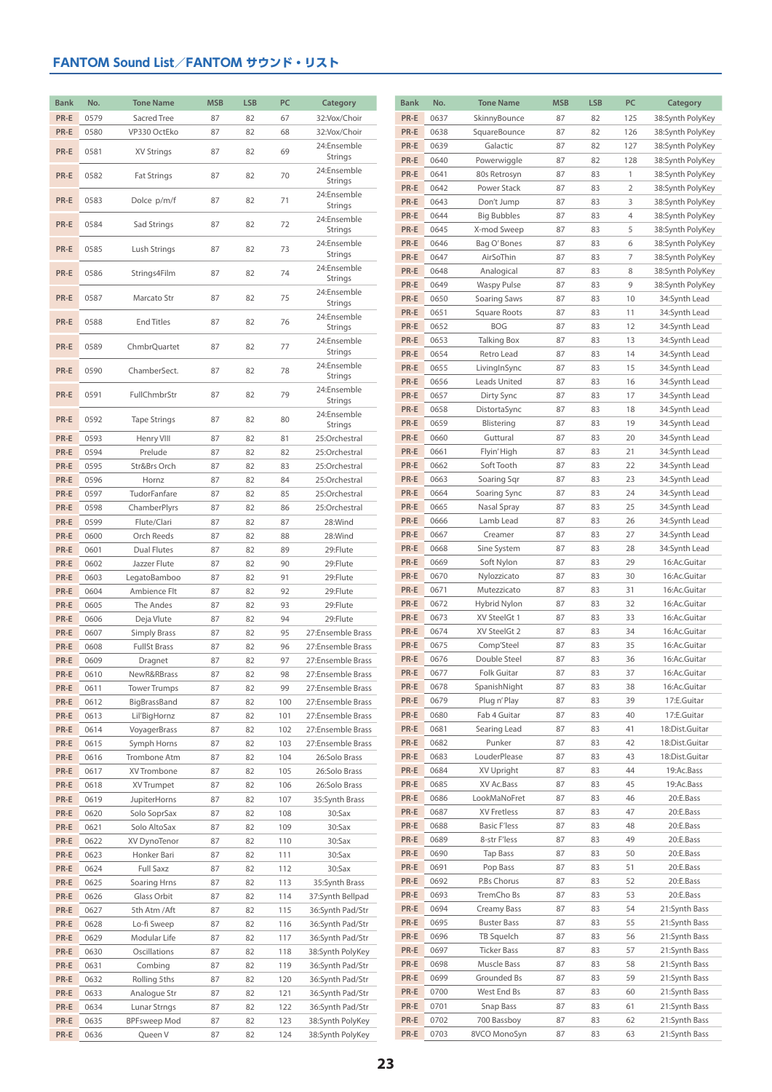| <b>Bank</b> | No.  | <b>Tone Name</b>    | <b>MSB</b> | <b>LSB</b> | PC  | Category               | <b>Bank</b> | No.  | <b>Tone Name</b>    | <b>MSB</b> | <b>LSB</b> | PC           | Category         |
|-------------|------|---------------------|------------|------------|-----|------------------------|-------------|------|---------------------|------------|------------|--------------|------------------|
|             |      |                     |            |            |     |                        |             |      |                     |            |            |              |                  |
| PR-E        | 0579 | Sacred Tree         | 87         | 82         | 67  | 32:Vox/Choir           | PR-E        | 0637 | SkinnyBounce        | 87         | 82         | 125          | 38:Synth PolyKey |
| PR-E        | 0580 | VP330 OctEko        | 87         | 82         | 68  | 32:Vox/Choir           | PR-E        | 0638 | SquareBounce        | 87         | 82         | 126          | 38:Synth PolyKey |
| PR-E        | 0581 | XV Strings          | 87         | 82         | 69  | 24:Ensemble            | PR-E        | 0639 | Galactic            | 87         | 82         | 127          | 38:Synth PolyKey |
|             |      |                     |            |            |     | Strings                | PR-E        | 0640 | Powerwiggle         | 87         | 82         | 128          | 38:Synth PolyKey |
| PR-E        | 0582 | <b>Fat Strings</b>  | 87         | 82         | 70  | 24:Ensemble<br>Strings | PR-E        | 0641 | 80s Retrosyn        | 87         | 83         | $\mathbf{1}$ | 38:Synth PolyKey |
|             |      |                     |            |            |     | 24:Ensemble            | PR-E        | 0642 | Power Stack         | 87         | 83         | 2            | 38:Synth PolyKey |
| PR-E        | 0583 | Dolce p/m/f         | 87         | 82         | 71  | Strings                | PR-E        | 0643 | Don't Jump          | 87         | 83         | 3            | 38:Synth PolyKey |
|             |      |                     |            |            |     | 24:Ensemble            | PR-E        | 0644 | <b>Big Bubbles</b>  | 87         | 83         | 4            | 38:Synth PolyKey |
| PR-E        | 0584 | Sad Strings         | 87         | 82         | 72  | Strings                | PR-E        | 0645 | X-mod Sweep         | 87         | 83         | 5            | 38:Synth PolyKey |
|             |      |                     |            |            |     | 24:Ensemble            | PR-E        | 0646 | Bag O'Bones         | 87         | 83         | 6            | 38:Synth PolyKey |
| PR-E        | 0585 | Lush Strings        | 87         | 82         | 73  | Strings                | PR-E        | 0647 | AirSoThin           | 87         | 83         | 7            | 38:Synth PolyKey |
|             |      |                     |            |            |     | 24:Ensemble            | PR-E        | 0648 | Analogical          | 87         | 83         | 8            | 38:Synth PolyKey |
| PR-E        | 0586 | Strings4Film        | 87         | 82         | 74  | Strings                | PR-E        | 0649 | <b>Waspy Pulse</b>  | 87         | 83         | 9            | 38:Synth PolyKey |
| PR-E        | 0587 | Marcato Str         | 87         | 82         | 75  | 24:Ensemble            | PR-E        | 0650 |                     |            | 83         | 10           |                  |
|             |      |                     |            |            |     | Strings                |             |      | Soaring Saws        | 87<br>87   |            |              | 34:Synth Lead    |
| PR-E        | 0588 | <b>End Titles</b>   | 87         | 82         | 76  | 24:Ensemble            | PR-E        | 0651 | Square Roots        |            | 83         | 11           | 34:Synth Lead    |
|             |      |                     |            |            |     | Strings                | PR-E        | 0652 | <b>BOG</b>          | 87         | 83         | 12           | 34:Synth Lead    |
| PR-E        | 0589 | ChmbrQuartet        | 87         | 82         | 77  | 24:Ensemble            | PR-E        | 0653 | Talking Box         | 87         | 83         | 13           | 34:Synth Lead    |
|             |      |                     |            |            |     | Strings                | PR-E        | 0654 | Retro Lead          | 87         | 83         | 14           | 34:Synth Lead    |
| PR-E        | 0590 | ChamberSect.        | 87         | 82         | 78  | 24:Ensemble<br>Strings | PR-E        | 0655 | LivingInSync        | 87         | 83         | 15           | 34:Synth Lead    |
|             |      |                     |            |            |     | 24:Ensemble            | PR-E        | 0656 | Leads United        | 87         | 83         | 16           | 34:Synth Lead    |
| PR-E        | 0591 | FullChmbrStr        | 87         | 82         | 79  | Strings                | PR-E        | 0657 | Dirty Sync          | 87         | 83         | 17           | 34:Synth Lead    |
|             |      |                     |            |            |     | 24:Ensemble            | PR-E        | 0658 | DistortaSync        | 87         | 83         | 18           | 34:Synth Lead    |
| PR-E        | 0592 | <b>Tape Strings</b> | 87         | 82         | 80  | Strings                | PR-E        | 0659 | Blistering          | 87         | 83         | 19           | 34:Synth Lead    |
| PR-E        | 0593 | Henry VIII          | 87         | 82         | 81  | 25:Orchestral          | PR-E        | 0660 | Guttural            | 87         | 83         | 20           | 34:Synth Lead    |
| PR-E        | 0594 | Prelude             | 87         | 82         | 82  | 25:Orchestral          | PR-E        | 0661 | Flyin' High         | 87         | 83         | 21           | 34:Synth Lead    |
| PR-E        | 0595 | Str&Brs Orch        | 87         | 82         | 83  | 25:Orchestral          | PR-E        | 0662 | Soft Tooth          | 87         | 83         | 22           | 34:Synth Lead    |
| PR-E        | 0596 | Hornz               | 87         | 82         | 84  | 25:Orchestral          | PR-E        | 0663 | Soaring Sqr         | 87         | 83         | 23           | 34:Synth Lead    |
| PR-E        | 0597 | TudorFanfare        | 87         | 82         | 85  | 25:Orchestral          | PR-E        | 0664 | Soaring Sync        | 87         | 83         | 24           | 34:Synth Lead    |
| PR-E        | 0598 | ChamberPlyrs        | 87         | 82         | 86  | 25:Orchestral          | PR-E        | 0665 | Nasal Spray         | 87         | 83         | 25           | 34:Synth Lead    |
| PR-E        | 0599 | Flute/Clari         | 87         | 82         | 87  | 28:Wind                | PR-E        | 0666 | Lamb Lead           | 87         | 83         | 26           | 34:Synth Lead    |
| PR-E        | 0600 |                     |            | 82         |     | 28:Wind                | PR-E        | 0667 | Creamer             | 87         | 83         | 27           | 34:Synth Lead    |
|             |      | Orch Reeds          | 87         |            | 88  |                        | PR-E        | 0668 | Sine System         | 87         | 83         | 28           | 34:Synth Lead    |
| PR-E        | 0601 | Dual Flutes         | 87         | 82         | 89  | 29:Flute               | PR-E        | 0669 | Soft Nylon          | 87         | 83         | 29           | 16:Ac.Guitar     |
| PR-E        | 0602 | Jazzer Flute        | 87         | 82         | 90  | 29:Flute               | PR-E        | 0670 | Nylozzicato         | 87         | 83         | 30           | 16:Ac.Guitar     |
| PR-E        | 0603 | LegatoBamboo        | 87         | 82         | 91  | 29:Flute               |             |      |                     |            |            |              |                  |
| PR-E        | 0604 | Ambience Flt        | 87         | 82         | 92  | 29:Flute               | PR-E        | 0671 | Mutezzicato         | 87         | 83         | 31           | 16:Ac.Guitar     |
| PR-E        | 0605 | The Andes           | 87         | 82         | 93  | 29:Flute               | PR-E        | 0672 | Hybrid Nylon        | 87         | 83         | 32           | 16:Ac.Guitar     |
| PR-E        | 0606 | Deja Vlute          | 87         | 82         | 94  | 29:Flute               | PR-E        | 0673 | XV SteelGt 1        | 87         | 83         | 33           | 16:Ac.Guitar     |
| PR-E        | 0607 | <b>Simply Brass</b> | 87         | 82         | 95  | 27:Ensemble Brass      | PR-E        | 0674 | XV SteelGt 2        | 87         | 83         | 34           | 16:Ac.Guitar     |
| PR-E        | 0608 | <b>FullSt Brass</b> | 87         | 82         | 96  | 27:Ensemble Brass      | PR-E        | 0675 | Comp'Steel          | 87         | 83         | 35           | 16:Ac.Guitar     |
| PR-E        | 0609 | Dragnet             | 87         | 82         | 97  | 27:Ensemble Brass      | PR-E        | 0676 | Double Steel        | 87         | 83         | 36           | 16:Ac.Guitar     |
| PR-E        | 0610 | NewR&RBrass         | 87         | 82         | 98  | 27:Ensemble Brass      | $PR-E$      | 0677 | Folk Guitar         | 87         | 83         | 37           | 16:Ac.Guitar     |
| PR-E        | 0611 | <b>Tower Trumps</b> | 87         | 82         | 99  | 27:Ensemble Brass      | PR-E        | 0678 | SpanishNight        | 87         | 83         | 38           | 16:Ac.Guitar     |
| PR-E        | 0612 | BigBrassBand        | 87         | 82         | 100 | 27:Ensemble Brass      | PR-E        | 0679 | Plug n' Play        | 87         | 83         | 39           | 17:E.Guitar      |
| PR-E        | 0613 | Lil'BigHornz        | 87         | 82         | 101 | 27:Ensemble Brass      | PR-E        | 0680 | Fab 4 Guitar        | 87         | 83         | 40           | 17:E.Guitar      |
| PR-E        | 0614 | VoyagerBrass        | 87         | 82         | 102 | 27:Ensemble Brass      | PR-E        | 0681 | Searing Lead        | 87         | 83         | 41           | 18:Dist.Guitar   |
| PR-E        | 0615 | Symph Horns         | 87         | 82         | 103 | 27:Ensemble Brass      | PR-E        | 0682 | Punker              | 87         | 83         | 42           | 18:Dist.Guitar   |
| PR-E        | 0616 | Trombone Atm        | 87         | 82         | 104 | 26:Solo Brass          | PR-E        | 0683 | LouderPlease        | 87         | 83         | 43           | 18:Dist.Guitar   |
| PR-E        | 0617 | XV Trombone         | 87         | 82         | 105 | 26:Solo Brass          | PR-E        | 0684 | XV Upright          | 87         | 83         | 44           | 19:Ac.Bass       |
| PR-E        | 0618 | XV Trumpet          | 87         | 82         | 106 | 26:Solo Brass          | PR-E        | 0685 | XV Ac.Bass          | 87         | 83         | 45           | 19:Ac.Bass       |
| PR-E        | 0619 | JupiterHorns        | 87         | 82         | 107 | 35:Synth Brass         | PR-E        | 0686 | LookMaNoFret        | 87         | 83         | 46           | 20:E.Bass        |
| PR-E        | 0620 | Solo SoprSax        | 87         | 82         | 108 | 30:Sax                 | PR-E        | 0687 | XV Fretless         | 87         | 83         | 47           | 20:E.Bass        |
| PR-E        | 0621 | Solo AltoSax        | 87         | 82         | 109 | 30:Sax                 | PR-E        | 0688 | <b>Basic F'less</b> | 87         | 83         | 48           | 20:E.Bass        |
| PR-E        | 0622 | XV DynoTenor        | 87         | 82         | 110 | 30:Sax                 | PR-E        | 0689 | 8-str F'less        | 87         | 83         | 49           | 20:E.Bass        |
| PR-E        | 0623 | Honker Bari         | 87         | 82         | 111 | 30:Sax                 | PR-E        | 0690 | Tap Bass            | 87         | 83         | 50           | 20:E.Bass        |
| PR-E        | 0624 | Full Saxz           | 87         | 82         | 112 | 30:Sax                 | PR-E        | 0691 | Pop Bass            | 87         | 83         | 51           | 20:E.Bass        |
| PR-E        | 0625 | Soaring Hrns        | 87         | 82         | 113 | 35:Synth Brass         | PR-E        | 0692 | P.Bs Chorus         | 87         | 83         | 52           | 20:E.Bass        |
| PR-E        | 0626 | Glass Orbit         | 87         | 82         | 114 | 37:Synth Bellpad       | PR-E        | 0693 | TremCho Bs          | 87         | 83         | 53           | 20:E.Bass        |
| PR-E        | 0627 | 5th Atm / Aft       | 87         | 82         | 115 | 36:Synth Pad/Str       | PR-E        | 0694 | Creamy Bass         | 87         | 83         | 54           | 21:Synth Bass    |
| PR-E        | 0628 | Lo-fi Sweep         | 87         | 82         | 116 | 36:Synth Pad/Str       | PR-E        | 0695 | <b>Buster Bass</b>  | 87         | 83         | 55           | 21:Synth Bass    |
|             |      |                     |            |            |     |                        | PR-E        | 0696 | TB Squelch          | 87         | 83         | 56           | 21:Synth Bass    |
| PR-E        | 0629 | Modular Life        | 87         | 82         | 117 | 36:Synth Pad/Str       | PR-E        | 0697 | <b>Ticker Bass</b>  | 87         | 83         | 57           | 21:Synth Bass    |
| PR-E        | 0630 | Oscillations        | 87         | 82         | 118 | 38:Synth PolyKey       |             |      |                     |            |            |              |                  |
| PR-E        | 0631 | Combing             | 87         | 82         | 119 | 36:Synth Pad/Str       | PR-E        | 0698 | Muscle Bass         | 87         | 83         | 58           | 21:Synth Bass    |
| PR-E        | 0632 | Rolling 5ths        | 87         | 82         | 120 | 36:Synth Pad/Str       | PR-E        | 0699 | Grounded Bs         | 87         | 83         | 59           | 21:Synth Bass    |
| PR-E        | 0633 | Analogue Str        | 87         | 82         | 121 | 36:Synth Pad/Str       | PR-E        | 0700 | West End Bs         | 87         | 83         | 60           | 21:Synth Bass    |
| PR-E        | 0634 | Lunar Strngs        | 87         | 82         | 122 | 36:Synth Pad/Str       | PR-E        | 0701 | Snap Bass           | 87         | 83         | 61           | 21:Synth Bass    |
| PR-E        | 0635 | <b>BPFsweep Mod</b> | 87         | 82         | 123 | 38:Synth PolyKey       | PR-E        | 0702 | 700 Bassboy         | 87         | 83         | 62           | 21:Synth Bass    |
| PR-E        | 0636 | Queen V             | 87         | 82         | 124 | 38:Synth PolyKey       | PR-E        | 0703 | 8VCO MonoSyn        | 87         | 83         | 63           | 21:Synth Bass    |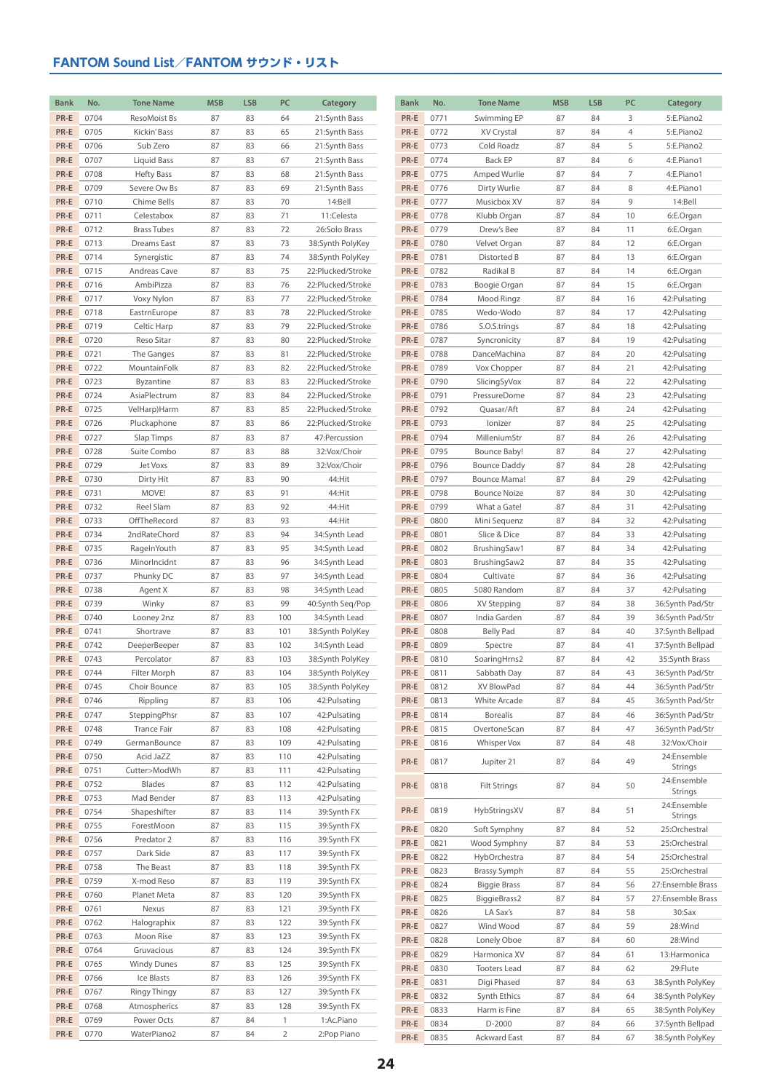| <b>Bank</b>  | No.          | <b>Tone Name</b>             | <b>MSB</b> | <b>LSB</b> | PC             | Category                             | <b>Bank</b>    | No.          | <b>Tone Name</b>          | <b>MSB</b> | <b>LSB</b> | PC             | Category                             |
|--------------|--------------|------------------------------|------------|------------|----------------|--------------------------------------|----------------|--------------|---------------------------|------------|------------|----------------|--------------------------------------|
| PR-E         | 0704         | ResoMoist Bs                 | 87         | 83         | 64             | 21:Synth Bass                        | PR-E           | 0771         | Swimming EP               | 87         | 84         | 3              | 5:E.Piano2                           |
| PR-E         | 0705         | Kickin' Bass                 | 87         | 83         | 65             | 21:Synth Bass                        | PR-E           | 0772         | XV Crystal                | 87         | 84         | $\overline{4}$ | 5:E.Piano2                           |
| PR-E         | 0706         | Sub Zero                     | 87         | 83         | 66             | 21:Synth Bass                        | PR-E           | 0773         | Cold Roadz                | 87         | 84         | 5              | 5:E.Piano2                           |
| PR-E         | 0707         | Liquid Bass                  | 87         | 83         | 67             | 21:Synth Bass                        | PR-E           | 0774         | Back EP                   | 87         | 84         | 6              | 4:E.Piano1                           |
| PR-E         | 0708         | <b>Hefty Bass</b>            | 87         | 83         | 68             | 21:Synth Bass                        | PR-E           | 0775         | Amped Wurlie              | 87         | 84         | $\overline{7}$ | 4:E.Piano1                           |
| PR-E         | 0709         | Severe Ow Bs                 | 87         | 83         | 69             | 21:Synth Bass                        | PR-E           | 0776         | Dirty Wurlie              | 87         | 84         | 8              | 4:E.Piano1                           |
| PR-E         | 0710         | Chime Bells                  | 87         | 83         | 70             | 14:Bell                              | PR-E           | 0777         | Musicbox XV               | 87         | 84         | 9              | 14:Bell                              |
| PR-E         | 0711         | Celestabox                   | 87         | 83         | 71             | 11:Celesta                           | PR-E           | 0778         | Klubb Organ               | 87         | 84         | 10             | 6:E.Organ                            |
| PR-E         | 0712         | <b>Brass Tubes</b>           | 87         | 83         | 72             | 26:Solo Brass                        | PR-E           | 0779         | Drew's Bee                | 87         | 84         | 11             | 6:E.Organ                            |
| PR-E         | 0713         | <b>Dreams East</b>           | 87         | 83         | 73             | 38:Synth PolyKey                     | PR-E           | 0780         | Velvet Organ              | 87         | 84         | 12             | 6:E.Organ                            |
| PR-E         | 0714         | Synergistic                  | 87         | 83         | 74             | 38:Synth PolyKey                     | PR-E           | 0781         | Distorted B               | 87         | 84         | 13             | 6:E.Organ                            |
| PR-E         | 0715         | Andreas Cave                 | 87         | 83         | 75             | 22:Plucked/Stroke                    | PR-E           | 0782         | Radikal B                 | 87         | 84         | 14             | 6:E.Organ                            |
| PR-E         | 0716         | AmbiPizza                    | 87         | 83         | 76             | 22:Plucked/Stroke                    | PR-E           | 0783         | Boogie Organ              | 87         | 84         | 15             | 6:E.Organ                            |
| PR-E         | 0717         | Voxy Nylon                   | 87         | 83         | 77             | 22:Plucked/Stroke                    | PR-E           | 0784         | Mood Ringz                | 87         | 84         | 16             | 42: Pulsating                        |
| PR-E         | 0718         | EastrnEurope                 | 87         | 83         | 78             | 22:Plucked/Stroke                    | PR-E           | 0785         | Wedo-Wodo                 | 87         | 84         | 17             | 42: Pulsating                        |
| PR-E         | 0719         | Celtic Harp                  | 87         | 83         | 79             | 22:Plucked/Stroke                    | PR-E           | 0786         | S.O.S.trings              | 87         | 84         | 18             | 42: Pulsating                        |
| PR-E         | 0720         | Reso Sitar                   | 87         | 83         | 80             | 22:Plucked/Stroke                    | PR-E           | 0787         | Syncronicity              | 87         | 84         | 19             | 42: Pulsating                        |
| PR-E         | 0721         | The Ganges                   | 87         | 83         | 81             | 22:Plucked/Stroke                    | PR-E           | 0788         | DanceMachina              | 87         | 84         | 20             | 42: Pulsating                        |
| PR-E         | 0722         | MountainFolk                 | 87         | 83         | 82             | 22:Plucked/Stroke                    | PR-E           | 0789         | Vox Chopper               | 87         | 84         | 21             | 42: Pulsating                        |
| PR-E         | 0723         | Byzantine                    | 87         | 83         | 83             | 22:Plucked/Stroke                    | PR-E           | 0790         | SlicingSyVox              | 87         | 84         | 22             | 42: Pulsating                        |
| PR-E         | 0724         | AsiaPlectrum                 | 87         | 83         | 84             | 22:Plucked/Stroke                    | PR-E           | 0791         | PressureDome              | 87         | 84         | 23             | 42: Pulsating                        |
| PR-E         | 0725         | VelHarp)Harm                 | 87         | 83         | 85             | 22:Plucked/Stroke                    | PR-E           | 0792         | Quasar/Aft                | 87         | 84         | 24             | 42: Pulsating                        |
| PR-E         | 0726         | Pluckaphone                  | 87         | 83         | 86             | 22:Plucked/Stroke                    | PR-E           | 0793         | lonizer                   | 87         | 84         | 25             | 42: Pulsating                        |
| PR-E         | 0727         | Slap Timps                   | 87         | 83         | 87             | 47:Percussion                        | PR-E           | 0794         | MilleniumStr              | 87         | 84         | 26             | 42: Pulsating                        |
| PR-E         | 0728         | Suite Combo                  | 87         | 83         | 88             | 32:Vox/Choir                         | PR-E           | 0795         | Bounce Baby!              | 87         | 84         | 27             | 42: Pulsating                        |
| PR-E         | 0729         | Jet Voxs                     | 87         | 83         | 89             | 32:Vox/Choir                         | PR-E           | 0796         | <b>Bounce Daddy</b>       | 87         | 84         | 28             | 42: Pulsating                        |
| PR-E         | 0730         | Dirty Hit                    | 87         | 83         | 90             | 44:Hit                               | PR-E           | 0797         | Bounce Mama!              | 87         | 84         | 29             | 42: Pulsating                        |
| PR-E         | 0731         | MOVE!                        | 87         | 83         | 91             | 44:Hit                               | PR-E           | 0798         | <b>Bounce Noize</b>       | 87         | 84         | 30             | 42: Pulsating                        |
| PR-E         | 0732         | Reel Slam                    | 87         | 83         | 92             | 44:Hit                               | PR-E           | 0799         | What a Gate!              | 87         | 84         | 31             | 42: Pulsating                        |
| PR-E         | 0733         | OffTheRecord                 | 87         | 83         | 93             | 44:Hit                               | PR-E           | 0800         | Mini Sequenz              | 87         | 84         | 32             | 42: Pulsating                        |
| PR-E         | 0734         | 2ndRateChord                 | 87         | 83         | 94             | 34:Synth Lead                        | PR-E           | 0801         | Slice & Dice              | 87         | 84         | 33             | 42: Pulsating                        |
| PR-E         | 0735         | RageInYouth                  | 87         | 83         | 95             | 34:Synth Lead                        | PR-E           | 0802         | BrushingSaw1              | 87         | 84         | 34             | 42: Pulsating                        |
| PR-E         | 0736         | MinorIncidnt                 | 87         | 83         | 96             | 34:Synth Lead                        | PR-E           | 0803         | BrushingSaw2              | 87         | 84         | 35             | 42: Pulsating                        |
| PR-E         | 0737         | Phunky DC                    | 87         | 83         | 97             | 34:Synth Lead                        | PR-E           | 0804         | Cultivate                 | 87         | 84         | 36             | 42: Pulsating                        |
| PR-E         | 0738         | Agent X                      | 87         | 83         | 98             | 34:Synth Lead                        | PR-E           | 0805         | 5080 Random               | 87         | 84         | 37             | 42: Pulsating                        |
| PR-E         | 0739         | Winky                        | 87         | 83         | 99             | 40:Synth Seq/Pop                     | PR-E           | 0806         | XV Stepping               | 87         | 84         | 38             | 36:Synth Pad/Str                     |
| PR-E         | 0740         | Looney 2nz                   | 87         | 83         | 100            | 34:Synth Lead                        | PR-E           | 0807         | India Garden              | 87         | 84         | 39             | 36:Synth Pad/Str                     |
| PR-E         | 0741         | Shortrave                    | 87         | 83         | 101            | 38:Synth PolyKey                     | PR-E           | 0808         | <b>Belly Pad</b>          | 87         | 84         | 40             | 37:Synth Bellpad                     |
| PR-E<br>PR-E | 0742<br>0743 | DeeperBeeper                 | 87<br>87   | 83<br>83   | 102<br>103     | 34:Synth Lead                        | PR-E           | 0809<br>0810 | Spectre                   | 87<br>87   | 84<br>84   | 41             | 37:Synth Bellpad                     |
| PR-E         |              | Percolator                   |            |            |                | 38:Synth PolyKey                     | PR-E           |              | SoaringHrns2              |            |            | 42             | 35:Synth Brass                       |
| PR-E         | 0744<br>0745 | Filter Morph<br>Choir Bounce | 87         | 83<br>83   | 104<br>105     | 38:Synth PolyKey<br>38:Synth PolyKey | $PR-E$<br>PR-E | 0811         | Sabbath Day<br>XV BlowPad | 87<br>87   | 84         | 43             | 36:Synth Pad/Str                     |
| PR-E         | 0746         | Rippling                     | 87<br>87   | 83         | 106            | 42: Pulsating                        | PR-E           | 0812<br>0813 | White Arcade              | 87         | 84<br>84   | 44<br>45       | 36:Synth Pad/Str<br>36:Synth Pad/Str |
| PR-E         | 0747         | SteppingPhsr                 | 87         | 83         | 107            | 42: Pulsating                        | PR-E           | 0814         | <b>Borealis</b>           | 87         | 84         | 46             | 36:Synth Pad/Str                     |
| PR-E         | 0748         | Trance Fair                  | 87         | 83         | 108            | 42: Pulsating                        | PR-E           | 0815         | OvertoneScan              | 87         | 84         | 47             | 36:Synth Pad/Str                     |
| PR-E         | 0749         | GermanBounce                 | 87         | 83         | 109            | 42: Pulsating                        | PR-E           | 0816         | Whisper Vox               | 87         | 84         | 48             | 32:Vox/Choir                         |
| PR-E         | 0750         | Acid JaZZ                    | 87         | 83         | 110            | 42: Pulsating                        |                |              |                           |            |            |                | 24:Ensemble                          |
| PR-E         | 0751         | Cutter>ModWh                 | 87         | 83         | 111            | 42: Pulsating                        | PR-E           | 0817         | Jupiter 21                | 87         | 84         | 49             | Strings                              |
| PR-E         | 0752         | Blades                       | 87         | 83         | 112            | 42: Pulsating                        | PR-E           | 0818         | <b>Filt Strings</b>       | 87         | 84         | 50             | 24:Ensemble                          |
| PR-E         | 0753         | Mad Bender                   | 87         | 83         | 113            | 42: Pulsating                        |                |              |                           |            |            |                | Strings                              |
| PR-E         | 0754         | Shapeshifter                 | 87         | 83         | 114            | 39:Synth FX                          | PR-E           | 0819         | HybStringsXV              | 87         | 84         | 51             | 24:Ensemble                          |
| PR-E         | 0755         | ForestMoon                   | 87         | 83         | 115            | 39:Synth FX                          | PR-E           | 0820         | Soft Symphny              | 87         | 84         | 52             | Strings<br>25:Orchestral             |
| PR-E         | 0756         | Predator 2                   | 87         | 83         | 116            | 39:Synth FX                          | PR-E           | 0821         | Wood Symphny              | 87         | 84         | 53             | 25:Orchestral                        |
| PR-E         | 0757         | Dark Side                    | 87         | 83         | 117            | 39:Synth FX                          | PR-E           | 0822         | HybOrchestra              | 87         | 84         | 54             | 25:Orchestral                        |
| PR-E         | 0758         | The Beast                    | 87         | 83         | 118            | 39:Synth FX                          | PR-E           | 0823         | <b>Brassy Symph</b>       | 87         | 84         | 55             | 25:Orchestral                        |
| PR-E         | 0759         | X-mod Reso                   | 87         | 83         | 119            | 39:Synth FX                          | PR-E           | 0824         | <b>Biggie Brass</b>       | 87         | 84         | 56             | 27:Ensemble Brass                    |
| PR-E         | 0760         | Planet Meta                  | 87         | 83         | 120            | 39:Synth FX                          | PR-E           | 0825         | BiggieBrass2              | 87         | 84         | 57             | 27:Ensemble Brass                    |
| PR-E         | 0761         | Nexus                        | 87         | 83         | 121            | 39:Synth FX                          | PR-E           | 0826         | LA Sax's                  | 87         | 84         | 58             | 30:Sax                               |
| PR-E         | 0762         | Halographix                  | 87         | 83         | 122            | 39:Synth FX                          | PR-E           | 0827         | Wind Wood                 | 87         | 84         | 59             | 28:Wind                              |
| PR-E         | 0763         | Moon Rise                    | 87         | 83         | 123            | 39:Synth FX                          | PR-E           | 0828         | Lonely Oboe               | 87         | 84         | 60             | 28:Wind                              |
| PR-E         | 0764         | Gruvacious                   | 87         | 83         | 124            | 39:Synth FX                          | PR-E           | 0829         | Harmonica XV              | 87         | 84         | 61             | 13: Harmonica                        |
| PR-E         | 0765         | <b>Windy Dunes</b>           | 87         | 83         | 125            | 39:Synth FX                          | PR-E           | 0830         | <b>Tooters Lead</b>       | 87         | 84         | 62             | 29:Flute                             |
| PR-E         | 0766         | Ice Blasts                   | 87         | 83         | 126            | 39:Synth FX                          | PR-E           | 0831         | Digi Phased               | 87         | 84         | 63             | 38:Synth PolyKey                     |
| PR-E         | 0767         | Ringy Thingy                 | 87         | 83         | 127            | 39:Synth FX                          | PR-E           | 0832         | Synth Ethics              | 87         | 84         | 64             | 38:Synth PolyKey                     |
| PR-E         | 0768         | Atmospherics                 | 87         | 83         | 128            | 39:Synth FX                          | PR-E           | 0833         | Harm is Fine              | 87         | 84         | 65             | 38:Synth PolyKey                     |
| PR-E         | 0769         | Power Octs                   | 87         | 84         | $\mathbf{1}$   | 1:Ac.Piano                           | PR-E           | 0834         | D-2000                    | 87         | 84         | 66             | 37:Synth Bellpad                     |
| PR-E         | 0770         | WaterPiano2                  | 87         | 84         | $\overline{2}$ | 2:Pop Piano                          | PR-E           | 0835         | <b>Ackward East</b>       | 87         | 84         | 67             | 38:Synth PolyKey                     |
|              |              |                              |            |            |                |                                      |                |              |                           |            |            |                |                                      |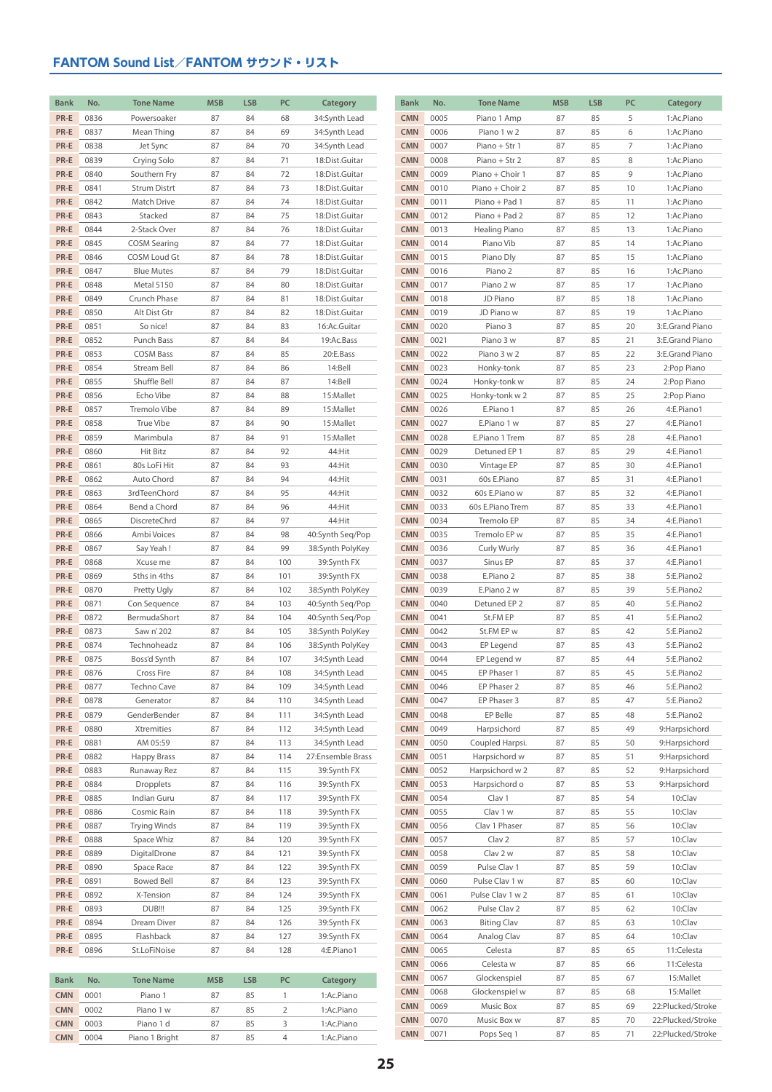| <b>Bank</b> | No.  | <b>Tone Name</b>    | <b>MSB</b> | <b>LSB</b> | PC             | Category          | <b>Bank</b> | No.  | <b>Tone Name</b>   | <b>MSB</b> | <b>LSB</b> | PC | Category          |
|-------------|------|---------------------|------------|------------|----------------|-------------------|-------------|------|--------------------|------------|------------|----|-------------------|
| PR-E        | 0836 | Powersoaker         | 87         | 84         | 68             | 34:Synth Lead     | <b>CMN</b>  | 0005 | Piano 1 Amp        | 87         | 85         | 5  | 1:Ac.Piano        |
| PR-E        | 0837 | Mean Thing          | 87         | 84         | 69             | 34:Synth Lead     | <b>CMN</b>  | 0006 | Piano 1 w 2        | 87         | 85         | 6  | 1:Ac.Piano        |
| PR-E        | 0838 | Jet Sync            | 87         | 84         | 70             | 34:Synth Lead     | <b>CMN</b>  | 0007 | Piano + Str 1      | 87         | 85         | 7  | 1:Ac.Piano        |
| PR-E        | 0839 | Crying Solo         | 87         | 84         | 71             | 18:Dist.Guitar    | <b>CMN</b>  | 0008 | Piano + Str 2      | 87         | 85         | 8  | 1:Ac.Piano        |
| PR-E        | 0840 | Southern Fry        | 87         | 84         | 72             | 18:Dist.Guitar    | <b>CMN</b>  | 0009 | Piano + Choir 1    | 87         | 85         | 9  | 1:Ac.Piano        |
| PR-E        | 0841 | <b>Strum Distrt</b> | 87         | 84         | 73             | 18:Dist.Guitar    | <b>CMN</b>  | 0010 | Piano + Choir 2    | 87         | 85         | 10 | 1:Ac.Piano        |
| PR-E        | 0842 | Match Drive         | 87         | 84         | 74             | 18:Dist.Guitar    | <b>CMN</b>  | 0011 | Piano + Pad 1      | 87         | 85         | 11 | 1:Ac.Piano        |
| PR-E        | 0843 | Stacked             | 87         | 84         | 75             | 18:Dist.Guitar    | <b>CMN</b>  | 0012 | Piano + Pad 2      | 87         | 85         | 12 | 1:Ac.Piano        |
| PR-E        | 0844 | 2-Stack Over        | 87         | 84         | 76             | 18:Dist.Guitar    | <b>CMN</b>  | 0013 | Healing Piano      | 87         | 85         | 13 | 1:Ac.Piano        |
| PR-E        | 0845 | <b>COSM Searing</b> | 87         | 84         | 77             | 18:Dist.Guitar    | <b>CMN</b>  | 0014 | Piano Vib          | 87         | 85         | 14 | 1:Ac.Piano        |
| PR-E        | 0846 | COSM Loud Gt        | 87         | 84         | 78             | 18:Dist.Guitar    | <b>CMN</b>  | 0015 | Piano Dly          | 87         | 85         | 15 | 1:Ac.Piano        |
| PR-E        | 0847 | <b>Blue Mutes</b>   | 87         | 84         | 79             | 18:Dist.Guitar    | <b>CMN</b>  | 0016 | Piano 2            | 87         | 85         | 16 | 1:Ac.Piano        |
| PR-E        | 0848 | Metal 5150          | 87         | 84         | 80             | 18:Dist.Guitar    | <b>CMN</b>  | 0017 | Piano 2 w          | 87         | 85         | 17 | 1:Ac.Piano        |
| PR-E        | 0849 | Crunch Phase        | 87         | 84         | 81             | 18:Dist.Guitar    | <b>CMN</b>  | 0018 | JD Piano           | 87         | 85         | 18 | 1:Ac.Piano        |
| PR-E        | 0850 | Alt Dist Gtr        | 87         | 84         | 82             | 18:Dist.Guitar    | <b>CMN</b>  | 0019 | JD Piano w         | 87         | 85         | 19 | 1:Ac.Piano        |
| PR-E        | 0851 | So nice!            | 87         | 84         | 83             | 16:Ac.Guitar      | <b>CMN</b>  | 0020 | Piano 3            | 87         | 85         | 20 | 3:E.Grand Piano   |
| PR-E        | 0852 | Punch Bass          | 87         | 84         | 84             | 19:Ac.Bass        | <b>CMN</b>  | 0021 | Piano 3 w          | 87         | 85         | 21 | 3:E.Grand Piano   |
| PR-E        | 0853 | <b>COSM Bass</b>    | 87         | 84         | 85             | 20:E.Bass         | <b>CMN</b>  | 0022 | Piano 3 w 2        | 87         | 85         | 22 | 3:E.Grand Piano   |
| PR-E        | 0854 | Stream Bell         | 87         | 84         | 86             | 14:Bell           | <b>CMN</b>  | 0023 | Honky-tonk         | 87         | 85         | 23 | 2:Pop Piano       |
| PR-E        | 0855 | Shuffle Bell        | 87         | 84         | 87             | 14:Bell           | <b>CMN</b>  | 0024 | Honky-tonk w       | 87         | 85         | 24 | 2:Pop Piano       |
| PR-E        | 0856 | Echo Vibe           | 87         | 84         | 88             | 15:Mallet         | <b>CMN</b>  | 0025 | Honky-tonk w 2     | 87         | 85         | 25 | 2:Pop Piano       |
| PR-E        | 0857 | Tremolo Vibe        | 87         | 84         | 89             | 15:Mallet         | <b>CMN</b>  | 0026 | E.Piano 1          | 87         | 85         | 26 | 4:E.Piano1        |
| PR-E        | 0858 | True Vibe           | 87         | 84         | 90             | 15:Mallet         | <b>CMN</b>  | 0027 | E.Piano 1 w        | 87         | 85         | 27 | 4:E.Piano1        |
| PR-E        | 0859 | Marimbula           | 87         | 84         | 91             | 15:Mallet         | <b>CMN</b>  | 0028 | E.Piano 1 Trem     | 87         | 85         | 28 | 4:E.Piano1        |
| PR-E        | 0860 | <b>Hit Bitz</b>     | 87         | 84         | 92             | 44:Hit            | <b>CMN</b>  | 0029 | Detuned EP 1       | 87         | 85         | 29 | 4:E.Piano1        |
| PR-E        | 0861 | 80s LoFi Hit        | 87         | 84         | 93             | 44:Hit            | <b>CMN</b>  | 0030 | Vintage EP         | 87         | 85         | 30 | 4:E.Piano1        |
| PR-E        | 0862 | Auto Chord          | 87         | 84         | 94             | 44:Hit            | <b>CMN</b>  | 0031 | 60s E.Piano        | 87         | 85         | 31 | 4:E.Piano1        |
| PR-E        | 0863 | 3rdTeenChord        | 87         | 84         | 95             | 44:Hit            | <b>CMN</b>  | 0032 | 60s E.Piano w      | 87         | 85         | 32 | 4:E.Piano1        |
| PR-E        | 0864 | Bend a Chord        | 87         | 84         | 96             | 44:Hit            | <b>CMN</b>  | 0033 | 60s E.Piano Trem   | 87         | 85         | 33 | 4:E.Piano1        |
| PR-E        | 0865 | DiscreteChrd        | 87         | 84         | 97             | 44:Hit            | <b>CMN</b>  | 0034 | Tremolo EP         | 87         | 85         | 34 | 4:E.Piano1        |
| PR-E        | 0866 | Ambi Voices         | 87         | 84         | 98             | 40:Synth Seq/Pop  | <b>CMN</b>  | 0035 | Tremolo EP w       | 87         | 85         | 35 | 4:E.Piano1        |
| PR-E        | 0867 | Say Yeah!           | 87         | 84         | 99             | 38:Synth PolyKey  | <b>CMN</b>  | 0036 | Curly Wurly        | 87         | 85         | 36 | 4:E.Piano1        |
| PR-E        | 0868 | Xcuse me            | 87         | 84         | 100            | 39:Synth FX       | <b>CMN</b>  | 0037 | Sinus EP           | 87         | 85         | 37 | 4:E.Piano1        |
| PR-E        | 0869 | 5ths in 4ths        | 87         | 84         | 101            | 39:Synth FX       | <b>CMN</b>  | 0038 | E.Piano 2          | 87         | 85         | 38 | 5:E.Piano2        |
| PR-E        | 0870 | Pretty Ugly         | 87         | 84         | 102            | 38:Synth PolyKey  | <b>CMN</b>  | 0039 | E.Piano 2 w        | 87         | 85         | 39 | 5:E.Piano2        |
| PR-E        | 0871 | Con Sequence        | 87         | 84         | 103            | 40:Synth Seq/Pop  | <b>CMN</b>  | 0040 | Detuned EP 2       | 87         | 85         | 40 | 5:E.Piano2        |
| PR-E        | 0872 | BermudaShort        | 87         | 84         | 104            | 40:Synth Seq/Pop  | <b>CMN</b>  | 0041 | St.FM EP           | 87         | 85         | 41 | 5:E.Piano2        |
| PR-E        | 0873 | Saw n' 202          | 87         | 84         | 105            | 38:Synth PolyKey  | <b>CMN</b>  | 0042 | St.FM EP w         | 87         | 85         | 42 | 5:E.Piano2        |
| PR-E        | 0874 | Technoheadz         | 87         | 84         | 106            | 38:Synth PolyKey  | <b>CMN</b>  | 0043 | EP Legend          | 87         | 85         | 43 | 5:E.Piano2        |
| PR-E        | 0875 | Boss'd Synth        | 87         | 84         | 107            | 34:Synth Lead     | <b>CMN</b>  | 0044 | EP Legend w        | 87         | 85         | 44 | 5:E.Piano2        |
| PR-E        | 0876 | Cross Fire          | 87         | 84         | 108            | 34:Synth Lead     | <b>CMN</b>  | 0045 | EP Phaser 1        | 87         | 85         | 45 | 5:E.Piano2        |
| PR-E        | 0877 | Techno Cave         | 87         | 84         | 109            | 34:Synth Lead     | <b>CMN</b>  | 0046 | EP Phaser 2        | 87         | 85         | 46 | 5:E.Piano2        |
| PR-E        | 0878 | Generator           | 87         | 84         | 110            | 34:Synth Lead     | <b>CMN</b>  | 0047 | EP Phaser 3        | 87         | 85         | 47 | 5:E.Piano2        |
| PR-E        | 0879 | GenderBender        | 87         | 84         | 111            | 34:Synth Lead     | <b>CMN</b>  | 0048 | EP Belle           | 87         | 85         | 48 | 5:E.Piano2        |
| PR-E        | 0880 | Xtremities          | 87         | 84         | 112            | 34:Synth Lead     | <b>CMN</b>  | 0049 | Harpsichord        | 87         | 85         | 49 | 9:Harpsichord     |
| PR-E        | 0881 | AM 05:59            | 87         | 84         | 113            | 34:Synth Lead     | <b>CMN</b>  | 0050 | Coupled Harpsi.    | 87         | 85         | 50 | 9:Harpsichord     |
| PR-E        | 0882 | Happy Brass         | 87         | 84         | 114            | 27:Ensemble Brass | <b>CMN</b>  | 0051 | Harpsichord w      | 87         | 85         | 51 | 9:Harpsichord     |
| PR-E        | 0883 | Runaway Rez         | 87         | 84         | 115            | 39:Synth FX       | <b>CMN</b>  | 0052 | Harpsichord w 2    | 87         | 85         | 52 | 9:Harpsichord     |
| PR-E        | 0884 | Dropplets           | 87         | 84         | 116            | 39:Synth FX       | <b>CMN</b>  | 0053 | Harpsichord o      | 87         | 85         | 53 | 9:Harpsichord     |
| PR-E        | 0885 | Indian Guru         | 87         | 84         | 117            | 39:Synth FX       | <b>CMN</b>  | 0054 | Clav 1             | 87         | 85         | 54 | 10:Clav           |
| PR-E        | 0886 | Cosmic Rain         | 87         | 84         | 118            | 39:Synth FX       | <b>CMN</b>  | 0055 | Clav 1 w           | 87         | 85         | 55 | 10:Clav           |
| PR-E        | 0887 | <b>Trying Winds</b> | 87         | 84         | 119            | 39:Synth FX       | <b>CMN</b>  | 0056 | Clav 1 Phaser      | 87         | 85         | 56 | 10:Clav           |
| PR-E        | 0888 | Space Whiz          | 87         | 84         | 120            | 39:Synth FX       | <b>CMN</b>  | 0057 | Clav <sub>2</sub>  | 87         | 85         | 57 | 10:Clav           |
| PR-E        | 0889 | DigitalDrone        | 87         | 84         | 121            | 39:Synth FX       | <b>CMN</b>  | 0058 | Clav 2 w           | 87         | 85         | 58 | 10:Clav           |
| PR-E        | 0890 | Space Race          | 87         | 84         | 122            | 39:Synth FX       | <b>CMN</b>  | 0059 | Pulse Clav 1       | 87         | 85         | 59 | 10:Clav           |
| PR-E        | 0891 | <b>Bowed Bell</b>   | 87         | 84         | 123            | 39:Synth FX       | <b>CMN</b>  | 0060 | Pulse Clav 1 w     | 87         | 85         | 60 | 10:Clav           |
| PR-E        | 0892 | X-Tension           | 87         | 84         | 124            | 39:Synth FX       | <b>CMN</b>  | 0061 | Pulse Clav 1 w 2   | 87         | 85         | 61 | 10:Clav           |
| PR-E        | 0893 | DUB!!!              | 87         | 84         | 125            | 39:Synth FX       | <b>CMN</b>  | 0062 | Pulse Clav 2       | 87         | 85         | 62 | 10:Clav           |
| PR-E        | 0894 | Dream Diver         | 87         | 84         | 126            | 39:Synth FX       | <b>CMN</b>  | 0063 | <b>Biting Clav</b> | 87         | 85         | 63 | 10:Clav           |
| PR-E        | 0895 | Flashback           | 87         | 84         | 127            | 39:Synth FX       | <b>CMN</b>  | 0064 | Analog Clav        | 87         | 85         | 64 | 10:Clav           |
| PR-E        | 0896 | St.LoFiNoise        | 87         | 84         | 128            | 4:E.Piano1        | <b>CMN</b>  | 0065 | Celesta            | 87         | 85         | 65 | 11:Celesta        |
|             |      |                     |            |            |                |                   | <b>CMN</b>  | 0066 | Celesta w          | 87         | 85         | 66 | 11:Celesta        |
| <b>Bank</b> | No.  | <b>Tone Name</b>    | <b>MSB</b> | <b>LSB</b> | PC             | Category          | <b>CMN</b>  | 0067 | Glockenspiel       | 87         | 85         | 67 | 15:Mallet         |
| <b>CMN</b>  | 0001 | Piano 1             | 87         | 85         | $\mathbf{1}$   | 1:Ac.Piano        | <b>CMN</b>  | 0068 | Glockenspiel w     | 87         | 85         | 68 | 15:Mallet         |
| <b>CMN</b>  | 0002 | Piano 1 w           | 87         | 85         | $\overline{2}$ | 1:Ac.Piano        | <b>CMN</b>  | 0069 | Music Box          | 87         | 85         | 69 | 22:Plucked/Stroke |
| <b>CMN</b>  | 0003 | Piano 1 d           | 87         | 85         | 3              | 1:Ac.Piano        | <b>CMN</b>  | 0070 | Music Box w        | 87         | 85         | 70 | 22:Plucked/Stroke |
| <b>CMN</b>  | 0004 | Piano 1 Bright      | 87         | 85         | $\overline{4}$ | 1:Ac.Piano        | <b>CMN</b>  | 0071 | Pops Seq 1         | 87         | 85         | 71 | 22:Plucked/Stroke |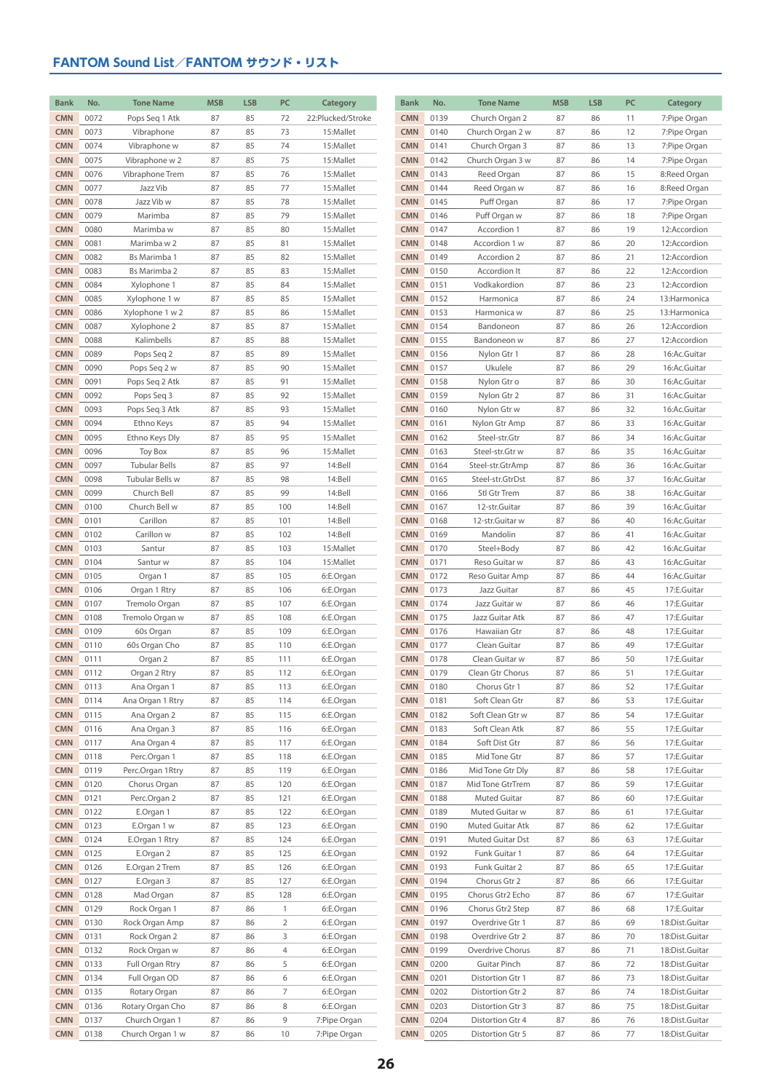| <b>Bank</b>              | No.          | <b>Tone Name</b>     | <b>MSB</b> | <b>LSB</b> | PC           | Category               | <b>Bank</b>              | No.          | <b>Tone Name</b>                 | <b>MSB</b> | <b>LSB</b> | PC       | Category                     |
|--------------------------|--------------|----------------------|------------|------------|--------------|------------------------|--------------------------|--------------|----------------------------------|------------|------------|----------|------------------------------|
| <b>CMN</b>               | 0072         | Pops Seq 1 Atk       | 87         | 85         | 72           | 22:Plucked/Stroke      | <b>CMN</b>               | 0139         | Church Organ 2                   | 87         | 86         | 11       | 7:Pipe Organ                 |
| <b>CMN</b>               | 0073         | Vibraphone           | 87         | 85         | 73           | 15:Mallet              | <b>CMN</b>               | 0140         | Church Organ 2 w                 | 87         | 86         | 12       | 7:Pipe Organ                 |
| <b>CMN</b>               | 0074         | Vibraphone w         | 87         | 85         | 74           | 15:Mallet              | <b>CMN</b>               | 0141         | Church Organ 3                   | 87         | 86         | 13       | 7:Pipe Organ                 |
| <b>CMN</b>               | 0075         | Vibraphone w 2       | 87         | 85         | 75           | 15:Mallet              | <b>CMN</b>               | 0142         | Church Organ 3 w                 | 87         | 86         | 14       | 7:Pipe Organ                 |
| <b>CMN</b>               | 0076         | Vibraphone Trem      | 87         | 85         | 76           | 15:Mallet              | <b>CMN</b>               | 0143         | Reed Organ                       | 87         | 86         | 15       | 8:Reed Organ                 |
| <b>CMN</b>               | 0077         | Jazz Vib             | 87         | 85         | 77           | 15:Mallet              | <b>CMN</b>               | 0144         | Reed Organ w                     | 87         | 86         | 16       | 8:Reed Organ                 |
| <b>CMN</b>               | 0078         | Jazz Vib w           | 87         | 85         | 78           | 15:Mallet              | <b>CMN</b>               | 0145         | Puff Organ                       | 87         | 86         | 17       | 7:Pipe Organ                 |
| <b>CMN</b>               | 0079         | Marimba              | 87         | 85         | 79           | 15:Mallet              | <b>CMN</b>               | 0146         | Puff Organ w                     | 87         | 86         | 18       | 7:Pipe Organ                 |
| <b>CMN</b>               | 0080         | Marimba w            | 87         | 85         | 80           | 15:Mallet              | <b>CMN</b>               | 0147         | Accordion 1                      | 87         | 86         | 19       | 12:Accordion                 |
| <b>CMN</b>               | 0081         | Marimba w 2          | 87         | 85         | 81           | 15:Mallet              | <b>CMN</b>               | 0148         | Accordion 1 w                    | 87         | 86         | 20       | 12:Accordion                 |
| <b>CMN</b>               | 0082         | Bs Marimba 1         | 87         | 85         | 82           | 15:Mallet              | <b>CMN</b>               | 0149         | Accordion 2                      | 87         | 86         | 21       | 12:Accordion                 |
| <b>CMN</b>               | 0083         | Bs Marimba 2         | 87         | 85         | 83           | 15:Mallet              | <b>CMN</b>               | 0150         | Accordion It                     | 87         | 86         | 22       | 12:Accordion                 |
| <b>CMN</b>               | 0084         | Xylophone 1          | 87         | 85         | 84           | 15:Mallet              | <b>CMN</b>               | 0151         | Vodkakordion                     | 87         | 86         | 23       | 12:Accordion                 |
| <b>CMN</b>               | 0085         | Xylophone 1 w        | 87         | 85         | 85           | 15:Mallet              | <b>CMN</b>               | 0152         | Harmonica                        | 87         | 86         | 24       | 13: Harmonica                |
| <b>CMN</b>               | 0086         | Xylophone 1 w 2      | 87         | 85         | 86           | 15:Mallet              | <b>CMN</b>               | 0153         | Harmonica w                      | 87         | 86         | 25       | 13: Harmonica                |
| <b>CMN</b>               | 0087         | Xylophone 2          | 87         | 85         | 87           | 15:Mallet              | <b>CMN</b>               | 0154         | Bandoneon                        | 87         | 86         | 26       | 12:Accordion                 |
| <b>CMN</b>               | 0088         | Kalimbells           | 87         | 85         | 88           | 15:Mallet              | <b>CMN</b>               | 0155         | Bandoneon w                      | 87         | 86         | 27       | 12:Accordion                 |
| <b>CMN</b>               | 0089         | Pops Seq 2           | 87         | 85         | 89           | 15:Mallet              | <b>CMN</b>               | 0156         | Nylon Gtr 1                      | 87         | 86         | 28       | 16:Ac.Guitar                 |
| <b>CMN</b>               | 0090         | Pops Seq 2 w         | 87         | 85         | 90           | 15:Mallet              | <b>CMN</b>               | 0157         | Ukulele                          | 87         | 86         | 29       | 16:Ac.Guitar                 |
| <b>CMN</b>               | 0091         | Pops Seq 2 Atk       | 87         | 85         | 91           | 15:Mallet              | <b>CMN</b>               | 0158         | Nylon Gtr o                      | 87         | 86         | 30       | 16:Ac.Guitar                 |
| <b>CMN</b>               | 0092         | Pops Seq 3           | 87         | 85         | 92           | 15:Mallet              | <b>CMN</b>               | 0159         | Nylon Gtr 2                      | 87         | 86         | 31       | 16:Ac.Guitar                 |
| <b>CMN</b>               | 0093         | Pops Seg 3 Atk       | 87         | 85         | 93           | 15:Mallet              | <b>CMN</b>               | 0160         | Nylon Gtr w                      | 87         | 86         | 32       | 16:Ac.Guitar                 |
| <b>CMN</b>               | 0094         | Ethno Keys           | 87         | 85         | 94           | 15:Mallet              | <b>CMN</b>               | 0161         | Nylon Gtr Amp                    | 87         | 86         | 33       | 16:Ac.Guitar                 |
| <b>CMN</b>               | 0095         | Ethno Keys Dly       | 87         | 85         | 95           | 15:Mallet              | <b>CMN</b>               | 0162         | Steel-str.Gtr                    | 87         | 86         | 34       | 16:Ac.Guitar                 |
| <b>CMN</b>               | 0096         | <b>Toy Box</b>       | 87         | 85         | 96           | 15:Mallet              | <b>CMN</b>               | 0163         | Steel-str.Gtr w                  | 87         | 86         | 35       | 16:Ac.Guitar                 |
| <b>CMN</b>               | 0097         | <b>Tubular Bells</b> | 87         | 85         | 97           | 14:Bell                | <b>CMN</b>               | 0164         | Steel-str.GtrAmp                 | 87         | 86         | 36       | 16:Ac.Guitar                 |
| <b>CMN</b>               | 0098         | Tubular Bells w      | 87         | 85         | 98           | 14:Bell                | <b>CMN</b>               | 0165         | Steel-str.GtrDst                 | 87         | 86         | 37       | 16:Ac.Guitar                 |
| <b>CMN</b>               | 0099         | Church Bell          | 87         | 85         | 99           | 14:Bell                | <b>CMN</b>               | 0166         | Stl Gtr Trem                     | 87         | 86         | 38       | 16:Ac.Guitar                 |
| <b>CMN</b>               | 0100         | Church Bell w        | 87         | 85         | 100          | 14:Bell                | <b>CMN</b>               | 0167         | 12-str.Guitar                    | 87         | 86         | 39       | 16:Ac.Guitar                 |
| <b>CMN</b>               | 0101         | Carillon             | 87         | 85         | 101          | 14:Bell                | <b>CMN</b>               | 0168         | 12-str.Guitar w                  | 87         | 86         | 40       | 16:Ac.Guitar                 |
| <b>CMN</b>               | 0102         | Carillon w           | 87         | 85         | 102          | 14:Bell                | <b>CMN</b>               | 0169         | Mandolin                         | 87         | 86         | 41       | 16:Ac.Guitar                 |
| <b>CMN</b>               | 0103         | Santur               | 87         | 85<br>85   | 103          | 15:Mallet              | <b>CMN</b><br><b>CMN</b> | 0170         | Steel+Body                       | 87         | 86         | 42       | 16:Ac.Guitar                 |
| <b>CMN</b><br><b>CMN</b> | 0104<br>0105 | Santur w<br>Organ 1  | 87<br>87   | 85         | 104<br>105   | 15:Mallet<br>6:E.Organ | <b>CMN</b>               | 0171<br>0172 | Reso Guitar w<br>Reso Guitar Amp | 87<br>87   | 86<br>86   | 43<br>44 | 16:Ac.Guitar<br>16:Ac.Guitar |
| <b>CMN</b>               | 0106         | Organ 1 Rtry         | 87         | 85         | 106          | 6:E.Organ              | <b>CMN</b>               | 0173         | Jazz Guitar                      | 87         | 86         | 45       | 17:E.Guitar                  |
| <b>CMN</b>               | 0107         | Tremolo Organ        | 87         | 85         | 107          | 6:E.Organ              | <b>CMN</b>               | 0174         | Jazz Guitar w                    | 87         | 86         | 46       | 17:E.Guitar                  |
| <b>CMN</b>               | 0108         | Tremolo Organ w      | 87         | 85         | 108          | 6:E.Organ              | <b>CMN</b>               | 0175         | Jazz Guitar Atk                  | 87         | 86         | 47       | 17:E.Guitar                  |
| <b>CMN</b>               | 0109         | 60s Organ            | 87         | 85         | 109          | 6:E.Organ              | <b>CMN</b>               | 0176         | Hawaiian Gtr                     | 87         | 86         | 48       | 17:E.Guitar                  |
| <b>CMN</b>               | 0110         | 60s Organ Cho        | 87         | 85         | 110          | 6:E.Organ              | <b>CMN</b>               | 0177         | Clean Guitar                     | 87         | 86         | 49       | 17:E.Guitar                  |
| <b>CMN</b>               | 0111         | Organ 2              | 87         | 85         | 111          | 6:E.Organ              | <b>CMN</b>               | 0178         | Clean Guitar w                   | 87         | 86         | 50       | 17:E.Guitar                  |
| <b>CMN</b>               | 0112         | Organ 2 Rtry         | 87         | 85         | 112          | 6:E.Organ              | <b>CMN</b>               | 0179         | Clean Gtr Chorus                 | 87         | 86         | 51       | 17:E.Guitar                  |
| <b>CMN</b>               | 0113         | Ana Organ 1          | 87         | 85         | 113          | 6:E.Organ              | <b>CMN</b>               | 0180         | Chorus Gtr 1                     | 87         | 86         | 52       | 17:E.Guitar                  |
| <b>CMN</b>               | 0114         | Ana Organ 1 Rtry     | 87         | 85         | 114          | 6:E.Organ              | <b>CMN</b>               | 0181         | Soft Clean Gtr                   | 87         | 86         | 53       | 17:E.Guitar                  |
| <b>CMN</b>               | 0115         | Ana Organ 2          | 87         | 85         | 115          | 6:E.Organ              | <b>CMN</b>               | 0182         | Soft Clean Gtr w                 | 87         | 86         | 54       | 17:E.Guitar                  |
| <b>CMN</b>               | 0116         | Ana Organ 3          | 87         | 85         | 116          | 6:E.Organ              | <b>CMN</b>               | 0183         | Soft Clean Atk                   | 87         | 86         | 55       | 17:E.Guitar                  |
| <b>CMN</b>               | 0117         | Ana Organ 4          | 87         | 85         | 117          | 6:E.Organ              | <b>CMN</b>               | 0184         | Soft Dist Gtr                    | 87         | 86         | 56       | 17:E.Guitar                  |
| <b>CMN</b>               | 0118         | Perc.Organ 1         | 87         | 85         | 118          | 6:E.Organ              | <b>CMN</b>               | 0185         | Mid Tone Gtr                     | 87         | 86         | 57       | 17:E.Guitar                  |
| <b>CMN</b>               | 0119         | Perc.Organ 1Rtry     | 87         | 85         | 119          | 6:E.Organ              | <b>CMN</b>               | 0186         | Mid Tone Gtr Dly                 | 87         | 86         | 58       | 17:E.Guitar                  |
| <b>CMN</b>               | 0120         | Chorus Organ         | 87         | 85         | 120          | 6:E.Organ              | <b>CMN</b>               | 0187         | Mid Tone GtrTrem                 | 87         | 86         | 59       | 17:E.Guitar                  |
| <b>CMN</b>               | 0121         | Perc.Organ 2         | 87         | 85         | 121          | 6:E.Organ              | <b>CMN</b>               | 0188         | Muted Guitar                     | 87         | 86         | 60       | 17:E.Guitar                  |
| <b>CMN</b>               | 0122         | E.Organ 1            | 87         | 85         | 122          | 6:E.Organ              | <b>CMN</b>               | 0189         | Muted Guitar w                   | 87         | 86         | 61       | 17:E.Guitar                  |
| <b>CMN</b>               | 0123         | E.Organ 1 w          | 87         | 85         | 123          | 6:E.Organ              | <b>CMN</b>               | 0190         | Muted Guitar Atk                 | 87         | 86         | 62       | 17:E.Guitar                  |
| <b>CMN</b>               | 0124         | E.Organ 1 Rtry       | 87         | 85         | 124          | 6:E.Organ              | <b>CMN</b>               | 0191         | Muted Guitar Dst                 | 87         | 86         | 63       | 17:E.Guitar                  |
| <b>CMN</b>               | 0125         | E.Organ 2            | 87         | 85         | 125          | 6:E.Organ              | <b>CMN</b>               | 0192         | Funk Guitar 1                    | 87         | 86         | 64       | 17:E.Guitar                  |
| <b>CMN</b>               | 0126         | E.Organ 2 Trem       | 87         | 85         | 126          | 6:E.Organ              | <b>CMN</b>               | 0193         | Funk Guitar 2                    | 87         | 86         | 65       | 17:E.Guitar                  |
| <b>CMN</b>               | 0127         | E.Organ 3            | 87         | 85         | 127          | 6:E.Organ              | <b>CMN</b>               | 0194         | Chorus Gtr 2                     | 87         | 86         | 66       | 17:E.Guitar                  |
| <b>CMN</b>               | 0128         | Mad Organ            | 87         | 85         | 128          | 6:E.Organ              | <b>CMN</b>               | 0195         | Chorus Gtr2 Echo                 | 87         | 86         | 67       | 17:E.Guitar                  |
| <b>CMN</b>               | 0129         | Rock Organ 1         | 87         | 86         | $\mathbf{1}$ | 6:E.Organ              | <b>CMN</b>               | 0196         | Chorus Gtr2 Step                 | 87         | 86         | 68       | 17:E.Guitar                  |
| <b>CMN</b>               | 0130         | Rock Organ Amp       | 87         | 86         | 2            | 6:E.Organ              | <b>CMN</b>               | 0197         | Overdrive Gtr 1                  | 87         | 86         | 69       | 18:Dist.Guitar               |
| <b>CMN</b>               | 0131         | Rock Organ 2         | 87         | 86         | 3            | 6:E.Organ              | <b>CMN</b>               | 0198         | Overdrive Gtr 2                  | 87         | 86         | 70       | 18:Dist.Guitar               |
| <b>CMN</b>               | 0132         | Rock Organ w         | 87         | 86         | 4            | 6:E.Organ              | <b>CMN</b>               | 0199         | Overdrive Chorus                 | 87         | 86         | 71       | 18:Dist.Guitar               |
| <b>CMN</b>               | 0133         | Full Organ Rtry      | 87         | 86         | 5            | 6:E.Organ              | <b>CMN</b>               | 0200         | Guitar Pinch                     | 87         | 86         | 72       | 18:Dist.Guitar               |
| <b>CMN</b>               | 0134         | Full Organ OD        | 87         | 86         | 6            | 6:E.Organ              | <b>CMN</b>               | 0201         | Distortion Gtr 1                 | 87         | 86         | 73       | 18:Dist.Guitar               |
| <b>CMN</b>               | 0135         | Rotary Organ         | 87         | 86         | 7            | 6:E.Organ              | <b>CMN</b>               | 0202         | Distortion Gtr 2                 | 87         | 86         | 74       | 18:Dist.Guitar               |
| <b>CMN</b>               | 0136         | Rotary Organ Cho     | 87         | 86         | 8            | 6:E.Organ              | <b>CMN</b>               | 0203         | Distortion Gtr 3                 | 87         | 86         | 75       | 18:Dist.Guitar               |
| <b>CMN</b>               | 0137         | Church Organ 1       | 87         | 86         | 9            | 7:Pipe Organ           | <b>CMN</b>               | 0204         | Distortion Gtr 4                 | 87         | 86         | 76       | 18:Dist.Guitar               |
| <b>CMN</b>               | 0138         | Church Organ 1 w     | 87         | 86         | 10           | 7:Pipe Organ           | <b>CMN</b>               | 0205         | Distortion Gtr 5                 | 87         | 86         | 77       | 18:Dist.Guitar               |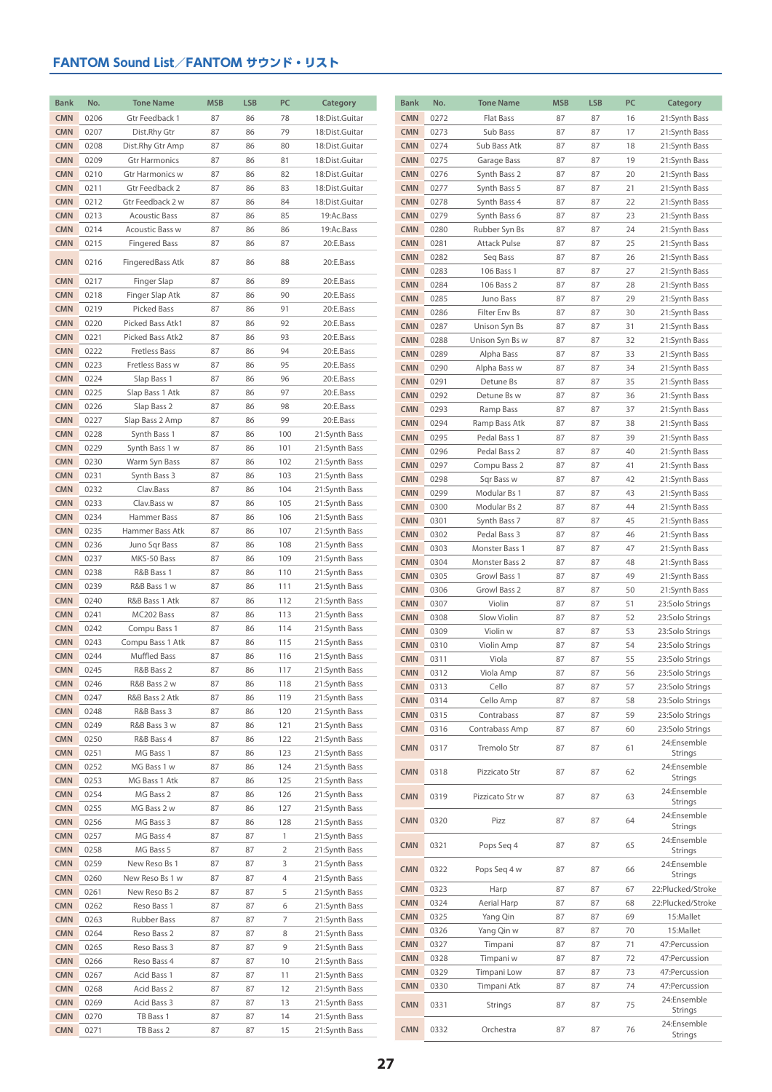| <b>Bank</b>              | No.          | <b>Tone Name</b>                        | <b>MSB</b> | <b>LSB</b> | PC                  | Category                       | <b>Bank</b>              | No.          | <b>Tone Name</b>              | <b>MSB</b> | <b>LSB</b> | PC       | Category                       |
|--------------------------|--------------|-----------------------------------------|------------|------------|---------------------|--------------------------------|--------------------------|--------------|-------------------------------|------------|------------|----------|--------------------------------|
| <b>CMN</b>               | 0206         | Gtr Feedback 1                          | 87         | 86         | 78                  | 18:Dist.Guitar                 | <b>CMN</b>               | 0272         | Flat Bass                     | 87         | 87         | 16       | 21:Synth Bass                  |
| <b>CMN</b>               | 0207         | Dist.Rhy Gtr                            | 87         | 86         | 79                  | 18:Dist.Guitar                 | <b>CMN</b>               | 0273         | Sub Bass                      | 87         | 87         | 17       | 21:Synth Bass                  |
| <b>CMN</b>               | 0208         | Dist.Rhy Gtr Amp                        | 87         | 86         | 80                  | 18:Dist.Guitar                 | <b>CMN</b>               | 0274         | Sub Bass Atk                  | 87         | 87         | 18       | 21:Synth Bass                  |
| <b>CMN</b>               | 0209         | <b>Gtr Harmonics</b>                    | 87         | 86         | 81                  | 18:Dist.Guitar                 | <b>CMN</b>               | 0275         | Garage Bass                   | 87         | 87         | 19       | 21:Synth Bass                  |
| <b>CMN</b>               | 0210         | Gtr Harmonics w                         | 87         | 86         | 82                  | 18:Dist.Guitar                 | <b>CMN</b>               | 0276         | Synth Bass 2                  | 87         | 87         | 20       | 21:Synth Bass                  |
| <b>CMN</b>               | 0211         | Gtr Feedback 2                          | 87         | 86         | 83                  | 18:Dist.Guitar                 | <b>CMN</b>               | 0277         | Synth Bass 5                  | 87         | 87         | 21       | 21:Synth Bass                  |
| <b>CMN</b>               | 0212         | Gtr Feedback 2 w                        | 87         | 86         | 84                  | 18:Dist.Guitar                 | <b>CMN</b>               | 0278         | Synth Bass 4                  | 87         | 87         | 22       | 21:Synth Bass                  |
| <b>CMN</b>               | 0213         | <b>Acoustic Bass</b>                    | 87         | 86<br>86   | 85                  | 19:Ac.Bass                     | <b>CMN</b><br><b>CMN</b> | 0279         | Synth Bass 6                  | 87         | 87         | 23       | 21:Synth Bass                  |
| <b>CMN</b><br><b>CMN</b> | 0214<br>0215 | Acoustic Bass w<br><b>Fingered Bass</b> | 87<br>87   | 86         | 86<br>87            | 19:Ac.Bass<br>20:E.Bass        | <b>CMN</b>               | 0280<br>0281 | Rubber Syn Bs<br>Attack Pulse | 87<br>87   | 87<br>87   | 24<br>25 | 21:Synth Bass<br>21:Synth Bass |
|                          |              |                                         |            |            |                     |                                | <b>CMN</b>               | 0282         | Seq Bass                      | 87         | 87         | 26       | 21:Synth Bass                  |
| <b>CMN</b>               | 0216         | FingeredBass Atk                        | 87         | 86         | 88                  | 20:E.Bass                      | <b>CMN</b>               | 0283         | 106 Bass 1                    | 87         | 87         | 27       | 21:Synth Bass                  |
| <b>CMN</b>               | 0217         | Finger Slap                             | 87         | 86         | 89                  | 20:E.Bass                      | <b>CMN</b>               | 0284         | 106 Bass 2                    | 87         | 87         | 28       | 21:Synth Bass                  |
| <b>CMN</b>               | 0218         | Finger Slap Atk                         | 87         | 86         | 90                  | 20:E.Bass                      | <b>CMN</b>               | 0285         | Juno Bass                     | 87         | 87         | 29       | 21:Synth Bass                  |
| <b>CMN</b>               | 0219         | Picked Bass                             | 87         | 86         | 91                  | 20:E.Bass                      | <b>CMN</b>               | 0286         | Filter Env Bs                 | 87         | 87         | 30       | 21:Synth Bass                  |
| <b>CMN</b>               | 0220         | Picked Bass Atk1                        | 87         | 86         | 92                  | 20:E.Bass                      | <b>CMN</b>               | 0287         | Unison Syn Bs                 | 87         | 87         | 31       | 21:Synth Bass                  |
| <b>CMN</b>               | 0221         | Picked Bass Atk2                        | 87         | 86         | 93                  | 20:E.Bass                      | <b>CMN</b>               | 0288         | Unison Syn Bs w               | 87         | 87         | 32       | 21:Synth Bass                  |
| <b>CMN</b><br><b>CMN</b> | 0222<br>0223 | <b>Fretless Bass</b><br>Fretless Bass w | 87<br>87   | 86<br>86   | 94<br>95            | 20:E.Bass<br>20:E.Bass         | <b>CMN</b>               | 0289         | Alpha Bass                    | 87         | 87         | 33       | 21:Synth Bass                  |
| <b>CMN</b>               | 0224         | Slap Bass 1                             | 87         | 86         | 96                  | 20:E.Bass                      | <b>CMN</b>               | 0290         | Alpha Bass w                  | 87         | 87         | 34       | 21:Synth Bass                  |
| <b>CMN</b>               | 0225         | Slap Bass 1 Atk                         | 87         | 86         | 97                  | 20:E.Bass                      | <b>CMN</b>               | 0291         | Detune Bs                     | 87         | 87         | 35       | 21:Synth Bass                  |
| <b>CMN</b>               | 0226         | Slap Bass 2                             | 87         | 86         | 98                  | 20:E.Bass                      | <b>CMN</b><br><b>CMN</b> | 0292<br>0293 | Detune Bs w                   | 87<br>87   | 87<br>87   | 36<br>37 | 21:Synth Bass                  |
| <b>CMN</b>               | 0227         | Slap Bass 2 Amp                         | 87         | 86         | 99                  | 20:E.Bass                      | <b>CMN</b>               | 0294         | Ramp Bass<br>Ramp Bass Atk    | 87         | 87         | 38       | 21:Synth Bass<br>21:Synth Bass |
| <b>CMN</b>               | 0228         | Synth Bass 1                            | 87         | 86         | 100                 | 21:Synth Bass                  | <b>CMN</b>               | 0295         | Pedal Bass 1                  | 87         | 87         | 39       | 21:Synth Bass                  |
| <b>CMN</b>               | 0229         | Synth Bass 1 w                          | 87         | 86         | 101                 | 21:Synth Bass                  | <b>CMN</b>               | 0296         | Pedal Bass 2                  | 87         | 87         | 40       | 21:Synth Bass                  |
| <b>CMN</b>               | 0230         | Warm Syn Bass                           | 87         | 86         | 102                 | 21:Synth Bass                  | <b>CMN</b>               | 0297         | Compu Bass 2                  | 87         | 87         | 41       | 21:Synth Bass                  |
| <b>CMN</b>               | 0231         | Synth Bass 3                            | 87         | 86         | 103                 | 21:Synth Bass                  | <b>CMN</b>               | 0298         | Sqr Bass w                    | 87         | 87         | 42       | 21:Synth Bass                  |
| <b>CMN</b>               | 0232         | Clav.Bass                               | 87         | 86         | 104                 | 21:Synth Bass                  | <b>CMN</b>               | 0299         | Modular Bs 1                  | 87         | 87         | 43       | 21:Synth Bass                  |
| <b>CMN</b>               | 0233         | Clav.Bass w                             | 87         | 86         | 105                 | 21:Synth Bass                  | <b>CMN</b>               | 0300         | Modular Bs 2                  | 87         | 87         | 44       | 21:Synth Bass                  |
| <b>CMN</b>               | 0234         | Hammer Bass                             | 87         | 86         | 106                 | 21:Synth Bass                  | <b>CMN</b>               | 0301         | Synth Bass 7                  | 87         | 87         | 45       | 21:Synth Bass                  |
| <b>CMN</b><br><b>CMN</b> | 0235<br>0236 | Hammer Bass Atk<br>Juno Sqr Bass        | 87<br>87   | 86<br>86   | 107<br>108          | 21:Synth Bass<br>21:Synth Bass | <b>CMN</b>               | 0302         | Pedal Bass 3                  | 87         | 87         | 46       | 21:Synth Bass                  |
| <b>CMN</b>               | 0237         | MKS-50 Bass                             | 87         | 86         | 109                 | 21:Synth Bass                  | <b>CMN</b>               | 0303         | Monster Bass 1                | 87         | 87         | 47       | 21:Synth Bass                  |
| <b>CMN</b>               | 0238         | R&B Bass 1                              | 87         | 86         | 110                 | 21:Synth Bass                  | <b>CMN</b><br><b>CMN</b> | 0304         | Monster Bass 2                | 87         | 87         | 48       | 21:Synth Bass                  |
| <b>CMN</b>               | 0239         | R&B Bass 1 w                            | 87         | 86         | 111                 | 21:Synth Bass                  | <b>CMN</b>               | 0305<br>0306 | Growl Bass 1<br>Growl Bass 2  | 87<br>87   | 87<br>87   | 49<br>50 | 21:Synth Bass<br>21:Synth Bass |
| <b>CMN</b>               | 0240         | R&B Bass 1 Atk                          | 87         | 86         | 112                 | 21:Synth Bass                  | <b>CMN</b>               | 0307         | Violin                        | 87         | 87         | 51       | 23:Solo Strings                |
| <b>CMN</b>               | 0241         | MC202 Bass                              | 87         | 86         | 113                 | 21:Synth Bass                  | <b>CMN</b>               | 0308         | Slow Violin                   | 87         | 87         | 52       | 23:Solo Strings                |
| <b>CMN</b>               | 0242         | Compu Bass 1                            | 87         | 86         | 114                 | 21:Synth Bass                  | <b>CMN</b>               | 0309         | Violin w                      | 87         | 87         | 53       | 23:Solo Strings                |
| <b>CMN</b>               | 0243         | Compu Bass 1 Atk                        | 87         | 86         | 115                 | 21:Synth Bass                  | <b>CMN</b>               | 0310         | Violin Amp                    | 87         | 87         | 54       | 23:Solo Strings                |
| <b>CMN</b>               | 0244         | <b>Muffled Bass</b>                     | 87         | 86         | 116                 | 21:Synth Bass                  | <b>CMN</b>               | 0311         | Viola                         | 87         | 87         | 55       | 23:Solo Strings                |
| <b>CMN</b>               | 0245         | R&B Bass 2                              | 87         | 86         | 117                 | 21:Synth Bass                  | <b>CMN</b>               | 0312         | Viola Amp                     | 87         | 87         | 56       | 23:Solo Strings                |
| <b>CMN</b><br><b>CMN</b> | 0246<br>0247 | R&B Bass 2 w<br>R&B Bass 2 Atk          | 87<br>87   | 86<br>86   | 118<br>119          | 21:Synth Bass                  | <b>CMN</b>               | 0313         | Cello                         | 87         | 87         | 57       | 23:Solo Strings                |
| <b>CMN</b>               | 0248         | R&B Bass 3                              | 87         | 86         | 120                 | 21:Synth Bass<br>21:Synth Bass | <b>CMN</b>               | 0314         | Cello Amp                     | 87         | 87         | 58       | 23:Solo Strings                |
| <b>CMN</b>               | 0249         | R&B Bass 3 w                            | 87         | 86         | 121                 | 21:Synth Bass                  | <b>CMN</b>               | 0315         | Contrabass                    | 87         | 87         | 59       | 23:Solo Strings                |
| <b>CMN</b>               | 0250         | R&B Bass 4                              | 87         | 86         | 122                 | 21:Synth Bass                  | <b>CMN</b>               | 0316         | Contrabass Amp                | 87         | 87         | 60       | 23:Solo Strings<br>24:Ensemble |
| <b>CMN</b>               | 0251         | MG Bass 1                               | 87         | 86         | 123                 | 21:Synth Bass                  | <b>CMN</b>               | 0317         | Tremolo Str                   | 87         | 87         | 61       | Strings                        |
| <b>CMN</b>               | 0252         | MG Bass 1 w                             | 87         | 86         | 124                 | 21:Synth Bass                  | <b>CMN</b>               | 0318         | Pizzicato Str                 | 87         | 87         | 62       | 24:Ensemble                    |
| <b>CMN</b>               | 0253         | MG Bass 1 Atk                           | 87         | 86         | 125                 | 21:Synth Bass                  |                          |              |                               |            |            |          | <b>Strings</b>                 |
| <b>CMN</b>               | 0254         | MG Bass 2                               | 87         | 86         | 126                 | 21:Synth Bass                  | <b>CMN</b>               | 0319         | Pizzicato Str w               | 87         | 87         | 63       | 24:Ensemble<br>Strings         |
| <b>CMN</b>               | 0255         | MG Bass 2 w                             | 87         | 86         | 127                 | 21:Synth Bass                  |                          |              |                               |            |            |          | 24:Ensemble                    |
| <b>CMN</b>               | 0256         | MG Bass 3                               | 87         | 86         | 128                 | 21:Synth Bass                  | <b>CMN</b>               | 0320         | Pizz                          | 87         | 87         | 64       | Strings                        |
| <b>CMN</b>               | 0257         | MG Bass 4                               | 87         | 87         | 1                   | 21:Synth Bass                  | <b>CMN</b>               | 0321         | Pops Seq 4                    | 87         | 87         | 65       | 24:Ensemble                    |
| <b>CMN</b><br><b>CMN</b> | 0258<br>0259 | MG Bass 5<br>New Reso Bs 1              | 87<br>87   | 87<br>87   | $\overline{2}$<br>3 | 21:Synth Bass                  |                          |              |                               |            |            |          | Strings<br>24:Ensemble         |
| <b>CMN</b>               | 0260         | New Reso Bs 1 w                         | 87         | 87         | 4                   | 21:Synth Bass<br>21:Synth Bass | <b>CMN</b>               | 0322         | Pops Seg 4 w                  | 87         | 87         | 66       | Strings                        |
| <b>CMN</b>               | 0261         | New Reso Bs 2                           | 87         | 87         | 5                   | 21:Synth Bass                  | <b>CMN</b>               | 0323         | Harp                          | 87         | 87         | 67       | 22:Plucked/Stroke              |
| <b>CMN</b>               | 0262         | Reso Bass 1                             | 87         | 87         | 6                   | 21:Synth Bass                  | <b>CMN</b>               | 0324         | Aerial Harp                   | 87         | 87         | 68       | 22:Plucked/Stroke              |
| <b>CMN</b>               | 0263         | Rubber Bass                             | 87         | 87         | 7                   | 21:Synth Bass                  | <b>CMN</b>               | 0325         | Yang Qin                      | 87         | 87         | 69       | 15:Mallet                      |
| <b>CMN</b>               | 0264         | Reso Bass 2                             | 87         | 87         | 8                   | 21:Synth Bass                  | <b>CMN</b>               | 0326         | Yang Qin w                    | 87         | 87         | 70       | 15:Mallet                      |
| <b>CMN</b>               | 0265         | Reso Bass 3                             | 87         | 87         | 9                   | 21:Synth Bass                  | <b>CMN</b>               | 0327         | Timpani                       | 87         | 87         | 71       | 47:Percussion                  |
| <b>CMN</b>               | 0266         | Reso Bass 4                             | 87         | 87         | 10                  | 21:Synth Bass                  | <b>CMN</b>               | 0328         | Timpani w                     | 87         | 87         | 72       | 47:Percussion                  |
| <b>CMN</b>               | 0267         | Acid Bass 1                             | 87         | 87         | 11                  | 21:Synth Bass                  | <b>CMN</b>               | 0329         | Timpani Low                   | 87         | 87         | 73       | 47:Percussion                  |
| <b>CMN</b>               | 0268         | Acid Bass 2                             | 87         | 87         | 12                  | 21:Synth Bass                  | <b>CMN</b>               | 0330         | Timpani Atk                   | 87         | 87         | 74       | 47:Percussion                  |
| <b>CMN</b>               | 0269         | Acid Bass 3                             | 87         | 87         | 13                  | 21:Synth Bass                  | <b>CMN</b>               | 0331         | Strings                       | 87         | 87         | 75       | 24:Ensemble<br>Strings         |
| <b>CMN</b>               | 0270         | TB Bass 1                               | 87         | 87         | 14                  | 21:Synth Bass                  | <b>CMN</b>               | 0332         | Orchestra                     |            |            | 76       | 24:Ensemble                    |
| <b>CMN</b>               | 0271         | TB Bass 2                               | 87         | 87         | 15                  | 21:Synth Bass                  |                          |              |                               | 87         | 87         |          | Strings                        |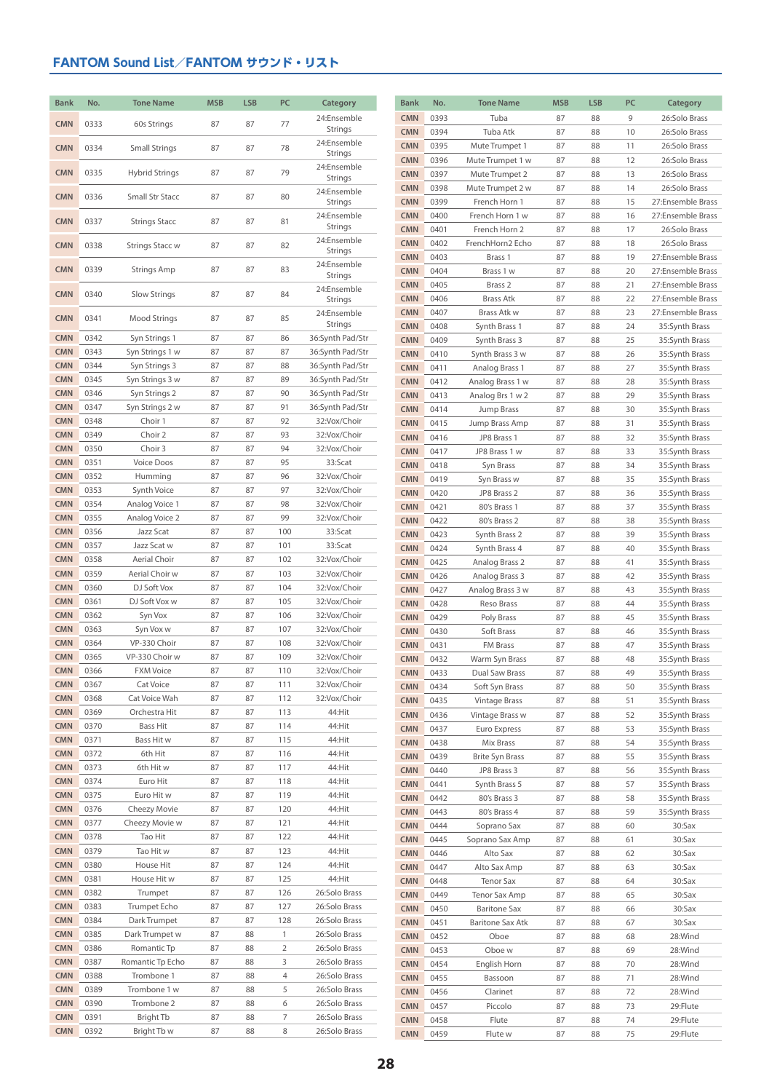| <b>Bank</b>              | No.          | <b>Tone Name</b>                | <b>MSB</b> | <b>LSB</b> | PC                  | Category                       | <b>Bank</b>              | No.          | <b>Tone Name</b>                      | <b>MSB</b> | <b>LSB</b> | PC       | Category                               |
|--------------------------|--------------|---------------------------------|------------|------------|---------------------|--------------------------------|--------------------------|--------------|---------------------------------------|------------|------------|----------|----------------------------------------|
|                          |              |                                 |            |            |                     | 24:Ensemble                    | <b>CMN</b>               | 0393         | Tuba                                  | 87         | 88         | 9        | 26:Solo Brass                          |
| <b>CMN</b>               | 0333         | 60s Strings                     | 87         | 87         | 77                  | Strings                        | <b>CMN</b>               | 0394         | Tuba Atk                              | 87         | 88         | 10       | 26:Solo Brass                          |
| <b>CMN</b>               | 0334         | Small Strings                   | 87         | 87         | 78                  | 24:Ensemble                    | <b>CMN</b>               | 0395         | Mute Trumpet 1                        | 87         | 88         | 11       | 26:Solo Brass                          |
|                          |              |                                 |            |            |                     | Strings                        | <b>CMN</b>               | 0396         | Mute Trumpet 1 w                      | 87         | 88         | 12       | 26:Solo Brass                          |
| <b>CMN</b>               | 0335         | <b>Hybrid Strings</b>           | 87         | 87         | 79                  | 24:Ensemble<br>Strings         | <b>CMN</b>               | 0397         | Mute Trumpet 2                        | 87         | 88         | 13       | 26:Solo Brass                          |
|                          |              |                                 |            |            |                     | 24:Ensemble                    | <b>CMN</b>               | 0398         | Mute Trumpet 2 w                      | 87         | 88         | 14       | 26:Solo Brass                          |
| <b>CMN</b>               | 0336         | Small Str Stacc                 | 87         | 87         | 80                  | Strings                        | <b>CMN</b>               | 0399         | French Horn 1                         | 87         | 88         | 15       | 27:Ensemble Brass                      |
| <b>CMN</b>               | 0337         | <b>Strings Stacc</b>            | 87         | 87         | 81                  | 24:Ensemble                    | <b>CMN</b>               | 0400         | French Horn 1 w                       | 87         | 88         | 16       | 27:Ensemble Brass                      |
|                          |              |                                 |            |            |                     | Strings                        | <b>CMN</b>               | 0401         | French Horn 2                         | 87         | 88         | 17       | 26:Solo Brass                          |
| <b>CMN</b>               | 0338         | <b>Strings Stacc w</b>          | 87         | 87         | 82                  | 24:Ensemble<br>Strings         | <b>CMN</b>               | 0402         | FrenchHorn2 Echo                      | 87         | 88         | 18       | 26:Solo Brass                          |
|                          |              |                                 |            |            |                     | 24:Ensemble                    | <b>CMN</b>               | 0403         | Brass 1                               | 87         | 88         | 19       | 27:Ensemble Brass                      |
| <b>CMN</b>               | 0339         | <b>Strings Amp</b>              | 87         | 87         | 83                  | Strings                        | <b>CMN</b>               | 0404         | Brass 1 w                             | 87         | 88         | 20       | 27:Ensemble Brass                      |
| <b>CMN</b>               | 0340         | Slow Strings                    | 87         | 87         | 84                  | 24:Ensemble                    | <b>CMN</b>               | 0405         | Brass 2                               | 87         | 88         | 21       | 27:Ensemble Brass                      |
|                          |              |                                 |            |            |                     | Strings                        | <b>CMN</b><br><b>CMN</b> | 0406<br>0407 | <b>Brass Atk</b><br>Brass Atk w       | 87<br>87   | 88<br>88   | 22<br>23 | 27:Ensemble Brass<br>27:Ensemble Brass |
| <b>CMN</b>               | 0341         | Mood Strings                    | 87         | 87         | 85                  | 24:Ensemble<br>Strings         | <b>CMN</b>               | 0408         | Synth Brass 1                         | 87         | 88         | 24       | 35:Synth Brass                         |
| <b>CMN</b>               | 0342         | Syn Strings 1                   | 87         | 87         | 86                  | 36:Synth Pad/Str               | <b>CMN</b>               | 0409         | Synth Brass 3                         | 87         | 88         | 25       | 35:Synth Brass                         |
| <b>CMN</b>               | 0343         | Syn Strings 1 w                 | 87         | 87         | 87                  | 36:Synth Pad/Str               | <b>CMN</b>               | 0410         | Synth Brass 3 w                       | 87         | 88         | 26       | 35:Synth Brass                         |
| <b>CMN</b>               | 0344         | Syn Strings 3                   | 87         | 87         | 88                  | 36:Synth Pad/Str               | <b>CMN</b>               | 0411         | Analog Brass 1                        | 87         | 88         | 27       | 35:Synth Brass                         |
| <b>CMN</b>               | 0345         | Syn Strings 3 w                 | 87         | 87         | 89                  | 36:Synth Pad/Str               | <b>CMN</b>               | 0412         | Analog Brass 1 w                      | 87         | 88         | 28       | 35:Synth Brass                         |
| <b>CMN</b>               | 0346         | Syn Strings 2                   | 87         | 87         | 90                  | 36:Synth Pad/Str               | <b>CMN</b>               | 0413         | Analog Brs 1 w 2                      | 87         | 88         | 29       | 35:Synth Brass                         |
| <b>CMN</b>               | 0347         | Syn Strings 2 w                 | 87         | 87         | 91                  | 36:Synth Pad/Str               | <b>CMN</b>               | 0414         | Jump Brass                            | 87         | 88         | 30       | 35:Synth Brass                         |
| <b>CMN</b>               | 0348         | Choir 1                         | 87         | 87         | 92                  | 32:Vox/Choir                   | <b>CMN</b>               | 0415         | Jump Brass Amp                        | 87         | 88         | 31       | 35:Synth Brass                         |
| <b>CMN</b>               | 0349         | Choir 2                         | 87         | 87         | 93                  | 32:Vox/Choir                   | <b>CMN</b>               | 0416         | JP8 Brass 1                           | 87         | 88         | 32       | 35:Synth Brass                         |
| <b>CMN</b>               | 0350         | Choir 3                         | 87         | 87         | 94                  | 32:Vox/Choir                   | <b>CMN</b>               | 0417         | JP8 Brass 1 w                         | 87         | 88         | 33       | 35:Synth Brass                         |
| <b>CMN</b>               | 0351         | Voice Doos                      | 87         | 87         | 95                  | 33:Scat                        | <b>CMN</b>               | 0418         | Syn Brass                             | 87         | 88         | 34       | 35:Synth Brass                         |
| <b>CMN</b>               | 0352         | Humming                         | 87         | 87         | 96                  | 32:Vox/Choir                   | <b>CMN</b>               | 0419         | Syn Brass w                           | 87         | 88         | 35       | 35:Synth Brass                         |
| <b>CMN</b><br><b>CMN</b> | 0353<br>0354 | Synth Voice<br>Analog Voice 1   | 87<br>87   | 87<br>87   | 97<br>98            | 32:Vox/Choir<br>32:Vox/Choir   | <b>CMN</b>               | 0420         | JP8 Brass 2                           | 87         | 88         | 36       | 35:Synth Brass                         |
| <b>CMN</b>               | 0355         | Analog Voice 2                  | 87         | 87         | 99                  | 32:Vox/Choir                   | <b>CMN</b>               | 0421         | 80's Brass 1                          | 87         | 88         | 37       | 35:Synth Brass                         |
| <b>CMN</b>               | 0356         | Jazz Scat                       | 87         | 87         | 100                 | 33:Scat                        | <b>CMN</b><br><b>CMN</b> | 0422<br>0423 | 80's Brass 2                          | 87         | 88<br>88   | 38<br>39 | 35:Synth Brass                         |
| <b>CMN</b>               | 0357         | Jazz Scat w                     | 87         | 87         | 101                 | 33:Scat                        | <b>CMN</b>               | 0424         | Synth Brass 2<br>Synth Brass 4        | 87<br>87   | 88         | 40       | 35:Synth Brass<br>35:Synth Brass       |
| <b>CMN</b>               | 0358         | Aerial Choir                    | 87         | 87         | 102                 | 32:Vox/Choir                   | <b>CMN</b>               | 0425         | Analog Brass 2                        | 87         | 88         | 41       | 35:Synth Brass                         |
| <b>CMN</b>               | 0359         | Aerial Choir w                  | 87         | 87         | 103                 | 32:Vox/Choir                   | <b>CMN</b>               | 0426         | Analog Brass 3                        | 87         | 88         | 42       | 35:Synth Brass                         |
| <b>CMN</b>               | 0360         | DJ Soft Vox                     | 87         | 87         | 104                 | 32:Vox/Choir                   | <b>CMN</b>               | 0427         | Analog Brass 3 w                      | 87         | 88         | 43       | 35:Synth Brass                         |
| <b>CMN</b>               | 0361         | DJ Soft Vox w                   | 87         | 87         | 105                 | 32:Vox/Choir                   | <b>CMN</b>               | 0428         | Reso Brass                            | 87         | 88         | 44       | 35:Synth Brass                         |
| <b>CMN</b>               | 0362         | Syn Vox                         | 87         | 87         | 106                 | 32:Vox/Choir                   | <b>CMN</b>               | 0429         | Poly Brass                            | 87         | 88         | 45       | 35:Synth Brass                         |
| <b>CMN</b>               | 0363         | Syn Vox w                       | 87         | 87         | 107                 | 32:Vox/Choir                   | <b>CMN</b>               | 0430         | Soft Brass                            | 87         | 88         | 46       | 35:Synth Brass                         |
| <b>CMN</b>               | 0364         | VP-330 Choir                    | 87         | 87         | 108                 | 32:Vox/Choir                   | <b>CMN</b>               | 0431         | FM Brass                              | 87         | 88         | 47       | 35:Synth Brass                         |
| <b>CMN</b>               | 0365         | VP-330 Choir w                  | 87         | 87         | 109                 | 32:Vox/Choir                   | <b>CMN</b>               | 0432         | Warm Syn Brass                        | 87         | 88         | 48       | 35:Synth Brass                         |
| <b>CMN</b>               | 0366         | <b>FXM Voice</b>                | 87         | 87         | 110                 | 32:Vox/Choir                   | <b>CMN</b>               | 0433         | Dual Saw Brass                        | 87         | 88         | 49       | 35:Synth Brass                         |
| <b>CMN</b>               | 0367         | Cat Voice                       | 87         | 87         | 111                 | 32:Vox/Choir                   | <b>CMN</b>               | 0434         | Soft Syn Brass                        | 87         | 88         | 50       | 35:Synth Brass                         |
| <b>CMN</b><br><b>CMN</b> | 0368<br>0369 | Cat Voice Wah<br>Orchestra Hit  | 87<br>87   | 87<br>87   | 112<br>113          | 32:Vox/Choir<br>44:Hit         | <b>CMN</b>               | 0435         | Vintage Brass                         | 87         | 88         | 51       | 35:Synth Brass                         |
| <b>CMN</b>               | 0370         | Bass Hit                        | 87         | 87         | 114                 | 44:Hit                         | <b>CMN</b>               | 0436         | Vintage Brass w                       | 87         | 88         | 52       | 35:Synth Brass                         |
| <b>CMN</b>               | 0371         | Bass Hit w                      | 87         | 87         | 115                 | 44:Hit                         | <b>CMN</b>               | 0437         | Euro Express                          | 87         | 88         | 53       | 35:Synth Brass                         |
| <b>CMN</b>               | 0372         | 6th Hit                         | 87         | 87         | 116                 | 44:Hit                         | <b>CMN</b>               | 0438<br>0439 | Mix Brass                             | 87         | 88<br>88   | 54<br>55 | 35:Synth Brass                         |
| <b>CMN</b>               | 0373         | 6th Hit w                       | 87         | 87         | 117                 | 44:Hit                         | <b>CMN</b><br><b>CMN</b> | 0440         | <b>Brite Syn Brass</b><br>JP8 Brass 3 | 87<br>87   | 88         | 56       | 35:Synth Brass<br>35:Synth Brass       |
| <b>CMN</b>               | 0374         | Euro Hit                        | 87         | 87         | 118                 | 44:Hit                         | <b>CMN</b>               | 0441         | Synth Brass 5                         | 87         | 88         | 57       | 35:Synth Brass                         |
| <b>CMN</b>               | 0375         | Euro Hit w                      | 87         | 87         | 119                 | 44:Hit                         | <b>CMN</b>               | 0442         | 80's Brass 3                          | 87         | 88         | 58       | 35:Synth Brass                         |
| <b>CMN</b>               | 0376         | Cheezy Movie                    | 87         | 87         | 120                 | 44:Hit                         | <b>CMN</b>               | 0443         | 80's Brass 4                          | 87         | 88         | 59       | 35:Synth Brass                         |
| <b>CMN</b>               | 0377         | Cheezy Movie w                  | 87         | 87         | 121                 | 44:Hit                         | <b>CMN</b>               | 0444         | Soprano Sax                           | 87         | 88         | 60       | 30:Sax                                 |
| <b>CMN</b>               | 0378         | Tao Hit                         | 87         | 87         | 122                 | 44:Hit                         | <b>CMN</b>               | 0445         | Soprano Sax Amp                       | 87         | 88         | 61       | 30:Sax                                 |
| <b>CMN</b>               | 0379         | Tao Hit w                       | 87         | 87         | 123                 | 44:Hit                         | <b>CMN</b>               | 0446         | Alto Sax                              | 87         | 88         | 62       | 30:Sax                                 |
| <b>CMN</b>               | 0380         | House Hit                       | 87         | 87         | 124                 | 44:Hit                         | <b>CMN</b>               | 0447         | Alto Sax Amp                          | 87         | 88         | 63       | 30:Sax                                 |
| <b>CMN</b>               | 0381         | House Hit w                     | 87         | 87         | 125                 | 44:Hit                         | <b>CMN</b>               | 0448         | <b>Tenor Sax</b>                      | 87         | 88         | 64       | 30:Sax                                 |
| <b>CMN</b>               | 0382         | Trumpet                         | 87         | 87         | 126                 | 26:Solo Brass                  | <b>CMN</b>               | 0449         | Tenor Sax Amp                         | 87         | 88         | 65       | 30:Sax                                 |
| <b>CMN</b>               | 0383         | Trumpet Echo                    | 87         | 87         | 127                 | 26:Solo Brass                  | <b>CMN</b>               | 0450         | <b>Baritone Sax</b>                   | 87         | 88         | 66       | 30:Sax                                 |
| <b>CMN</b>               | 0384         | Dark Trumpet                    | 87         | 87         | 128                 | 26:Solo Brass                  | <b>CMN</b>               | 0451         | <b>Baritone Sax Atk</b>               | 87         | 88         | 67       | 30:Sax                                 |
| <b>CMN</b><br><b>CMN</b> | 0385         | Dark Trumpet w                  | 87         | 88         | $\mathbf{1}$        | 26:Solo Brass                  | <b>CMN</b>               | 0452         | Oboe                                  | 87         | 88         | 68       | 28:Wind                                |
| <b>CMN</b>               | 0386<br>0387 | Romantic Tp<br>Romantic Tp Echo | 87<br>87   | 88<br>88   | $\overline{2}$<br>3 | 26:Solo Brass<br>26:Solo Brass | <b>CMN</b>               | 0453         | Oboe w                                | 87         | 88         | 69       | 28:Wind                                |
| <b>CMN</b>               | 0388         | Trombone 1                      | 87         | 88         | $\overline{4}$      | 26:Solo Brass                  | <b>CMN</b>               | 0454         | English Horn                          | 87         | 88         | 70       | 28:Wind                                |
| <b>CMN</b>               | 0389         | Trombone 1 w                    | 87         | 88         | 5                   | 26:Solo Brass                  | <b>CMN</b><br><b>CMN</b> | 0455<br>0456 | Bassoon<br>Clarinet                   | 87<br>87   | 88<br>88   | 71       | 28:Wind<br>28:Wind                     |
| <b>CMN</b>               | 0390         | Trombone 2                      | 87         | 88         | 6                   | 26:Solo Brass                  | <b>CMN</b>               | 0457         | Piccolo                               | 87         | 88         | 72<br>73 | 29:Flute                               |
| <b>CMN</b>               | 0391         | Bright Tb                       | 87         | 88         | 7                   | 26:Solo Brass                  | <b>CMN</b>               | 0458         | Flute                                 | 87         | 88         | 74       | 29:Flute                               |
| <b>CMN</b>               | 0392         | Bright Tb w                     | 87         | 88         | $\,$ 8 $\,$         | 26:Solo Brass                  | <b>CMN</b>               | 0459         | Flute w                               | 87         | 88         | 75       | 29:Flute                               |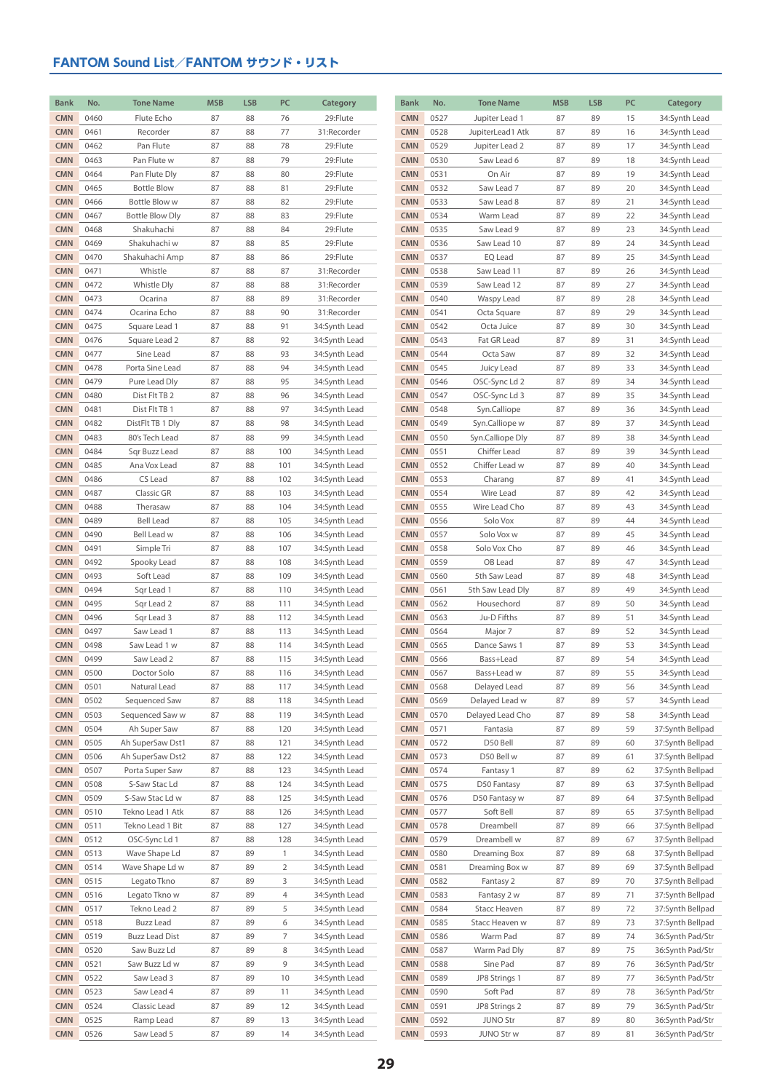| <b>Bank</b> | No.  | <b>Tone Name</b>       | <b>MSB</b> | <b>LSB</b> | PC             | Category      | <b>Bank</b> | No.  | <b>Tone Name</b> | <b>MSB</b> | <b>LSB</b> | PC | Category         |
|-------------|------|------------------------|------------|------------|----------------|---------------|-------------|------|------------------|------------|------------|----|------------------|
| <b>CMN</b>  | 0460 | Flute Echo             | 87         | 88         | 76             | 29:Flute      | <b>CMN</b>  | 0527 | Jupiter Lead 1   | 87         | 89         | 15 | 34:Synth Lead    |
| <b>CMN</b>  | 0461 | Recorder               | 87         | 88         | 77             | 31:Recorder   | <b>CMN</b>  | 0528 | JupiterLead1 Atk | 87         | 89         | 16 | 34:Synth Lead    |
| <b>CMN</b>  | 0462 | Pan Flute              | 87         | 88         | 78             | 29:Flute      | <b>CMN</b>  | 0529 | Jupiter Lead 2   | 87         | 89         | 17 | 34:Synth Lead    |
| <b>CMN</b>  | 0463 | Pan Flute w            | 87         | 88         | 79             | 29:Flute      | <b>CMN</b>  | 0530 | Saw Lead 6       | 87         | 89         | 18 | 34:Synth Lead    |
| <b>CMN</b>  | 0464 | Pan Flute Dly          | 87         | 88         | 80             | 29:Flute      | <b>CMN</b>  | 0531 | On Air           | 87         | 89         | 19 | 34:Synth Lead    |
| <b>CMN</b>  | 0465 | <b>Bottle Blow</b>     | 87         | 88         | 81             | 29:Flute      | <b>CMN</b>  | 0532 | Saw Lead 7       | 87         | 89         | 20 | 34:Synth Lead    |
| <b>CMN</b>  | 0466 | Bottle Blow w          | 87         | 88         | 82             | 29:Flute      | <b>CMN</b>  | 0533 | Saw Lead 8       | 87         | 89         | 21 | 34:Synth Lead    |
| <b>CMN</b>  | 0467 | <b>Bottle Blow Dly</b> | 87         | 88         | 83             | 29:Flute      | <b>CMN</b>  | 0534 | Warm Lead        | 87         | 89         | 22 | 34:Synth Lead    |
| <b>CMN</b>  | 0468 | Shakuhachi             | 87         | 88         | 84             | 29:Flute      | <b>CMN</b>  | 0535 | Saw Lead 9       | 87         | 89         | 23 | 34:Synth Lead    |
| <b>CMN</b>  | 0469 | Shakuhachi w           | 87         | 88         | 85             | 29:Flute      | <b>CMN</b>  | 0536 | Saw Lead 10      | 87         | 89         | 24 | 34:Synth Lead    |
| <b>CMN</b>  | 0470 | Shakuhachi Amp         | 87         | 88         | 86             | 29:Flute      | <b>CMN</b>  | 0537 | EQ Lead          | 87         | 89         | 25 | 34:Synth Lead    |
| <b>CMN</b>  | 0471 | Whistle                | 87         | 88         | 87             | 31:Recorder   | <b>CMN</b>  | 0538 | Saw Lead 11      | 87         | 89         | 26 | 34:Synth Lead    |
| <b>CMN</b>  | 0472 | Whistle Dly            | 87         | 88         | 88             | 31:Recorder   | <b>CMN</b>  | 0539 | Saw Lead 12      | 87         | 89         | 27 | 34:Synth Lead    |
| <b>CMN</b>  | 0473 | Ocarina                | 87         | 88         | 89             | 31:Recorder   | <b>CMN</b>  | 0540 | Waspy Lead       | 87         | 89         | 28 | 34:Synth Lead    |
| <b>CMN</b>  | 0474 | Ocarina Echo           | 87         | 88         | 90             | 31:Recorder   | <b>CMN</b>  | 0541 | Octa Square      | 87         | 89         | 29 | 34:Synth Lead    |
| <b>CMN</b>  | 0475 | Square Lead 1          | 87         | 88         | 91             | 34:Synth Lead | <b>CMN</b>  | 0542 | Octa Juice       | 87         | 89         | 30 | 34:Synth Lead    |
| <b>CMN</b>  | 0476 | Square Lead 2          | 87         | 88         | 92             | 34:Synth Lead | <b>CMN</b>  | 0543 | Fat GR Lead      | 87         | 89         | 31 | 34:Synth Lead    |
| <b>CMN</b>  | 0477 | Sine Lead              | 87         | 88         | 93             | 34:Synth Lead | <b>CMN</b>  | 0544 | Octa Saw         | 87         | 89         | 32 | 34:Synth Lead    |
| <b>CMN</b>  | 0478 | Porta Sine Lead        | 87         | 88         | 94             | 34:Synth Lead | <b>CMN</b>  | 0545 | Juicy Lead       | 87         | 89         | 33 | 34:Synth Lead    |
| <b>CMN</b>  | 0479 | Pure Lead Dly          | 87         | 88         | 95             | 34:Synth Lead | <b>CMN</b>  | 0546 | OSC-Sync Ld 2    | 87         | 89         | 34 | 34:Synth Lead    |
| <b>CMN</b>  | 0480 | Dist Flt TB 2          | 87         | 88         | 96             | 34:Synth Lead | <b>CMN</b>  | 0547 | OSC-Sync Ld 3    | 87         | 89         | 35 | 34:Synth Lead    |
| <b>CMN</b>  | 0481 | Dist Flt TB 1          | 87         | 88         | 97             | 34:Synth Lead | <b>CMN</b>  | 0548 | Syn.Calliope     | 87         | 89         | 36 | 34:Synth Lead    |
| <b>CMN</b>  | 0482 | DistFlt TB 1 Dly       | 87         | 88         | 98             | 34:Synth Lead | <b>CMN</b>  | 0549 | Syn.Calliope w   | 87         | 89         | 37 | 34:Synth Lead    |
| <b>CMN</b>  | 0483 | 80's Tech Lead         | 87         | 88         | 99             | 34:Synth Lead | <b>CMN</b>  | 0550 | Syn.Calliope Dly | 87         | 89         | 38 | 34:Synth Lead    |
| <b>CMN</b>  | 0484 | Sqr Buzz Lead          | 87         | 88         | 100            | 34:Synth Lead | <b>CMN</b>  | 0551 | Chiffer Lead     | 87         | 89         | 39 | 34:Synth Lead    |
| <b>CMN</b>  | 0485 | Ana Vox Lead           | 87         | 88         | 101            | 34:Synth Lead | <b>CMN</b>  | 0552 | Chiffer Lead w   | 87         | 89         | 40 | 34:Synth Lead    |
| <b>CMN</b>  | 0486 | CS Lead                | 87         | 88         | 102            | 34:Synth Lead | <b>CMN</b>  | 0553 | Charang          | 87         | 89         | 41 | 34:Synth Lead    |
| <b>CMN</b>  | 0487 | Classic GR             | 87         | 88         | 103            | 34:Synth Lead | <b>CMN</b>  | 0554 | Wire Lead        | 87         | 89         | 42 | 34:Synth Lead    |
| <b>CMN</b>  | 0488 | Therasaw               | 87         | 88         | 104            | 34:Synth Lead | <b>CMN</b>  | 0555 | Wire Lead Cho    | 87         | 89         | 43 | 34:Synth Lead    |
| <b>CMN</b>  | 0489 | <b>Bell Lead</b>       | 87         | 88         | 105            | 34:Synth Lead | <b>CMN</b>  | 0556 | Solo Vox         | 87         | 89         | 44 | 34:Synth Lead    |
| <b>CMN</b>  | 0490 | Bell Lead w            | 87         | 88         | 106            | 34:Synth Lead | <b>CMN</b>  | 0557 | Solo Vox w       | 87         | 89         | 45 | 34:Synth Lead    |
| <b>CMN</b>  | 0491 | Simple Tri             | 87         | 88         | 107            | 34:Synth Lead | <b>CMN</b>  | 0558 | Solo Vox Cho     | 87         | 89         | 46 | 34:Synth Lead    |
| <b>CMN</b>  | 0492 | Spooky Lead            | 87         | 88         | 108            | 34:Synth Lead | <b>CMN</b>  | 0559 | OB Lead          | 87         | 89         | 47 | 34:Synth Lead    |
| <b>CMN</b>  | 0493 | Soft Lead              | 87         | 88         | 109            | 34:Synth Lead | <b>CMN</b>  | 0560 | 5th Saw Lead     | 87         | 89         | 48 | 34:Synth Lead    |
| <b>CMN</b>  | 0494 | Sqr Lead 1             | 87         | 88         | 110            | 34:Synth Lead | <b>CMN</b>  | 0561 | 5th Saw Lead Dly | 87         | 89         | 49 | 34:Synth Lead    |
| <b>CMN</b>  | 0495 | Sqr Lead 2             | 87         | 88         | 111            | 34:Synth Lead | <b>CMN</b>  | 0562 | Housechord       | 87         | 89         | 50 | 34:Synth Lead    |
| <b>CMN</b>  | 0496 | Sqr Lead 3             | 87         | 88         | 112            | 34:Synth Lead | <b>CMN</b>  | 0563 | Ju-D Fifths      | 87         | 89         | 51 | 34:Synth Lead    |
| <b>CMN</b>  | 0497 | Saw Lead 1             | 87         | 88         | 113            | 34:Synth Lead | <b>CMN</b>  | 0564 | Major 7          | 87         | 89         | 52 | 34:Synth Lead    |
| <b>CMN</b>  | 0498 | Saw Lead 1 w           | 87         | 88         | 114            | 34:Synth Lead | <b>CMN</b>  | 0565 | Dance Saws 1     | 87         | 89         | 53 | 34:Synth Lead    |
| <b>CMN</b>  | 0499 | Saw Lead 2             | 87         | 88         | 115            | 34:Synth Lead | <b>CMN</b>  | 0566 | Bass+Lead        | 87         | 89         | 54 | 34:Synth Lead    |
| <b>CMN</b>  | 0500 | Doctor Solo            | 87         | 88         | 116            | 34:Synth Lead | <b>CMN</b>  | 0567 | Bass+Lead w      | 87         | 89         | 55 | 34:Synth Lead    |
| <b>CMN</b>  | 0501 | Natural Lead           | 87         | 88         | 117            | 34:Synth Lead | <b>CMN</b>  | 0568 | Delayed Lead     | 87         | 89         | 56 | 34:Synth Lead    |
| <b>CMN</b>  | 0502 | Sequenced Saw          | 87         | 88         | 118            | 34:Synth Lead | <b>CMN</b>  | 0569 | Delayed Lead w   | 87         | 89         | 57 | 34:Synth Lead    |
| <b>CMN</b>  | 0503 | Sequenced Saw w        | 87         | 88         | 119            | 34:Synth Lead | <b>CMN</b>  | 0570 | Delayed Lead Cho | 87         | 89         | 58 | 34:Synth Lead    |
| <b>CMN</b>  | 0504 | Ah Super Saw           | 87         | 88         | 120            | 34:Synth Lead | <b>CMN</b>  | 0571 | Fantasia         | 87         | 89         | 59 | 37:Synth Bellpad |
| <b>CMN</b>  | 0505 | Ah SuperSaw Dst1       | 87         | 88         | 121            | 34:Synth Lead | <b>CMN</b>  | 0572 | D50 Bell         | 87         | 89         | 60 | 37:Synth Bellpad |
| <b>CMN</b>  | 0506 | Ah SuperSaw Dst2       | 87         | 88         | 122            | 34:Synth Lead | <b>CMN</b>  | 0573 | D50 Bell w       | 87         | 89         | 61 | 37:Synth Bellpad |
| <b>CMN</b>  | 0507 | Porta Super Saw        | 87         | 88         | 123            | 34:Synth Lead | <b>CMN</b>  | 0574 | Fantasy 1        | 87         | 89         | 62 | 37:Synth Bellpad |
| <b>CMN</b>  | 0508 | S-Saw Stac Ld          | 87         | 88         | 124            | 34:Synth Lead | <b>CMN</b>  | 0575 | D50 Fantasy      | 87         | 89         | 63 | 37:Synth Bellpad |
| <b>CMN</b>  | 0509 | S-Saw Stac Ld w        | 87         | 88         | 125            | 34:Synth Lead | <b>CMN</b>  | 0576 | D50 Fantasy w    | 87         | 89         | 64 | 37:Synth Bellpad |
| <b>CMN</b>  | 0510 | Tekno Lead 1 Atk       | 87         | 88         | 126            | 34:Synth Lead | <b>CMN</b>  | 0577 | Soft Bell        | 87         | 89         | 65 | 37:Synth Bellpad |
| <b>CMN</b>  | 0511 | Tekno Lead 1 Bit       | 87         | 88         | 127            | 34:Synth Lead | <b>CMN</b>  | 0578 | Dreambell        | 87         | 89         | 66 | 37:Synth Bellpad |
| <b>CMN</b>  | 0512 | OSC-Sync Ld 1          | 87         | 88         | 128            | 34:Synth Lead | <b>CMN</b>  | 0579 | Dreambell w      | 87         | 89         | 67 | 37:Synth Bellpad |
| <b>CMN</b>  | 0513 | Wave Shape Ld          | 87         | 89         | $\mathbf{1}$   | 34:Synth Lead | <b>CMN</b>  | 0580 | Dreaming Box     | 87         | 89         | 68 | 37:Synth Bellpad |
| <b>CMN</b>  | 0514 | Wave Shape Ld w        | 87         | 89         | $\overline{2}$ | 34:Synth Lead | <b>CMN</b>  | 0581 | Dreaming Box w   | 87         | 89         | 69 | 37:Synth Bellpad |
| <b>CMN</b>  | 0515 | Legato Tkno            | 87         | 89         | 3              | 34:Synth Lead | <b>CMN</b>  | 0582 | Fantasy 2        | 87         | 89         | 70 | 37:Synth Bellpad |
| <b>CMN</b>  | 0516 | Legato Tkno w          | 87         | 89         | 4              | 34:Synth Lead | <b>CMN</b>  | 0583 | Fantasy 2 w      | 87         | 89         | 71 | 37:Synth Bellpad |
| <b>CMN</b>  | 0517 | Tekno Lead 2           | 87         | 89         | 5              | 34:Synth Lead | <b>CMN</b>  | 0584 | Stacc Heaven     | 87         | 89         | 72 | 37:Synth Bellpad |
| <b>CMN</b>  | 0518 | <b>Buzz Lead</b>       | 87         | 89         | 6              | 34:Synth Lead | <b>CMN</b>  | 0585 | Stacc Heaven w   | 87         | 89         | 73 | 37:Synth Bellpad |
| <b>CMN</b>  | 0519 | <b>Buzz Lead Dist</b>  | 87         | 89         | 7              | 34:Synth Lead | <b>CMN</b>  | 0586 | Warm Pad         | 87         | 89         | 74 | 36:Synth Pad/Str |
| <b>CMN</b>  | 0520 | Saw Buzz Ld            | 87         | 89         | 8              | 34:Synth Lead | <b>CMN</b>  | 0587 | Warm Pad Dly     | 87         | 89         | 75 | 36:Synth Pad/Str |
| <b>CMN</b>  | 0521 | Saw Buzz Ld w          | 87         | 89         | 9              | 34:Synth Lead | <b>CMN</b>  | 0588 | Sine Pad         | 87         | 89         | 76 | 36:Synth Pad/Str |
| <b>CMN</b>  | 0522 | Saw Lead 3             | 87         | 89         | 10             | 34:Synth Lead | <b>CMN</b>  | 0589 | JP8 Strings 1    | 87         | 89         | 77 | 36:Synth Pad/Str |
| <b>CMN</b>  | 0523 | Saw Lead 4             | 87         | 89         | 11             | 34:Synth Lead | <b>CMN</b>  | 0590 | Soft Pad         | 87         | 89         | 78 | 36:Synth Pad/Str |
| <b>CMN</b>  | 0524 | Classic Lead           | 87         | 89         | 12             | 34:Synth Lead | <b>CMN</b>  | 0591 | JP8 Strings 2    | 87         | 89         | 79 | 36:Synth Pad/Str |
| <b>CMN</b>  | 0525 | Ramp Lead              | 87         | 89         | 13             | 34:Synth Lead | <b>CMN</b>  | 0592 | <b>JUNO Str</b>  | 87         | 89         | 80 | 36:Synth Pad/Str |
| <b>CMN</b>  | 0526 | Saw Lead 5             | 87         | 89         | 14             | 34:Synth Lead | <b>CMN</b>  | 0593 | JUNO Str w       | 87         | 89         | 81 | 36:Synth Pad/Str |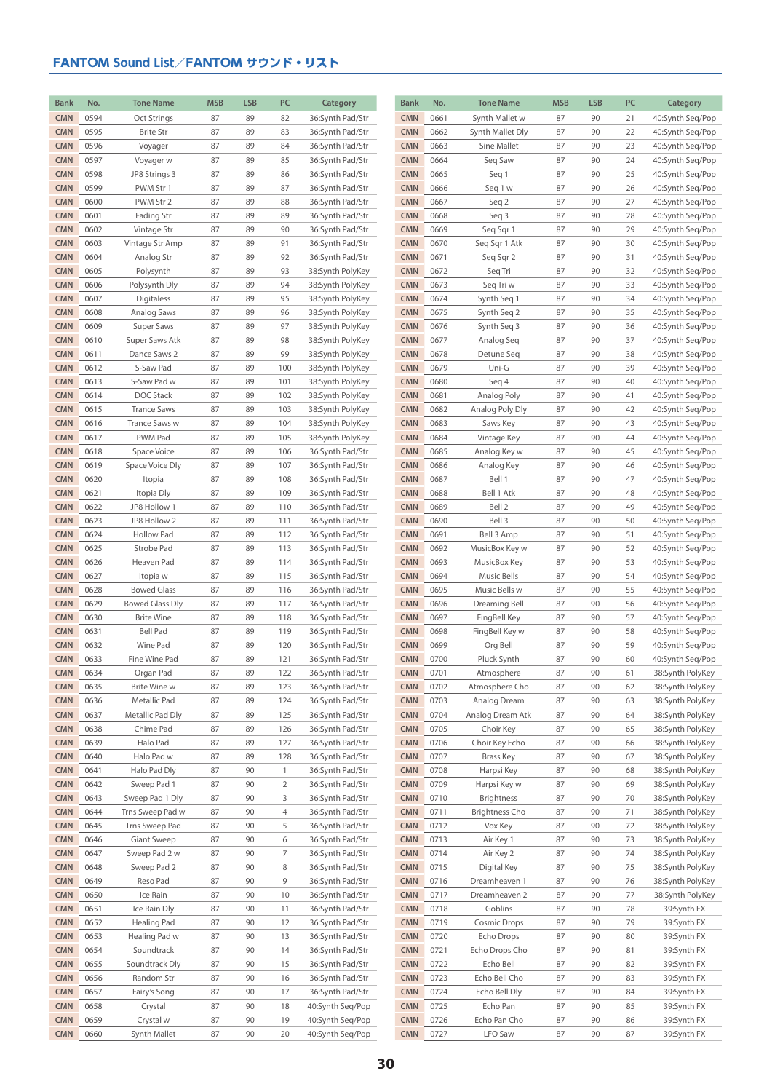| <b>Bank</b>              | No.          | <b>Tone Name</b>                     | <b>MSB</b> | <b>LSB</b> | PC             | Category                             | Bank                     | No.          | <b>Tone Name</b>               | <b>MSB</b> | <b>LSB</b> | PC       | Category                             |
|--------------------------|--------------|--------------------------------------|------------|------------|----------------|--------------------------------------|--------------------------|--------------|--------------------------------|------------|------------|----------|--------------------------------------|
| <b>CMN</b>               | 0594         | Oct Strings                          | 87         | 89         | 82             | 36:Synth Pad/Str                     | <b>CMN</b>               | 0661         | Synth Mallet w                 | 87         | 90         | 21       | 40:Synth Seq/Pop                     |
| <b>CMN</b>               | 0595         | <b>Brite Str</b>                     | 87         | 89         | 83             | 36:Synth Pad/Str                     | <b>CMN</b>               | 0662         | Synth Mallet Dly               | 87         | 90         | 22       | 40:Synth Seq/Pop                     |
| <b>CMN</b>               | 0596         | Voyager                              | 87         | 89         | 84             | 36:Synth Pad/Str                     | <b>CMN</b>               | 0663         | Sine Mallet                    | 87         | 90         | 23       | 40:Synth Seq/Pop                     |
| <b>CMN</b>               | 0597         | Voyager w                            | 87         | 89         | 85             | 36:Synth Pad/Str                     | <b>CMN</b>               | 0664         | Seq Saw                        | 87         | 90         | 24       | 40:Synth Seq/Pop                     |
| <b>CMN</b>               | 0598         | JP8 Strings 3                        | 87         | 89         | 86             | 36:Synth Pad/Str                     | <b>CMN</b>               | 0665         | Seq 1                          | 87         | 90         | 25       | 40:Synth Seq/Pop                     |
| <b>CMN</b>               | 0599         | PWM Str 1                            | 87         | 89         | 87             | 36:Synth Pad/Str                     | <b>CMN</b>               | 0666         | Seq 1 w                        | 87         | 90         | 26       | 40:Synth Seq/Pop                     |
| <b>CMN</b>               | 0600         | PWM Str 2                            | 87         | 89         | 88             | 36:Synth Pad/Str                     | <b>CMN</b>               | 0667         | Seq 2                          | 87         | 90         | 27       | 40:Synth Seq/Pop                     |
| <b>CMN</b>               | 0601         | Fading Str                           | 87         | 89         | 89             | 36:Synth Pad/Str                     | <b>CMN</b>               | 0668         | Seq 3                          | 87         | 90         | 28       | 40:Synth Seq/Pop                     |
| <b>CMN</b>               | 0602         | Vintage Str                          | 87         | 89         | 90             | 36:Synth Pad/Str                     | <b>CMN</b>               | 0669         | Seq Sqr 1                      | 87         | 90         | 29       | 40:Synth Seq/Pop                     |
| <b>CMN</b>               | 0603         | Vintage Str Amp                      | 87         | 89         | 91             | 36:Synth Pad/Str                     | <b>CMN</b>               | 0670         | Seg Sqr 1 Atk                  | 87         | 90         | 30       | 40:Synth Seq/Pop                     |
| <b>CMN</b>               | 0604         | Analog Str                           | 87         | 89         | 92             | 36:Synth Pad/Str                     | <b>CMN</b>               | 0671         | Seq Sqr 2                      | 87         | 90         | 31       | 40:Synth Seq/Pop                     |
| <b>CMN</b>               | 0605         | Polysynth                            | 87         | 89         | 93             | 38:Synth PolyKey                     | <b>CMN</b>               | 0672         | Seq Tri                        | 87         | 90         | 32       | 40:Synth Seq/Pop                     |
| <b>CMN</b>               | 0606         | Polysynth Dly                        | 87         | 89         | 94             | 38:Synth PolyKey                     | <b>CMN</b>               | 0673         | Seq Tri w                      | 87         | 90         | 33       | 40:Synth Seq/Pop                     |
| <b>CMN</b>               | 0607         | Digitaless                           | 87         | 89         | 95             | 38:Synth PolyKey                     | <b>CMN</b>               | 0674         | Synth Seq 1                    | 87         | 90         | 34       | 40:Synth Seq/Pop                     |
| <b>CMN</b>               | 0608         | Analog Saws                          | 87         | 89         | 96             | 38:Synth PolyKey                     | <b>CMN</b>               | 0675         | Synth Seq 2                    | 87         | 90         | 35       | 40:Synth Seq/Pop                     |
| <b>CMN</b>               | 0609         | Super Saws                           | 87         | 89         | 97             | 38:Synth PolyKey                     | <b>CMN</b>               | 0676         | Synth Seq 3                    | 87         | 90         | 36       | 40:Synth Seq/Pop                     |
| <b>CMN</b>               | 0610         | Super Saws Atk                       | 87         | 89         | 98             | 38:Synth PolyKey                     | <b>CMN</b>               | 0677         | Analog Seq                     | 87         | 90         | 37       | 40:Synth Seq/Pop                     |
| <b>CMN</b>               | 0611         | Dance Saws 2                         | 87         | 89         | 99             | 38:Synth PolyKey                     | <b>CMN</b>               | 0678         | Detune Seq                     | 87         | 90         | 38       | 40:Synth Seq/Pop                     |
| <b>CMN</b>               | 0612         | S-Saw Pad                            | 87         | 89         | 100            | 38:Synth PolyKey                     | <b>CMN</b>               | 0679         | Uni-G                          | 87         | 90         | 39       | 40:Synth Seq/Pop                     |
| <b>CMN</b>               | 0613         | S-Saw Pad w                          | 87         | 89         | 101            | 38:Synth PolyKey                     | <b>CMN</b>               | 0680         | Seq 4                          | 87         | 90         | 40       | 40:Synth Seq/Pop                     |
| <b>CMN</b>               | 0614         | DOC Stack                            | 87         | 89         | 102            | 38:Synth PolyKey                     | <b>CMN</b>               | 0681         | Analog Poly                    | 87         | 90         | 41       | 40:Synth Seg/Pop                     |
| <b>CMN</b>               | 0615         | <b>Trance Saws</b>                   | 87         | 89         | 103            | 38:Synth PolyKey                     | <b>CMN</b>               | 0682         | Analog Poly Dly                | 87         | 90         | 42       | 40:Synth Seq/Pop                     |
| <b>CMN</b>               | 0616         | Trance Saws w                        | 87         | 89         | 104            | 38:Synth PolyKey                     | <b>CMN</b>               | 0683         | Saws Key                       | 87         | 90         | 43       | 40:Synth Seq/Pop                     |
| <b>CMN</b>               | 0617         | PWM Pad                              | 87         | 89         | 105            | 38:Synth PolyKey                     | <b>CMN</b>               | 0684         | Vintage Key                    | 87         | 90         | 44       | 40:Synth Seq/Pop                     |
| <b>CMN</b>               | 0618         | Space Voice                          | 87         | 89         | 106            | 36:Synth Pad/Str                     | <b>CMN</b>               | 0685         | Analog Key w                   | 87         | 90         | 45       | 40:Synth Seq/Pop                     |
| <b>CMN</b>               | 0619         | Space Voice Dly                      | 87         | 89         | 107            | 36:Synth Pad/Str                     | <b>CMN</b>               | 0686         | Analog Key                     | 87         | 90         | 46       | 40:Synth Seq/Pop                     |
| <b>CMN</b>               | 0620         | Itopia                               | 87         | 89         | 108            | 36:Synth Pad/Str                     | <b>CMN</b>               | 0687         | Bell 1                         | 87         | 90         | 47       | 40:Synth Seq/Pop                     |
| <b>CMN</b>               | 0621         | Itopia Dly                           | 87         | 89         | 109            | 36:Synth Pad/Str                     | <b>CMN</b>               | 0688         | Bell 1 Atk                     | 87         | 90         | 48       | 40:Synth Seq/Pop                     |
| <b>CMN</b>               | 0622         | JP8 Hollow 1                         | 87         | 89         | 110            | 36:Synth Pad/Str                     | <b>CMN</b>               | 0689         | Bell 2                         | 87         | 90         | 49       | 40:Synth Seq/Pop                     |
| <b>CMN</b>               | 0623         | JP8 Hollow 2                         | 87         | 89         | 111            | 36:Synth Pad/Str                     | <b>CMN</b>               | 0690         | Bell 3                         | 87         | 90         | 50       | 40:Synth Seq/Pop                     |
| <b>CMN</b>               | 0624         | <b>Hollow Pad</b>                    | 87         | 89         | 112            | 36:Synth Pad/Str                     | <b>CMN</b>               | 0691         | Bell 3 Amp                     | 87         | 90         | 51       | 40:Synth Seq/Pop                     |
| <b>CMN</b>               | 0625         | Strobe Pad                           | 87         | 89         | 113            | 36:Synth Pad/Str                     | <b>CMN</b>               | 0692         | MusicBox Key w                 | 87         | 90         | 52       | 40:Synth Seq/Pop                     |
| <b>CMN</b>               | 0626         | Heaven Pad                           | 87         | 89         | 114            | 36:Synth Pad/Str                     | <b>CMN</b>               | 0693         | MusicBox Key                   | 87         | 90         | 53       | 40:Synth Seq/Pop                     |
| <b>CMN</b>               | 0627         | Itopia w                             | 87         | 89         | 115            | 36:Synth Pad/Str                     | <b>CMN</b>               | 0694         | Music Bells                    | 87         | 90         | 54       | 40:Synth Seq/Pop                     |
| <b>CMN</b>               | 0628         | <b>Bowed Glass</b>                   | 87         | 89         | 116            | 36:Synth Pad/Str                     | <b>CMN</b>               | 0695         | Music Bells w                  | 87         | 90         | 55       | 40:Synth Seq/Pop                     |
| <b>CMN</b>               | 0629         | <b>Bowed Glass Dly</b>               | 87         | 89         | 117            | 36:Synth Pad/Str                     | <b>CMN</b>               | 0696         | Dreaming Bell                  | 87         | 90         | 56       | 40:Synth Seq/Pop                     |
| <b>CMN</b><br><b>CMN</b> | 0630<br>0631 | <b>Brite Wine</b><br><b>Bell Pad</b> | 87<br>87   | 89<br>89   | 118<br>119     | 36:Synth Pad/Str                     | <b>CMN</b><br><b>CMN</b> | 0697<br>0698 | FingBell Key<br>FingBell Key w | 87<br>87   | 90<br>90   | 57<br>58 | 40:Synth Seq/Pop                     |
| <b>CMN</b>               | 0632         | Wine Pad                             | 87         | 89         | 120            | 36:Synth Pad/Str<br>36:Synth Pad/Str | <b>CMN</b>               | 0699         | Org Bell                       | 87         | 90         | 59       | 40:Synth Seq/Pop<br>40:Synth Seq/Pop |
| <b>CMN</b>               | 0633         | Fine Wine Pad                        | 87         | 89         | 121            | 36:Synth Pad/Str                     | <b>CMN</b>               | 0700         | Pluck Synth                    | 87         | 90         | 60       | 40:Synth Seq/Pop                     |
| <b>CMN</b>               | 0634         | Organ Pad                            | 87         | 89         | 122            | 36:Synth Pad/Str                     | <b>CMN</b>               | 0701         | Atmosphere                     | 87         | 90         | 61       | 38:Synth PolyKey                     |
| <b>CMN</b>               | 0635         | Brite Wine w                         | 87         | 89         | 123            | 36:Synth Pad/Str                     | <b>CMN</b>               | 0702         | Atmosphere Cho                 | 87         | 90         | 62       | 38:Synth PolyKey                     |
| <b>CMN</b>               | 0636         | Metallic Pad                         | 87         | 89         | 124            | 36:Synth Pad/Str                     | CMN                      | 0703         | Analog Dream                   | 87         | 90         | 63       | 38:Synth PolyKey                     |
| <b>CMN</b>               | 0637         | Metallic Pad Dly                     | 87         | 89         | 125            | 36:Synth Pad/Str                     | <b>CMN</b>               | 0704         | Analog Dream Atk               | 87         | 90         | 64       | 38:Synth PolyKey                     |
| <b>CMN</b>               | 0638         | Chime Pad                            | 87         | 89         | 126            | 36:Synth Pad/Str                     | <b>CMN</b>               | 0705         | Choir Key                      | 87         | 90         | 65       | 38:Synth PolyKey                     |
| <b>CMN</b>               | 0639         | Halo Pad                             | 87         | 89         | 127            | 36:Synth Pad/Str                     | <b>CMN</b>               | 0706         | Choir Key Echo                 | 87         | 90         | 66       | 38:Synth PolyKey                     |
| <b>CMN</b>               | 0640         | Halo Pad w                           | 87         | 89         | 128            | 36:Synth Pad/Str                     | <b>CMN</b>               | 0707         | <b>Brass Key</b>               | 87         | 90         | 67       | 38:Synth PolyKey                     |
| <b>CMN</b>               | 0641         | Halo Pad Dly                         | 87         | 90         | $\mathbf{1}$   | 36:Synth Pad/Str                     | <b>CMN</b>               | 0708         | Harpsi Key                     | 87         | 90         | 68       | 38:Synth PolyKey                     |
| <b>CMN</b>               | 0642         | Sweep Pad 1                          | 87         | 90         | $\overline{2}$ | 36:Synth Pad/Str                     | <b>CMN</b>               | 0709         | Harpsi Key w                   | 87         | 90         | 69       | 38:Synth PolyKey                     |
| <b>CMN</b>               | 0643         | Sweep Pad 1 Dly                      | 87         | 90         | 3              | 36:Synth Pad/Str                     | <b>CMN</b>               | 0710         | Brightness                     | 87         | 90         | 70       | 38:Synth PolyKey                     |
| <b>CMN</b>               | 0644         | Trns Sweep Pad w                     | 87         | 90         | 4              | 36:Synth Pad/Str                     | <b>CMN</b>               | 0711         | <b>Brightness Cho</b>          | 87         | 90         | 71       | 38:Synth PolyKey                     |
| <b>CMN</b>               | 0645         | Trns Sweep Pad                       | 87         | 90         | 5              | 36:Synth Pad/Str                     | <b>CMN</b>               | 0712         | Vox Key                        | 87         | 90         | 72       | 38:Synth PolyKey                     |
| <b>CMN</b>               | 0646         | Giant Sweep                          | 87         | 90         | 6              | 36:Synth Pad/Str                     | <b>CMN</b>               | 0713         | Air Key 1                      | 87         | 90         | 73       | 38:Synth PolyKey                     |
| <b>CMN</b>               | 0647         | Sweep Pad 2 w                        | 87         | 90         | 7              | 36:Synth Pad/Str                     | <b>CMN</b>               | 0714         | Air Key 2                      | 87         | 90         | 74       | 38:Synth PolyKey                     |
| <b>CMN</b>               | 0648         | Sweep Pad 2                          | 87         | 90         | 8              | 36:Synth Pad/Str                     | <b>CMN</b>               | 0715         | Digital Key                    | 87         | 90         | 75       | 38:Synth PolyKey                     |
| <b>CMN</b>               | 0649         | Reso Pad                             | 87         | 90         | 9              | 36:Synth Pad/Str                     | <b>CMN</b>               | 0716         | Dreamheaven 1                  | 87         | 90         | 76       | 38:Synth PolyKey                     |
| <b>CMN</b>               | 0650         | Ice Rain                             | 87         | 90         | 10             | 36:Synth Pad/Str                     | CMN                      | 0717         | Dreamheaven 2                  | 87         | 90         | 77       | 38:Synth PolyKey                     |
| <b>CMN</b>               | 0651         | Ice Rain Dly                         | 87         | 90         | 11             | 36:Synth Pad/Str                     | <b>CMN</b>               | 0718         | Goblins                        | 87         | 90         | 78       | 39:Synth FX                          |
| <b>CMN</b>               | 0652         | <b>Healing Pad</b>                   | 87         | 90         | 12             | 36:Synth Pad/Str                     | <b>CMN</b>               | 0719         | <b>Cosmic Drops</b>            | 87         | 90         | 79       | 39:Synth FX                          |
| <b>CMN</b>               | 0653         | Healing Pad w                        | 87         | 90         | 13             | 36:Synth Pad/Str                     | <b>CMN</b>               | 0720         | Echo Drops                     | 87         | 90         | 80       | 39:Synth FX                          |
| <b>CMN</b>               | 0654         | Soundtrack                           | 87         | 90         | 14             | 36:Synth Pad/Str                     | <b>CMN</b>               | 0721         | Echo Drops Cho                 | 87         | 90         | 81       | 39:Synth FX                          |
| <b>CMN</b>               | 0655         | Soundtrack Dly                       | 87         | 90         | 15             | 36:Synth Pad/Str                     | <b>CMN</b>               | 0722         | Echo Bell                      | 87         | 90         | 82       | 39:Synth FX                          |
| <b>CMN</b>               | 0656         | Random Str                           | 87         | 90         | 16             | 36:Synth Pad/Str                     | <b>CMN</b>               | 0723         | Echo Bell Cho                  | 87         | 90         | 83       | 39:Synth FX                          |
| <b>CMN</b>               | 0657         | Fairy's Song                         | 87         | 90         | 17             | 36:Synth Pad/Str                     | <b>CMN</b>               | 0724         | Echo Bell Dly                  | 87         | 90         | 84       | 39:Synth FX                          |
| <b>CMN</b>               | 0658         | Crystal                              | 87         | 90         | 18             | 40:Synth Seq/Pop                     | <b>CMN</b>               | 0725         | Echo Pan                       | 87         | 90         | 85       | 39:Synth FX                          |
| <b>CMN</b>               | 0659         | Crystal w                            | 87         | 90         | 19             | 40:Synth Seq/Pop                     | <b>CMN</b>               | 0726         | Echo Pan Cho                   | 87         | 90         | 86       | 39:Synth FX                          |
| <b>CMN</b>               | 0660         | Synth Mallet                         | 87         | 90         | 20             | 40:Synth Seq/Pop                     | <b>CMN</b>               | 0727         | LFO Saw                        | 87         | 90         | 87       | 39:Synth FX                          |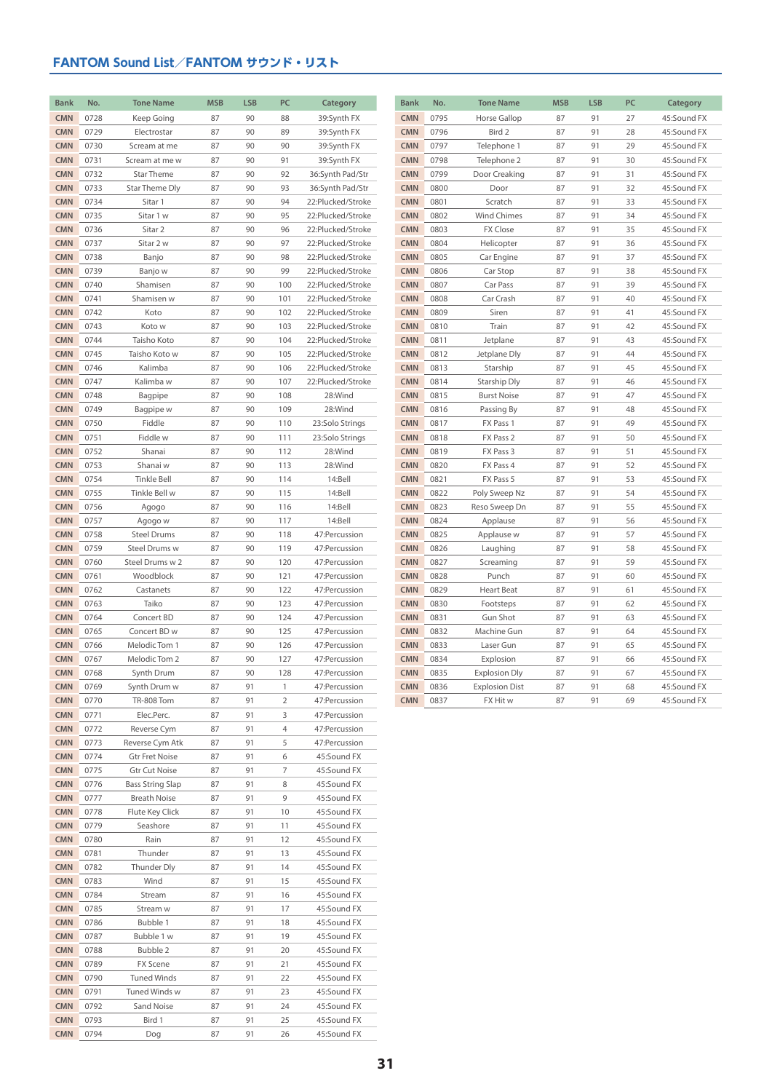| <b>Bank</b>              | No.          | <b>Tone Name</b>                    | <b>MSB</b> | <b>LSB</b> | PC           | Category                               | <b>Bank</b>              | No.          | <b>Tone Name</b>       | <b>MSB</b> | <b>LSB</b> | PC       | Category                   |
|--------------------------|--------------|-------------------------------------|------------|------------|--------------|----------------------------------------|--------------------------|--------------|------------------------|------------|------------|----------|----------------------------|
| <b>CMN</b>               | 0728         | Keep Going                          | 87         | 90         | 88           | 39:Synth FX                            | <b>CMN</b>               | 0795         | Horse Gallop           | 87         | 91         | 27       | 45:Sound FX                |
| <b>CMN</b>               | 0729         | Electrostar                         | 87         | 90         | 89           | 39:Synth FX                            | <b>CMN</b>               | 0796         | Bird 2                 | 87         | 91         | 28       | 45:Sound FX                |
| <b>CMN</b>               | 0730         | Scream at me                        | 87         | 90         | 90           | 39:Synth FX                            | <b>CMN</b>               | 0797         | Telephone 1            | 87         | 91         | 29       | 45:Sound FX                |
| <b>CMN</b>               | 0731         | Scream at me w                      | 87         | 90         | 91           | 39:Synth FX                            | <b>CMN</b>               | 0798         | Telephone 2            | 87         | 91         | 30       | 45:Sound FX                |
| <b>CMN</b>               | 0732         | Star Theme                          | 87         | 90         | 92           | 36:Synth Pad/Str                       | <b>CMN</b>               | 0799         | Door Creaking          | 87         | 91         | 31       | 45:Sound FX                |
| <b>CMN</b>               | 0733         | Star Theme Dly                      | 87         | 90         | 93           | 36:Synth Pad/Str                       | <b>CMN</b>               | 0800         | Door                   | 87         | 91         | 32       | 45:Sound FX                |
| <b>CMN</b>               | 0734         | Sitar 1                             | 87         | 90         | 94           | 22:Plucked/Stroke                      | <b>CMN</b>               | 0801         | Scratch                | 87         | 91         | 33       | 45:Sound FX                |
| <b>CMN</b>               | 0735         | Sitar 1 w                           | 87         | 90         | 95           | 22:Plucked/Stroke                      | <b>CMN</b>               | 0802         | Wind Chimes            | 87         | 91         | 34       | 45:Sound FX                |
| <b>CMN</b>               | 0736         | Sitar 2                             | 87         | 90         | 96           | 22:Plucked/Stroke                      | <b>CMN</b>               | 0803         | <b>FX Close</b>        | 87         | 91         | 35       | 45:Sound FX                |
| <b>CMN</b>               | 0737         | Sitar 2 w                           | 87         | 90         | 97           | 22:Plucked/Stroke                      | <b>CMN</b>               | 0804         | Helicopter             | 87         | 91         | 36       | 45:Sound FX                |
| <b>CMN</b>               | 0738         | Banjo                               | 87         | 90         | 98           | 22:Plucked/Stroke                      | <b>CMN</b>               | 0805         | Car Engine             | 87         | 91         | 37       | 45:Sound FX                |
| <b>CMN</b>               | 0739         | Banjo w                             | 87         | 90         | 99           | 22:Plucked/Stroke                      | <b>CMN</b>               | 0806         | Car Stop               | 87         | 91         | 38       | 45:Sound FX                |
| <b>CMN</b>               | 0740         | Shamisen                            | 87         | 90         | 100          | 22:Plucked/Stroke                      | <b>CMN</b>               | 0807         | Car Pass               | 87         | 91         | 39       | 45:Sound FX                |
| <b>CMN</b><br><b>CMN</b> | 0741<br>0742 | Shamisen w<br>Koto                  | 87<br>87   | 90<br>90   | 101<br>102   | 22:Plucked/Stroke<br>22:Plucked/Stroke | <b>CMN</b><br><b>CMN</b> | 0808<br>0809 | Car Crash<br>Siren     | 87<br>87   | 91<br>91   | 40<br>41 | 45:Sound FX<br>45:Sound FX |
| <b>CMN</b>               | 0743         | Koto w                              | 87         | 90         | 103          | 22:Plucked/Stroke                      | <b>CMN</b>               | 0810         | Train                  | 87         | 91         | 42       | 45:Sound FX                |
| <b>CMN</b>               | 0744         | Taisho Koto                         | 87         | 90         | 104          | 22:Plucked/Stroke                      | <b>CMN</b>               | 0811         | Jetplane               | 87         | 91         | 43       | 45:Sound FX                |
| <b>CMN</b>               | 0745         | Taisho Koto w                       | 87         | 90         | 105          | 22:Plucked/Stroke                      | <b>CMN</b>               | 0812         | Jetplane Dly           | 87         | 91         | 44       | 45:Sound FX                |
| <b>CMN</b>               | 0746         | Kalimba                             | 87         | 90         | 106          | 22:Plucked/Stroke                      | <b>CMN</b>               | 0813         | Starship               | 87         | 91         | 45       | 45:Sound FX                |
| <b>CMN</b>               | 0747         | Kalimba w                           | 87         | 90         | 107          | 22:Plucked/Stroke                      | <b>CMN</b>               | 0814         | Starship Dly           | 87         | 91         | 46       | 45:Sound FX                |
| <b>CMN</b>               | 0748         | Bagpipe                             | 87         | 90         | 108          | 28:Wind                                | <b>CMN</b>               | 0815         | <b>Burst Noise</b>     | 87         | 91         | 47       | 45:Sound FX                |
| <b>CMN</b>               | 0749         | Bagpipe w                           | 87         | 90         | 109          | 28:Wind                                | <b>CMN</b>               | 0816         | Passing By             | 87         | 91         | 48       | 45:Sound FX                |
| <b>CMN</b>               | 0750         | Fiddle                              | 87         | 90         | 110          | 23:Solo Strings                        | <b>CMN</b>               | 0817         | FX Pass 1              | 87         | 91         | 49       | 45:Sound FX                |
| <b>CMN</b>               | 0751         | Fiddle w                            | 87         | 90         | 111          | 23:Solo Strings                        | <b>CMN</b>               | 0818         | FX Pass 2              | 87         | 91         | 50       | 45:Sound FX                |
| <b>CMN</b>               | 0752         | Shanai                              | 87         | 90         | 112          | 28:Wind                                | <b>CMN</b>               | 0819         | FX Pass 3              | 87         | 91         | 51       | 45:Sound FX                |
| <b>CMN</b>               | 0753         | Shanai w                            | 87         | 90         | 113          | 28:Wind                                | <b>CMN</b>               | 0820         | FX Pass 4              | 87         | 91         | 52       | 45:Sound FX                |
| <b>CMN</b>               | 0754         | <b>Tinkle Bell</b>                  | 87         | 90         | 114          | 14:Bell                                | <b>CMN</b>               | 0821         | FX Pass 5              | 87         | 91         | 53       | 45:Sound FX                |
| <b>CMN</b>               | 0755         | Tinkle Bell w                       | 87         | 90         | 115          | 14:Bell                                | <b>CMN</b>               | 0822         | Poly Sweep Nz          | 87         | 91         | 54       | 45:Sound FX                |
| <b>CMN</b>               | 0756         | Agogo                               | 87         | 90         | 116          | 14:Bell                                | <b>CMN</b>               | 0823         | Reso Sweep Dn          | 87         | 91         | 55       | 45:Sound FX                |
| <b>CMN</b>               | 0757         | Agogo w                             | 87         | 90         | 117          | 14:Bell                                | <b>CMN</b>               | 0824         | Applause               | 87         | 91         | 56       | 45:Sound FX                |
| <b>CMN</b><br><b>CMN</b> | 0758<br>0759 | <b>Steel Drums</b><br>Steel Drums w | 87<br>87   | 90<br>90   | 118<br>119   | 47: Percussion<br>47: Percussion       | <b>CMN</b><br><b>CMN</b> | 0825<br>0826 | Applause w<br>Laughing | 87<br>87   | 91<br>91   | 57<br>58 | 45:Sound FX<br>45:Sound FX |
| <b>CMN</b>               | 0760         | Steel Drums w 2                     | 87         | 90         | 120          | 47: Percussion                         | <b>CMN</b>               | 0827         | Screaming              | 87         | 91         | 59       | 45:Sound FX                |
| <b>CMN</b>               | 0761         | Woodblock                           | 87         | 90         | 121          | 47: Percussion                         | <b>CMN</b>               | 0828         | Punch                  | 87         | 91         | 60       | 45:Sound FX                |
| <b>CMN</b>               | 0762         | Castanets                           | 87         | 90         | 122          | 47:Percussion                          | <b>CMN</b>               | 0829         | Heart Beat             | 87         | 91         | 61       | 45:Sound FX                |
| <b>CMN</b>               | 0763         | Taiko                               | 87         | 90         | 123          | 47:Percussion                          | <b>CMN</b>               | 0830         | Footsteps              | 87         | 91         | 62       | 45:Sound FX                |
| <b>CMN</b>               | 0764         | Concert BD                          | 87         | 90         | 124          | 47:Percussion                          | <b>CMN</b>               | 0831         | Gun Shot               | 87         | 91         | 63       | 45:Sound FX                |
| <b>CMN</b>               | 0765         | Concert BD w                        | 87         | 90         | 125          | 47:Percussion                          | <b>CMN</b>               | 0832         | Machine Gun            | 87         | 91         | 64       | 45:Sound FX                |
| <b>CMN</b>               | 0766         | Melodic Tom 1                       | 87         | 90         | 126          | 47:Percussion                          | <b>CMN</b>               | 0833         | Laser Gun              | 87         | 91         | 65       | 45:Sound FX                |
| <b>CMN</b>               | 0767         | Melodic Tom 2                       | 87         | 90         | 127          | 47: Percussion                         | <b>CMN</b>               | 0834         | Explosion              | 87         | 91         | 66       | 45:Sound FX                |
| <b>CMN</b>               | 0768         | Synth Drum                          | 87         | 90         | 128          | 47:Percussion                          | <b>CMN</b>               | 0835         | <b>Explosion Dly</b>   | 87         | 91         | 67       | 45:Sound FX                |
| <b>CMN</b>               | 0769         | Synth Drum w                        | 87         | 91         | $\mathbf{1}$ | 47:Percussion                          | <b>CMN</b>               | 0836         | <b>Explosion Dist</b>  | 87         | 91         | 68       | 45:Sound FX                |
| <b>CMN</b>               | 0770         | <b>TR-808 Tom</b>                   | 87         | 91         | 2            | 47:Percussion                          | <b>CMN</b>               | 0837         | FX Hit w               | 87         | 91         | 69       | 45:Sound FX                |
| <b>CMN</b>               | 0771         | Elec.Perc.                          | 87         | 91         | 3            | 47: Percussion                         |                          |              |                        |            |            |          |                            |
| <b>CMN</b><br><b>CMN</b> | 0772<br>0773 | Reverse Cym<br>Reverse Cym Atk      | 87<br>87   | 91<br>91   | 4<br>5       | 47:Percussion<br>47:Percussion         |                          |              |                        |            |            |          |                            |
| <b>CMN</b>               | 0774         | <b>Gtr Fret Noise</b>               | 87         | 91         | 6            | 45:Sound FX                            |                          |              |                        |            |            |          |                            |
| <b>CMN</b>               | 0775         | Gtr Cut Noise                       | 87         | 91         | 7            | 45:Sound FX                            |                          |              |                        |            |            |          |                            |
| <b>CMN</b>               | 0776         | Bass String Slap                    | 87         | 91         | 8            | 45:Sound FX                            |                          |              |                        |            |            |          |                            |
| <b>CMN</b>               | 0777         | <b>Breath Noise</b>                 | 87         | 91         | 9            | 45:Sound FX                            |                          |              |                        |            |            |          |                            |
| <b>CMN</b>               | 0778         | Flute Key Click                     | 87         | 91         | 10           | 45:Sound FX                            |                          |              |                        |            |            |          |                            |
| <b>CMN</b>               | 0779         | Seashore                            | 87         | 91         | 11           | 45:Sound FX                            |                          |              |                        |            |            |          |                            |
| <b>CMN</b>               | 0780         | Rain                                | 87         | 91         | 12           | 45:Sound FX                            |                          |              |                        |            |            |          |                            |
| <b>CMN</b>               | 0781         | Thunder                             | 87         | 91         | 13           | 45:Sound FX                            |                          |              |                        |            |            |          |                            |
| <b>CMN</b>               | 0782         | Thunder Dly                         | 87         | 91         | 14           | 45:Sound FX                            |                          |              |                        |            |            |          |                            |
| <b>CMN</b>               | 0783         | Wind                                | 87         | 91         | 15           | 45:Sound FX                            |                          |              |                        |            |            |          |                            |
| <b>CMN</b>               | 0784         | Stream                              | 87         | 91         | 16           | 45:Sound FX                            |                          |              |                        |            |            |          |                            |
| <b>CMN</b>               | 0785         | Stream w                            | 87         | 91         | 17           | 45:Sound FX                            |                          |              |                        |            |            |          |                            |
| <b>CMN</b>               | 0786         | Bubble 1                            | 87         | 91         | 18           | 45:Sound FX                            |                          |              |                        |            |            |          |                            |
| <b>CMN</b>               | 0787         | Bubble 1 w                          | 87         | 91         | 19           | 45:Sound FX                            |                          |              |                        |            |            |          |                            |
| <b>CMN</b><br><b>CMN</b> | 0788<br>0789 | Bubble 2<br>FX Scene                | 87<br>87   | 91<br>91   | 20<br>21     | 45:Sound FX<br>45:Sound FX             |                          |              |                        |            |            |          |                            |
| <b>CMN</b>               | 0790         | <b>Tuned Winds</b>                  | 87         | 91         | 22           | 45:Sound FX                            |                          |              |                        |            |            |          |                            |
| <b>CMN</b>               | 0791         | Tuned Winds w                       | 87         | 91         | 23           | 45:Sound FX                            |                          |              |                        |            |            |          |                            |
| <b>CMN</b>               | 0792         | Sand Noise                          | 87         | 91         | 24           | 45:Sound FX                            |                          |              |                        |            |            |          |                            |
| <b>CMN</b>               | 0793         | Bird 1                              | 87         | 91         | 25           | 45:Sound FX                            |                          |              |                        |            |            |          |                            |
| <b>CMN</b>               | 0794         | Dog                                 | 87         | 91         | 26           | 45:Sound FX                            |                          |              |                        |            |            |          |                            |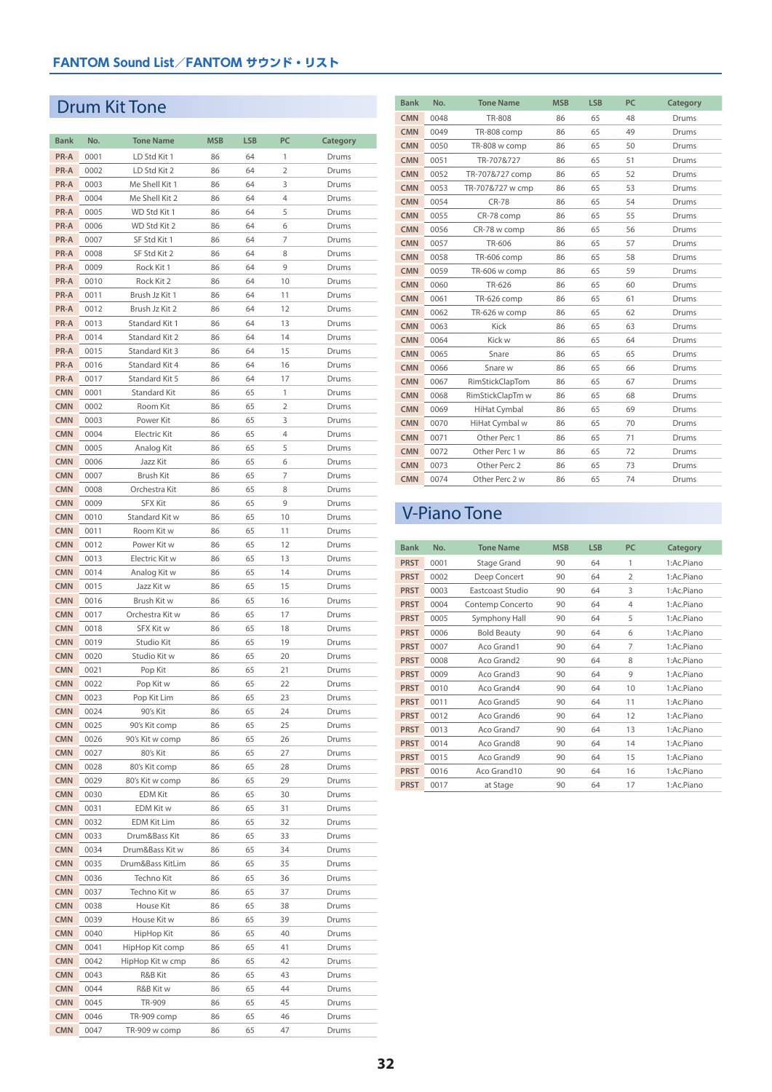# Drum Kit Tone

| <b>Bank</b>              | No.          | <b>Tone Name</b>           | <b>MSB</b> | <b>LSB</b> | PC       | <b>Category</b> |
|--------------------------|--------------|----------------------------|------------|------------|----------|-----------------|
| PR-A                     | 0001         | LD Std Kit 1               | 86         | 64         | 1        | Drums           |
| PR-A                     | 0002         | LD Std Kit 2               | 86         | 64         | 2        | Drums           |
| PR-A                     | 0003         | Me Shell Kit 1             | 86         | 64         | 3        | Drums           |
| PR-A                     | 0004         | Me Shell Kit 2             | 86         | 64         | 4        | Drums           |
| PR-A                     | 0005         | WD Std Kit 1               | 86         | 64         | 5        | Drums           |
| PR-A                     | 0006         | WD Std Kit 2               | 86         | 64         | 6        | Drums           |
| PR-A                     | 0007         | SF Std Kit 1               | 86         | 64         | 7        | Drums           |
| PR-A                     | 0008         | SF Std Kit 2               | 86         | 64         | 8        | Drums           |
| PR-A                     | 0009         | Rock Kit 1                 | 86         | 64         | 9        | Drums           |
| PR-A                     | 0010         | Rock Kit 2                 | 86         | 64         | 10       | Drums           |
| PR-A                     | 0011         | Brush Jz Kit 1             | 86         | 64         | 11       | Drums           |
| PR-A                     | 0012         | Brush Jz Kit 2             | 86         | 64         | 12       | Drums           |
| PR-A                     | 0013         | Standard Kit 1             | 86         | 64         | 13       | Drums           |
| PR-A                     | 0014         | Standard Kit 2             | 86         | 64         | 14       | Drums           |
| PR-A                     | 0015         | Standard Kit 3             | 86         | 64         | 15       | Drums           |
| PR-A                     | 0016         | Standard Kit 4             | 86         | 64         | 16       | Drums           |
| PR-A                     | 0017         | Standard Kit 5             | 86         | 64         | 17       | Drums           |
| <b>CMN</b>               | 0001         | <b>Standard Kit</b>        | 86         | 65         | 1        | Drums           |
| <b>CMN</b>               | 0002         | Room Kit                   | 86         | 65         | 2        | Drums           |
| <b>CMN</b>               | 0003         | Power Kit                  | 86         | 65         | 3        | Drums           |
| <b>CMN</b>               | 0004         | Electric Kit               | 86         | 65         | 4        | Drums           |
| <b>CMN</b>               | 0005         | Analog Kit                 | 86         | 65         | 5        | Drums           |
| <b>CMN</b>               | 0006         | Jazz Kit                   | 86         | 65         | 6        | Drums           |
| <b>CMN</b>               | 0007         | Brush Kit                  | 86         | 65         | 7        | Drums           |
| <b>CMN</b>               | 0008         | Orchestra Kit              | 86         | 65         | 8        | Drums           |
| <b>CMN</b>               | 0009         | <b>SFX Kit</b>             | 86         | 65         | 9        | Drums           |
| <b>CMN</b>               | 0010         | Standard Kit w             | 86         | 65         | 10       | Drums           |
| <b>CMN</b>               | 0011         | Room Kit w                 | 86         | 65         | 11       | Drums           |
| <b>CMN</b>               | 0012         | Power Kit w                | 86         | 65         | 12       | Drums           |
| <b>CMN</b>               | 0013         | Electric Kit w             | 86         | 65         | 13       | Drums           |
| <b>CMN</b>               | 0014         | Analog Kit w               | 86         | 65         | 14       | Drums           |
| <b>CMN</b>               | 0015         | Jazz Kit w                 | 86         | 65         | 15       | Drums           |
| <b>CMN</b>               | 0016         | Brush Kit w                | 86         | 65         | 16       | Drums           |
| <b>CMN</b>               | 0017         | Orchestra Kit w            | 86         | 65         | 17       | Drums           |
| <b>CMN</b>               | 0018         | SFX Kit w                  | 86         | 65         | 18       | Drums           |
| <b>CMN</b><br><b>CMN</b> | 0019         | Studio Kit<br>Studio Kit w | 86         | 65         | 19       | Drums           |
| <b>CMN</b>               | 0020         |                            | 86<br>86   | 65<br>65   | 20       | Drums<br>Drums  |
| <b>CMN</b>               | 0021<br>0022 | Pop Kit<br>Pop Kit w       | 86         | 65         | 21<br>22 | Drums           |
| <b>CMN</b>               | 0023         | Pop Kit Lim                | 86         | 65         | 23       | Drums           |
| <b>CMN</b>               | 0024         | 90's Kit                   | 86         | 65         | 24       | Drums           |
| <b>CMN</b>               | 0025         | 90's Kit comp              | 86         | 65         | 25       | Drums           |
| <b>CMN</b>               | 0026         | 90's Kit w comp            | 86         | 65         | 26       | Drums           |
| <b>CMN</b>               | 0027         | 80's Kit                   | 86         | 65         | 27       | Drums           |
| <b>CMN</b>               | 0028         | 80's Kit comp              | 86         | 65         | 28       | Drums           |
| <b>CMN</b>               | 0029         | 80's Kit w comp            | 86         | 65         | 29       | Drums           |
| <b>CMN</b>               | 0030         | <b>EDM Kit</b>             | 86         | 65         | 30       | Drums           |
| <b>CMN</b>               | 0031         | EDM Kit w                  | 86         | 65         | 31       | Drums           |
| <b>CMN</b>               | 0032         | EDM Kit Lim                | 86         | 65         | 32       | Drums           |
| <b>CMN</b>               | 0033         | Drum&Bass Kit              | 86         | 65         | 33       | Drums           |
| <b>CMN</b>               | 0034         | Drum&Bass Kit w            | 86         | 65         | 34       | Drums           |
| <b>CMN</b>               | 0035         | Drum&Bass KitLim           | 86         | 65         | 35       | Drums           |
| <b>CMN</b>               | 0036         | Techno Kit                 | 86         | 65         | 36       | Drums           |
| <b>CMN</b>               | 0037         | Techno Kit w               | 86         | 65         | 37       | Drums           |
| <b>CMN</b>               | 0038         | House Kit                  | 86         | 65         | 38       | Drums           |
| <b>CMN</b>               | 0039         | House Kit w                | 86         | 65         | 39       | Drums           |
| <b>CMN</b>               | 0040         | HipHop Kit                 | 86         | 65         | 40       | Drums           |
| <b>CMN</b>               | 0041         | HipHop Kit comp            | 86         | 65         | 41       | Drums           |
| <b>CMN</b>               | 0042         | HipHop Kit w cmp           | 86         | 65         | 42       | Drums           |
| <b>CMN</b>               | 0043         | R&B Kit                    | 86         | 65         | 43       | Drums           |
| <b>CMN</b>               | 0044         | R&B Kit w                  | 86         | 65         | 44       | Drums           |
| <b>CMN</b>               | 0045         | TR-909                     | 86         | 65         | 45       | Drums           |
| <b>CMN</b>               | 0046         | TR-909 comp                | 86         | 65         | 46       | Drums           |
| <b>CMN</b>               | 0047         | TR-909 w comp              | 86         | 65         | 47       | Drums           |

| <b>Bank</b> | No.  | <b>Tone Name</b> | <b>MSB</b> | <b>LSB</b> | PC | Category |
|-------------|------|------------------|------------|------------|----|----------|
| <b>CMN</b>  | 0048 | <b>TR-808</b>    | 86         | 65         | 48 | Drums    |
| <b>CMN</b>  | 0049 | TR-808 comp      | 86         | 65         | 49 | Drums    |
| <b>CMN</b>  | 0050 | TR-808 w comp    | 86         | 65         | 50 | Drums    |
| <b>CMN</b>  | 0051 | TR-707&727       | 86         | 65         | 51 | Drums    |
| <b>CMN</b>  | 0052 | TR-707&727 comp  | 86         | 65         | 52 | Drums    |
| <b>CMN</b>  | 0053 | TR-707&727 w cmp | 86         | 65         | 53 | Drums    |
| <b>CMN</b>  | 0054 | <b>CR-78</b>     | 86         | 65         | 54 | Drums    |
| <b>CMN</b>  | 0055 | CR-78 comp       | 86         | 65         | 55 | Drums    |
| <b>CMN</b>  | 0056 | CR-78 w comp     | 86         | 65         | 56 | Drums    |
| <b>CMN</b>  | 0057 | TR-606           | 86         | 65         | 57 | Drums    |
| <b>CMN</b>  | 0058 | TR-606 comp      | 86         | 65         | 58 | Drums    |
| <b>CMN</b>  | 0059 | TR-606 w comp    | 86         | 65         | 59 | Drums    |
| <b>CMN</b>  | 0060 | TR-626           | 86         | 65         | 60 | Drums    |
| <b>CMN</b>  | 0061 | TR-626 comp      | 86         | 65         | 61 | Drums    |
| <b>CMN</b>  | 0062 | TR-626 w comp    | 86         | 65         | 62 | Drums    |
| <b>CMN</b>  | 0063 | Kick             | 86         | 65         | 63 | Drums    |
| <b>CMN</b>  | 0064 | Kick w           | 86         | 65         | 64 | Drums    |
| <b>CMN</b>  | 0065 | Snare            | 86         | 65         | 65 | Drums    |
| <b>CMN</b>  | 0066 | Snare w          | 86         | 65         | 66 | Drums    |
| <b>CMN</b>  | 0067 | RimStickClapTom  | 86         | 65         | 67 | Drums    |
| <b>CMN</b>  | 0068 | RimStickClapTm w | 86         | 65         | 68 | Drums    |
| <b>CMN</b>  | 0069 | HiHat Cymbal     | 86         | 65         | 69 | Drums    |
| <b>CMN</b>  | 0070 | HiHat Cymbal w   | 86         | 65         | 70 | Drums    |
| <b>CMN</b>  | 0071 | Other Perc 1     | 86         | 65         | 71 | Drums    |
| <b>CMN</b>  | 0072 | Other Perc 1 w   | 86         | 65         | 72 | Drums    |
| <b>CMN</b>  | 0073 | Other Perc 2     | 86         | 65         | 73 | Drums    |
| <b>CMN</b>  | 0074 | Other Perc 2 w   | 86         | 65         | 74 | Drums    |

# V-Piano Tone

| <b>Bank</b> | No.  | <b>Tone Name</b>   | <b>MSB</b> | <b>LSB</b> | PC             | Category   |
|-------------|------|--------------------|------------|------------|----------------|------------|
| <b>PRST</b> | 0001 | Stage Grand        | 90         | 64         | 1              | 1:Ac.Piano |
| <b>PRST</b> | 0002 | Deep Concert       | 90         | 64         | $\overline{2}$ | 1:Ac.Piano |
| <b>PRST</b> | 0003 | Eastcoast Studio   | 90         | 64         | 3              | 1:Ac.Piano |
| <b>PRST</b> | 0004 | Contemp Concerto   | 90         | 64         | $\overline{4}$ | 1:Ac.Piano |
| <b>PRST</b> | 0005 | Symphony Hall      | 90         | 64         | 5              | 1:Ac.Piano |
| <b>PRST</b> | 0006 | <b>Bold Beauty</b> | 90         | 64         | 6              | 1:Ac.Piano |
| <b>PRST</b> | 0007 | Aco Grand1         | 90         | 64         | 7              | 1:Ac.Piano |
| <b>PRST</b> | 0008 | Aco Grand2         | 90         | 64         | 8              | 1:Ac.Piano |
| <b>PRST</b> | 0009 | Aco Grand3         | 90         | 64         | 9              | 1:Ac.Piano |
| <b>PRST</b> | 0010 | Aco Grand4         | 90         | 64         | 10             | 1:Ac.Piano |
| <b>PRST</b> | 0011 | Aco Grand5         | 90         | 64         | 11             | 1:Ac.Piano |
| <b>PRST</b> | 0012 | Aco Grand6         | 90         | 64         | 12             | 1:Ac.Piano |
| <b>PRST</b> | 0013 | Aco Grand7         | 90         | 64         | 13             | 1:Ac.Piano |
| <b>PRST</b> | 0014 | Aco Grand8         | 90         | 64         | 14             | 1:Ac.Piano |
| <b>PRST</b> | 0015 | Aco Grand9         | 90         | 64         | 15             | 1:Ac.Piano |
| <b>PRST</b> | 0016 | Aco Grand10        | 90         | 64         | 16             | 1:Ac.Piano |
| <b>PRST</b> | 0017 | at Stage           | 90         | 64         | 17             | 1:Ac.Piano |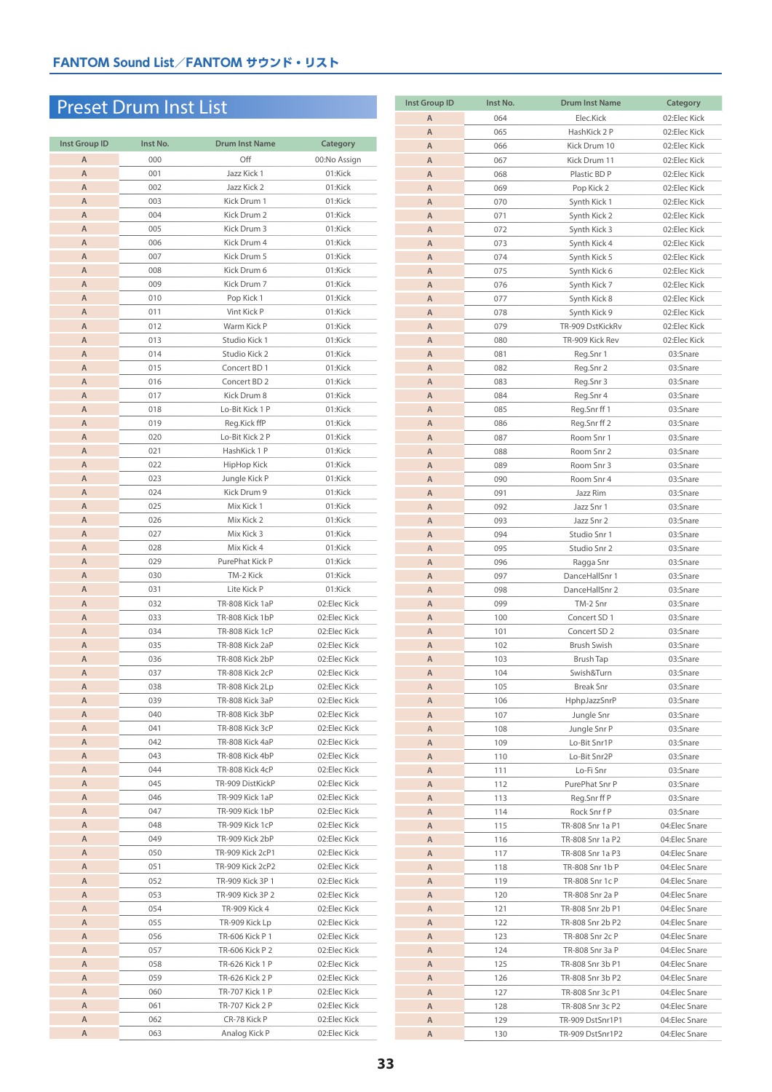# Preset Drum Inst List

| <b>Inst Group ID</b> | Inst No. | <b>Drum Inst Name</b>   | Category     |
|----------------------|----------|-------------------------|--------------|
| A                    | 000      | Off                     | 00:No Assign |
| A                    | 001      | Jazz Kick 1             | 01:Kick      |
| A                    | 002      | Jazz Kick 2             | 01:Kick      |
| A                    | 003      | Kick Drum 1             | 01:Kick      |
| $\mathsf A$          | 004      | Kick Drum 2             | 01:Kick      |
| A                    | 005      | Kick Drum 3             | 01:Kick      |
| Α                    | 006      | Kick Drum 4             | 01:Kick      |
| A                    | 007      | Kick Drum 5             | 01:Kick      |
| A                    | 008      | Kick Drum 6             | 01:Kick      |
| Α                    | 009      | Kick Drum 7             | 01:Kick      |
| A                    | 010      | Pop Kick 1              | 01:Kick      |
| Α                    | 011      | Vint Kick P             | 01:Kick      |
| $\mathsf A$          | 012      | Warm Kick P             | 01:Kick      |
| $\mathsf A$          | 013      | Studio Kick 1           | 01:Kick      |
| A                    | 014      | Studio Kick 2           | 01:Kick      |
| Α                    | 015      | Concert BD 1            | 01:Kick      |
| Α                    | 016      | Concert BD <sub>2</sub> | 01:Kick      |
| A                    | 017      | Kick Drum 8             | 01:Kick      |
| Α                    | 018      | Lo-Bit Kick 1 P         | 01:Kick      |
| $\overline{A}$       | 019      | Reg.Kick ffP            | 01:Kick      |
| Α                    | 020      | Lo-Bit Kick 2 P         | 01:Kick      |
| A                    | 021      | HashKick 1 P            | 01:Kick      |
| $\mathsf A$          | 022      | HipHop Kick             | 01:Kick      |
| A                    | 023      | Jungle Kick P           | 01:Kick      |
| A                    | 024      | Kick Drum 9             | 01:Kick      |
| Α                    | 025      | Mix Kick 1              | 01:Kick      |
| A                    | 026      | Mix Kick 2              | 01:Kick      |
| Α                    | 027      | Mix Kick 3              | 01:Kick      |
| A                    | 028      | Mix Kick 4              | 01:Kick      |
| Α                    | 029      | PurePhat Kick P         | 01:Kick      |
| Α                    | 030      | TM-2 Kick               | 01:Kick      |
| A                    | 031      | Lite Kick P             | 01:Kick      |
| A                    | 032      | TR-808 Kick 1aP         | 02:Elec Kick |
| A                    | 033      | TR-808 Kick 1bP         | 02:Elec Kick |
| Α                    | 034      | TR-808 Kick 1cP         | 02:Elec Kick |
| A                    | 035      | TR-808 Kick 2aP         | 02:Elec Kick |
| Α                    | 036      | TR-808 Kick 2bP         | 02:Elec Kick |
| A                    | 037      | TR-808 Kick 2cP         | 02:Elec Kick |
| A                    | 038      | TR-808 Kick 2Lp         | 02:Elec Kick |
| A                    | 039      | TR-808 Kick 3aP         | 02:Elec Kick |
| A                    | 040      | TR-808 Kick 3bP         | 02:Elec Kick |
| Α                    | 041      | TR-808 Kick 3cP         | 02:Elec Kick |
| Α                    | 042      | TR-808 Kick 4aP         | 02:Elec Kick |
| Α                    | 043      | TR-808 Kick 4bP         | 02:Elec Kick |
| Α                    | 044      | TR-808 Kick 4cP         | 02:Elec Kick |
| Α                    | 045      | TR-909 DistKickP        | 02:Elec Kick |
| Α                    | 046      | TR-909 Kick 1aP         | 02:Elec Kick |
| Α                    | 047      | TR-909 Kick 1bP         | 02:Elec Kick |
| A                    | 048      | TR-909 Kick 1cP         | 02:Elec Kick |
| Α                    | 049      | TR-909 Kick 2bP         | 02:Elec Kick |
| Α                    | 050      | TR-909 Kick 2cP1        | 02:Elec Kick |
| Α                    | 051      | TR-909 Kick 2cP2        | 02:Elec Kick |
| Α                    | 052      | TR-909 Kick 3P 1        | 02:Elec Kick |
| Α                    | 053      | TR-909 Kick 3P 2        | 02:Elec Kick |
| Α                    | 054      | TR-909 Kick 4           | 02:Elec Kick |
| Α                    | 055      | TR-909 Kick Lp          | 02:Elec Kick |
| Α                    | 056      | TR-606 Kick P 1         | 02:Elec Kick |
| A                    | 057      | TR-606 Kick P 2         | 02:Elec Kick |
| Α                    | 058      | TR-626 Kick 1 P         | 02:Elec Kick |
| Α                    | 059      | TR-626 Kick 2 P         | 02:Elec Kick |
| Α                    | 060      | TR-707 Kick 1 P         | 02:Elec Kick |
| Α                    | 061      | TR-707 Kick 2 P         | 02:Elec Kick |
| Α                    | 062      | CR-78 Kick P            | 02:Elec Kick |
| Α                    | 063      | Analog Kick P           | 02:Elec Kick |

| <b>Inst Group ID</b> | Inst No.   | <b>Drum Inst Name</b>        | Category                     |
|----------------------|------------|------------------------------|------------------------------|
| $\overline{A}$       | 064        | Elec.Kick                    | 02:Elec Kick                 |
| A                    | 065        | HashKick 2 P                 | 02:Elec Kick                 |
| $\overline{A}$       | 066        | Kick Drum 10                 | 02:Elec Kick                 |
| $\mathsf A$          | 067        | Kick Drum 11                 | 02:Elec Kick                 |
| $\mathsf A$          | 068        | Plastic BD P                 | 02:Elec Kick                 |
| A                    | 069        | Pop Kick 2                   | 02:Elec Kick                 |
| Α                    | 070        | Synth Kick 1                 | 02:Elec Kick                 |
| Α                    | 071        | Synth Kick 2                 | 02:Elec Kick                 |
| Α                    | 072        | Synth Kick 3                 | 02:Elec Kick                 |
| A                    | 073        | Synth Kick 4                 | 02:Elec Kick                 |
| Α                    | 074        | Synth Kick 5                 | 02:Elec Kick                 |
| A                    | 075        | Synth Kick 6                 | 02:Elec Kick                 |
| $\mathsf A$<br>A     | 076<br>077 | Synth Kick 7                 | 02:Elec Kick<br>02:Elec Kick |
| A                    | 078        | Synth Kick 8<br>Synth Kick 9 | 02:Elec Kick                 |
| A                    | 079        | TR-909 DstKickRv             | 02:Elec Kick                 |
| A                    | 080        | TR-909 Kick Rev              | 02:Elec Kick                 |
| A                    | 081        | Reg.Snr 1                    | 03:Snare                     |
| A                    | 082        | Reg.Snr 2                    | 03:Snare                     |
| A                    | 083        | Reg.Snr 3                    | 03:Snare                     |
| Α                    | 084        | Reg.Snr 4                    | 03:Snare                     |
| A                    | 085        | Reg.Snr ff 1                 | 03:Snare                     |
| A                    | 086        | Reg.Snr ff 2                 | 03:Snare                     |
| A                    | 087        | Room Snr 1                   | 03:Snare                     |
| A                    | 088        | Room Snr 2                   | 03:Snare                     |
| A                    | 089        | Room Snr 3                   | 03:Snare                     |
| A                    | 090        | Room Snr 4                   | 03:Snare                     |
| A                    | 091        | Jazz Rim                     | 03:Snare                     |
| A                    | 092        | Jazz Snr 1                   | 03:Snare                     |
| Α                    | 093        | Jazz Snr 2                   | 03:Snare                     |
| A                    | 094        | Studio Snr 1                 | 03:Snare                     |
| A                    | 095        | Studio Snr 2                 | 03:Snare                     |
| A                    | 096        | Ragga Snr                    | 03:Snare                     |
| A                    | 097        | DanceHallSnr 1               | 03:Snare                     |
| A<br>A               | 098<br>099 | DanceHallSnr 2<br>TM-2 Snr   | 03:Snare<br>03:Snare         |
| A                    | 100        | Concert SD 1                 | 03:Snare                     |
| A                    | 101        | Concert SD 2                 | 03:Snare                     |
| A                    | 102        | Brush Swish                  | 03:Snare                     |
| A                    | 103        | <b>Brush Tap</b>             | 03:Snare                     |
| Α                    | 104        | Swish&Turn                   | 03:Snare                     |
| Α                    | 105        | <b>Break Snr</b>             | 03:Snare                     |
| Α                    | 106        | HphpJazzSnrP                 | 03:Snare                     |
| A                    | 107        | Jungle Snr                   | 03:Snare                     |
| Α                    | 108        | Jungle Snr P                 | 03:Snare                     |
| Α                    | 109        | Lo-Bit Snr1P                 | 03:Snare                     |
| Α                    | 110        | Lo-Bit Snr2P                 | 03:Snare                     |
| Α                    | 111        | Lo-Fi Snr                    | 03:Snare                     |
| Α                    | 112        | PurePhat Snr P               | 03:Snare                     |
| Α<br>A               | 113<br>114 | Reg.Snr ff P<br>Rock Snr f P | 03:Snare<br>03:Snare         |
| Α                    | 115        | TR-808 Snr 1a P1             | 04:Elec Snare                |
| A                    | 116        | TR-808 Snr 1a P2             | 04:Elec Snare                |
| Α                    | 117        | TR-808 Snr 1a P3             | 04:Elec Snare                |
| Α                    | 118        | TR-808 Snr 1b P              | 04:Elec Snare                |
| Α                    | 119        | TR-808 Snr 1c P              | 04:Elec Snare                |
| Α                    | 120        | TR-808 Snr 2a P              | 04:Elec Snare                |
| Α                    | 121        | TR-808 Snr 2b P1             | 04:Elec Snare                |
| Α                    | 122        | TR-808 Snr 2b P2             | 04:Elec Snare                |
| A                    | 123        | TR-808 Snr 2c P              | 04:Elec Snare                |
| Α                    | 124        | TR-808 Snr 3a P              | 04:Elec Snare                |
| Α                    | 125        | TR-808 Snr 3b P1             | 04:Elec Snare                |
| Α                    | 126        | TR-808 Snr 3b P2             | 04:Elec Snare                |
| Α                    | 127        | TR-808 Snr 3c P1             | 04:Elec Snare                |
| Α                    | 128        | TR-808 Snr 3c P2             | 04:Elec Snare                |
| Α                    | 129        | TR-909 DstSnr1P1             | 04:Elec Snare                |
| Α                    | 130        | TR-909 DstSnr1P2             | 04:Elec Snare                |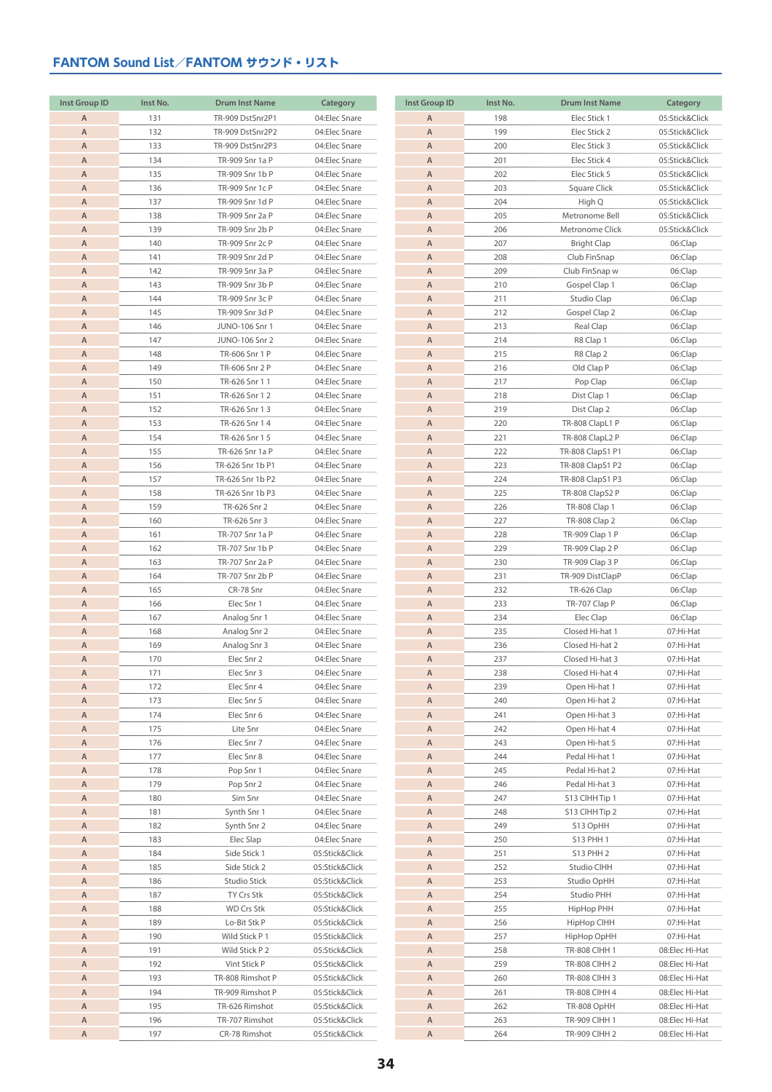| <b>Inst Group ID</b> | Inst No. | <b>Drum Inst Name</b> | Category       | <b>Inst Group ID</b> | Inst No. | <b>Drum Inst Name</b> | Category       |
|----------------------|----------|-----------------------|----------------|----------------------|----------|-----------------------|----------------|
| $\overline{A}$       | 131      | TR-909 DstSnr2P1      | 04:Elec Snare  | $\overline{A}$       | 198      | Elec Stick 1          | 05:Stick&Click |
|                      |          |                       |                |                      |          |                       |                |
| $\overline{A}$       | 132      | TR-909 DstSnr2P2      | 04:Elec Snare  | $\overline{A}$       | 199      | Elec Stick 2          | 05:Stick&Click |
| $\overline{A}$       | 133      | TR-909 DstSnr2P3      | 04:Elec Snare  | $\overline{A}$       | 200      | Elec Stick 3          | 05:Stick&Click |
| A                    | 134      | TR-909 Snr 1a P       | 04:Elec Snare  | $\overline{A}$       | 201      | Elec Stick 4          | 05:Stick&Click |
| A                    | 135      | TR-909 Snr 1b P       | 04:Elec Snare  | A                    | 202      | Elec Stick 5          | 05:Stick&Click |
| A                    | 136      | TR-909 Snr 1c P       | 04:Elec Snare  | $\overline{A}$       | 203      | Square Click          | 05:Stick&Click |
| A                    | 137      | TR-909 Snr 1d P       | 04:Elec Snare  | A                    | 204      | High Q                | 05:Stick&Click |
|                      |          |                       |                |                      |          |                       |                |
| A                    | 138      | TR-909 Snr 2a P       | 04:Elec Snare  | $\overline{A}$       | 205      | Metronome Bell        | 05:Stick&Click |
| A                    | 139      | TR-909 Snr 2b P       | 04:Elec Snare  | $\overline{A}$       | 206      | Metronome Click       | 05:Stick&Click |
| A                    | 140      | TR-909 Snr 2c P       | 04:Elec Snare  | $\overline{A}$       | 207      | <b>Bright Clap</b>    | 06:Clap        |
| $\overline{A}$       | 141      | TR-909 Snr 2d P       | 04:Elec Snare  | $\overline{A}$       | 208      | Club FinSnap          | 06:Clap        |
| Α                    | 142      | TR-909 Snr 3a P       | 04:Elec Snare  | A                    | 209      | Club FinSnap w        | 06:Clap        |
| A                    | 143      | TR-909 Snr 3b P       | 04:Elec Snare  | $\overline{A}$       | 210      | Gospel Clap 1         | 06:Clap        |
| A                    | 144      | TR-909 Snr 3c P       | 04:Elec Snare  | A                    | 211      | Studio Clap           | 06:Clap        |
|                      |          |                       |                |                      |          |                       |                |
| A                    | 145      | TR-909 Snr 3d P       | 04:Elec Snare  | A                    | 212      | Gospel Clap 2         | 06:Clap        |
| A                    | 146      | JUNO-106 Snr 1        | 04:Elec Snare  | A                    | 213      | Real Clap             | 06:Clap        |
| $\overline{A}$       | 147      | JUNO-106 Snr 2        | 04:Elec Snare  | $\overline{A}$       | 214      | R8 Clap 1             | 06:Clap        |
| A                    | 148      | TR-606 Snr 1 P        | 04:Elec Snare  | $\overline{A}$       | 215      | R8 Clap 2             | 06:Clap        |
| A                    | 149      | TR-606 Snr 2 P        | 04:Elec Snare  | $\overline{A}$       | 216      | Old Clap P            | 06:Clap        |
| A                    | 150      | TR-626 Snr 1 1        | 04:Elec Snare  | $\overline{A}$       | 217      | Pop Clap              | 06:Clap        |
|                      |          |                       |                |                      |          |                       |                |
| Α                    | 151      | TR-626 Snr 1 2        | 04:Elec Snare  | A                    | 218      | Dist Clap 1           | 06:Clap        |
| A                    | 152      | TR-626 Snr 1 3        | 04:Elec Snare  | $\overline{A}$       | 219      | Dist Clap 2           | 06:Clap        |
| A                    | 153      | TR-626 Snr 14         | 04:Elec Snare  | $\overline{A}$       | 220      | TR-808 ClapL1 P       | 06:Clap        |
| A                    | 154      | TR-626 Snr 1 5        | 04:Elec Snare  | $\overline{A}$       | 221      | TR-808 ClapL2 P       | 06:Clap        |
| A                    | 155      | TR-626 Snr 1a P       | 04:Elec Snare  | A                    | 222      | TR-808 ClapS1 P1      | 06:Clap        |
| $\overline{A}$       | 156      | TR-626 Snr 1b P1      | 04:Elec Snare  | $\overline{A}$       | 223      | TR-808 ClapS1 P2      | 06:Clap        |
| A                    | 157      | TR-626 Snr 1b P2      | 04:Elec Snare  | $\overline{A}$       | 224      | TR-808 ClapS1 P3      | 06:Clap        |
|                      |          |                       |                |                      |          |                       |                |
| A                    | 158      | TR-626 Snr 1b P3      | 04:Elec Snare  | $\overline{A}$       | 225      | TR-808 ClapS2 P       | 06:Clap        |
| A                    | 159      | TR-626 Snr 2          | 04:Elec Snare  | $\overline{A}$       | 226      | TR-808 Clap 1         | 06:Clap        |
| Α                    | 160      | TR-626 Snr 3          | 04:Elec Snare  | A                    | 227      | TR-808 Clap 2         | 06:Clap        |
| A                    | 161      | TR-707 Snr 1a P       | 04:Elec Snare  | A                    | 228      | TR-909 Clap 1 P       | 06:Clap        |
| A                    | 162      | TR-707 Snr 1b P       | 04:Elec Snare  | $\overline{A}$       | 229      | TR-909 Clap 2 P       | 06:Clap        |
| A                    | 163      | TR-707 Snr 2a P       | 04:Elec Snare  | A                    | 230      | TR-909 Clap 3 P       | 06:Clap        |
|                      |          |                       |                |                      |          |                       |                |
| $\overline{A}$       | 164      | TR-707 Snr 2b P       | 04:Elec Snare  | $\overline{A}$       | 231      | TR-909 DistClapP      | 06:Clap        |
| Α                    | 165      | CR-78 Snr             | 04:Elec Snare  | A                    | 232      | TR-626 Clap           | 06:Clap        |
| A                    | 166      | Elec Snr 1            | 04:Elec Snare  | $\overline{A}$       | 233      | TR-707 Clap P         | 06:Clap        |
| A                    | 167      | Analog Snr 1          | 04:Elec Snare  | $\overline{A}$       | 234      | Elec Clap             | 06:Clap        |
| A                    | 168      | Analog Snr 2          | 04:Elec Snare  | $\overline{A}$       | 235      | Closed Hi-hat 1       | 07:Hi-Hat      |
| A                    | 169      | Analog Snr 3          | 04:Elec Snare  | A                    | 236      | Closed Hi-hat 2       | 07:Hi-Hat      |
| $\overline{A}$       | 170      | Elec Snr 2            | 04:Elec Snare  | $\overline{A}$       | 237      | Closed Hi-hat 3       | 07:Hi-Hat      |
|                      |          |                       |                |                      |          |                       |                |
| A                    | 171      | Elec Snr 3            | 04:Elec Snare  | A                    | 238      | Closed Hi-hat 4       | 07:Hi-Hat      |
| A                    | 172      | Elec Snr 4            | 04:Elec Snare  | A                    | 239      | Open Hi-hat 1         | 07:Hi-Hat      |
| A                    | 173      | Elec Snr 5            | 04:Elec Snare  | $\overline{A}$       | 240      | Open Hi-hat 2         | 07:Hi-Hat      |
| A                    | 174      | Elec Snr 6            | 04:Elec Snare  | A                    | 241      | Open Hi-hat 3         | 07:Hi-Hat      |
| A                    | 175      | Lite Snr              | 04:Elec Snare  | A                    | 242      | Open Hi-hat 4         | 07:Hi-Hat      |
| A                    | 176      | Elec Snr 7            | 04:Elec Snare  | A                    | 243      | Open Hi-hat 5         | 07:Hi-Hat      |
|                      |          |                       |                |                      |          |                       |                |
| A                    | 177      | Elec Snr 8            | 04:Elec Snare  | A                    | 244      | Pedal Hi-hat 1        | 07:Hi-Hat      |
| A                    | 178      | Pop Snr 1             | 04:Elec Snare  | A                    | 245      | Pedal Hi-hat 2        | 07:Hi-Hat      |
| A                    | 179      | Pop Snr 2             | 04:Elec Snare  | A                    | 246      | Pedal Hi-hat 3        | 07:Hi-Hat      |
| A                    | 180      | Sim Snr               | 04:Elec Snare  | A                    | 247      | S13 CIHH Tip 1        | 07:Hi-Hat      |
| A                    | 181      | Synth Snr 1           | 04:Elec Snare  | A                    | 248      | S13 CIHH Tip 2        | 07:Hi-Hat      |
| A                    | 182      | Synth Snr 2           | 04:Elec Snare  | A                    | 249      | S13 OpHH              | 07:Hi-Hat      |
| A                    | 183      | Elec Slap             | 04:Elec Snare  | A                    | 250      |                       | 07:Hi-Hat      |
|                      |          |                       |                |                      |          | S13 PHH 1             |                |
| Α                    | 184      | Side Stick 1          | 05:Stick&Click | A                    | 251      | <b>S13 PHH 2</b>      | 07:Hi-Hat      |
| A                    | 185      | Side Stick 2          | 05:Stick&Click | $\mathsf{A}$         | 252      | Studio CIHH           | 07:Hi-Hat      |
| A                    | 186      | Studio Stick          | 05:Stick&Click | A                    | 253      | Studio OpHH           | 07:Hi-Hat      |
| A                    | 187      | TY Crs Stk            | 05:Stick&Click | A                    | 254      | Studio PHH            | 07:Hi-Hat      |
| A                    | 188      | WD Crs Stk            | 05:Stick&Click | A                    | 255      | HipHop PHH            | 07:Hi-Hat      |
|                      |          |                       |                |                      |          |                       |                |
| A                    | 189      | Lo-Bit Stk P          | 05:Stick&Click | A                    | 256      | HipHop CIHH           | 07:Hi-Hat      |
| A                    | 190      | Wild Stick P 1        | 05:Stick&Click | A                    | 257      | HipHop OpHH           | 07:Hi-Hat      |
| A                    | 191      | Wild Stick P 2        | 05:Stick&Click | A                    | 258      | <b>TR-808 CIHH 1</b>  | 08:Elec Hi-Hat |
| A                    | 192      | Vint Stick P          | 05:Stick&Click | A                    | 259      | TR-808 CIHH 2         | 08:Elec Hi-Hat |
| A                    | 193      | TR-808 Rimshot P      | 05:Stick&Click | A                    | 260      | TR-808 CIHH 3         | 08:Elec Hi-Hat |
| A                    | 194      | TR-909 Rimshot P      | 05:Stick&Click | A                    | 261      | <b>TR-808 CIHH 4</b>  | 08:Elec Hi-Hat |
|                      |          |                       |                |                      |          |                       |                |
| A                    | 195      | TR-626 Rimshot        | 05:Stick&Click | A                    | 262      | TR-808 OpHH           | 08:Elec Hi-Hat |
| A                    | 196      | TR-707 Rimshot        | 05:Stick&Click | A                    | 263      | TR-909 CIHH 1         | 08:Elec Hi-Hat |
| Α                    | 197      | CR-78 Rimshot         | 05:Stick&Click | $\mathsf A$          | 264      | TR-909 CIHH 2         | 08:Elec Hi-Hat |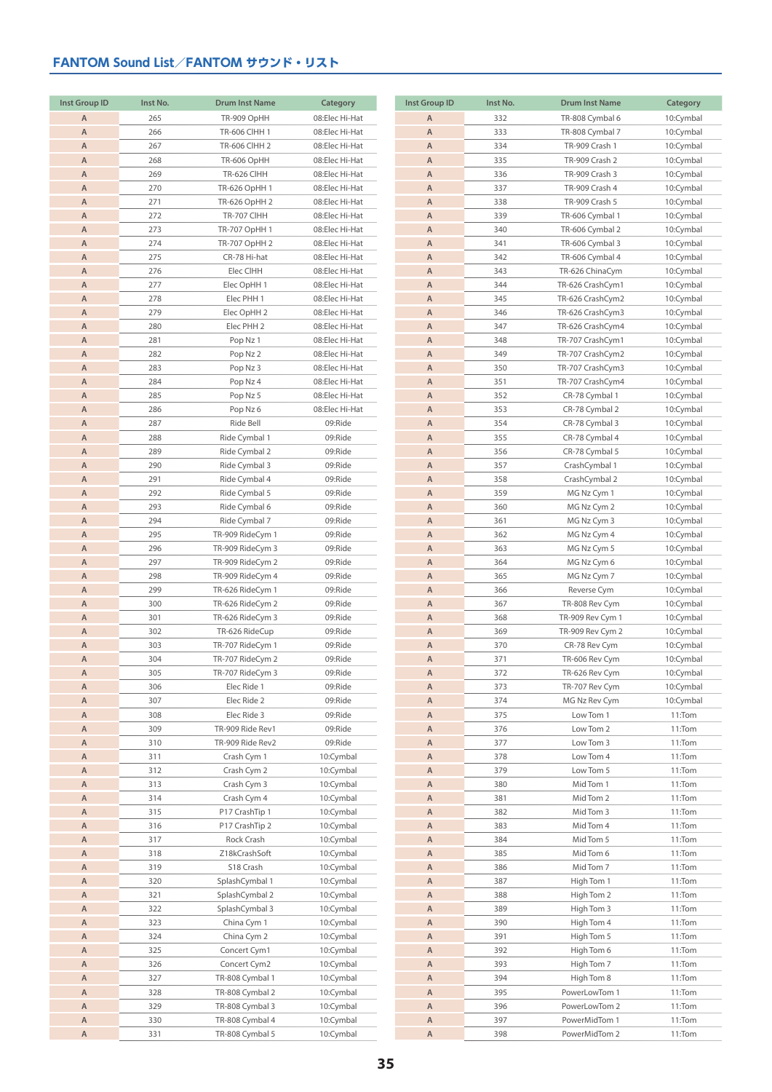| <b>Inst Group ID</b> | Inst No. | <b>Drum Inst Name</b> | Category       |
|----------------------|----------|-----------------------|----------------|
| A                    | 265      | TR-909 OpHH           | 08:Elec Hi-Hat |
| $\mathsf A$          | 266      | <b>TR-606 CIHH 1</b>  | 08:Elec Hi-Hat |
| $\mathsf A$          | 267      | <b>TR-606 CIHH 2</b>  | 08:Elec Hi-Hat |
| A                    | 268      | TR-606 OpHH           | 08:Elec Hi-Hat |
| A                    | 269      | TR-626 CIHH           | 08:Elec Hi-Hat |
| Α                    | 270      | TR-626 OpHH 1         | 08:Elec Hi-Hat |
| A                    | 271      | TR-626 OpHH 2         | 08:Elec Hi-Hat |
| Α                    | 272      | TR-707 CIHH           | 08:Elec Hi-Hat |
| Α                    | 273      | TR-707 OpHH 1         | 08:Elec Hi-Hat |
| Α                    | 274      | TR-707 OpHH 2         | 08:Elec Hi-Hat |
| Α                    | 275      | CR-78 Hi-hat          | 08:Elec Hi-Hat |
| A                    | 276      | Elec CIHH             | 08:Elec Hi-Hat |
| A                    | 277      | Elec OpHH 1           | 08:Elec Hi-Hat |
| A                    | 278      | Elec PHH 1            | 08:Elec Hi-Hat |
| Α                    | 279      | Elec OpHH 2           | 08:Elec Hi-Hat |
| Α                    | 280      | Elec PHH 2            | 08:Elec Hi-Hat |
| Α                    | 281      | Pop Nz 1              | 08:Elec Hi-Hat |
| Α                    | 282      | Pop Nz 2              | 08:Elec Hi-Hat |
| Α                    | 283      | Pop Nz 3              | 08:Elec Hi-Hat |
| Α                    | 284      | Pop Nz 4              | 08:Elec Hi-Hat |
| Α                    | 285      | Pop Nz 5              | 08:Elec Hi-Hat |
| Α                    | 286      | Pop Nz 6              | 08:Elec Hi-Hat |
| A                    | 287      | Ride Bell             | 09:Ride        |
| Α                    | 288      | Ride Cymbal 1         | 09:Ride        |
| Α                    | 289      | Ride Cymbal 2         | 09:Ride        |
| Α                    | 290      | Ride Cymbal 3         | 09:Ride        |
| Α                    | 291      | Ride Cymbal 4         | 09:Ride        |
| A                    | 292      |                       | 09:Ride        |
|                      |          | Ride Cymbal 5         |                |
| Α                    | 293      | Ride Cymbal 6         | 09:Ride        |
| A                    | 294      | Ride Cymbal 7         | 09:Ride        |
| A                    | 295      | TR-909 RideCym 1      | 09:Ride        |
| A                    | 296      | TR-909 RideCym 3      | 09:Ride        |
| Α                    | 297      | TR-909 RideCym 2      | 09:Ride        |
| Α                    | 298      | TR-909 RideCym 4      | 09:Ride        |
| Α                    | 299      | TR-626 RideCym 1      | 09:Ride        |
| Α                    | 300      | TR-626 RideCym 2      | 09:Ride        |
| A                    | 301      | TR-626 RideCym 3      | 09:Ride        |
| Α                    | 302      | TR-626 RideCup        | 09:Ride        |
| A                    | 303      | TR-707 RideCym 1      | 09:Ride        |
| A                    | 304      | TR-707 RideCym 2      | 09:Ride        |
| A                    | 305      | TR-707 RideCym 3      | 09:Ride        |
| Α                    | 306      | Elec Ride 1           | 09:Ride        |
| A                    | 307      | Elec Ride 2           | 09:Ride        |
| Α                    | 308      | Elec Ride 3           | 09:Ride        |
| Α                    | 309      | TR-909 Ride Rev1      | 09:Ride        |
| Α                    | 310      | TR-909 Ride Rev2      | 09:Ride        |
| A                    | 311      | Crash Cym 1           | 10:Cymbal      |
| A                    | 312      | Crash Cym 2           | 10:Cymbal      |
| A                    | 313      | Crash Cym 3           | 10:Cymbal      |
| Α                    | 314      | Crash Cym 4           | 10:Cymbal      |
| Α                    | 315      | P17 CrashTip 1        | 10:Cymbal      |
| Α                    | 316      | P17 CrashTip 2        | 10:Cymbal      |
| A                    | 317      | Rock Crash            | 10:Cymbal      |
| A                    | 318      | Z18kCrashSoft         | 10:Cymbal      |
| A                    | 319      | S18 Crash             | 10:Cymbal      |
| Α                    | 320      | SplashCymbal 1        | 10:Cymbal      |
| Α                    | 321      | SplashCymbal 2        | 10:Cymbal      |
| Α                    | 322      | SplashCymbal 3        | 10:Cymbal      |
| Α                    | 323      | China Cym 1           | 10:Cymbal      |
| Α                    | 324      | China Cym 2           | 10:Cymbal      |
| Α                    | 325      | Concert Cym1          | 10:Cymbal      |
| A                    | 326      | Concert Cym2          | 10:Cymbal      |
| A                    | 327      | TR-808 Cymbal 1       | 10:Cymbal      |
| A                    | 328      | TR-808 Cymbal 2       | 10:Cymbal      |
| Α                    | 329      | TR-808 Cymbal 3       | 10:Cymbal      |
| A                    | 330      | TR-808 Cymbal 4       | 10:Cymbal      |
| $\overline{A}$       | 331      | TR-808 Cymbal 5       | 10:Cymbal      |

| <b>Inst Group ID</b> | Inst No.   | <b>Drum Inst Name</b>                | Category               |
|----------------------|------------|--------------------------------------|------------------------|
| A                    | 332        | TR-808 Cymbal 6                      | 10:Cymbal              |
| A                    | 333        | TR-808 Cymbal 7                      | 10:Cymbal              |
| A                    | 334        | TR-909 Crash 1                       | 10:Cymbal              |
| A                    | 335        | TR-909 Crash 2                       | 10:Cymbal              |
| Α                    | 336        | TR-909 Crash 3                       | 10:Cymbal              |
| A                    | 337        | TR-909 Crash 4                       | 10:Cymbal              |
| Α                    | 338        | TR-909 Crash 5                       | 10:Cymbal              |
| Α                    | 339        | TR-606 Cymbal 1                      | 10:Cymbal              |
| Α                    | 340        | TR-606 Cymbal 2                      | 10:Cymbal              |
| Α                    | 341        | TR-606 Cymbal 3                      | 10:Cymbal              |
| A                    | 342        | TR-606 Cymbal 4                      | 10:Cymbal              |
| Α                    | 343        | TR-626 ChinaCym                      | 10:Cymbal              |
| Α                    | 344        | TR-626 CrashCym1                     | 10:Cymbal              |
| Α<br>A               | 345        | TR-626 CrashCym2                     | 10:Cymbal              |
| Α                    | 346<br>347 | TR-626 CrashCym3<br>TR-626 CrashCym4 | 10:Cymbal<br>10:Cymbal |
| Α                    | 348        | TR-707 CrashCym1                     | 10:Cymbal              |
| Α                    | 349        | TR-707 CrashCym2                     | 10:Cymbal              |
| Α                    | 350        | TR-707 CrashCym3                     | 10:Cymbal              |
| Α                    | 351        | TR-707 CrashCym4                     | 10:Cymbal              |
| Α                    | 352        | CR-78 Cymbal 1                       | 10:Cymbal              |
| Α                    | 353        | CR-78 Cymbal 2                       | 10:Cymbal              |
| Α                    | 354        | CR-78 Cymbal 3                       | 10:Cymbal              |
| A                    | 355        | CR-78 Cymbal 4                       | 10:Cymbal              |
| Α                    | 356        | CR-78 Cymbal 5                       | 10:Cymbal              |
| Α                    | 357        | CrashCymbal 1                        | 10:Cymbal              |
| Α                    | 358        | CrashCymbal 2                        | 10:Cymbal              |
| Α                    | 359        | MG Nz Cym 1                          | 10:Cymbal              |
| A                    | 360        | MG Nz Cym 2                          | 10:Cymbal              |
| Α                    | 361        | MG Nz Cym 3                          | 10:Cymbal              |
| Α                    | 362        | MG Nz Cym 4                          | 10:Cymbal              |
| Α                    | 363        | MG Nz Cym 5                          | 10:Cymbal              |
| A                    | 364        | MG Nz Cym 6                          | 10:Cymbal              |
| Α                    | 365        | MG Nz Cym 7                          | 10:Cymbal              |
| Α                    | 366        | Reverse Cym                          | 10:Cymbal              |
| A                    | 367        | TR-808 Rev Cym                       | 10:Cymbal              |
| Α                    | 368        | TR-909 Rev Cym 1                     | 10:Cymbal              |
| Α<br>Α               | 369<br>370 | TR-909 Rev Cym 2<br>CR-78 Rev Cym    | 10:Cymbal<br>10:Cymbal |
| A                    | 371        | TR-606 Rev Cym                       | 10:Cymbal              |
| A                    | 372        | TR-626 Rev Cym                       | 10:Cymbal              |
| Α                    | 373        | TR-707 Rev Cym                       | 10:Cymbal              |
| A                    | 374        | MG Nz Rev Cym                        | 10:Cymbal              |
| A                    | 375        | Low Tom 1                            | 11:Tom                 |
| A                    | 376        | Low Tom 2                            | 11:Tom                 |
| Α                    | 377        | Low Tom 3                            | 11:Tom                 |
| A                    | 378        | Low Tom 4                            | 11:Tom                 |
| A                    | 379        | Low Tom 5                            | 11:Tom                 |
| A                    | 380        | Mid Tom 1                            | 11:Tom                 |
| A                    | 381        | Mid Tom 2                            | 11:Tom                 |
| Α                    | 382        | Mid Tom 3                            | 11:Tom                 |
| Α                    | 383        | Mid Tom 4                            | 11:Tom                 |
| A                    | 384        | Mid Tom 5                            | 11:Tom                 |
| A                    | 385        | Mid Tom 6                            | 11:Tom                 |
| A<br>A               | 386        | Mid Tom 7                            | 11:Tom                 |
| A                    | 387<br>388 | High Tom 1<br>High Tom 2             | 11:Tom<br>11:Tom       |
| A                    | 389        | High Tom 3                           | 11:Tom                 |
| A                    | 390        | High Tom 4                           | 11:Tom                 |
| Α                    | 391        | High Tom 5                           | 11:Tom                 |
| Α                    | 392        | High Tom 6                           | 11:Tom                 |
| A                    | 393        | High Tom 7                           | 11:Tom                 |
| A                    | 394        | High Tom 8                           | 11:Tom                 |
| A                    | 395        | PowerLowTom 1                        | 11:Tom                 |
| A                    | 396        | PowerLowTom 2                        | 11:Tom                 |
| A                    | 397        | PowerMidTom 1                        | 11:Tom                 |
| A                    | 398        | PowerMidTom 2                        | 11:Tom                 |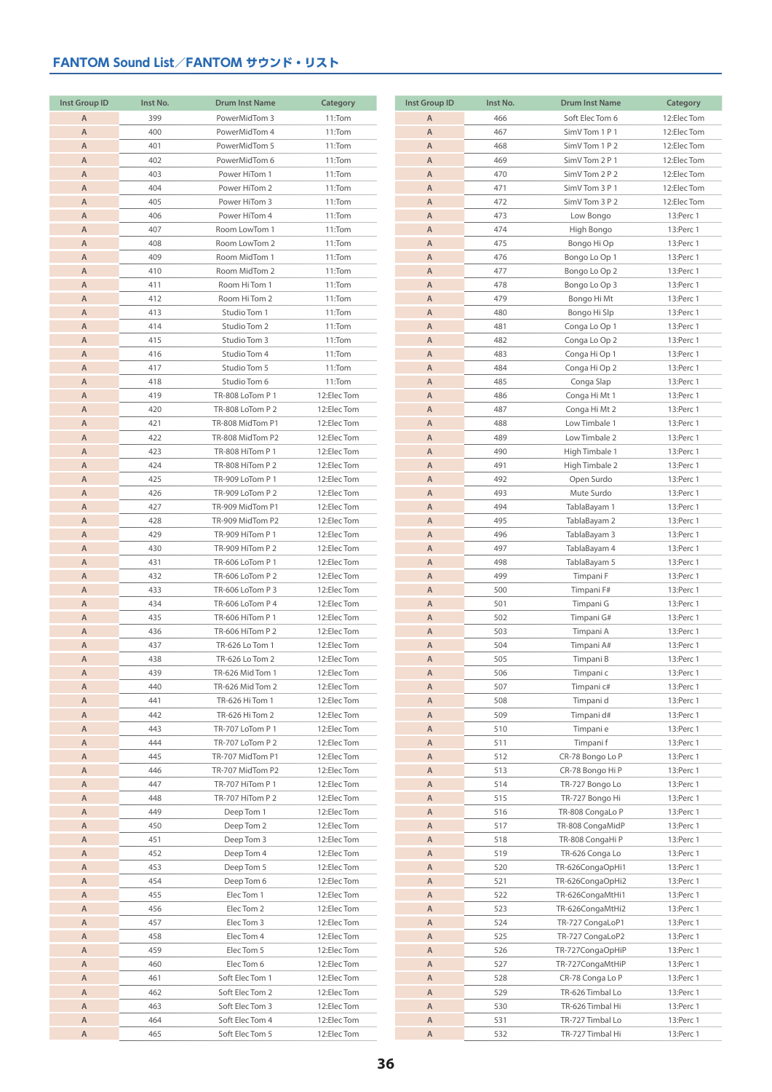| <b>Inst Group ID</b> | Inst No.   | <b>Drum Inst Name</b>                | Category                 |
|----------------------|------------|--------------------------------------|--------------------------|
| Α                    | 399        | PowerMidTom 3                        | 11:Tom                   |
| A                    | 400        | PowerMidTom 4                        | 11:Tom                   |
| A                    | 401        | PowerMidTom 5                        | 11:Tom                   |
| Α                    | 402        | PowerMidTom 6                        | 11:Tom                   |
| A                    | 403        | Power HiTom 1                        | 11:Tom                   |
| A                    | 404        | Power HiTom 2                        | 11:Tom                   |
| A                    | 405        | Power HiTom 3                        | 11:Tom                   |
| A                    | 406        | Power HiTom 4                        | 11:Tom                   |
| A                    | 407        | Room LowTom 1                        | 11:Tom                   |
| Α                    | 408        | Room LowTom 2                        | 11:Tom                   |
| Α                    | 409        | Room MidTom 1                        | 11:Tom                   |
| A                    | 410        | Room MidTom 2                        | 11:Tom                   |
| Α                    | 411        | Room Hi Tom 1                        | 11:Tom                   |
| A                    | 412        | Room Hi Tom 2                        | 11:Tom                   |
| A                    | 413        | Studio Tom 1                         | 11:Tom                   |
| A                    | 414        | Studio Tom 2                         | 11:Tom                   |
| A                    | 415        | Studio Tom 3                         | 11:Tom                   |
| Α                    | 416        | Studio Tom 4                         | 11:Tom                   |
| Α                    | 417        | Studio Tom 5                         | 11:Tom                   |
| Α                    | 418        | Studio Tom 6                         | 11:Tom                   |
| A                    | 419        | TR-808 LoTom P 1                     | 12:ElecTom               |
| Α                    | 420        | TR-808 LoTom P 2                     | 12:ElecTom               |
| A                    | 421        | TR-808 MidTom P1                     | 12:ElecTom               |
| A                    | 422        | TR-808 MidTom P2                     | 12:ElecTom               |
| A                    | 423        | TR-808 HiTom P 1                     | 12:ElecTom               |
| A                    | 424        | TR-808 HiTom P 2                     | 12:ElecTom               |
| Α                    | 425        | TR-909 LoTom P 1                     | 12:ElecTom               |
| A                    | 426        | TR-909 LoTom P 2                     | 12:ElecTom               |
| A                    | 427        | TR-909 MidTom P1                     | 12:ElecTom               |
| A                    | 428        | TR-909 MidTom P2                     | 12:ElecTom               |
| A                    | 429        | TR-909 HiTom P 1                     | 12:ElecTom               |
| Α                    | 430        | TR-909 HiTom P 2                     | 12:ElecTom               |
| Α                    | 431        | TR-606 LoTom P 1                     | 12:ElecTom               |
| Α                    | 432        | TR-606 LoTom P 2                     | 12:ElecTom               |
| A                    | 433        | TR-606 LoTom P 3                     | 12:ElecTom               |
| Α                    | 434        | TR-606 LoTom P 4                     | 12:ElecTom               |
| A                    | 435        | TR-606 HiTom P 1                     | 12:ElecTom               |
| A                    | 436        | TR-606 HiTom P 2                     | 12:ElecTom               |
| A                    | 437        | TR-626 Lo Tom 1                      | 12:ElecTom               |
| Α                    | 438        | TR-626 Lo Tom 2                      | 12:ElecTom               |
| A                    | 439        | TR-626 Mid Tom 1                     | 12:ElecTom               |
| Α                    | 440        | TR-626 Mid Tom 2                     | 12:ElecTom               |
| A                    | 441        | TR-626 Hi Tom 1                      | 12:ElecTom               |
| Α                    | 442        | TR-626 Hi Tom 2                      | 12:ElecTom               |
| Α                    | 443        | TR-707 LoTom P 1                     | 12:ElecTom               |
| A                    | 444        | TR-707 LoTom P 2                     | 12:ElecTom               |
| Α                    | 445        | TR-707 MidTom P1                     | 12:ElecTom               |
| Α                    | 446        | TR-707 MidTom P2                     | 12:ElecTom               |
| Α                    | 447        | TR-707 HiTom P 1<br>TR-707 HiTom P 2 | 12:ElecTom               |
| Α                    | 448        |                                      | 12:ElecTom               |
| Α<br>Α               | 449<br>450 | Deep Tom 1<br>Deep Tom 2             | 12:ElecTom               |
| Α                    | 451        | Deep Tom 3                           | 12:ElecTom<br>12:ElecTom |
| Α                    | 452        | Deep Tom 4                           | 12:ElecTom               |
| Α                    | 453        | Deep Tom 5                           | 12:ElecTom               |
| Α                    | 454        | Deep Tom 6                           | 12:ElecTom               |
| Α                    | 455        | Elec Tom 1                           | 12:ElecTom               |
| Α                    | 456        | Elec Tom 2                           | 12:ElecTom               |
| Α                    | 457        | Elec Tom 3                           | 12:ElecTom               |
| Α                    | 458        | Elec Tom 4                           | 12:ElecTom               |
| Α                    | 459        | Elec Tom 5                           | 12:ElecTom               |
| Α                    | 460        | Elec Tom 6                           | 12:ElecTom               |
| Α                    | 461        | Soft Elec Tom 1                      | 12:ElecTom               |
| Α                    | 462        | Soft Elec Tom 2                      | 12:ElecTom               |
| Α                    | 463        | Soft Elec Tom 3                      | 12:ElecTom               |
| Α                    | 464        | Soft Elec Tom 4                      | 12:ElecTom               |
| A                    | 465        | Soft Elec Tom 5                      | 12:ElecTom               |

| <b>Inst Group ID</b> | Inst No.   | <b>Drum Inst Name</b>          | Category               |
|----------------------|------------|--------------------------------|------------------------|
| Α                    | 466        | Soft Elec Tom 6                | 12:Elec Tom            |
| A                    | 467        | SimV Tom 1 P 1                 | 12:Elec Tom            |
| A                    | 468        | SimV Tom 1 P 2                 | 12:Elec Tom            |
| $\overline{A}$       | 469        | SimV Tom 2 P 1                 | 12:Elec Tom            |
| $\mathsf A$          | 470        | SimV Tom 2 P 2                 | 12:Elec Tom            |
| A                    | 471        | SimV Tom 3 P 1                 | 12:Elec Tom            |
| $\mathsf A$          | 472        | SimV Tom 3 P 2                 | 12:Elec Tom            |
| A                    | 473        | Low Bongo                      | 13:Perc 1              |
| A                    | 474        | High Bongo                     | 13:Perc 1              |
| Α                    | 475        | Bongo Hi Op                    | 13:Perc 1              |
| A                    | 476        | Bongo Lo Op 1                  | 13:Perc 1              |
| $\mathsf A$          | 477        | Bongo Lo Op 2                  | 13:Perc 1              |
| $\mathsf A$          | 478        | Bongo Lo Op 3                  | 13:Perc 1              |
| $\mathsf A$          | 479        | Bongo Hi Mt                    | 13:Perc 1              |
| A                    | 480        | Bongo Hi Slp                   | 13:Perc 1              |
| A<br>A               | 481        | Conga Lo Op 1                  | 13:Perc 1              |
| Α                    | 482<br>483 | Conga Lo Op 2                  | 13:Perc 1              |
| Α                    | 484        | Conga Hi Op 1<br>Conga Hi Op 2 | 13:Perc 1<br>13:Perc 1 |
| A                    | 485        | Conga Slap                     | 13:Perc 1              |
| A                    | 486        | Conga Hi Mt 1                  | 13:Perc 1              |
| $\mathsf A$          | 487        | Conga Hi Mt 2                  | 13:Perc 1              |
| $\mathsf A$          | 488        | Low Timbale 1                  | 13:Perc 1              |
| A                    | 489        | Low Timbale 2                  | 13:Perc 1              |
| Α                    | 490        | High Timbale 1                 | 13:Perc 1              |
| A                    | 491        | High Timbale 2                 | 13:Perc 1              |
| A                    | 492        | Open Surdo                     | 13:Perc 1              |
| A                    | 493        | Mute Surdo                     | 13:Perc 1              |
| Α                    | 494        | TablaBayam 1                   | 13:Perc 1              |
| $\mathsf A$          | 495        | TablaBayam 2                   | 13:Perc 1              |
| A                    | 496        | TablaBayam 3                   | 13:Perc 1              |
| A                    | 497        | TablaBayam 4                   | 13:Perc 1              |
| A                    | 498        | TablaBayam 5                   | 13:Perc 1              |
| A                    | 499        | Timpani F                      | 13:Perc 1              |
| A                    | 500        | Timpani F#                     | 13:Perc 1              |
| A                    | 501        | Timpani G                      | 13:Perc 1              |
| A                    | 502        | Timpani G#                     | 13:Perc 1              |
| Α                    | 503        | Timpani A                      | 13:Perc 1              |
| Α                    | 504        | Timpani A#                     | 13:Perc 1              |
| A                    | 505        | Timpani B                      | 13:Perc 1              |
| A                    | 506        | Timpani c                      | 13:Perc 1              |
| Α                    | 507        | Timpani c#                     | 13:Perc 1              |
| A                    | 508        | Timpani d                      | 13: Perc 1             |
| A                    | 509        | Timpani d#                     | 13:Perc 1              |
| A<br>A               | 510<br>511 | Timpani e                      | 13:Perc 1              |
| A                    | 512        | Timpani f<br>CR-78 Bongo Lo P  | 13:Perc 1<br>13:Perc 1 |
| A                    | 513        | CR-78 Bongo Hi P               | 13:Perc 1              |
| A                    | 514        | TR-727 Bongo Lo                | 13:Perc 1              |
| A                    | 515        | TR-727 Bongo Hi                | 13:Perc 1              |
| A                    | 516        | TR-808 CongaLo P               | 13:Perc 1              |
| A                    | 517        | TR-808 CongaMidP               | 13:Perc 1              |
| A                    | 518        | TR-808 CongaHi P               | 13:Perc 1              |
| A                    | 519        | TR-626 Conga Lo                | 13:Perc 1              |
| Α                    | 520        | TR-626CongaOpHi1               | 13:Perc 1              |
| A                    | 521        | TR-626CongaOpHi2               | 13:Perc 1              |
| A                    | 522        | TR-626CongaMtHi1               | 13:Perc 1              |
| A                    | 523        | TR-626CongaMtHi2               | 13:Perc 1              |
| A                    | 524        | TR-727 CongaLoP1               | 13:Perc 1              |
| A                    | 525        | TR-727 CongaLoP2               | 13:Perc 1              |
| Α                    | 526        | TR-727CongaOpHiP               | 13:Perc 1              |
| Α                    | 527        | TR-727CongaMtHiP               | 13:Perc 1              |
| A                    | 528        | CR-78 Conga Lo P               | 13:Perc 1              |
| Α                    | 529        | TR-626 Timbal Lo               | 13:Perc 1              |
| Α                    | 530        | TR-626 Timbal Hi               | 13:Perc 1              |
| A                    | 531        | TR-727 Timbal Lo               | 13:Perc 1              |
| A                    | 532        | TR-727 Timbal Hi               | 13:Perc 1              |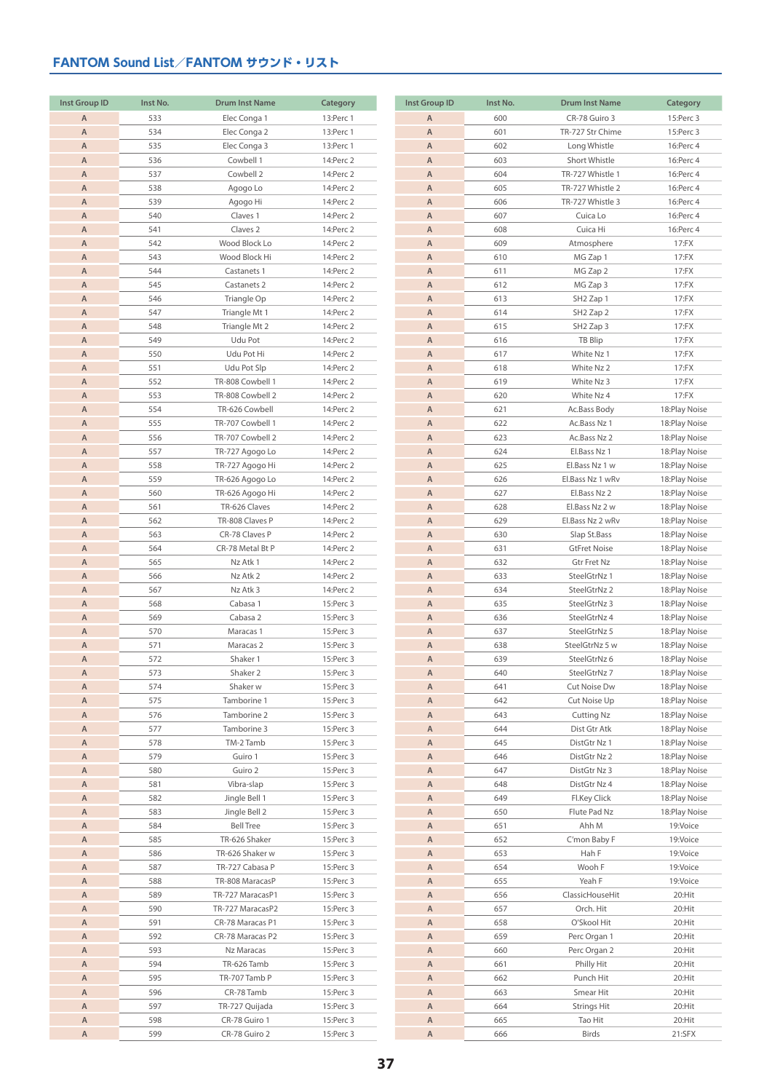| <b>Inst Group ID</b> | Inst No.   | <b>Drum Inst Name</b>            | Category               |
|----------------------|------------|----------------------------------|------------------------|
| Α                    | 533        | Elec Conga 1                     | 13:Perc 1              |
| Α                    | 534        | Elec Conga 2                     | 13:Perc 1              |
| $\mathsf A$          | 535        | Elec Conga 3                     | 13:Perc 1              |
| A                    | 536        | Cowbell 1                        | 14: Perc 2             |
| A                    | 537        | Cowbell 2                        | 14:Perc 2              |
| Α                    | 538        | Agogo Lo                         | 14:Perc 2              |
| $\mathsf A$          | 539        | Agogo Hi                         | 14:Perc 2              |
| A                    | 540        | Claves 1                         | 14:Perc 2              |
| Α                    | 541        | Claves <sub>2</sub>              | 14: Perc 2             |
| A                    | 542        | Wood Block Lo                    | 14:Perc 2              |
| A                    | 543        | Wood Block Hi                    | 14: Perc 2             |
| A                    | 544        | Castanets 1                      | 14:Perc 2              |
| A                    | 545        | Castanets 2                      | 14: Perc 2             |
| A                    | 546        | Triangle Op                      | 14:Perc 2              |
| A                    | 547        | Triangle Mt 1                    | 14:Perc 2              |
| A                    | 548        | Triangle Mt 2                    | 14:Perc 2              |
| A                    | 549        | Udu Pot                          | 14: Perc 2             |
| A                    | 550        | Udu Pot Hi                       | 14: Perc 2             |
| A                    | 551        | Udu Pot Slp                      | 14:Perc 2              |
| A                    | 552        | TR-808 Cowbell 1                 | 14:Perc 2              |
| A                    | 553        | TR-808 Cowbell 2                 | 14:Perc 2              |
| A                    | 554        | TR-626 Cowbell                   | 14:Perc 2              |
| A                    | 555        | TR-707 Cowbell 1                 | 14:Perc 2              |
| A                    | 556        | TR-707 Cowbell 2                 | 14: Perc 2             |
| A                    | 557        | TR-727 Agogo Lo                  | 14: Perc 2             |
| A                    | 558        | TR-727 Agogo Hi                  | 14: Perc 2             |
| A                    | 559        | TR-626 Agogo Lo                  | 14:Perc 2              |
| A                    | 560        | TR-626 Agogo Hi                  | 14:Perc 2              |
| Α                    | 561        | TR-626 Claves                    | 14: Perc 2             |
| A                    | 562        | TR-808 Claves P                  | 14: Perc 2             |
| A                    | 563        | CR-78 Claves P                   | 14:Perc 2              |
| A                    | 564        | CR-78 Metal Bt P                 | 14: Perc 2             |
| A                    | 565        | Nz Atk 1                         | 14:Perc 2              |
| A                    | 566        | Nz Atk 2                         | 14: Perc 2             |
| A                    | 567        | Nz Atk 3                         | 14: Perc 2             |
| A                    | 568        | Cabasa 1                         | 15:Perc 3              |
| A                    | 569        | Cabasa 2                         | 15:Perc 3              |
| A                    | 570        | Maracas 1                        | 15:Perc 3              |
| A<br>$\overline{A}$  | 571<br>572 | Maracas <sub>2</sub><br>Shaker 1 | 15:Perc 3              |
|                      |            |                                  | 15:Perc 3              |
| Α<br>Α               | 573<br>574 | Shaker 2<br>Shaker w             | 15:Perc 3<br>15:Perc 3 |
| A                    | 575        | Tamborine 1                      | 15:Perc 3              |
| Α                    | 576        | Tamborine 2                      | 15:Perc 3              |
| A                    | 577        | Tamborine 3                      | 15:Perc 3              |
| A                    | 578        | TM-2 Tamb                        | 15:Perc 3              |
| Α                    | 579        | Guiro 1                          | 15:Perc 3              |
| Α                    | 580        | Guiro 2                          | 15:Perc 3              |
| Α                    | 581        | Vibra-slap                       | 15:Perc 3              |
| Α                    | 582        | Jingle Bell 1                    | 15:Perc 3              |
| Α                    | 583        | Jingle Bell 2                    | 15:Perc 3              |
| Α                    | 584        | <b>Bell Tree</b>                 | 15:Perc 3              |
| A                    | 585        | TR-626 Shaker                    | 15:Perc 3              |
| Α                    | 586        | TR-626 Shaker w                  | 15:Perc 3              |
| Α                    | 587        | TR-727 Cabasa P                  | 15:Perc 3              |
| Α                    | 588        | TR-808 MaracasP                  | 15:Perc 3              |
| Α                    | 589        | TR-727 MaracasP1                 | 15:Perc 3              |
| A                    | 590        | TR-727 MaracasP2                 | 15:Perc 3              |
| Α                    | 591        | CR-78 Maracas P1                 | 15:Perc 3              |
| Α                    | 592        | CR-78 Maracas P2                 | 15:Perc 3              |
| Α                    | 593        | Nz Maracas                       | 15:Perc 3              |
| A                    | 594        | TR-626 Tamb                      | 15:Perc 3              |
| Α                    | 595        | TR-707 Tamb P                    | 15:Perc 3              |
| Α                    | 596        | CR-78 Tamb                       | 15:Perc 3              |
| Α                    | 597        | TR-727 Quijada                   | 15:Perc 3              |
| A                    | 598        | CR-78 Guiro 1                    | 15:Perc 3              |
| A                    | 599        | CR-78 Guiro 2                    | 15:Perc 3              |

| <b>Inst Group ID</b> | Inst No.   | <b>Drum Inst Name</b> | Category                       |
|----------------------|------------|-----------------------|--------------------------------|
| A                    | 600        | CR-78 Guiro 3         | 15:Perc 3                      |
| A                    | 601        | TR-727 Str Chime      | 15:Perc 3                      |
| $\mathsf A$          | 602        | Long Whistle          | 16:Perc 4                      |
| $\mathsf A$          | 603        | Short Whistle         | 16:Perc 4                      |
| A                    | 604        | TR-727 Whistle 1      | 16:Perc 4                      |
| $\overline{A}$       | 605        | TR-727 Whistle 2      | 16:Perc 4                      |
| $\overline{A}$       | 606        | TR-727 Whistle 3      | 16:Perc 4                      |
| A                    | 607        | Cuica Lo              | 16:Perc 4                      |
| A                    | 608        | Cuica Hi              | 16:Perc 4                      |
| A                    | 609        | Atmosphere            | 17:FX                          |
| $\mathsf A$          | 610        | MG Zap 1              | 17:FX                          |
| $\mathsf A$          | 611        | MG Zap 2              | 17:FX                          |
| A                    | 612        | MG Zap 3              | 17:FX                          |
| A                    | 613        | SH <sub>2</sub> Zap 1 | 17:FX                          |
| $\overline{A}$       | 614        | SH <sub>2</sub> Zap 2 | 17:FX                          |
| A                    | 615        | SH <sub>2</sub> Zap 3 | 17:FX                          |
| A                    | 616        | TB Blip               | 17:FX                          |
| A                    | 617        | White Nz 1            | 17:FX                          |
| A                    | 618        | White Nz 2            | 17:FX                          |
| $\mathsf A$          | 619        | White Nz 3            | 17:FX                          |
| A                    | 620        | White Nz 4            | 17:FX                          |
| A                    | 621        | Ac.Bass Body          | 18:Play Noise                  |
| $\overline{A}$       | 622        | Ac.Bass Nz 1          | 18:Play Noise                  |
| $\overline{A}$       | 623        | Ac.Bass Nz 2          | 18:Play Noise                  |
| $\overline{A}$       | 624        | El.Bass Nz 1          | 18:Play Noise                  |
| $\overline{A}$       | 625        | El.Bass Nz 1 w        | 18:Play Noise                  |
| $\overline{A}$       | 626        | El.Bass Nz 1 wRv      | 18:Play Noise                  |
| A                    | 627        | El.Bass Nz 2          | 18:Play Noise                  |
| $\overline{A}$       | 628        | El.Bass Nz 2 w        | 18:Play Noise                  |
| A                    | 629        | El.Bass Nz 2 wRv      | 18:Play Noise                  |
| $\overline{A}$       |            | Slap St.Bass          |                                |
| $\overline{A}$       | 630<br>631 | <b>GtFret Noise</b>   | 18:Play Noise<br>18:Play Noise |
| A                    | 632        | Gtr Fret Nz           | 18:Play Noise                  |
| A                    | 633        | SteelGtrNz 1          | 18:Play Noise                  |
| Α                    | 634        | SteelGtrNz 2          |                                |
| $\overline{A}$       | 635        | SteelGtrNz 3          | 18:Play Noise<br>18:Play Noise |
| A                    | 636        | SteelGtrNz 4          | 18:Play Noise                  |
| A                    | 637        | SteelGtrNz 5          | 18: Play Noise                 |
| A                    | 638        | SteelGtrNz 5 w        | 18:Play Noise                  |
| A                    | 639        | SteelGtrNz 6          | 18: Play Noise                 |
| A                    | 640        | SteelGtrNz 7          | 18:Play Noise                  |
| $\mathsf A$          | 641        | Cut Noise Dw          | 18:Play Noise                  |
| Α                    | 642        | Cut Noise Up          | 18:Play Noise                  |
| A                    | 643        | Cutting Nz            | 18:Play Noise                  |
| A                    | 644        | Dist Gtr Atk          | 18:Play Noise                  |
| A                    | 645        | DistGtr Nz 1          | 18:Play Noise                  |
| Α                    | 646        | DistGtr Nz 2          | 18:Play Noise                  |
| A                    | 647        | DistGtr Nz 3          | 18: Play Noise                 |
| A                    | 648        | DistGtr Nz 4          | 18:Play Noise                  |
| Α                    | 649        | Fl.Key Click          | 18:Play Noise                  |
| Α                    | 650        | Flute Pad Nz          | 18:Play Noise                  |
| A                    | 651        | Ahh M                 | 19:Voice                       |
| Α                    | 652        | C'mon Baby F          | 19:Voice                       |
| Α                    | 653        | Hah F                 | 19:Voice                       |
| Α                    | 654        | Wooh F                | 19:Voice                       |
| Α                    | 655        | Yeah F                | 19:Voice                       |
| A                    | 656        | ClassicHouseHit       | 20:Hit                         |
| A                    | 657        | Orch. Hit             | 20:Hit                         |
| Α                    | 658        | O'Skool Hit           | 20:Hit                         |
| Α                    | 659        | Perc Organ 1          | 20:Hit                         |
| A                    | 660        | Perc Organ 2          | 20:Hit                         |
| Α                    | 661        | Philly Hit            | 20:Hit                         |
| Α                    | 662        | Punch Hit             | 20:Hit                         |
| Α                    | 663        | Smear Hit             | 20:Hit                         |
| Α                    | 664        | Strings Hit           | 20:Hit                         |
| A                    | 665        | Tao Hit               | 20:Hit                         |
| Α                    | 666        | Birds                 | 21:SFX                         |
|                      |            |                       |                                |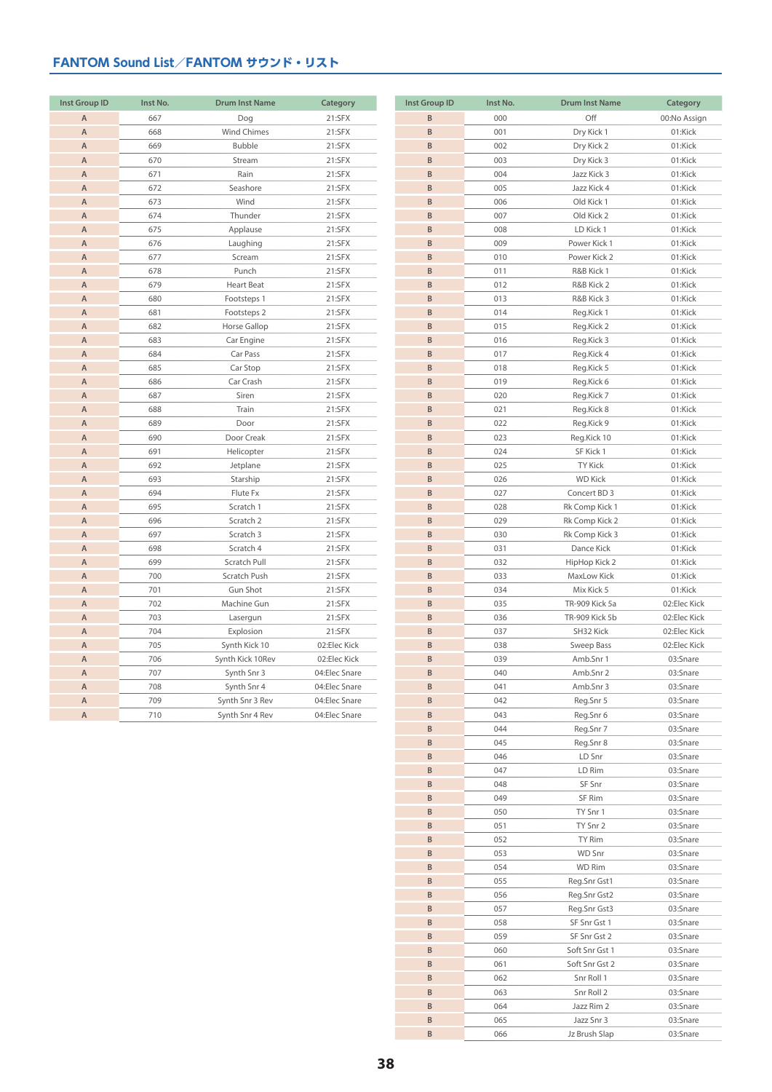| <b>Inst Group ID</b> | Inst No. | <b>Drum Inst Name</b> | Category      |
|----------------------|----------|-----------------------|---------------|
| $\overline{A}$       | 667      | Dog                   | 21:SFX        |
| $\overline{A}$       | 668      | <b>Wind Chimes</b>    | 21:SFX        |
| $\overline{A}$       | 669      | Bubble                | 21:SFX        |
| $\overline{A}$       | 670      | Stream                | 21:SFX        |
| $\overline{A}$       | 671      | Rain                  | 21:SFX        |
| $\overline{A}$       | 672      | Seashore              | 21:SFX        |
| $\overline{A}$       | 673      | Wind                  | 21:SFX        |
| $\overline{A}$       | 674      | Thunder               | 21:SFX        |
| $\overline{A}$       | 675      | Applause              | 21:SFX        |
| $\overline{A}$       | 676      | Laughing              | 21:SFX        |
| $\overline{A}$       | 677      | Scream                | 21:SFX        |
| $\overline{A}$       | 678      | Punch                 | 21:SFX        |
| $\overline{A}$       | 679      | <b>Heart Beat</b>     | 21:SFX        |
| $\overline{A}$       | 680      | Footsteps 1           | 21:SFX        |
| $\overline{A}$       | 681      | Footsteps 2           | 21:SFX        |
| $\overline{A}$       | 682      | Horse Gallop          | 21:SFX        |
| $\overline{A}$       | 683      | Car Engine            | 21:SFX        |
| $\overline{A}$       | 684      | Car Pass              | 21:SFX        |
| $\overline{A}$       | 685      | Car Stop              | 21:SFX        |
| $\overline{A}$       | 686      | Car Crash             | 21:SFX        |
| $\overline{A}$       | 687      | Siren                 | 21:SFX        |
| $\overline{A}$       | 688      | Train                 | 21:SFX        |
| $\overline{A}$       | 689      | Door                  | 21:SFX        |
| $\overline{A}$       | 690      | Door Creak            | 21:SFX        |
| $\overline{A}$       | 691      | Helicopter            | 21:SFX        |
| $\overline{A}$       | 692      | Jetplane              | 21:SFX        |
| $\overline{A}$       | 693      | Starship              | 21:SFX        |
| $\overline{A}$       | 694      | Flute Fx              | 21:SFX        |
| $\overline{A}$       | 695      | Scratch 1             | 21:SFX        |
| $\overline{A}$       | 696      | Scratch 2             | 21:SFX        |
| $\overline{A}$       | 697      | Scratch 3             | 21:SFX        |
| $\overline{A}$       | 698      | Scratch 4             | 21:SFX        |
| $\overline{A}$       | 699      | Scratch Pull          | 21:SFX        |
| $\overline{A}$       | 700      | Scratch Push          | 21:SFX        |
| $\overline{A}$       | 701      | <b>Gun Shot</b>       | 21:SFX        |
| $\overline{A}$       | 702      | Machine Gun           | 21:SFX        |
| $\overline{A}$       | 703      | Lasergun              | 21:SFX        |
| $\overline{A}$       | 704      | Explosion             | 21:SFX        |
| $\overline{A}$       | 705      | Synth Kick 10         | 02:Elec Kick  |
| $\overline{A}$       | 706      | Synth Kick 10Rev      | 02:Elec Kick  |
| $\overline{A}$       | 707      | Synth Snr 3           | 04:Elec Snare |
| $\overline{A}$       | 708      | Synth Snr 4           | 04:Elec Snare |
| A                    | 709      | Synth Snr 3 Rev       | 04:Elec Snare |
| $\overline{A}$       | 710      | Synth Snr 4 Rev       | 04:Elec Snare |

| <b>Inst Group ID</b> | Inst No.   | <b>Drum Inst Name</b>        | Category                |
|----------------------|------------|------------------------------|-------------------------|
| B                    | 000        | Off                          | 00:No Assign            |
| B                    | 001        | Dry Kick 1                   | 01:Kick                 |
| B                    | 002        | Dry Kick 2                   | 01:Kick                 |
| B                    | 003        | Dry Kick 3                   | 01:Kick                 |
| B                    | 004        | Jazz Kick 3                  | 01:Kick                 |
| B                    | 005        | Jazz Kick 4                  | 01:Kick                 |
| B                    | 006        | Old Kick 1                   | 01:Kick                 |
| B                    | 007        | Old Kick 2                   | 01:Kick                 |
| B                    | 008        | LD Kick 1                    | 01:Kick                 |
| B                    | 009        | Power Kick 1                 | 01:Kick                 |
| B                    | 010        | Power Kick 2                 | 01:Kick                 |
| B                    | 011        | R&B Kick 1                   | 01:Kick                 |
| B                    | 012        | R&B Kick 2                   | 01:Kick                 |
| B                    | 013        | R&B Kick 3                   | 01:Kick                 |
| B                    | 014        | Reg.Kick 1                   | 01:Kick                 |
| B                    | 015        | Reg.Kick 2                   | 01:Kick                 |
| B                    | 016        | Reg.Kick 3                   | 01:Kick                 |
| B                    | 017        | Reg.Kick 4                   | 01:Kick                 |
| B                    | 018        | Reg.Kick 5                   | 01:Kick                 |
| B                    | 019        | Reg.Kick 6                   | 01:Kick                 |
| B                    | 020        | Reg.Kick 7                   | 01:Kick                 |
| B                    | 021        | Reg.Kick 8                   | 01:Kick                 |
| B                    | 022        | Reg.Kick 9                   | 01:Kick                 |
| B                    | 023        | Reg.Kick 10                  | 01:Kick                 |
| B                    | 024        | SF Kick 1                    | 01:Kick                 |
| B                    | 025        | <b>TY Kick</b>               | 01:Kick                 |
| B                    | 026        | <b>WD Kick</b>               | 01:Kick                 |
| B                    | 027        | Concert BD 3                 | 01:Kick                 |
| B                    | 028        | Rk Comp Kick 1               | 01:Kick                 |
| B                    | 029        | Rk Comp Kick 2               | 01:Kick                 |
| B                    | 030        | Rk Comp Kick 3               | 01:Kick                 |
| B                    | 031        | Dance Kick                   | 01:Kick                 |
| B                    | 032        | HipHop Kick 2                | 01:Kick                 |
| B                    | 033        | MaxLow Kick                  | 01:Kick                 |
| B                    |            |                              |                         |
| B                    | 034<br>035 | Mix Kick 5<br>TR-909 Kick 5a | 01:Kick<br>02:Elec Kick |
| B                    | 036        | TR-909 Kick 5b               | 02:Elec Kick            |
| B                    | 037        | SH32 Kick                    | 02:Elec Kick            |
| B                    | 038        | Sweep Bass                   | 02:Elec Kick            |
| B                    | 039        | Amb.Snr 1                    | 03:Snare                |
| <sub>B</sub>         | 040        | Amb.Snr 2                    | 03:Snare                |
| B                    | 041        |                              | 03:Snare                |
| B                    | 042        | Amb.Snr 3                    |                         |
| B                    | 043        | Reg.Snr 5<br>Reg.Snr 6       | 03:Snare<br>03:Snare    |
| B                    | 044        |                              | 03:Snare                |
| B                    | 045        | Reg.Snr 7<br>Reg.Snr 8       | 03:Snare                |
| B                    | 046        | LD Snr                       | 03:Snare                |
| B                    | 047        |                              |                         |
| B                    |            | LD Rim                       | 03:Snare<br>03:Snare    |
| B                    | 048<br>049 | SF Snr                       | 03:Snare                |
| B                    | 050        | SF Rim<br>TY Snr 1           | 03:Snare                |
| B                    | 051        | TY Snr 2                     | 03:Snare                |
| B                    | 052        | TY Rim                       | 03:Snare                |
| B                    | 053        | WD Snr                       | 03:Snare                |
| B                    |            |                              |                         |
| B                    | 054<br>055 | WD Rim                       | 03:Snare                |
| B                    | 056        | Reg.Snr Gst1<br>Reg.Snr Gst2 | 03:Snare<br>03:Snare    |
| B                    | 057        | Reg.Snr Gst3                 | 03:Snare                |
| B                    | 058        | SF Snr Gst 1                 |                         |
|                      |            |                              | 03:Snare                |
| B                    | 059        | SF Snr Gst 2                 | 03:Snare                |
| B                    | 060        | Soft Snr Gst 1               | 03:Snare                |
| B                    | 061        | Soft Snr Gst 2               | 03:Snare                |
| B                    | 062        | Snr Roll 1                   | 03:Snare                |
| B                    | 063        | Snr Roll 2                   | 03:Snare                |
| B                    | 064        | Jazz Rim 2                   | 03:Snare                |
| B                    | 065        | Jazz Snr 3                   | 03:Snare                |
| B                    | 066        | Jz Brush Slap                | 03:Snare                |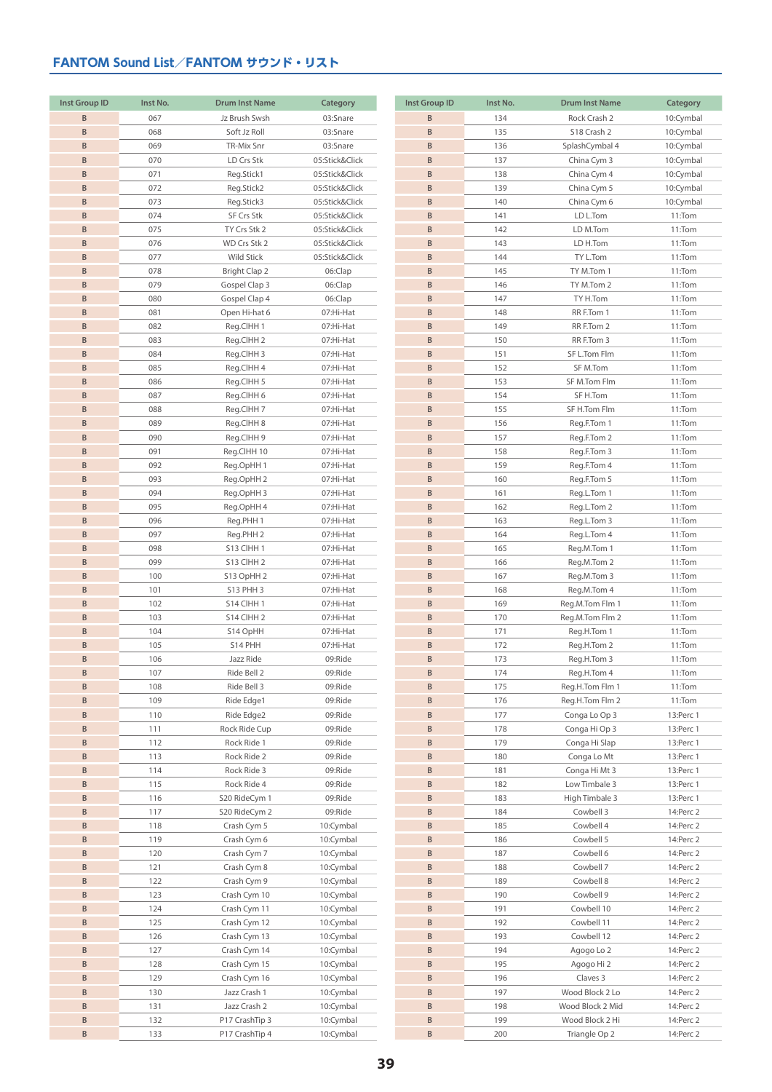| <b>Inst Group ID</b> | Inst No. | <b>Drum Inst Name</b> | Category       |
|----------------------|----------|-----------------------|----------------|
| B                    | 067      | Jz Brush Swsh         | 03:Snare       |
| B                    | 068      | Soft Jz Roll          | 03:Snare       |
| B                    | 069      | TR-Mix Snr            | 03:Snare       |
| B                    | 070      | LD Crs Stk            | 05:Stick&Click |
| B                    | 071      | Reg.Stick1            | 05:Stick&Click |
| B                    | 072      | Reg.Stick2            | 05:Stick&Click |
| B                    | 073      | Reg.Stick3            | 05:Stick&Click |
| B                    | 074      | SF Crs Stk            | 05:Stick&Click |
| B                    | 075      | TY Crs Stk 2          | 05:Stick&Click |
| B                    | 076      | WD Crs Stk 2          | 05:Stick&Click |
| B                    | 077      | Wild Stick            | 05:Stick&Click |
| B                    | 078      | Bright Clap 2         | 06:Clap        |
| B                    | 079      | Gospel Clap 3         | 06:Clap        |
| B                    | 080      | Gospel Clap 4         | 06:Clap        |
| B                    | 081      | Open Hi-hat 6         | 07:Hi-Hat      |
| B                    | 082      | Reg.ClHH 1            | 07:Hi-Hat      |
| B                    | 083      | Reg.CIHH 2            | 07:Hi-Hat      |
| B                    | 084      | Reg.ClHH 3            | 07:Hi-Hat      |
| B                    | 085      | Reg.CIHH 4            | 07:Hi-Hat      |
| $\sf{B}$             | 086      | Reg.CIHH 5            | 07:Hi-Hat      |
| B                    | 087      | Reg.ClHH 6            | 07:Hi-Hat      |
| B                    | 088      | Reg.ClHH 7            | 07:Hi-Hat      |
| B                    | 089      | Reg.ClHH 8            | 07:Hi-Hat      |
| B                    | 090      | Reg.ClHH 9            | 07:Hi-Hat      |
| B                    | 091      | Reg.CIHH 10           | 07:Hi-Hat      |
| B                    | 092      | Reg.OpHH 1            | 07:Hi-Hat      |
| $\sf{B}$             | 093      | Reg.OpHH 2            | 07:Hi-Hat      |
| B                    | 094      | Reg.OpHH 3            | 07:Hi-Hat      |
| $\sf{B}$             | 095      | Reg.OpHH 4            | 07:Hi-Hat      |
| B                    | 096      | Reg.PHH 1             | 07:Hi-Hat      |
| B                    | 097      | Reg.PHH 2             | 07:Hi-Hat      |
| B                    | 098      | S13 CIHH 1            | 07:Hi-Hat      |
| B                    | 099      | S13 CIHH 2            | 07:Hi-Hat      |
| B                    | 100      | S13 OpHH 2            | 07:Hi-Hat      |
| B                    | 101      | S13 PHH 3             | 07:Hi-Hat      |
| B                    | 102      | S14 CIHH 1            | 07:Hi-Hat      |
| B                    | 103      | S14 CIHH 2            | 07:Hi-Hat      |
| $\sf{B}$             | 104      | S14 OpHH              | 07:Hi-Hat      |
| B                    | 105      | S14 PHH               | 07:Hi-Hat      |
| B                    | 106      | Jazz Ride             | 09:Ride        |
| B                    | 107      | Ride Bell 2           | 09:Ride        |
| B                    | 108      | Ride Bell 3           | 09:Ride        |
| B                    | 109      | Ride Edge1            | 09:Ride        |
| B                    | 110      | Ride Edge2            | 09:Ride        |
| B                    | 111      | Rock Ride Cup         | 09:Ride        |
| B                    | 112      | Rock Ride 1           | 09:Ride        |
| B                    | 113      | Rock Ride 2           | 09:Ride        |
| B                    | 114      | Rock Ride 3           | 09:Ride        |
| B                    | 115      | Rock Ride 4           | 09:Ride        |
| B                    | 116      | S20 RideCym 1         | 09:Ride        |
| B                    | 117      | S20 RideCym 2         | 09:Ride        |
| B                    | 118      | Crash Cym 5           | 10:Cymbal      |
| B                    | 119      | Crash Cym 6           | 10:Cymbal      |
| B                    | 120      | Crash Cym 7           | 10:Cymbal      |
| B                    | 121      | Crash Cym 8           | 10:Cymbal      |
| B                    | 122      | Crash Cym 9           | 10:Cymbal      |
| B                    | 123      | Crash Cym 10          | 10:Cymbal      |
| B                    | 124      | Crash Cym 11          | 10:Cymbal      |
| B                    | 125      | Crash Cym 12          | 10:Cymbal      |
| B                    | 126      | Crash Cym 13          | 10:Cymbal      |
| B                    | 127      | Crash Cym 14          | 10:Cymbal      |
| B                    | 128      | Crash Cym 15          | 10:Cymbal      |
| B                    | 129      | Crash Cym 16          | 10:Cymbal      |
| B                    | 130      | Jazz Crash 1          | 10:Cymbal      |
| B                    | 131      | Jazz Crash 2          | 10:Cymbal      |
| B                    | 132      | P17 CrashTip 3        | 10:Cymbal      |
| B                    | 133      | P17 CrashTip 4        | 10:Cymbal      |

| <b>Inst Group ID</b> | Inst No.   | <b>Drum Inst Name</b>               | Category               |
|----------------------|------------|-------------------------------------|------------------------|
| B                    | 134        | Rock Crash 2                        | 10:Cymbal              |
| B                    | 135        | S18 Crash 2                         | 10:Cymbal              |
| B                    | 136        | SplashCymbal 4                      | 10:Cymbal              |
| B                    | 137        | China Cym 3                         | 10:Cymbal              |
| B                    | 138        | China Cym 4                         | 10:Cymbal              |
| B                    | 139        | China Cym 5                         | 10:Cymbal              |
| B                    | 140        | China Cym 6                         | 10:Cymbal              |
| B                    | 141        | LD L.Tom                            | 11:Tom                 |
| B                    | 142        | LD M.Tom                            | 11:Tom                 |
| B                    | 143        | LD H.Tom                            | 11:Tom                 |
| B                    | 144        | TY L.Tom                            | 11:Tom                 |
| B<br>B               | 145<br>146 | TY M.Tom 1<br>TY M.Tom 2            | 11:Tom                 |
| B                    | 147        | TY H.Tom                            | 11:Tom<br>11:Tom       |
| B                    | 148        | RR F.Tom 1                          | 11:Tom                 |
| B                    | 149        | RR F.Tom 2                          | 11:Tom                 |
| B                    | 150        | RR F.Tom 3                          | 11:Tom                 |
| B                    | 151        | SF L.Tom Flm                        | 11:Tom                 |
| B                    | 152        | SF M.Tom                            | 11:Tom                 |
| B                    | 153        | SF M.Tom Flm                        | 11:Tom                 |
| B                    | 154        | SF H.Tom                            | 11:Tom                 |
| B                    | 155        | SF H.Tom Flm                        | 11:Tom                 |
| B                    | 156        | Reg.F.Tom 1                         | 11:Tom                 |
| B                    | 157        | Reg.F.Tom 2                         | 11:Tom                 |
| B                    | 158        | Reg.F.Tom 3                         | 11:Tom                 |
| B                    | 159        | Reg.F.Tom 4                         | 11:Tom                 |
| B                    | 160        | Reg.F.Tom 5                         | 11:Tom                 |
| B                    | 161        | Reg.L.Tom 1                         | 11:Tom                 |
| B                    | 162        | Reg.L.Tom 2                         | 11:Tom                 |
| B                    | 163        | Reg.L.Tom 3                         | 11:Tom                 |
| B                    | 164        | Reg.L.Tom 4                         | 11:Tom                 |
| B<br>B               | 165        | Reg.M.Tom 1                         | 11:Tom                 |
| B                    | 166<br>167 | Reg.M.Tom 2<br>Reg.M.Tom 3          | 11:Tom<br>11:Tom       |
| B                    | 168        | Reg.M.Tom 4                         | 11:Tom                 |
| B                    | 169        | Reg.M.Tom Flm 1                     | 11:Tom                 |
| B                    | 170        | Reg.M.Tom Flm 2                     | 11:Tom                 |
| B                    | 171        | Reg.H.Tom 1                         | 11:Tom                 |
| B                    | 172        | Reg.H.Tom 2                         | 11:Tom                 |
| B                    | 173        | Reg.H.Tom 3                         | 11:Tom                 |
| B.                   | 174        | Reg.H.Tom 4                         | 11:Tom                 |
| B                    | 175        | Reg.H.Tom Flm 1                     | 11:Tom                 |
| B                    | 176        | Reg.H.Tom Flm 2                     | 11:Tom                 |
| B                    | 177        | Conga Lo Op 3                       | 13:Perc 1              |
| B                    | 178        | Conga Hi Op 3                       | 13:Perc 1              |
| B                    | 179        | Conga Hi Slap                       | 13:Perc 1              |
| B                    | 180        | Conga Lo Mt                         | 13:Perc 1              |
| B<br>B               | 181        | Conga Hi Mt 3                       | 13:Perc 1              |
| B                    | 182<br>183 | Low Timbale 3<br>High Timbale 3     | 13:Perc 1<br>13:Perc 1 |
| B                    | 184        | Cowbell 3                           | 14:Perc 2              |
| B                    | 185        | Cowbell 4                           | 14: Perc 2             |
| B                    | 186        | Cowbell 5                           | 14: Perc 2             |
| B                    | 187        | Cowbell 6                           | 14: Perc 2             |
| B                    | 188        | Cowbell 7                           | 14:Perc 2              |
| B                    | 189        | Cowbell 8                           | 14:Perc 2              |
| B                    | 190        | Cowbell 9                           | 14:Perc 2              |
| B                    | 191        | Cowbell 10                          | 14: Perc 2             |
| B                    | 192        | Cowbell 11                          | 14:Perc 2              |
| B                    | 193        | Cowbell 12                          | 14:Perc 2              |
| B                    | 194        | Agogo Lo 2                          | 14:Perc 2              |
| B                    | 195        | Agogo Hi 2                          | 14:Perc 2              |
| B                    | 196        | Claves 3                            | 14:Perc 2              |
| B                    | 197        | Wood Block 2 Lo                     | 14:Perc 2              |
| B<br>B               | 198        | Wood Block 2 Mid<br>Wood Block 2 Hi | 14:Perc 2              |
| B                    | 199<br>200 | Triangle Op 2                       | 14:Perc 2<br>14:Perc 2 |
|                      |            |                                     |                        |